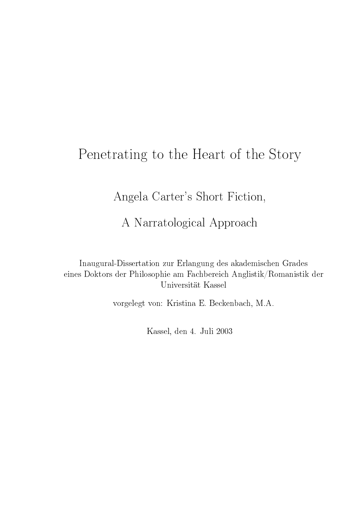# Penetrating to the Heart of the Story

Angela Carter's Short Fiction,

A Narratological Approach

Inaugural-Dissertation zur Erlangung des akademischen Grades eines Doktors der Philosophie am Fachbereich Anglistik/Romanistik der Universität Kassel

vorgelegt von: Kristina E. Beckenbach, M.A.

Kassel, den 4. Juli 2003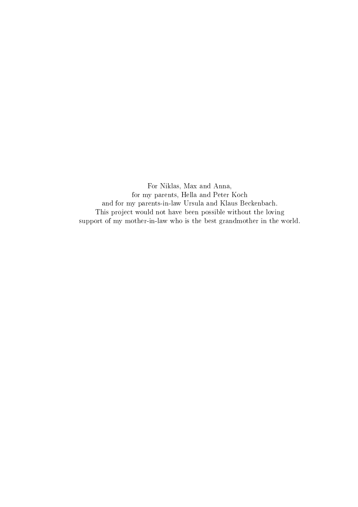For Niklas, Max and Anna, for my parents, Hella and Peter Koch and for my parents-in-law Ursula and Klaus Beckenbach. This project would not have been possible without the loving support of my mother-in-law who is the best grandmother in the world.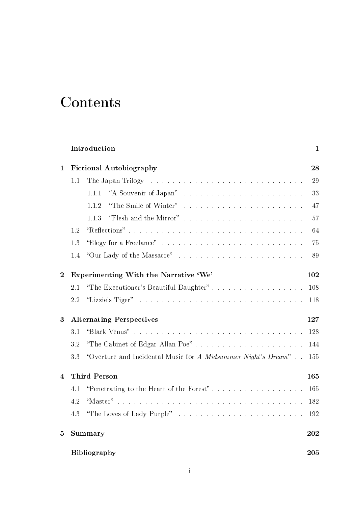# Contents

|                  |                                        | Introduction                                                    | $\mathbf{1}$ |
|------------------|----------------------------------------|-----------------------------------------------------------------|--------------|
| 1                | <b>Fictional Autobiography</b>         |                                                                 | 28           |
|                  | 1.1                                    |                                                                 | 29           |
|                  |                                        | 1.1.1                                                           | 33           |
|                  |                                        | "The Smile of Winter"<br>1.1.2                                  | 47           |
|                  |                                        | 1.1.3                                                           | 57           |
|                  | 1.2                                    | "Reflections"                                                   | 64           |
|                  | 1.3                                    | "Elegy for a Freelance"                                         | 75           |
|                  | 1.4                                    |                                                                 | 89           |
| $\boldsymbol{2}$ | Experimenting With the Narrative 'We'  |                                                                 | 102          |
|                  | 2.1                                    | "The Executioner's Beautiful Daughter"                          | 108          |
|                  | 2.2                                    |                                                                 | 118          |
| $\boldsymbol{3}$ | <b>Alternating Perspectives</b><br>127 |                                                                 |              |
|                  | 3.1                                    |                                                                 | 128          |
|                  | 3.2                                    |                                                                 | 144          |
|                  | 3.3                                    | "Overture and Incidental Music for $A$ Midsummer Night's Dream" | 155          |
| 4                | <b>Third Person</b>                    |                                                                 | 165          |
|                  | 4.1                                    | "Penetrating to the Heart of the Forest"                        | 165          |
|                  | 4.2                                    |                                                                 | 182          |
|                  | 4.3                                    | "The Loves of Lady Purple"                                      | 192          |
| $\overline{5}$   |                                        | <b>Summary</b>                                                  | 202          |
|                  | <b>Bibliography</b>                    |                                                                 | 205          |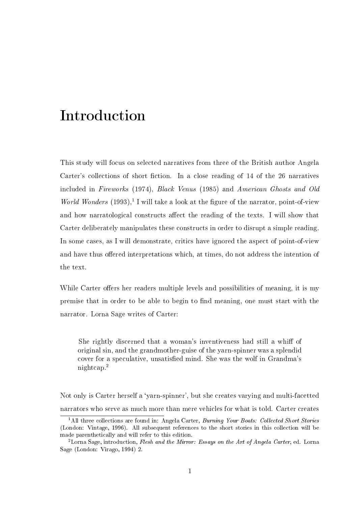This study will focus on selected narratives from three of the British author Angela Carter's collections of short fiction. In a close reading of  $14$  of the 26 narratives included in Fireworks (1974), Black Venus (1985) and American Ghosts and Old World Wonders  $(1993)$ ,<sup>1</sup> I will take a look at the figure of the narrator, point-of-view and how narratological constructs affect the reading of the texts. I will show that Carter deliberately manipulates these constructs in order to disrupt a simple reading. In some cases, as I will demonstrate, critics have ignored the aspect of point-of-view and have thus offered interpretations which, at times, do not address the intention of the text.

While Carter offers her readers multiple levels and possibilities of meaning, it is my premise that in order to be able to begin to find meaning, one must start with the narrator. Lorna Sage writes of Carter:

She rightly discerned that a woman's inventiveness had still a whiff of original sin, and the grandmother-guise of the yarn-spinner was a splendid cover for a speculative, unsatisfied mind. She was the wolf in Grandma's nightcap.<sup>2</sup>

Not only is Carter herself a `yarn-spinner', but she creates varying and multi-facetted narrators who serve as much more than mere vehicles for what is told. Carter creates

<sup>&</sup>lt;sup>1</sup>All three collections are found in: Angela Carter, *Burning Your Boats: Collected Short Stories* (London: Vintage, 1996). All subsequent references to the short stories in this collection will be made parenthetically and will refer to this edition.

<sup>&</sup>lt;sup>2</sup> Lorna Sage, introduction, Flesh and the Mirror: Essays on the Art of Angela Carter, ed. Lorna Sage (London: Virago, 1994) 2.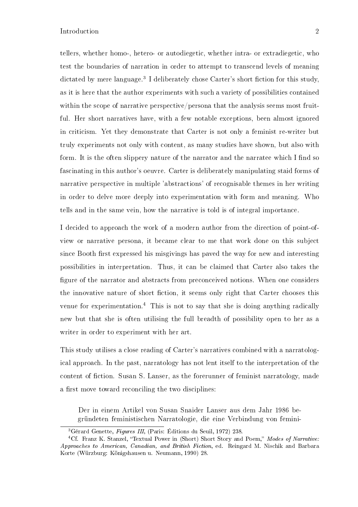tellers, whether homo-, hetero- or autodiegetic, whether intra- or extradiegetic, who test the boundaries of narration in order to attempt to transcend levels of meaning dictated by mere language.<sup>3</sup> I deliberately chose Carter's short fiction for this study, as it is here that the author experiments with such a variety of possibilities contained within the scope of narrative perspective/persona that the analysis seems most fruitful. Her short narratives have, with a few notable exceptions, been almost ignored in criticism. Yet they demonstrate that Carter is not only a feminist re-writer but truly experiments not only with content, as many studies have shown, but also with form. It is the often slippery nature of the narrator and the narratee which I find so fascinating in this author's oeuvre. Carter is deliberately manipulating staid forms of narrative perspective in multiple 'abstractions' of recognisable themes in her writing in order to delve more deeply into experimentation with form and meaning. Who tells and in the same vein, how the narrative is told is of integral importance.

I decided to approach the work of a modern author from the direction of point-ofview or narrative persona, it became clear to me that work done on this subject since Booth first expressed his misgivings has paved the way for new and interesting possibilities in interpretation. Thus, it can be claimed that Carter also takes the figure of the narrator and abstracts from preconceived notions. When one considers the innovative nature of short fiction, it seems only right that Carter chooses this venue for experimentation.<sup>4</sup> This is not to say that she is doing anything radically new but that she is often utilising the full breadth of possibility open to her as a writer in order to experiment with her art.

This study utilises a close reading of Carter's narratives combined with a narratological approach. In the past, narratology has not lent itself to the interpretation of the content of fiction. Susan S. Lanser, as the forerunner of feminist narratology, made a first move toward reconciling the two disciplines:

Der in einem Artikel von Susan Snaider Lanser aus dem Jahr 1986 begründeten feministischen Narratologie, die eine Verbindung von femini-

<sup>3</sup>Gérard Genette, Figures III, (Paris: Éditions du Seuil, 1972) 238.

<sup>&</sup>lt;sup>4</sup>Cf. Franz K. Stanzel, "Textual Power in (Short) Short Story and Poem," Modes of Narrative: Approaches to American, Canadian, and British Fiction, ed. Reingard M. Nischik and Barbara Korte (Würzburg: Königshausen u. Neumann, 1990) 28.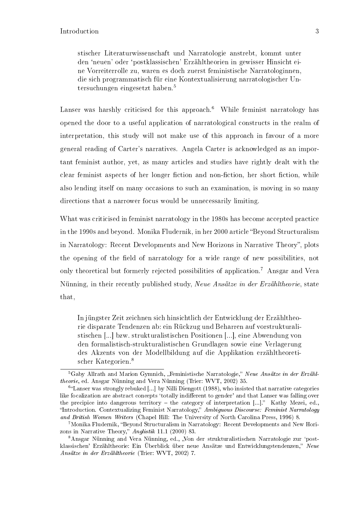stischer Literaturwissenschaft und Narratologie anstrebt, kommt unter den `neuen' oder `postklassischen' Erzähltheorien in gewisser Hinsicht eine Vorreiterrolle zu, waren es doch zuerst feministische Narratologinnen, die sich programmatisch für eine Kontextualisierung narratologischer Untersuchungen eingesetzt haben.<sup>5</sup>

Lanser was harshly criticised for this approach.<sup>6</sup> While feminist narratology has opened the door to a useful application of narratological constructs in the realm of interpretation, this study will not make use of this approach in favour of a more general reading of Carter's narratives. Angela Carter is acknowledged as an important feminist author, yet, as many articles and studies have rightly dealt with the clear feminist aspects of her longer fiction and non-fiction, her short fiction, while also lending itself on many occasions to such an examination, is moving in so many directions that a narrower focus would be unnecessarily limiting.

What was criticised in feminist narratology in the 1980s has become accepted practice in the 1990s and beyond. Monika Fludernik, in her 2000 article "Beyond Structuralism in Narratology: Recent Developments and New Horizons in Narrative Theory", plots the opening of the field of narratology for a wide range of new possibilities, not only theoretical but formerly rejected possibilities of application.<sup>7</sup> Ansgar and Vera Nünning, in their recently published study, Neue Ansätze in der Erzähltheorie, state that,

In jüngster Zeit zeichnen sich hinsichtlich der Entwicklung der Erzähltheorie disparate Tendenzen ab: ein Rückzug und Beharren auf vorstrukturalistischen [...] bzw. strukturalistischen Positionen [...], eine Abwendung von den formalistisch-strukturalistischen Grundlagen sowie eine Verlagerung des Akzents von der Modellbildung auf die Applikation erzähltheoretischer Kategorien.<sup>8</sup>

 ${}^{5}G$ aby Allrath and Marion Gymnich, "Feministische Narratologie," Neue Ansätze in der Erzähltheorie, ed. Ansgar Nünning and Vera Nünning (Trier: WVT, 2002) 35.

<sup>&</sup>lt;sup>6</sup>"Lanser was strongly rebuked [...] by Nilli Diengott (1988), who insisted that narrative categories like focalization are abstract concepts 'totally indifferent to gender' and that Lanser was falling over the precipice into dangerous territory  $-$  the category of interpretation  $[\dots]$ ." Kathy Mezei, ed., "Introduction. Contextualizing Feminist Narratology," Ambiguous Discourse: Feminist Narratology and British Women Writers (Chapel Hill: The University of North Carolina Press, 1996) 8.

<sup>&</sup>lt;sup>7</sup>Monika Fludernik, "Beyond Structuralism in Narratology: Recent Developments and New Horizons in Narrative Theory,"  $Anglistik$  11.1 (2000) 83.

<sup>8</sup>Ansgar Nünning and Vera Nünning, ed., Von der strukturalistischen Narratologie zur `postklassischen' Erzähltheorie: Ein Überblick über neue Ansätze und Entwicklungstendenzen," Neue Ansätze in der Erzähltheorie (Trier: WVT, 2002) 7.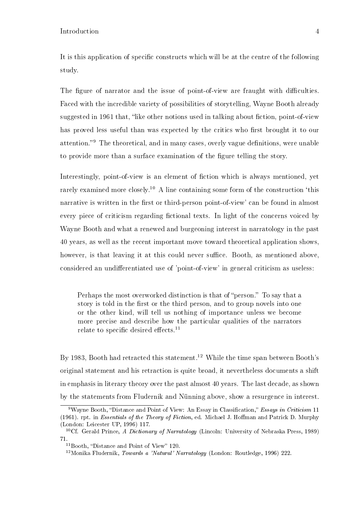It is this application of specific constructs which will be at the centre of the following study.

The figure of narrator and the issue of point-of-view are fraught with difficulties. Faced with the incredible variety of possibilities of storytelling, Wayne Booth already suggested in 1961 that, "like other notions used in talking about fiction, point-of-view has proved less useful than was expected by the critics who first brought it to our attention.<sup>9</sup> The theoretical, and in many cases, overly vague definitions, were unable to provide more than a surface examination of the figure telling the story.

Interestingly, point-of-view is an element of fiction which is always mentioned, yet rarely examined more closely.<sup>10</sup> A line containing some form of the construction  $\text{this}$ narrative is written in the first or third-person point-of-view' can be found in almost every piece of criticism regarding fictional texts. In light of the concerns voiced by Wayne Booth and what a renewed and burgeoning interest in narratology in the past 40 years, as well as the recent important move toward theoretical application shows, however, is that leaving it at this could never suffice. Booth, as mentioned above, considered an undifferentiated use of 'point-of-view' in general criticism as useless:

Perhaps the most overworked distinction is that of "person." To say that a story is told in the first or the third person, and to group novels into one or the other kind, will tell us nothing of importance unless we become more precise and describe how the particular qualities of the narrators relate to specific desired effects.<sup>11</sup>

By 1983, Booth had retracted this statement.<sup>12</sup> While the time span between Booth's original statement and his retraction is quite broad, it nevertheless documents a shift in emphasis in literary theory over the past almost 40 years. The last decade, as shown by the statements from Fludernik and Nünning above, show a resurgence in interest.

 $9$ Wayne Booth, "Distance and Point of View: An Essay in Classification," Essays in Criticism 11 (1961). rpt. in Essentials of the Theory of Fiction, ed. Michael J. Hoffman and Patrick D. Murphy (London: Leicester UP, 1996) 117.

<sup>&</sup>lt;sup>10</sup>Cf. Gerald Prince, A Dictionary of Narratology (Lincoln: University of Nebraska Press, 1989) 71.

 $11$ Booth, "Distance and Point of View" 120.

<sup>12</sup>Monika Fludernik, Towards a 'Natural' Narratology (London: Routledge, 1996) 222.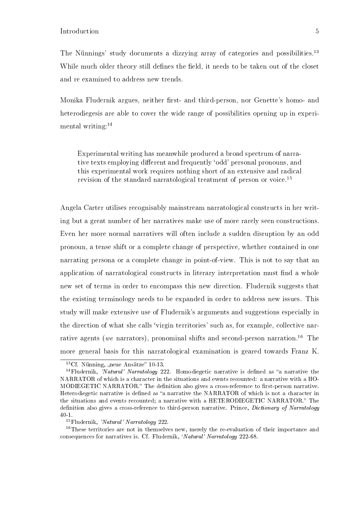The Nünnings' study documents a dizzying array of categories and possibilities.<sup>13</sup> While much older theory still defines the field, it needs to be taken out of the closet and re examined to address new trends.

Monika Fludernik argues, neither first- and third-person, nor Genette's homo- and heterodiegesis are able to cover the wide range of possibilities opening up in experimental writing: $14$ 

Experimental writing has meanwhile produced a broad spectrum of narrative texts employing different and frequently 'odd' personal pronouns, and this experimental work requires nothing short of an extensive and radical revision of the standard narratological treatment of person or voice.<sup>15</sup>

Angela Carter utilises recognisably mainstream narratological constructs in her writing but a great number of her narratives make use of more rarely seen constructions. Even her more normal narratives will often include a sudden disruption by an odd pronoun, a tense shift or a complete change of perspective, whether contained in one narrating persona or a complete change in point-of-view. This is not to say that an application of narratological constructs in literary interpretation must find a whole new set of terms in order to encompass this new direction. Fludernik suggests that the existing terminology needs to be expanded in order to address new issues. This study will make extensive use of Fludernik's arguments and suggestions especially in the direction of what she calls 'virgin territories' such as, for example, collective narrative agents (we narrators), pronominal shifts and second-person narration.<sup>16</sup> The more general basis for this narratological examination is geared towards Franz K.

 $13Cf.$  Nünning, "neue Ansätze" 10-13.

<sup>&</sup>lt;sup>14</sup>Fludernik, 'Natural' Narratology 222. Homodiegetic narrative is defined as "a narrative the NARRATOR of which is a character in the situations and events recounted: a narrative with a HO-MODIEGETIC NARRATOR." The definition also gives a cross-reference to first-person narrative. Heterodiegetic narrative is defined as "a narrative the NARRATOR of which is not a character in the situations and events recounted; a narrative with a HETERODIEGETIC NARRATOR." The definition also gives a cross-reference to third-person narrative. Prince, *Dictionary of Narratology* 40-1.

<sup>15</sup>Fludernik, 'Natural' Narratology 222.

<sup>&</sup>lt;sup>16</sup>These territories are not in themselves new, merely the re-evaluation of their importance and consequences for narratives is. Cf. Fludernik, 'Natural' Narratology 222-68.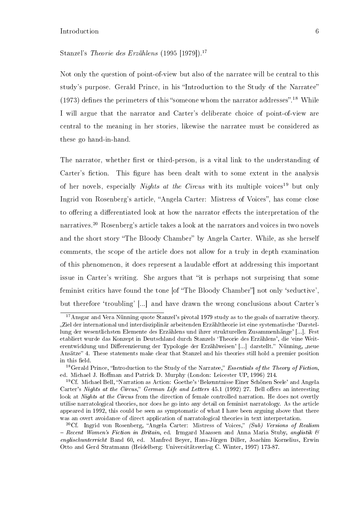#### Stanzel's Theorie des Erzählens (1995 [1979]).<sup>17</sup>

Not only the question of point-of-view but also of the narratee will be central to this study's purpose. Gerald Prince, in his "Introduction to the Study of the Narratee" (1973) defines the perimeters of this "someone whom the narrator addresses".<sup>18</sup> While I will argue that the narrator and Carter's deliberate choice of point-of-view are central to the meaning in her stories, likewise the narratee must be considered as these go hand-in-hand.

The narrator, whether first or third-person, is a vital link to the understanding of Carter's fiction. This figure has been dealt with to some extent in the analysis of her novels, especially *Nights at the Circus* with its multiple voices<sup>19</sup> but only Ingrid von Rosenberg's article, "Angela Carter: Mistress of Voices", has come close to offering a differentiated look at how the narrator effects the interpretation of the narratives.<sup>20</sup> Rosenberg's article takes a look at the narrators and voices in two novels and the short story "The Bloody Chamber" by Angela Carter. While, as she herself comments, the scope of the article does not allow for a truly in depth examination of this phenomenon, it does represent a laudable effort at addressing this important issue in Carter's writing. She argues that "it is perhaps not surprising that some feminist critics have found the tone [of "The Bloody Chamber"] not only 'seductive', but therefore 'troubling' [...] and have drawn the wrong conclusions about Carter's

<sup>&</sup>lt;sup>17</sup>Ansgar and Vera Nünning quote Stanzel's pivotal 1979 study as to the goals of narrative theory. Ziel der international und interdisziplinär arbeitenden Erzähltheorie ist eine systematische `Darstellung der wesentlichsten Elemente des Erzählens und ihrer strukturellen Zusammenhänge' [...]. Fest etabliert wurde das Konzept in Deutschland durch Stanzels `Theorie des Erzählens', die `eine Weiterentwicklung und Differenzierung der Typologie der Erzählweisen' [...] darstellt." Nünning, "neue Ansätze" 4. These statements make clear that Stanzel and his theories still hold a premier position in this field.

<sup>&</sup>lt;sup>18</sup>Gerald Prince, "Introduction to the Study of the Narratee," Essentials of the Theory of Fiction, ed. Michael J. Hoffman and Patrick D. Murphy (London: Leicester UP, 1996) 214.

<sup>&</sup>lt;sup>19</sup>Cf. Michael Bell, "Narration as Action: Goethe's 'Bekenntnisse Einer Schönen Seele' and Angela Carter's Nights at the Circus," German Life and Letters 45.1 (1992) 27. Bell offers an interesting look at *Nights at the Circus* from the direction of female controlled narration. He does not overtly utilise narratological theories, nor does he go into any detail on feminist narratology. As the article appeared in 1992, this could be seen as symptomatic of what I have been arguing above that there was an overt avoidance of direct application of narratological theories in text interpretation.

<sup>&</sup>lt;sup>20</sup>Cf. Ingrid von Rosenberg, "Angela Carter: Mistress of Voices," (Sub) Versions of Realism - Recent Women's Fiction in Britain, ed. Irmgard Maassen and Anna Maria Stuby, anglistik  $\mathcal{B}$ englischunterricht Band 60, ed. Manfred Beyer, Hans-Jürgen Diller, Joachim Kornelius, Erwin Otto and Gerd Stratmann (Heidelberg: Universitätsverlag C. Winter, 1997) 173-87.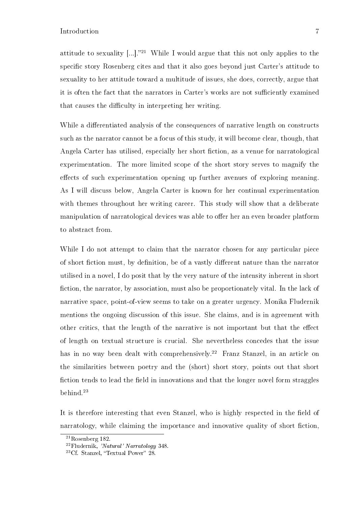attitude to sexuality  $[...]^{21}$  While I would argue that this not only applies to the specific story Rosenberg cites and that it also goes beyond just Carter's attitude to sexuality to her attitude toward a multitude of issues, she does, correctly, argue that it is often the fact that the narrators in Carter's works are not sufficiently examined that causes the difficulty in interpreting her writing.

While a differentiated analysis of the consequences of narrative length on constructs such as the narrator cannot be a focus of this study, it will become clear, though, that Angela Carter has utilised, especially her short fiction, as a venue for narratological experimentation. The more limited scope of the short story serves to magnify the effects of such experimentation opening up further avenues of exploring meaning. As I will discuss below, Angela Carter is known for her continual experimentation with themes throughout her writing career. This study will show that a deliberate manipulation of narratological devices was able to offer her an even broader platform to abstract from.

While I do not attempt to claim that the narrator chosen for any particular piece of short fiction must, by definition, be of a vastly different nature than the narrator utilised in a novel, I do posit that by the very nature of the intensity inherent in short fiction, the narrator, by association, must also be proportionately vital. In the lack of narrative space, point-of-view seems to take on a greater urgency. Monika Fludernik mentions the ongoing discussion of this issue. She claims, and is in agreement with other critics, that the length of the narrative is not important but that the effect of length on textual structure is crucial. She nevertheless concedes that the issue has in no way been dealt with comprehensively.<sup>22</sup> Franz Stanzel, in an article on the similarities between poetry and the (short) short story, points out that short fiction tends to lead the field in innovations and that the longer novel form straggles behind.<sup>23</sup>

It is therefore interesting that even Stanzel, who is highly respected in the field of narratology, while claiming the importance and innovative quality of short fiction.

<sup>21</sup>Rosenberg 182.

<sup>22</sup>Fludernik, 'Natural' Narratology 348.

 $23Cf.$  Stanzel, "Textual Power"  $28$ .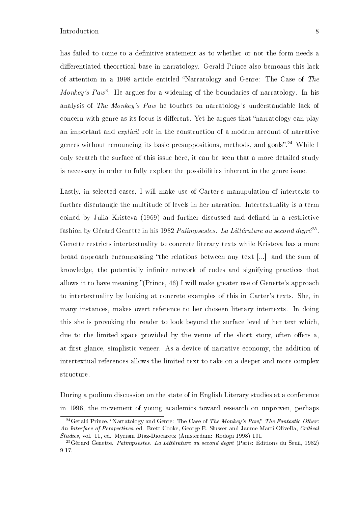has failed to come to a definitive statement as to whether or not the form needs a differentiated theoretical base in narratology. Gerald Prince also bemoans this lack of attention in a 1998 article entitled Narratology and Genre: The Case of The *Monkey's Paw*". He argues for a widening of the boundaries of narratology. In his analysis of The Monkey's Paw he touches on narratology's understandable lack of concern with genre as its focus is different. Yet he argues that "narratology can play an important and *explicit* role in the construction of a modern account of narrative genres without renouncing its basic presuppositions, methods, and goals".<sup>24</sup> While I only scratch the surface of this issue here, it can be seen that a more detailed study is necessary in order to fully explore the possibilities inherent in the genre issue.

Lastly, in selected cases, I will make use of Carter's manupulation of intertexts to further disentangle the multitude of levels in her narration. Intertextuality is a term coined by Julia Kristeva (1969) and further discussed and dened in a restrictive fashion by Gérard Genette in his 1982 Palimpsestes. La Littérature au second degré<sup>25</sup>. Genette restricts intertextuality to concrete literary texts while Kristeva has a more broad approach encompassing "the relations between any text  $\lceil ... \rceil$  and the sum of knowledge, the potentially infinite network of codes and signifying practices that allows it to have meaning."(Prince,  $46$ ) I will make greater use of Genette's approach to intertextuality by looking at concrete examples of this in Carter's texts. She, in many instances, makes overt reference to her choseen literary intertexts. In doing this she is provoking the reader to look beyond the surface level of her text which, due to the limited space provided by the venue of the short story, often offers a. at first glance, simplistic veneer. As a device of narrative economy, the addition of intertextual references allows the limited text to take on a deeper and more complex structure.

During a podium discussion on the state of in English Literary studies at a conference in 1996, the movement of young academics toward research on unproven, perhaps

<sup>&</sup>lt;sup>24</sup>Gerald Prince, "Narratology and Genre: The Case of The Monkey's Paw," The Fantastic Other: An Interface of Perspectives, ed. Brett Cooke, George E. Slusser and Jaume Marti-Olivella, Critical Studies, vol. 11, ed. Myriam Díaz-Diocaretz (Amsterdam: Rodopi 1998) 101.

<sup>&</sup>lt;sup>25</sup>Gérard Genette. *Palimpsestes. La Littérature au second degré* (Paris: Éditions du Seuil, 1982) 9-17.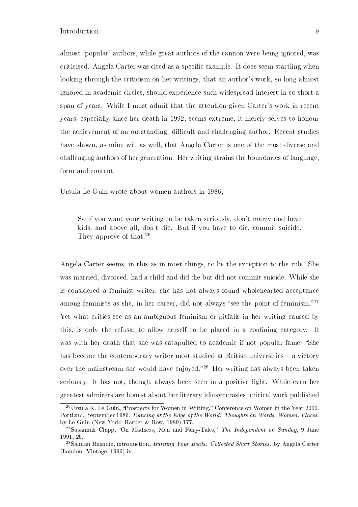almost 'popular' authors, while great authors of the cannon were being ignored, was criticised. Angela Carter was cited as a specific example. It does seem startling when looking through the criticism on her writings, that an author's work, so long almost ignored in academic circles, should experience such widespread interest in so short a span of years. While I must admit that the attention given Carter's work in recent years, especially since her death in 1992, seems extreme, it merely serves to honour the achievement of an outstanding, difficult and challenging author. Recent studies have shown, as mine will as well, that Angela Carter is one of the most diverse and challenging authors of her generation. Her writing strains the boundaries of language, form and content.

Ursula Le Guin wrote about women authors in 1986,

So if you want your writing to be taken seriously, don't marry and have kids, and above all, don't die. But if you have to die, commit suicide. They approve of that.<sup>26</sup>

Angela Carter seems, in this as in most things, to be the exception to the rule. She was married, divorced, had a child and did die but did not commit suicide. While she is considered a feminist writer, she has not always found wholehearted acceptance among feminists as she, in her career, did not always "see the point of feminism."<sup>27</sup> Yet what critics see as an ambiguous feminism or pitfalls in her writing caused by this, is only the refusal to allow herself to be placed in a confining category. It was with her death that she was catapulted to academic if not popular fame: "She has become the contemporary writer most studied at British universities  $-$  a victory over the mainstream she would have enjoyed."<sup>28</sup> Her writing has always been taken seriously. It has not, though, always been seen in a positive light. While even her greatest admirers are honest about her literary idiosyncrasies, critical work published

<sup>&</sup>lt;sup>26</sup>Ursula K. Le Guin, "Prospects for Women in Writing," Conference on Women in the Year 2000. Portland. September 1986. Dancing at the Edge of the World: Thoughts on Words, Women, Places. by Le Guin (New York: Harper & Row, 1989) 177.

<sup>&</sup>lt;sup>27</sup>Susannah Clapp, "On Madness, Men and Fairy-Tales," The Independent on Sunday, 9 June 1991, 26.

<sup>&</sup>lt;sup>28</sup>Salman Rushdie, introduction, *Burning Your Boats: Collected Short Stories*. by Angela Carter (London: Vintage, 1996) iv.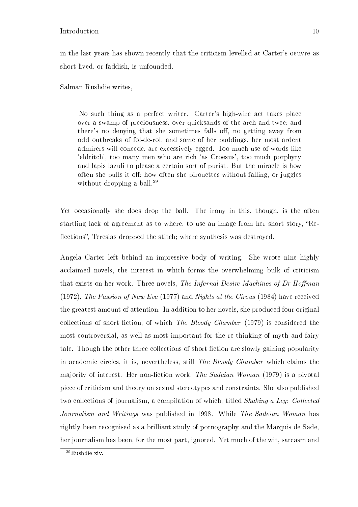in the last years has shown recently that the criticism levelled at Carter's oeuvre as short lived, or faddish, is unfounded.

Salman Rushdie writes,

No such thing as a perfect writer. Carter's high-wire act takes place over a swamp of preciousness, over quicksands of the arch and twee; and there's no denying that she sometimes falls off, no getting away from odd outbreaks of fol-de-rol, and some of her puddings, her most ardent admirers will concede, are excessively egged. Too much use of words like `eldritch', too many men who are rich `as Croesus', too much porphyry and lapis lazuli to please a certain sort of purist. But the miracle is how often she pulls it off; how often she pirouettes without falling, or juggles without dropping a ball.<sup>29</sup>

Yet occasionally she does drop the ball. The irony in this, though, is the often startling lack of agreement as to where, to use an image from her short story, "Reflections", Teresias dropped the stitch; where synthesis was destroyed.

Angela Carter left behind an impressive body of writing. She wrote nine highly acclaimed novels, the interest in which forms the overwhelming bulk of criticism that exists on her work. Three novels, *The Infernal Desire Machines of Dr Hoffman* (1972), The Passion of New Eve (1977) and Nights at the Circus (1984) have received the greatest amount of attention. In addition to her novels, she produced four original collections of short fiction, of which The Bloody Chamber (1979) is considered the most controversial, as well as most important for the re-thinking of myth and fairy tale. Though the other three collections of short fiction are slowly gaining popularity in academic circles, it is, nevertheless, still The Bloody Chamber which claims the majority of interest. Her non-fiction work, The Sadeian Woman (1979) is a pivotal piece of criticism and theory on sexual stereotypes and constraints. She also published two collections of journalism, a compilation of which, titled Shaking a Leg: Collected Journalism and Writings was published in 1998. While The Sadeian Woman has rightly been recognised as a brilliant study of pornography and the Marquis de Sade, her journalism has been, for the most part, ignored. Yet much of the wit, sarcasm and

<sup>&</sup>lt;sup>29</sup>Rushdie xiv.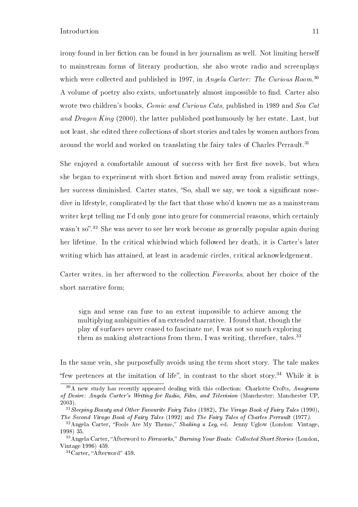irony found in her fiction can be found in her journalism as well. Not limiting herself to mainstream forms of literary production, she also wrote radio and screenplays which were collected and published in 1997, in Angela Carter: The Curious Room.<sup>30</sup> A volume of poetry also exists, unfortunately almost impossible to find. Carter also wrote two children's books, *Comic and Curious Cats*, published in 1989 and *Sea Cat* and Dragon King (2000), the latter published posthumously by her estate. Last, but not least, she edited three collections of short stories and tales by women authors from around the world and worked on translating the fairy tales of Charles Perrault.<sup>31</sup>

She enjoyed a comfortable amount of success with her first five novels, but when she began to experiment with short fiction and moved away from realistic settings. her success diminished. Carter states, "So, shall we say, we took a significant nosedive in lifestyle, complicated by the fact that those who'd known me as a mainstream writer kept telling me I'd only gone into genre for commercial reasons, which certainly wasn't so".<sup>32</sup> She was never to see her work become as generally popular again during her lifetime. In the critical whirlwind which followed her death, it is Carter's later writing which has attained, at least in academic circles, critical acknowledgement.

Carter writes, in her afterword to the collection Fireworks, about her choice of the short narrative form;

sign and sense can fuse to an extent impossible to achieve among the multiplying ambiguities of an extended narrative. I found that, though the play of surfaces never ceased to fascinate me, I was not so much exploring them as making abstractions from them, I was writing, therefore, tales.<sup>33</sup>

In the same vein, she purposefully avoids using the term short story. The tale makes "few pretences at the imitation of life", in contrast to the short story.<sup>34</sup> While it is

 $30$ A new study has recently appeared dealing with this collection: Charlotte Crofts, Anagrams of Desire: Angela Carter's Writing for Radio, Film, and Television (Manchester: Manchester UP, 2003).

<sup>31</sup>Sleeping Beauty and Other Favourite Fairy Tales (1982), The Virago Book of Fairy Tales (1990), The Second Virago Book of Fairy Tales (1992) and The Fairy Tales of Charles Perrault (1977).

 $32$ Angela Carter, "Fools Are My Theme," Shaking a Leg, ed. Jenny Uglow (London: Vintage, 1998) 35.

 $33\,\text{Angle}$  Carter, "Afterword to Fireworks," Burning Your Boats: Collected Short Stories (London, Vintage 1996) 459.

 $34$ Carter, "Afterword" 459.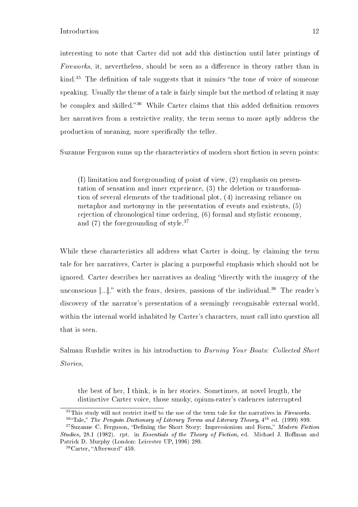interesting to note that Carter did not add this distinction until later printings of Fireworks, it, nevertheless, should be seen as a difference in theory rather than in kind.<sup>35</sup> The definition of tale suggests that it mimics "the tone of voice of someone speaking. Usually the theme of a tale is fairly simple but the method of relating it may be complex and skilled.<sup>36</sup> While Carter claims that this added definition removes her narratives from a restrictive reality, the term seems to more aptly address the production of meaning, more specifically the teller.

Suzanne Ferguson sums up the characteristics of modern short fiction in seven points:

(I) limitation and foregrounding of point of view, (2) emphasis on presentation of sensation and inner experience, (3) the deletion or transformation of several elements of the traditional plot, (4) increasing reliance on metaphor and metonymy in the presentation of events and existents, (5) rejection of chronological time ordering, (6) formal and stylistic economy, and  $(7)$  the foregrounding of style.<sup>37</sup>

While these characteristics all address what Carter is doing, by claiming the term tale for her narratives, Carter is placing a purposeful emphasis which should not be ignored. Carter describes her narratives as dealing "directly with the imagery of the unconscious  $[...]$ ," with the fears, desires, passions of the individual.<sup>38</sup> The reader's discovery of the narrator's presentation of a seemingly recognisable external world, within the internal world inhabited by Carter's characters, must call into question all that is seen.

Salman Rushdie writes in his introduction to Burning Your Boats: Collected Short Stories,

the best of her, I think, is in her stories. Sometimes, at novel length, the distinctive Carter voice, those smoky, opium-eater's cadences interrupted

 $35$ This study will not restrict itself to the use of the term tale for the narratives in Fireworks.  $364$ Tale," The Penguin Dictionary of Literary Terms and Literary Theory,  $4^{th}$  ed. (1999) 899.

 $37$ Suzanne C. Ferguson, "Defining the Short Story: Impressionism and Form," Modern Fiction Studies, 28.1 (1982). rpt. in Essentials of the Theory of Fiction, ed. Michael J. Hoffman and Patrick D. Murphy (London: Leicester UP, 1996) 289.

 $38$ Carter, "Afterword" 459.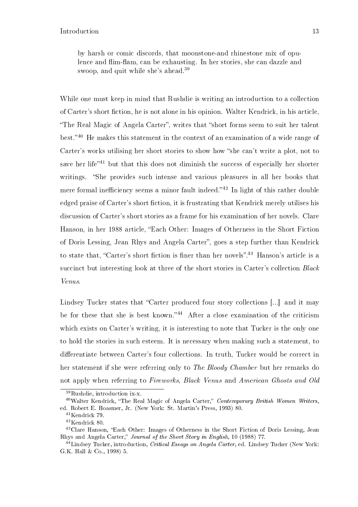While one must keep in mind that Rushdie is writing an introduction to a collection of Carter's short fiction, he is not alone in his opinion. Walter Kendrick, in his article, "The Real Magic of Angela Carter", writes that "short forms seem to suit her talent best.<sup>40</sup> He makes this statement in the context of an examination of a wide range of Carter's works utilising her short stories to show how "she can't write a plot, not to save her life<sup> $1$ </sup> but that this does not diminish the success of especially her shorter writings. "She provides such intense and various pleasures in all her books that mere formal inefficiency seems a minor fault indeed. $142$  In light of this rather double edged praise of Carter's short fiction, it is frustrating that Kendrick merely utilises his discussion of Carter's short stories as a frame for his examination of her novels. Clare Hanson, in her 1988 article, Each Other: Images of Otherness in the Short Fiction of Doris Lessing, Jean Rhys and Angela Carter", goes a step further than Kendrick to state that, "Carter's short fiction is finer than her novels".<sup>43</sup> Hanson's article is a succinct but interesting look at three of the short stories in Carter's collection Black Venus.

Lindsey Tucker states that "Carter produced four story collections [...] and it may be for these that she is best known." $44$  After a close examination of the criticism which exists on Carter's writing, it is interesting to note that Tucker is the only one to hold the stories in such esteem. It is necessary when making such a statement, to differentiate between Carter's four collections. In truth, Tucker would be correct in her statement if she were referring only to The Bloody Chamber but her remarks do not apply when referring to Fireworks, Black Venus and American Ghosts and Old

<sup>39</sup>Rushdie, introduction ix-x.

 $40$ Walter Kendrick, "The Real Magic of Angela Carter," Contemporary British Women Writers, ed. Robert E. Hoasmer, Jr. (New York: St. Martin's Press, 1993) 80.

<sup>41</sup>Kendrick 79.

<sup>42</sup>Kendrick 80.

<sup>43</sup>Clare Hanson, Each Other: Images of Otherness in the Short Fiction of Doris Lessing, Jean Rhys and Angela Carter," Journal of the Short Story in English, 10 (1988) 77.

 $^{44}$ Lindsey Tucker, introduction, *Critical Essays on Angela Carter*, ed. Lindsey Tucker (New York: G.K. Hall & Co., 1998) 5.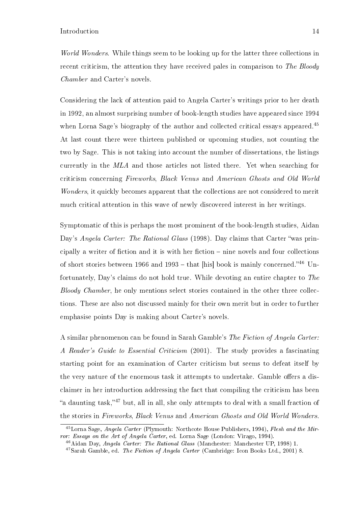World Wonders. While things seem to be looking up for the latter three collections in recent criticism, the attention they have received pales in comparison to *The Bloodu* Chamber and Carter's novels.

Considering the lack of attention paid to Angela Carter's writings prior to her death in 1992, an almost surprising number of book-length studies have appeared since 1994 when Lorna Sage's biography of the author and collected critical essays appeared.<sup>45</sup> At last count there were thirteen published or upcoming studies, not counting the two by Sage. This is not taking into account the number of dissertations, the listings currently in the MLA and those articles not listed there. Yet when searching for criticism concerning Fireworks, Black Venus and American Ghosts and Old World Wonders, it quickly becomes apparent that the collections are not considered to merit much critical attention in this wave of newly discovered interest in her writings.

Symptomatic of this is perhaps the most prominent of the book-length studies, Aidan Day's Angela Carter: The Rational Glass (1998). Day claims that Carter "was principally a writer of fiction and it is with her fiction  $-$  nine novels and four collections of short stories between 1966 and 1993 – that [his] book is mainly concerned." $46$  Unfortunately, Day's claims do not hold true. While devoting an entire chapter to The Bloody Chamber, he only mentions select stories contained in the other three collections. These are also not discussed mainly for their own merit but in order to further emphasise points Day is making about Carter's novels.

A similar phenomenon can be found in Sarah Gamble's The Fiction of Angela Carter: A Reader's Guide to Essential Criticism (2001). The study provides a fascinating starting point for an examination of Carter criticism but seems to defeat itself by the very nature of the enormous task it attempts to undertake. Gamble offers a disclaimer in her introduction addressing the fact that compiling the criticism has been "a daunting task,"<sup>47</sup> but, all in all, she only attempts to deal with a small fraction of the stories in Fireworks, Black Venus and American Ghosts and Old World Wonders.

 $^{45}$ Lorna Sage, Angela Carter (Plymouth: Northcote House Publishers, 1994), Flesh and the Mirror: Essays on the Art of Angela Carter, ed. Lorna Sage (London: Virago, 1994).

<sup>&</sup>lt;sup>46</sup>Aidan Day, *Angela Carter: The Rational Glass* (Manchester: Manchester UP, 1998) 1.

<sup>47</sup>Sarah Gamble, ed. The Fiction of Angela Carter (Cambridge: Icon Books Ltd., 2001) 8.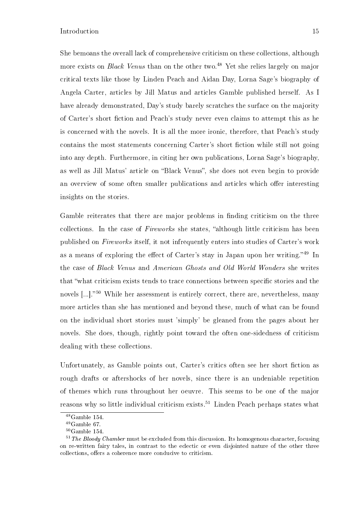She bemoans the overall lack of comprehensive criticism on these collections, although more exists on *Black Venus* than on the other two.<sup>48</sup> Yet she relies largely on major critical texts like those by Linden Peach and Aidan Day, Lorna Sage's biography of Angela Carter, articles by Jill Matus and articles Gamble published herself. As I have already demonstrated, Day's study barely scratches the surface on the majority of Carter's short fiction and Peach's study never even claims to attempt this as he is concerned with the novels. It is all the more ironic, therefore, that Peach's study contains the most statements concerning Carter's short fiction while still not going into any depth. Furthermore, in citing her own publications, Lorna Sage's biography, as well as Jill Matus' article on "Black Venus", she does not even begin to provide an overview of some often smaller publications and articles which offer interesting insights on the stories.

Gamble reiterates that there are major problems in finding criticism on the three collections. In the case of Fireworks she states, "although little criticism has been published on Fireworks itself, it not infrequently enters into studies of Carter's work as a means of exploring the effect of Carter's stay in Japan upon her writing.<sup>49</sup> In the case of Black Venus and American Ghosts and Old World Wonders she writes that "what criticism exists tends to trace connections between specific stories and the novels  $\left[\ldots\right]$ <sup>50</sup> While her assessment is entirely correct, there are, nevertheless, many more articles than she has mentioned and beyond these, much of what can be found on the individual short stories must 'simply' be gleaned from the pages about her novels. She does, though, rightly point toward the often one-sidedness of criticism dealing with these collections.

Unfortunately, as Gamble points out, Carter's critics often see her short fiction as rough drafts or aftershocks of her novels, since there is an undeniable repetition of themes which runs throughout her oeuvre. This seems to be one of the major reasons why so little individual criticism exists.<sup>51</sup> Linden Peach perhaps states what

 $^{48}$  Gamble 154.

 $49$ Gamble 67.

 $50$ Gamble 154.

 $51$  The Bloody Chamber must be excluded from this discussion. Its homogenous character, focusing on re-written fairy tales, in contrast to the eclectic or even disjointed nature of the other three collections, offers a coherence more conducive to criticism.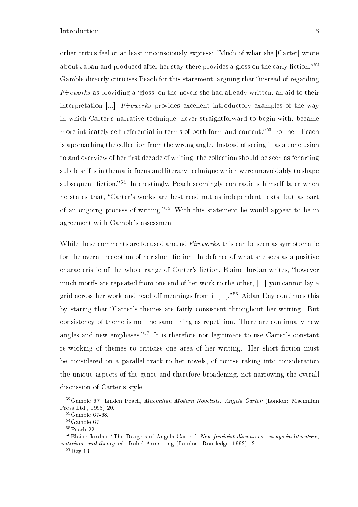other critics feel or at least unconsciously express: "Much of what she [Carter] wrote about Japan and produced after her stay there provides a gloss on the early fiction.<sup>52</sup> Gamble directly criticises Peach for this statement, arguing that "instead of regarding Fireworks as providing a 'gloss' on the novels she had already written, an aid to their interpretation [...] Fireworks provides excellent introductory examples of the way in which Carter's narrative technique, never straightforward to begin with, became more intricately self-referential in terms of both form and content.<sup>55</sup> For her, Peach is approaching the collection from the wrong angle. Instead of seeing it as a conclusion to and overview of her first decade of writing, the collection should be seen as "charting" subtle shifts in thematic focus and literary technique which were unavoidably to shape subsequent fiction.<sup>54</sup> Interestingly, Peach seemingly contradicts himself later when he states that, "Carter's works are best read not as independent texts, but as part of an ongoing process of writing.<sup>55</sup> With this statement he would appear to be in agreement with Gamble's assessment.

While these comments are focused around Fireworks, this can be seen as symptomatic for the overall reception of her short fiction. In defence of what she sees as a positive characteristic of the whole range of Carter's fiction, Elaine Jordan writes, "however much motifs are repeated from one end of her work to the other, [...] you cannot lay a grid across her work and read off meanings from it  $[...]$ .<sup>56</sup> Aidan Day continues this by stating that Carter's themes are fairly consistent throughout her writing. But consistency of theme is not the same thing as repetition. There are continually new angles and new emphases."<sup>57</sup> It is therefore not legitimate to use Carter's constant re-working of themes to criticise one area of her writing. Her short fiction must be considered on a parallel track to her novels, of course taking into consideration the unique aspects of the genre and therefore broadening, not narrowing the overall discussion of Carter's style.

<sup>&</sup>lt;sup>52</sup>Gamble 67. Linden Peach, Macmillan Modern Novelists: Angela Carter (London: Macmillan Press Ltd., 1998) 20.

 $^{53}\mathrm{Gamble}$  67-68.

<sup>54</sup>Gamble 67.

<sup>55</sup>Peach 22.

 $56$ Elaine Jordan, "The Dangers of Angela Carter," New feminist discourses: essays in literature, criticism, and theory, ed. Isobel Armstrong (London: Routledge, 1992) 121.

<sup>57</sup>Day 13.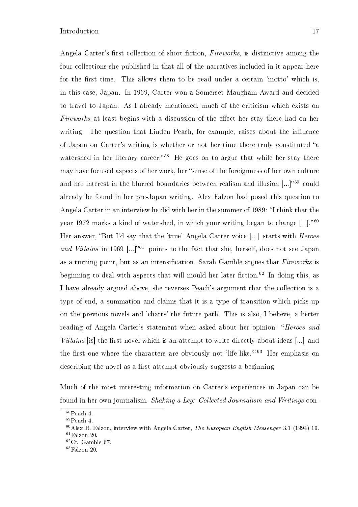Angela Carter's first collection of short fiction, Fireworks, is distinctive among the four collections she published in that all of the narratives included in it appear here for the first time. This allows them to be read under a certain 'motto' which is, in this case, Japan. In 1969, Carter won a Somerset Maugham Award and decided to travel to Japan. As I already mentioned, much of the criticism which exists on Fireworks at least begins with a discussion of the effect her stay there had on her writing. The question that Linden Peach, for example, raises about the influence of Japan on Carter's writing is whether or not her time there truly constituted "a watershed in her literary career.<sup>58</sup> He goes on to argue that while her stay there may have focused aspects of her work, her "sense of the foreignness of her own culture and her interest in the blurred boundaries between realism and illusion  $[...]^{59}$  could already be found in her pre-Japan writing. Alex Falzon had posed this question to Angela Carter in an interview he did with her in the summer of 1989: "I think that the year 1972 marks a kind of watershed, in which your writing began to change  $[...]$ ."<sup>60</sup> Her answer, "But I'd say that the 'true' Angela Carter voice [...] starts with *Heroes* and Villains in 1969 [...]<sup>61</sup> points to the fact that she, herself, does not see Japan as a turning point, but as an intensification. Sarah Gamble argues that Fireworks is beginning to deal with aspects that will mould her later fiction.<sup>62</sup> In doing this, as I have already argued above, she reverses Peach's argument that the collection is a type of end, a summation and claims that it is a type of transition which picks up on the previous novels and 'charts' the future path. This is also, I believe, a better reading of Angela Carter's statement when asked about her opinion: "Heroes and Villains [is] the first novel which is an attempt to write directly about ideas  $[\ldots]$  and the first one where the characters are obviously not 'life-like."<sup>563</sup> Her emphasis on describing the novel as a first attempt obviously suggests a beginning.

Much of the most interesting information on Carter's experiences in Japan can be found in her own journalism. Shaking a Leg: Collected Journalism and Writings con-

 $^{58}\rm{Peach}$  4.

<sup>59</sup>Peach 4.

 $60$  Alex R. Falzon, interview with Angela Carter, The European English Messenger 3.1 (1994) 19.  $61$ Falzon 20.  $62$ Cf. Gamble 67.

 ${}^{63}$ Falzon 20.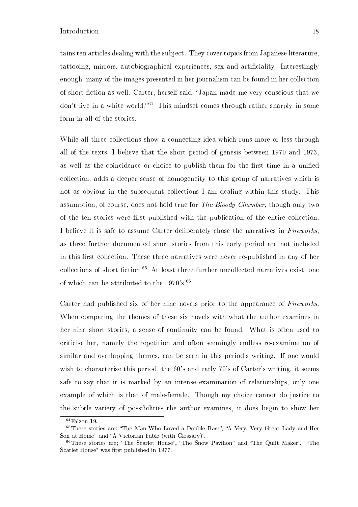tains ten articles dealing with the subject. They cover topics from Japanese literature, tattooing, mirrors, autobiographical experiences, sex and articiality. Interestingly enough, many of the images presented in her journalism can be found in her collection of short fiction as well. Carter, herself said, "Japan made me very conscious that we don't live in a white world.<sup>64</sup> This mindset comes through rather sharply in some form in all of the stories.

While all three collections show a connecting idea which runs more or less through all of the texts, I believe that the short period of genesis between 1970 and 1973, as well as the coincidence or choice to publish them for the first time in a unified collection, adds a deeper sense of homogeneity to this group of narratives which is not as obvious in the subsequent collections I am dealing within this study. This assumption, of course, does not hold true for The Bloody Chamber, though only two of the ten stories were first published with the publication of the entire collection. I believe it is safe to assume Carter deliberately chose the narratives in Fireworks, as three further documented short stories from this early period are not included in this first collection. These three narratives were never re-published in any of her collections of short fiction.<sup>65</sup> At least three further uncollected narratives exist, one of which can be attributed to the  $1970's.^{66}$ 

Carter had published six of her nine novels prior to the appearance of Fireworks. When comparing the themes of these six novels with what the author examines in her nine short stories, a sense of continuity can be found. What is often used to criticise her, namely the repetition and often seemingly endless re-examination of similar and overlapping themes, can be seen in this period's writing. If one would wish to characterise this period, the 60's and early 70's of Carter's writing, it seems safe to say that it is marked by an intense examination of relationships, only one example of which is that of male-female. Though my choice cannot do justice to the subtle variety of possibilities the author examines, it does begin to show her

<sup>64</sup>Falzon 19.

<sup>&</sup>lt;sup>65</sup>These stories are; "The Man Who Loved a Double Bass", "A Very, Very Great Lady and Her Son at Home" and "A Victorian Fable (with Glossary)".

 $66$ These stories are; "The Scarlet House", "The Snow Pavilion" and "The Quilt Maker". "The Scarlet House" was first published in 1977.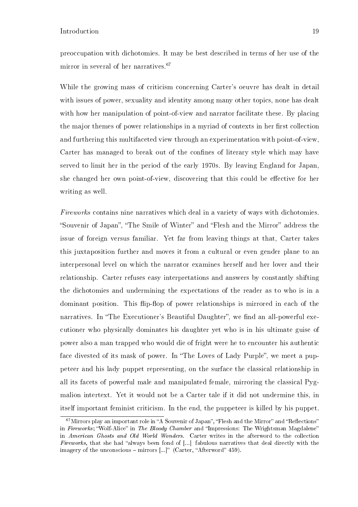preoccupation with dichotomies. It may be best described in terms of her use of the mirror in several of her narratives.<sup>67</sup>

While the growing mass of criticism concerning Carter's oeuvre has dealt in detail with issues of power, sexuality and identity among many other topics, none has dealt with how her manipulation of point-of-view and narrator facilitate these. By placing the major themes of power relationships in a myriad of contexts in her first collection and furthering this multifaceted view through an experimentation with point-of-view, Carter has managed to break out of the confines of literary style which may have served to limit her in the period of the early 1970s. By leaving England for Japan, she changed her own point-of-view, discovering that this could be effective for her writing as well.

Fireworks contains nine narratives which deal in a variety of ways with dichotomies. "Souvenir of Japan", "The Smile of Winter" and "Flesh and the Mirror" address the issue of foreign versus familiar. Yet far from leaving things at that, Carter takes this juxtaposition further and moves it from a cultural or even gender plane to an interpersonal level on which the narrator examines herself and her lover and their relationship. Carter refuses easy interpretations and answers by constantly shifting the dichotomies and undermining the expectations of the reader as to who is in a dominant position. This flip-flop of power relationships is mirrored in each of the narratives. In "The Executioner's Beautiful Daughter", we find an all-powerful executioner who physically dominates his daughter yet who is in his ultimate guise of power also a man trapped who would die of fright were he to encounter his authentic face divested of its mask of power. In "The Loves of Lady Purple", we meet a puppeteer and his lady puppet representing, on the surface the classical relationship in all its facets of powerful male and manipulated female, mirroring the classical Pygmalion intertext. Yet it would not be a Carter tale if it did not undermine this, in itself important feminist criticism. In the end, the puppeteer is killed by his puppet.

 $67$ Mirrors play an important role in "A Souvenir of Japan", "Flesh and the Mirror" and "Reflections" in Fireworks; "Wolf-Alice" in The Bloody Chamber and "Impressions: The Wrightsman Magdalene" in American Ghosts and Old World Wonders. Carter writes in the afterword to the collection Fireworks, that she had "always been fond of [...] fabulous narratives that deal directly with the imagery of the unconscious  $-$  mirrors  $[...]$ " (Carter, "Afterword" 459).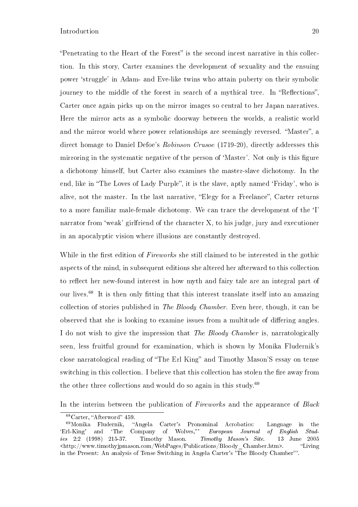"Penetrating to the Heart of the Forest" is the second incest narrative in this collection. In this story, Carter examines the development of sexuality and the ensuing power `struggle' in Adam- and Eve-like twins who attain puberty on their symbolic journey to the middle of the forest in search of a mythical tree. In "Reflections", Carter once again picks up on the mirror images so central to her Japan narratives. Here the mirror acts as a symbolic doorway between the worlds, a realistic world and the mirror world where power relationships are seemingly reversed. "Master", a direct homage to Daniel Defoe's Robinson Crusoe (1719-20), directly addresses this mirroring in the systematic negative of the person of 'Master'. Not only is this figure a dichotomy himself, but Carter also examines the master-slave dichotomy. In the end, like in "The Loves of Lady Purple", it is the slave, aptly named 'Friday', who is alive, not the master. In the last narrative, "Elegy for a Freelance", Carter returns to a more familiar male-female dichotomy. We can trace the development of the `I' narrator from 'weak' girlfriend of the character X, to his judge, jury and executioner in an apocalyptic vision where illusions are constantly destroyed.

While in the first edition of Fireworks she still claimed to be interested in the gothic aspects of the mind, in subsequent editions she altered her afterward to this collection to reflect her new-found interest in how myth and fairy tale are an integral part of our lives.<sup>68</sup> It is then only fitting that this interest translate itself into an amazing collection of stories published in The Bloody Chamber. Even here, though, it can be observed that she is looking to examine issues from a multitude of differing angles. I do not wish to give the impression that *The Bloody Chamber* is, narratologically seen, less fruitful ground for examination, which is shown by Monika Fludernik's close narratological reading of "The Erl King" and Timothy Mason'S essay on tense switching in this collection. I believe that this collection has stolen the fire away from the other three collections and would do so again in this study.<sup>69</sup>

In the interim between the publication of Fireworks and the appearance of Black

 $68$ Carter, "Afterword" 459.

<sup>69</sup>Monika Fludernik, Angela Carter's Pronominal Acrobatics: Language in the `Erl-King' and `The Company of Wolves,' European Journal of English Studies 2:2 (1998) 215-37. Timothy Mason. Timothy Mason's Site. 13 June 2005 <http://www.timothyjpmason.com/WebPages/Publications/Bloody\_Chamber.htm>. Living in the Present: An analysis of Tense Switching in Angela Carter's 'The Bloody Chamber'.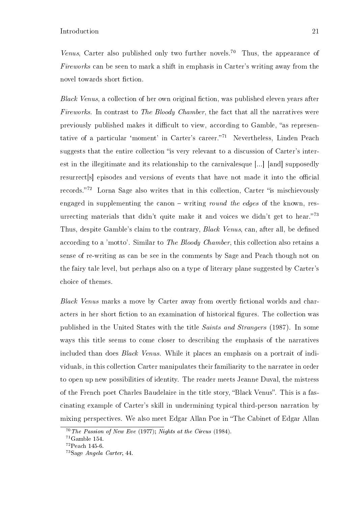Venus, Carter also published only two further novels.<sup>70</sup> Thus, the appearance of Fireworks can be seen to mark a shift in emphasis in Carter's writing away from the novel towards short fiction.

Black Venus, a collection of her own original fiction, was published eleven years after Fireworks. In contrast to The Bloody Chamber, the fact that all the narratives were previously published makes it difficult to view, according to Gamble, "as representative of a particular 'moment' in Carter's career."<sup>71</sup> Nevertheless, Linden Peach suggests that the entire collection "is very relevant to a discussion of Carter's interest in the illegitimate and its relationship to the carnivalesque [...] [and] supposedly resurrect s episodes and versions of events that have not made it into the official records. $72$  Lorna Sage also writes that in this collection, Carter "is mischievously engaged in supplementing the canon  $-$  writing *round the edges* of the known, resurrecting materials that didn't quite make it and voices we didn't get to hear."<sup>73</sup> Thus, despite Gamble's claim to the contrary, *Black Venus*, can, after all, be defined according to a 'motto'. Similar to The Bloody Chamber, this collection also retains a sense of re-writing as can be see in the comments by Sage and Peach though not on the fairy tale level, but perhaps also on a type of literary plane suggested by Carter's choice of themes.

Black Venus marks a move by Carter away from overtly fictional worlds and characters in her short fiction to an examination of historical figures. The collection was published in the United States with the title Saints and Strangers (1987). In some ways this title seems to come closer to describing the emphasis of the narratives included than does Black Venus. While it places an emphasis on a portrait of individuals, in this collection Carter manipulates their familiarity to the narratee in order to open up new possibilities of identity. The reader meets Jeanne Duval, the mistress of the French poet Charles Baudelaire in the title story, "Black Venus". This is a fascinating example of Carter's skill in undermining typical third-person narration by mixing perspectives. We also meet Edgar Allan Poe in The Cabinet of Edgar Allan

 $70$  The Passion of New Eve (1977); Nights at the Circus (1984).

 $71$ Gamble 154.

 $72$ Peach 145-6.

<sup>73</sup>Sage Angela Carter, 44.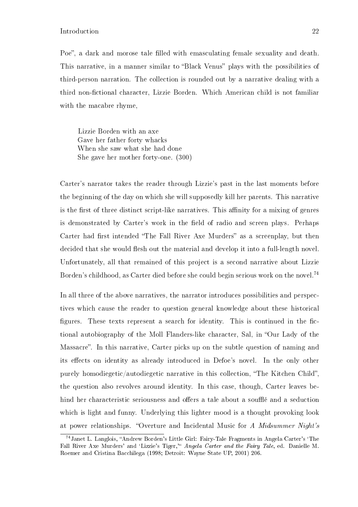Poe", a dark and morose tale filled with emasculating female sexuality and death. This narrative, in a manner similar to "Black Venus" plays with the possibilities of third-person narration. The collection is rounded out by a narrative dealing with a third non-fictional character, Lizzie Borden. Which American child is not familiar with the macabre rhyme,

Lizzie Borden with an axe Gave her father forty whacks When she saw what she had done She gave her mother forty-one. (300)

Carter's narrator takes the reader through Lizzie's past in the last moments before the beginning of the day on which she will supposedly kill her parents. This narrative is the first of three distinct script-like narratives. This affinity for a mixing of genres is demonstrated by Carter's work in the field of radio and screen plays. Perhaps Carter had first intended "The Fall River Axe Murders" as a screenplay, but then decided that she would flesh out the material and develop it into a full-length novel. Unfortunately, all that remained of this project is a second narrative about Lizzie Borden's childhood, as Carter died before she could begin serious work on the novel.<sup>74</sup>

In all three of the above narratives, the narrator introduces possibilities and perspectives which cause the reader to question general knowledge about these historical figures. These texts represent a search for identity. This is continued in the fictional autobiography of the Moll Flanders-like character, Sal, in "Our Lady of the Massacre". In this narrative, Carter picks up on the subtle question of naming and its effects on identity as already introduced in Defoe's novel. In the only other purely homodiegetic/autodiegetic narrative in this collection, "The Kitchen Child". the question also revolves around identity. In this case, though, Carter leaves behind her characteristic seriousness and offers a tale about a soufflé and a seduction which is light and funny. Underlying this lighter mood is a thought provoking look at power relationships. "Overture and Incidental Music for A Midsummer Night's

<sup>&</sup>lt;sup>74</sup>Janet L. Langlois, "Andrew Borden's Little Girl: Fairy-Tale Fragments in Angela Carter's 'The Fall River Axe Murders' and 'Lizzie's Tiger," Angela Carter and the Fairy Tale, ed. Danielle M. Roemer and Cristina Bacchilega (1998; Detroit: Wayne State UP, 2001) 206.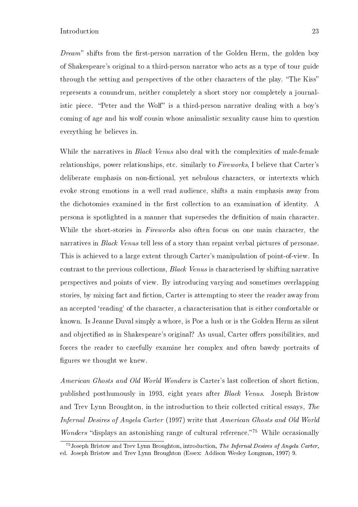$Dream$  shifts from the first-person narration of the Golden Herm, the golden boy of Shakespeare's original to a third-person narrator who acts as a type of tour guide through the setting and perspectives of the other characters of the play. "The Kiss" represents a conundrum, neither completely a short story nor completely a journalistic piece. "Peter and the Wolf" is a third-person narrative dealing with a boy's coming of age and his wolf cousin whose animalistic sexuality cause him to question everything he believes in.

While the narratives in *Black Venus* also deal with the complexities of male-female relationships, power relationships, etc. similarly to Fireworks, I believe that Carter's deliberate emphasis on non-fictional, yet nebulous characters, or intertexts which evoke strong emotions in a well read audience, shifts a main emphasis away from the dichotomies examined in the first collection to an examination of identity. A persona is spotlighted in a manner that supersedes the definition of main character. While the short-stories in *Fireworks* also often focus on one main character, the narratives in *Black Venus* tell less of a story than repaint verbal pictures of personae. This is achieved to a large extent through Carter's manipulation of point-of-view. In contrast to the previous collections, Black Venus is characterised by shifting narrative perspectives and points of view. By introducing varying and sometimes overlapping stories, by mixing fact and fiction. Carter is attempting to steer the reader away from an accepted `reading' of the character, a characterisation that is either comfortable or known. Is Jeanne Duval simply a whore, is Poe a lush or is the Golden Herm as silent and objectified as in Shakespeare's original? As usual, Carter offers possibilities, and forces the reader to carefully examine her complex and often bawdy portraits of figures we thought we knew.

American Ghosts and Old World Wonders is Carter's last collection of short fiction. published posthumously in 1993, eight years after Black Venus. Joseph Bristow and Trev Lynn Broughton, in the introduction to their collected critical essays, The Infernal Desires of Angela Carter (1997) write that American Ghosts and Old World *Wonders* "displays an astonishing range of cultural reference."<sup>75</sup> While occasionally

<sup>75</sup>Joseph Bristow and Trev Lynn Broughton, introduction, The Infernal Desires of Angela Carter, ed. Joseph Bristow and Trev Lynn Broughton (Essex: Addison Wesley Longman, 1997) 9.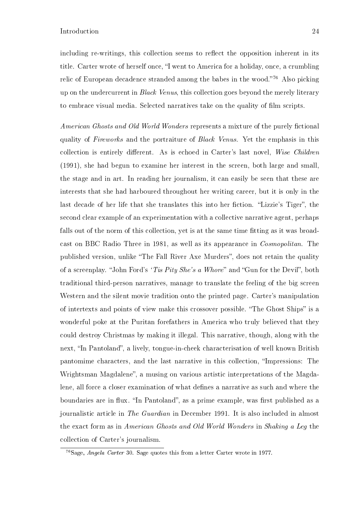including re-writings, this collection seems to reflect the opposition inherent in its title. Carter wrote of herself once, "I went to America for a holiday, once, a crumbling relic of European decadence stranded among the babes in the wood."<sup>76</sup> Also picking up on the undercurrent in Black Venus, this collection goes beyond the merely literary to embrace visual media. Selected narratives take on the quality of film scripts.

American Ghosts and Old World Wonders represents a mixture of the purely fictional quality of Fireworks and the portraiture of Black Venus. Yet the emphasis in this collection is entirely different. As is echoed in Carter's last novel, Wise Children (1991), she had begun to examine her interest in the screen, both large and small, the stage and in art. In reading her journalism, it can easily be seen that these are interests that she had harboured throughout her writing career, but it is only in the last decade of her life that she translates this into her fiction. "Lizzie's Tiger", the second clear example of an experimentation with a collective narrative agent, perhaps falls out of the norm of this collection, yet is at the same time fitting as it was broadcast on BBC Radio Three in 1981, as well as its appearance in Cosmopolitan. The published version, unlike "The Fall River Axe Murders", does not retain the quality of a screenplay. "John Ford's 'Tis Pity She's a Whore" and "Gun for the Devil", both traditional third-person narratives, manage to translate the feeling of the big screen Western and the silent movie tradition onto the printed page. Carter's manipulation of intertexts and points of view make this crossover possible. "The Ghost Ships" is a wonderful poke at the Puritan forefathers in America who truly believed that they could destroy Christmas by making it illegal. This narrative, though, along with the next, "In Pantoland", a lively, tongue-in-cheek characterisation of well known British pantomime characters, and the last narrative in this collection, "Impressions: The Wrightsman Magdalene", a musing on various artistic interpretations of the Magdalene, all force a closer examination of what defines a narrative as such and where the boundaries are in flux. "In Pantoland", as a prime example, was first published as a journalistic article in The Guardian in December 1991. It is also included in almost the exact form as in American Ghosts and Old World Wonders in Shaking a Leg the collection of Carter's journalism.

<sup>76</sup>Sage, Angela Carter 30. Sage quotes this from a letter Carter wrote in 1977.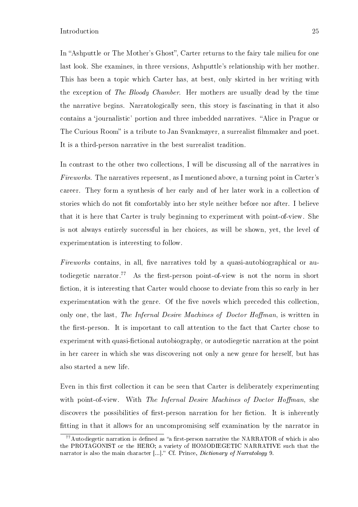In "Ashputtle or The Mother's Ghost", Carter returns to the fairy tale milieu for one last look. She examines, in three versions, Ashputtle's relationship with her mother. This has been a topic which Carter has, at best, only skirted in her writing with the exception of The Bloody Chamber. Her mothers are usually dead by the time the narrative begins. Narratologically seen, this story is fascinating in that it also contains a 'journalistic' portion and three imbedded narratives. "Alice in Prague or The Curious Room" is a tribute to Jan Svankmayer, a surrealist filmmaker and poet. It is a third-person narrative in the best surrealist tradition.

In contrast to the other two collections, I will be discussing all of the narratives in Fireworks. The narratives represent, as I mentioned above, a turning point in Carter's career. They form a synthesis of her early and of her later work in a collection of stories which do not fit comfortably into her style neither before nor after. I believe that it is here that Carter is truly beginning to experiment with point-of-view. She is not always entirely successful in her choices, as will be shown, yet, the level of experimentation is interesting to follow.

Fireworks contains, in all, five narratives told by a quasi-autobiographical or autodiegetic narrator.<sup>77</sup> As the first-person point-of-view is not the norm in short fiction, it is interesting that Carter would choose to deviate from this so early in her experimentation with the genre. Of the five novels which preceded this collection. only one, the last, The Infernal Desire Machines of Doctor Hoffman, is written in the first-person. It is important to call attention to the fact that Carter chose to experiment with quasi-fictional autobiography, or autodiegetic narration at the point in her career in which she was discovering not only a new genre for herself, but has also started a new life.

Even in this first collection it can be seen that Carter is deliberately experimenting with point-of-view. With The Infernal Desire Machines of Doctor Hoffman, she discovers the possibilities of first-person narration for her fiction. It is inherently tting in that it allows for an uncompromising self examination by the narrator in

 $^{77}$ Autodiegetic narration is defined as "a first-person narrative the NARRATOR of which is also the PROTAGONIST or the HERO; a variety of HOMODIEGETIC NARRATIVE such that the narrator is also the main character  $[...]$ ." Cf. Prince, *Dictionary of Narratology* 9.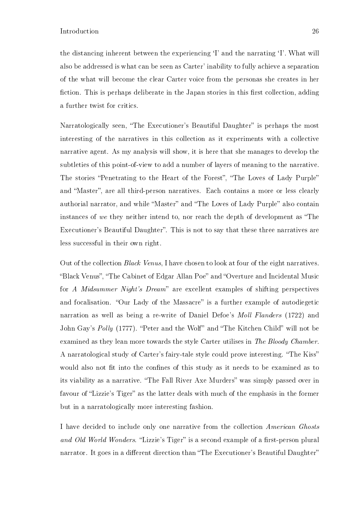the distancing inherent between the experiencing `I' and the narrating `I'. What will also be addressed is what can be seen as Carter' inability to fully achieve a separation of the what will become the clear Carter voice from the personas she creates in her fiction. This is perhaps deliberate in the Japan stories in this first collection, adding a further twist for critics.

Narratologically seen, "The Executioner's Beautiful Daughter" is perhaps the most interesting of the narratives in this collection as it experiments with a collective narrative agent. As my analysis will show, it is here that she manages to develop the subtleties of this point-of-view to add a number of layers of meaning to the narrative. The stories "Penetrating to the Heart of the Forest", "The Loves of Lady Purple" and "Master", are all third-person narratives. Each contains a more or less clearly authorial narrator, and while "Master" and "The Loves of Lady Purple" also contain instances of we they neither intend to, nor reach the depth of development as "The Executioner's Beautiful Daughter". This is not to say that these three narratives are less successful in their own right.

Out of the collection Black Venus, I have chosen to look at four of the eight narratives. "Black Venus", "The Cabinet of Edgar Allan Poe" and "Overture and Incidental Music for A Midsummer Night's Dream" are excellent examples of shifting perspectives and focalisation. "Our Lady of the Massacre" is a further example of autodiegetic narration as well as being a re-write of Daniel Defoe's Moll Flanders (1722) and John Gay's Polly (1777). "Peter and the Wolf" and "The Kitchen Child" will not be examined as they lean more towards the style Carter utilises in The Bloody Chamber. A narratological study of Carter's fairy-tale style could prove interesting. "The Kiss" would also not fit into the confines of this study as it needs to be examined as to its viability as a narrative. "The Fall River Axe Murders" was simply passed over in favour of "Lizzie's Tiger" as the latter deals with much of the emphasis in the former but in a narratologically more interesting fashion.

I have decided to include only one narrative from the collection American Ghosts and Old World Wonders. "Lizzie's Tiger" is a second example of a first-person plural narrator. It goes in a different direction than "The Executioner's Beautiful Daughter"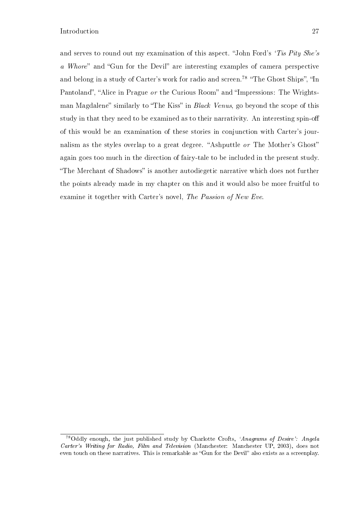and serves to round out my examination of this aspect. "John Ford's 'Tis Pity She's a Whore" and "Gun for the Devil" are interesting examples of camera perspective and belong in a study of Carter's work for radio and screen.<sup>78</sup> "The Ghost Ships". "In Pantoland", "Alice in Prague or the Curious Room" and "Impressions: The Wrightsman Magdalene" similarly to "The Kiss" in Black Venus, go beyond the scope of this study in that they need to be examined as to their narrativity. An interesting spin-o of this would be an examination of these stories in conjunction with Carter's journalism as the styles overlap to a great degree. "Ashputtle  $or$  The Mother's Ghost" again goes too much in the direction of fairy-tale to be included in the present study. "The Merchant of Shadows" is another autodiegetic narrative which does not further the points already made in my chapter on this and it would also be more fruitful to examine it together with Carter's novel, The Passion of New Eve.

<sup>78</sup>Oddly enough, the just published study by Charlotte Crofts, `Anagrams of Desire': Angela Carter's Writing for Radio, Film and Television (Manchester: Manchester UP, 2003), does not even touch on these narratives. This is remarkable as "Gun for the Devil" also exists as a screenplay.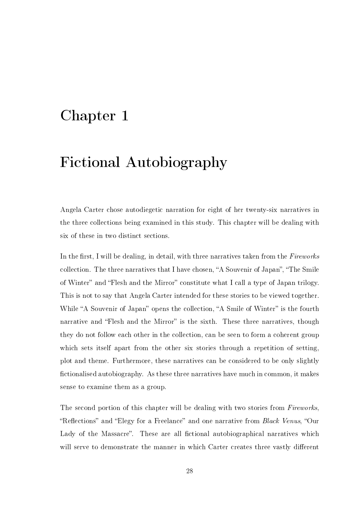## Chapter 1

## Fictional Autobiography

Angela Carter chose autodiegetic narration for eight of her twenty-six narratives in the three collections being examined in this study. This chapter will be dealing with six of these in two distinct sections.

In the first, I will be dealing, in detail, with three narratives taken from the  $Fireworks$ collection. The three narratives that I have chosen, "A Souvenir of Japan", "The Smile of Winter" and "Flesh and the Mirror" constitute what I call a type of Japan trilogy. This is not to say that Angela Carter intended for these stories to be viewed together. While "A Souvenir of Japan" opens the collection, "A Smile of Winter" is the fourth narrative and "Flesh and the Mirror" is the sixth. These three narratives, though they do not follow each other in the collection, can be seen to form a coherent group which sets itself apart from the other six stories through a repetition of setting, plot and theme. Furthermore, these narratives can be considered to be only slightly fictionalised autobiography. As these three narratives have much in common, it makes sense to examine them as a group.

The second portion of this chapter will be dealing with two stories from Fireworks. "Reflections" and "Elegy for a Freelance" and one narrative from *Black Venus*, "Our Lady of the Massacre". These are all fictional autobiographical narratives which will serve to demonstrate the manner in which Carter creates three vastly different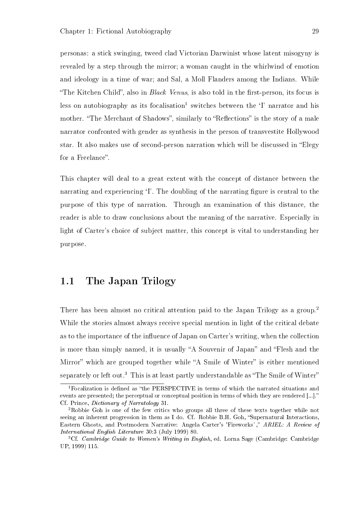personas: a stick swinging, tweed clad Victorian Darwinist whose latent misogyny is revealed by a step through the mirror; a woman caught in the whirlwind of emotion and ideology in a time of war; and Sal, a Moll Flanders among the Indians. While "The Kitchen Child", also in *Black Venus*, is also told in the first-person, its focus is less on autobiography as its focalisation<sup>1</sup> switches between the  $\lq$ <sup>1</sup> narrator and his mother. "The Merchant of Shadows", similarly to "Reflections" is the story of a male narrator confronted with gender as synthesis in the person of transvestite Hollywood star. It also makes use of second-person narration which will be discussed in "Elegy for a Freelance".

This chapter will deal to a great extent with the concept of distance between the narrating and experiencing 'I'. The doubling of the narrating figure is central to the purpose of this type of narration. Through an examination of this distance, the reader is able to draw conclusions about the meaning of the narrative. Especially in light of Carter's choice of subject matter, this concept is vital to understanding her purpose.

### 1.1 The Japan Trilogy

There has been almost no critical attention paid to the Japan Trilogy as a group.<sup>2</sup> While the stories almost always receive special mention in light of the critical debate as to the importance of the influence of Japan on Carter's writing, when the collection is more than simply named, it is usually "A Souvenir of Japan" and "Flesh and the Mirror" which are grouped together while "A Smile of Winter" is either mentioned separately or left out.<sup>3</sup> This is at least partly understandable as "The Smile of Winter"

<sup>&</sup>lt;sup>1</sup>Focalization is defined as "the PERSPECTIVE in terms of which the narrated situations and events are presented; the perceptual or conceptual position in terms of which they are rendered [...]." Cf. Prince, Dictionary of Narratology 31.

<sup>2</sup>Robbie Goh is one of the few critics who groups all three of these texts together while not seeing an inherent progression in them as I do. Cf. Robbie B.H. Goh, "Supernatural Interactions, Eastern Ghosts, and Postmodern Narrative: Angela Carter's 'Fireworks'," ARIEL: A Review of International English Literature 30:3 (July 1999) 80.

<sup>&</sup>lt;sup>3</sup>Cf. *Cambridge Guide to Women's Writing in English*, ed. Lorna Sage (Cambridge: Cambridge UP, 1999) 115.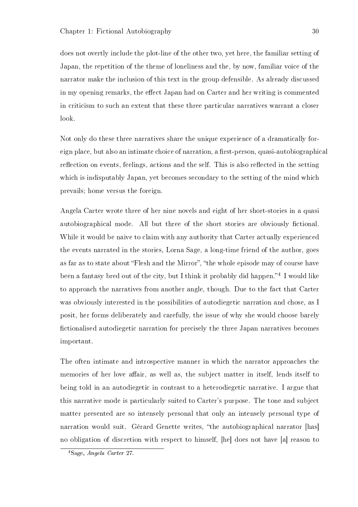does not overtly include the plot-line of the other two, yet here, the familiar setting of Japan, the repetition of the theme of loneliness and the, by now, familiar voice of the narrator make the inclusion of this text in the group defensible. As already discussed in my opening remarks, the effect Japan had on Carter and her writing is commented in criticism to such an extent that these three particular narratives warrant a closer look.

Not only do these three narratives share the unique experience of a dramatically foreign place, but also an intimate choice of narration, a first-person, quasi-autobiographical reflection on events, feelings, actions and the self. This is also reflected in the setting which is indisputably Japan, yet becomes secondary to the setting of the mind which prevails; home versus the foreign.

Angela Carter wrote three of her nine novels and eight of her short-stories in a quasi autobiographical mode. All but three of the short stories are obviously fictional. While it would be naive to claim with any authority that Carter actually experienced the events narrated in the stories, Lorna Sage, a long-time friend of the author, goes as far as to state about "Flesh and the Mirror", "the whole episode may of course have been a fantasy bred out of the city, but I think it probably did happen."<sup>4</sup> I would like to approach the narratives from another angle, though. Due to the fact that Carter was obviously interested in the possibilities of autodiegetic narration and chose, as I posit, her forms deliberately and carefully, the issue of why she would choose barely fictionalised autodiegetic narration for precisely the three Japan narratives becomes important.

The often intimate and introspective manner in which the narrator approaches the memories of her love affair, as well as, the subject matter in itself, lends itself to being told in an autodiegetic in contrast to a heterodiegetic narrative. I argue that this narrative mode is particularly suited to Carter's purpose. The tone and subject matter presented are so intensely personal that only an intensely personal type of narration would suit. Gérard Genette writes, "the autobiographical narrator [has] no obligation of discretion with respect to himself, [he] does not have [a] reason to

<sup>4</sup>Sage, Angela Carter 27.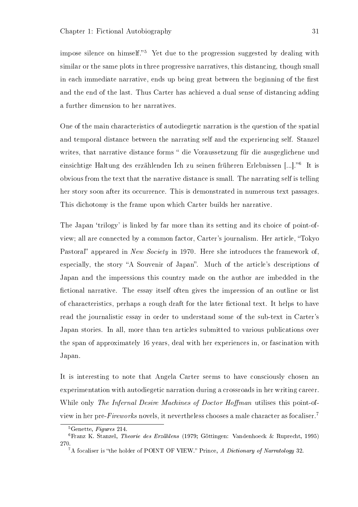impose silence on himself.<sup>5</sup> Yet due to the progression suggested by dealing with similar or the same plots in three progressive narratives, this distancing, though small in each immediate narrative, ends up being great between the beginning of the first and the end of the last. Thus Carter has achieved a dual sense of distancing adding a further dimension to her narratives.

One of the main characteristics of autodiegetic narration is the question of the spatial and temporal distance between the narrating self and the experiencing self. Stanzel writes, that narrative distance forms " die Voraussetzung für die ausgeglichene und einsichtige Haltung des erzählenden Ich zu seinen früheren Erlebnissen [...]."6 It is obvious from the text that the narrative distance is small. The narrating self is telling her story soon after its occurrence. This is demonstrated in numerous text passages. This dichotomy is the frame upon which Carter builds her narrative.

The Japan 'trilogy' is linked by far more than its setting and its choice of point-ofview; all are connected by a common factor, Carter's journalism. Her article, Tokyo Pastoral" appeared in New Society in 1970. Here she introduces the framework of. especially, the story "A Souvenir of Japan". Much of the article's descriptions of Japan and the impressions this country made on the author are imbedded in the fictional narrative. The essay itself often gives the impression of an outline or list of characteristics, perhaps a rough draft for the later fictional text. It helps to have read the journalistic essay in order to understand some of the sub-text in Carter's Japan stories. In all, more than ten articles submitted to various publications over the span of approximately 16 years, deal with her experiences in, or fascination with Japan.

It is interesting to note that Angela Carter seems to have consciously chosen an experimentation with autodiegetic narration during a crossroads in her writing career. While only The Infernal Desire Machines of Doctor Hoffman utilises this point-ofview in her pre-Fireworks novels, it nevertheless chooses a male character as focaliser.<sup>7</sup>

<sup>5</sup>Genette, Figures 214.

<sup>6</sup>Franz K. Stanzel, Theorie des Erzählens (1979; Göttingen: Vandenhoeck & Ruprecht, 1995) 270.

 ${}^{7}$ A focaliser is "the holder of POINT OF VIEW." Prince, A Dictionary of Narratology 32.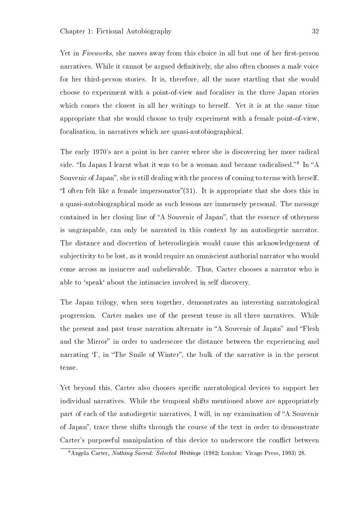Yet in Fireworks, she moves away from this choice in all but one of her first-person narratives. While it cannot be argued definitively, she also often chooses a male voice for her third-person stories. It is, therefore, all the more startling that she would choose to experiment with a point-of-view and focaliser in the three Japan stories which comes the closest in all her writings to herself. Yet it is at the same time appropriate that she would choose to truly experiment with a female point-of-view, focalisation, in narratives which are quasi-autobiographical.

The early 1970's are a point in her career where she is discovering her more radical side. "In Japan I learnt what it was to be a woman and became radicalised."<sup>8</sup> In "A Souvenir of Japan", she is still dealing with the process of coming to terms with herself. "I often felt like a female impersonator" $(31)$ . It is appropriate that she does this in a quasi-autobiographical mode as such lessons are immensely personal. The message contained in her closing line of "A Souvenir of Japan", that the essence of otherness is ungraspable, can only be narrated in this context by an autodiegetic narrator. The distance and discretion of heterodiegisis would cause this acknowledgement of subjectivity to be lost, as it would require an omniscient authorial narrator who would come across as insincere and unbelievable. Thus, Carter chooses a narrator who is able to `speak` about the intimacies involved in self discovery.

The Japan trilogy, when seen together, demonstrates an interesting narratological progression. Carter makes use of the present tense in all three narratives. While the present and past tense narration alternate in "A Souvenir of Japan" and "Flesh and the Mirror" in order to underscore the distance between the experiencing and narrating <sup>T</sup>, in "The Smile of Winter", the bulk of the narrative is in the present tense.

Yet beyond this, Carter also chooses specific narratological devices to support her individual narratives. While the temporal shifts mentioned above are appropriately part of each of the autodiegetic narratives, I will, in my examination of "A Souvenir" of Japan", trace these shifts through the course of the text in order to demonstrate Carter's purposeful manipulation of this device to underscore the conflict between

<sup>8</sup>Angela Carter, Nothing Sacred: Selected Writings (1982; London: Virago Press, 1993) 28.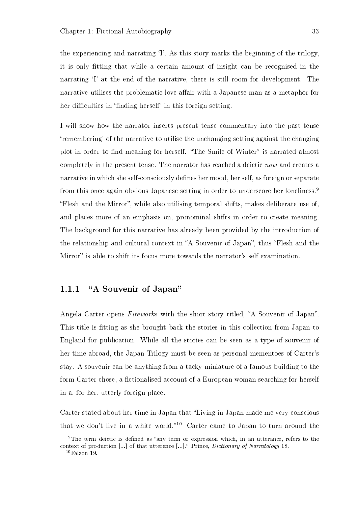the experiencing and narrating `I'. As this story marks the beginning of the trilogy, it is only tting that while a certain amount of insight can be recognised in the narrating 'I' at the end of the narrative, there is still room for development. The narrative utilises the problematic love affair with a Japanese man as a metaphor for her difficulties in 'finding herself' in this foreign setting.

I will show how the narrator inserts present tense commentary into the past tense `remembering' of the narrative to utilise the unchanging setting against the changing plot in order to find meaning for herself. "The Smile of Winter" is narrated almost completely in the present tense. The narrator has reached a deictic now and creates a narrative in which she self-consciously defines her mood, her self, as foreign or separate from this once again obvious Japanese setting in order to underscore her loneliness.<sup>9</sup> Flesh and the Mirror, while also utilising temporal shifts, makes deliberate use of, and places more of an emphasis on, pronominal shifts in order to create meaning. The background for this narrative has already been provided by the introduction of the relationship and cultural context in "A Souvenir of Japan", thus "Flesh and the Mirror" is able to shift its focus more towards the narrator's self examination.

### 1.1.1 "A Souvenir of Japan"

Angela Carter opens Fireworks with the short story titled, "A Souvenir of Japan". This title is fitting as she brought back the stories in this collection from Japan to England for publication. While all the stories can be seen as a type of souvenir of her time abroad, the Japan Trilogy must be seen as personal mementoes of Carter's stay. A souvenir can be anything from a tacky miniature of a famous building to the form Carter chose, a fictionalised account of a European woman searching for herself in a, for her, utterly foreign place.

Carter stated about her time in Japan that "Living in Japan made me very conscious that we don't live in a white world."<sup>10</sup> Carter came to Japan to turn around the

<sup>&</sup>lt;sup>9</sup>The term deictic is defined as "any term or expression which, in an utterance, refers to the context of production [...] of that utterance [...]. Prince, Dictionary of Narratology 18.  $10$ Falzon 19.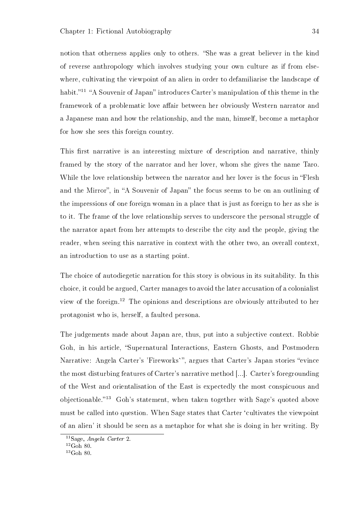notion that otherness applies only to others. "She was a great believer in the kind of reverse anthropology which involves studying your own culture as if from elsewhere, cultivating the viewpoint of an alien in order to defamiliarise the landscape of habit.<sup>"11</sup> "A Souvenir of Japan" introduces Carter's manipulation of this theme in the framework of a problematic love affair between her obviously Western narrator and a Japanese man and how the relationship, and the man, himself, become a metaphor for how she sees this foreign country.

This first narrative is an interesting mixture of description and narrative, thinly framed by the story of the narrator and her lover, whom she gives the name Taro. While the love relationship between the narrator and her lover is the focus in "Flesh" and the Mirror", in "A Souvenir of Japan" the focus seems to be on an outlining of the impressions of one foreign woman in a place that is just as foreign to her as she is to it. The frame of the love relationship serves to underscore the personal struggle of the narrator apart from her attempts to describe the city and the people, giving the reader, when seeing this narrative in context with the other two, an overall context, an introduction to use as a starting point.

The choice of autodiegetic narration for this story is obvious in its suitability. In this choice, it could be argued, Carter manages to avoid the later accusation of a colonialist view of the foreign.<sup>12</sup> The opinions and descriptions are obviously attributed to her protagonist who is, herself, a faulted persona.

The judgements made about Japan are, thus, put into a subjective context. Robbie Goh, in his article, "Supernatural Interactions, Eastern Ghosts, and Postmodern Narrative: Angela Carter's 'Fireworks'", argues that Carter's Japan stories "evince the most disturbing features of Carter's narrative method [...]. Carter's foregrounding of the West and orientalisation of the East is expectedly the most conspicuous and objectionable.<sup>13</sup> Goh's statement, when taken together with Sage's quoted above must be called into question. When Sage states that Carter 'cultivates the viewpoint of an alien' it should be seen as a metaphor for what she is doing in her writing. By

 $11$ Sage, Angela Carter 2.

 $12G$ oh 80.

 $13$ Goh 80.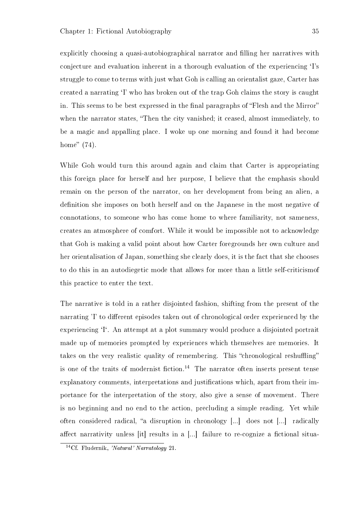explicitly choosing a quasi-autobiographical narrator and filling her narratives with conjecture and evaluation inherent in a thorough evaluation of the experiencing `I's struggle to come to terms with just what Goh is calling an orientalist gaze, Carter has created a narrating `I' who has broken out of the trap Goh claims the story is caught in. This seems to be best expressed in the final paragraphs of "Flesh and the Mirror" when the narrator states, "Then the city vanished; it ceased, almost immediately, to be a magic and appalling place. I woke up one morning and found it had become home"  $(74)$ .

While Goh would turn this around again and claim that Carter is appropriating this foreign place for herself and her purpose, I believe that the emphasis should remain on the person of the narrator, on her development from being an alien, a definition she imposes on both herself and on the Japanese in the most negative of connotations, to someone who has come home to where familiarity, not sameness, creates an atmosphere of comfort. While it would be impossible not to acknowledge that Goh is making a valid point about how Carter foregrounds her own culture and her orientalisation of Japan, something she clearly does, it is the fact that she chooses to do this in an autodiegetic mode that allows for more than a little self-criticismof this practice to enter the text.

The narrative is told in a rather disjointed fashion, shifting from the present of the narrating 'I' to different episodes taken out of chronological order experienced by the experiencing <sup>T</sup>. An attempt at a plot summary would produce a disjointed portrait made up of memories prompted by experiences which themselves are memories. It takes on the very realistic quality of remembering. This "chronological reshuffling" is one of the traits of modernist fiction.<sup>14</sup> The narrator often inserts present tense explanatory comments, interpretations and justifications which, apart from their importance for the interpretation of the story, also give a sense of movement. There is no beginning and no end to the action, precluding a simple reading. Yet while often considered radical, "a disruption in chronology  $[\dots]$  does not  $[\dots]$  radically affect narrativity unless [it] results in a  $[...]$  failure to re-cognize a fictional situa-

<sup>14</sup>Cf. Fludernik, 'Natural' Narratology 21.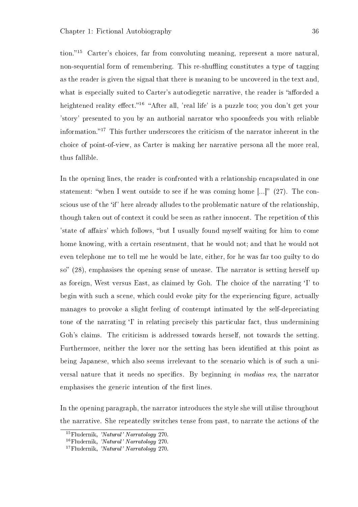tion.<sup>"15</sup> Carter's choices, far from convoluting meaning, represent a more natural. non-sequential form of remembering. This re-shuffling constitutes a type of tagging as the reader is given the signal that there is meaning to be uncovered in the text and, what is especially suited to Carter's autodiegetic narrative, the reader is "afforded a heightened reality effect."<sup>16</sup> "After all, 'real life' is a puzzle too; you don't get your 'story' presented to you by an authorial narrator who spoonfeeds you with reliable information. $17$  This further underscores the criticism of the narrator inherent in the choice of point-of-view, as Carter is making her narrative persona all the more real, thus fallible.

In the opening lines, the reader is confronted with a relationship encapsulated in one statement: "when I went outside to see if he was coming home  $[...]'$  (27). The conscious use of the `if' here already alludes to the problematic nature of the relationship, though taken out of context it could be seen as rather innocent. The repetition of this 'state of affairs' which follows, "but I usually found myself waiting for him to come home knowing, with a certain resentment, that he would not; and that he would not even telephone me to tell me he would be late, either, for he was far too guilty to do so" (28), emphasises the opening sense of unease. The narrator is setting herself up as foreign, West versus East, as claimed by Goh. The choice of the narrating `I' to begin with such a scene, which could evoke pity for the experiencing figure, actually manages to provoke a slight feeling of contempt intimated by the self-depreciating tone of the narrating `I' in relating precisely this particular fact, thus undermining Goh's claims. The criticism is addressed towards herself, not towards the setting. Furthermore, neither the lover nor the setting has been identified at this point as being Japanese, which also seems irrelevant to the scenario which is of such a universal nature that it needs no specifics. By beginning in medias res, the narrator emphasises the generic intention of the first lines.

In the opening paragraph, the narrator introduces the style she will utilise throughout the narrative. She repeatedly switches tense from past, to narrate the actions of the

<sup>15</sup>Fludernik, 'Natural' Narratology 270.

<sup>16</sup>Fludernik, 'Natural' Narratology 270.

<sup>17</sup>Fludernik, 'Natural' Narratology 270.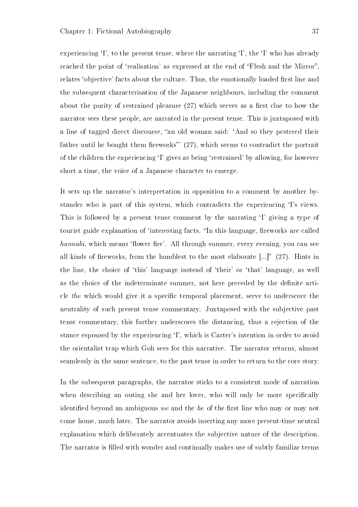experiencing  $\Gamma$ , to the present tense, where the narrating  $\Gamma$ , the  $\Gamma$  who has already reached the point of 'realisation' as expressed at the end of "Flesh and the Mirror". relates 'objective' facts about the culture. Thus, the emotionally loaded first line and the subsequent characterisation of the Japanese neighbours, including the comment about the purity of restrained pleasure  $(27)$  which serves as a first clue to how the narrator sees these people, are narrated in the present tense. This is juxtaposed with a line of tagged direct discourse, "an old woman said: 'And so they pestered their father until he bought them fireworks"  $(27)$ , which seems to contradict the portrait of the children the experiencing `I' gives as being `restrained' by allowing, for however short a time, the voice of a Japanese character to emerge.

It sets up the narrator's interpretation in opposition to a comment by another bystander who is part of this system, which contradicts the experiencing `I's views. This is followed by a present tense comment by the narrating 'I' giving a type of tourist guide explanation of 'interesting facts. "In this language, fireworks are called hannabi, which means 'flower fire'. All through summer, every evening, you can see all kinds of fireworks, from the humblest to the most elaborate  $\left[\ldots\right]^n$  (27). Hints in the line, the choice of 'this' language instead of 'their' or 'that' language, as well as the choice of the indeterminate summer, not here preceded by the definite article the which would give it a specific temporal placement, serve to underscore the neutrality of such present tense commentary. Juxtaposed with the subjective past tense commentary, this further underscores the distancing, thus a rejection of the stance espoused by the experiencing `I', which is Carter's intention in order to avoid the orientalist trap which Goh sees for this narrative. The narrator returns, almost seamlessly in the same sentence, to the past tense in order to return to the core story.

In the subsequent paragraphs, the narrator sticks to a consistent mode of narration when describing an outing she and her lover, who will only be more specifically identified beyond an ambiguous we and the he of the first line who may or may not come home, much later. The narrator avoids inserting any more present-time neutral explanation which deliberately accentuates the subjective nature of the description. The narrator is filled with wonder and continually makes use of subtly familiar terms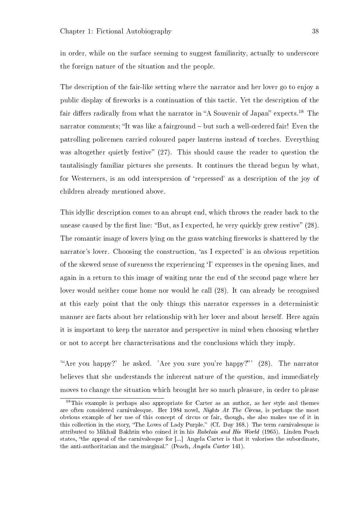in order, while on the surface seeming to suggest familiarity, actually to underscore the foreign nature of the situation and the people.

The description of the fair-like setting where the narrator and her lover go to enjoy a public display of fireworks is a continuation of this tactic. Yet the description of the fair differs radically from what the narrator in "A Souvenir of Japan" expects.<sup>18</sup> The narrator comments; "It was like a fairground - but such a well-ordered fair! Even the patrolling policemen carried coloured paper lanterns instead of torches. Everything was altogether quietly festive"  $(27)$ . This should cause the reader to question the tantalisingly familiar pictures she presents. It continues the thread begun by what, for Westerners, is an odd interspersion of `repressed' as a description of the joy of children already mentioned above.

This idyllic description comes to an abrupt end, which throws the reader back to the unease caused by the first line: "But, as I expected, he very quickly grew restive"  $(28)$ . The romantic image of lovers lying on the grass watching fireworks is shattered by the narrator's lover. Choosing the construction, 'as I expected' is an obvious repetition of the skewed sense of sureness the experiencing `I' expresses in the opening lines, and again in a return to this image of waiting near the end of the second page where her lover would neither come home nor would he call (28). It can already be recognised at this early point that the only things this narrator expresses in a deterministic manner are facts about her relationship with her lover and about herself. Here again it is important to keep the narrator and perspective in mind when choosing whether or not to accept her characterisations and the conclusions which they imply.

'Are you happy?' he asked. 'Are you sure you're happy?' (28). The narrator believes that she understands the inherent nature of the question, and immediately moves to change the situation which brought her so much pleasure, in order to please

<sup>18</sup>This example is perhaps also appropriate for Carter as an author, as her style and themes are often considered carnivalesque. Her 1984 novel, Nights At The Circus, is perhaps the most obvious example of her use of this concept of circus or fair, though, she also makes use of it in this collection in the story, "The Loves of Lady Purple." (Cf. Day 168.) The term carnivalesque is attributed to Mikhail Bakhtin who coined it in his Rabelais and His World (1965). Linden Peach states, "the appeal of the carnivalesque for [...] Angela Carter is that it valorises the subordinate, the anti-authoritarian and the marginal." (Peach,  $Angela$  Carter 141).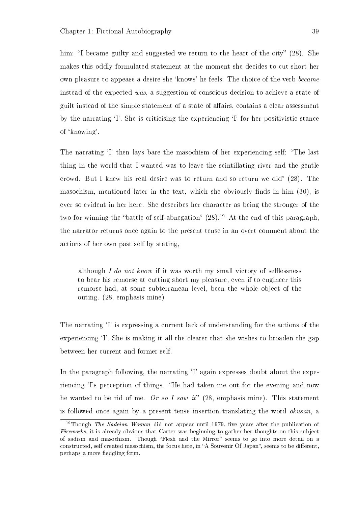him: "I became guilty and suggested we return to the heart of the city"  $(28)$ . She makes this oddly formulated statement at the moment she decides to cut short her own pleasure to appease a desire she `knows' he feels. The choice of the verb became instead of the expected was, a suggestion of conscious decision to achieve a state of guilt instead of the simple statement of a state of affairs, contains a clear assessment by the narrating `I'. She is criticising the experiencing `I' for her positivistic stance of `knowing'.

The narrating <sup>T</sup> then lays bare the masochism of her experiencing self: "The last thing in the world that I wanted was to leave the scintillating river and the gentle crowd. But I knew his real desire was to return and so return we did"  $(28)$ . The masochism, mentioned later in the text, which she obviously finds in him  $(30)$ , is ever so evident in her here. She describes her character as being the stronger of the two for winning the "battle of self-abnegation"  $(28)$ .<sup>19</sup> At the end of this paragraph. the narrator returns once again to the present tense in an overt comment about the actions of her own past self by stating,

although I do not know if it was worth my small victory of selflessness to bear his remorse at cutting short my pleasure, even if to engineer this remorse had, at some subterranean level, been the whole object of the outing. (28, emphasis mine)

The narrating 'I' is expressing a current lack of understanding for the actions of the experiencing 'I'. She is making it all the clearer that she wishes to broaden the gap between her current and former self.

In the paragraph following, the narrating 'I' again expresses doubt about the experiencing 'I's perception of things. "He had taken me out for the evening and now he wanted to be rid of me. Or so I saw it" (28, emphasis mine). This statement is followed once again by a present tense insertion translating the word okusan, a

<sup>&</sup>lt;sup>19</sup>Though *The Sadeian Woman* did not appear until 1979, five years after the publication of Fireworks, it is already obvious that Carter was beginning to gather her thoughts on this subject of sadism and masochism. Though Flesh and the Mirror seems to go into more detail on a constructed, self created masochism, the focus here, in "A Souvenir Of Japan", seems to be different. perhaps a more fledgling form.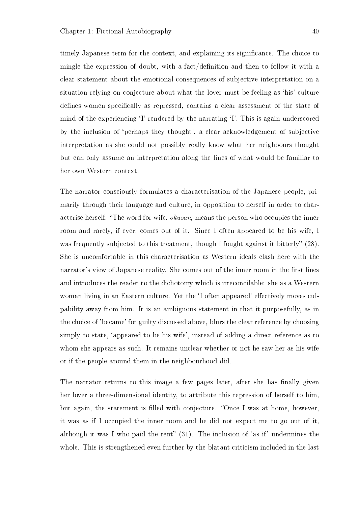timely Japanese term for the context, and explaining its signicance. The choice to mingle the expression of doubt, with a fact/definition and then to follow it with a clear statement about the emotional consequences of subjective interpretation on a situation relying on conjecture about what the lover must be feeling as 'his' culture defines women specifically as repressed, contains a clear assessment of the state of mind of the experiencing <sup>T</sup> rendered by the narrating <sup>T</sup>. This is again underscored by the inclusion of `perhaps they thought', a clear acknowledgement of subjective interpretation as she could not possibly really know what her neighbours thought but can only assume an interpretation along the lines of what would be familiar to her own Western context.

The narrator consciously formulates a characterisation of the Japanese people, primarily through their language and culture, in opposition to herself in order to characterise herself. "The word for wife, *okusan*, means the person who occupies the inner room and rarely, if ever, comes out of it. Since I often appeared to be his wife, I was frequently subjected to this treatment, though I fought against it bitterly" (28). She is uncomfortable in this characterisation as Western ideals clash here with the narrator's view of Japanese reality. She comes out of the inner room in the first lines and introduces the reader to the dichotomy which is irreconcilable: she as a Western woman living in an Eastern culture. Yet the 'I often appeared' effectively moves culpability away from him. It is an ambiguous statement in that it purposefully, as in the choice of 'became' for guilty discussed above, blurs the clear reference by choosing simply to state, `appeared to be his wife', instead of adding a direct reference as to whom she appears as such. It remains unclear whether or not he saw her as his wife or if the people around them in the neighbourhood did.

The narrator returns to this image a few pages later, after she has finally given her lover a three-dimensional identity, to attribute this repression of herself to him, but again, the statement is filled with conjecture. "Once I was at home, however, it was as if I occupied the inner room and he did not expect me to go out of it, although it was I who paid the rent"  $(31)$ . The inclusion of 'as if' undermines the whole. This is strengthened even further by the blatant criticism included in the last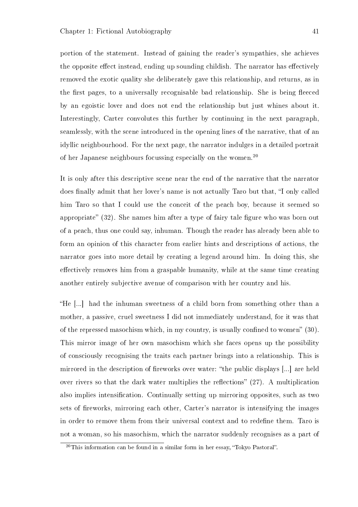portion of the statement. Instead of gaining the reader's sympathies, she achieves the opposite effect instead, ending up sounding childish. The narrator has effectively removed the exotic quality she deliberately gave this relationship, and returns, as in the first pages, to a universally recognisable bad relationship. She is being fleeded by an egoistic lover and does not end the relationship but just whines about it. Interestingly, Carter convolutes this further by continuing in the next paragraph. seamlessly, with the scene introduced in the opening lines of the narrative, that of an idyllic neighbourhood. For the next page, the narrator indulges in a detailed portrait of her Japanese neighbours focussing especially on the women.<sup>20</sup>

It is only after this descriptive scene near the end of the narrative that the narrator does finally admit that her lover's name is not actually Taro but that, "I only called him Taro so that I could use the conceit of the peach boy, because it seemed so appropriate"  $(32)$ . She names him after a type of fairy tale figure who was born out of a peach, thus one could say, inhuman. Though the reader has already been able to form an opinion of this character from earlier hints and descriptions of actions, the narrator goes into more detail by creating a legend around him. In doing this, she effectively removes him from a graspable humanity, while at the same time creating another entirely subjective avenue of comparison with her country and his.

He [...] had the inhuman sweetness of a child born from something other than a mother, a passive, cruel sweetness I did not immediately understand, for it was that of the repressed masochism which, in my country, is usually confined to women"  $(30)$ . This mirror image of her own masochism which she faces opens up the possibility of consciously recognising the traits each partner brings into a relationship. This is mirrored in the description of fireworks over water: "the public displays  $[\ldots]$  are held over rivers so that the dark water multiplies the reflections"  $(27)$ . A multiplication also implies intensification. Continually setting up mirroring opposites, such as two sets of fireworks, mirroring each other, Carter's narrator is intensifying the images in order to remove them from their universal context and to redefine them. Taro is not a woman, so his masochism, which the narrator suddenly recognises as a part of

 $20$ This information can be found in a similar form in her essay, "Tokyo Pastoral".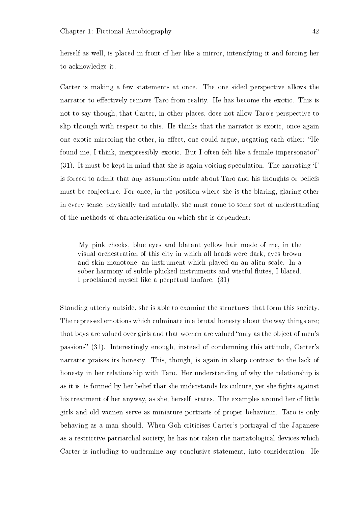herself as well, is placed in front of her like a mirror, intensifying it and forcing her to acknowledge it.

Carter is making a few statements at once. The one sided perspective allows the narrator to effectively remove Taro from reality. He has become the exotic. This is not to say though, that Carter, in other places, does not allow Taro's perspective to slip through with respect to this. He thinks that the narrator is exotic, once again one exotic mirroring the other, in effect, one could argue, negating each other: "He found me, I think, inexpressibly exotic. But I often felt like a female impersonator (31). It must be kept in mind that she is again voicing speculation. The narrating `I' is forced to admit that any assumption made about Taro and his thoughts or beliefs must be conjecture. For once, in the position where she is the blaring, glaring other in every sense, physically and mentally, she must come to some sort of understanding of the methods of characterisation on which she is dependent:

My pink cheeks, blue eyes and blatant yellow hair made of me, in the visual orchestration of this city in which all heads were dark, eyes brown and skin monotone, an instrument which played on an alien scale. In a sober harmony of subtle plucked instruments and wistful flutes, I blared. I proclaimed myself like a perpetual fanfare. (31)

Standing utterly outside, she is able to examine the structures that form this society. The repressed emotions which culminate in a brutal honesty about the way things are; that boys are valued over girls and that women are valued "only as the object of men's passions" (31). Interestingly enough, instead of condemning this attitude, Carter's narrator praises its honesty. This, though, is again in sharp contrast to the lack of honesty in her relationship with Taro. Her understanding of why the relationship is as it is, is formed by her belief that she understands his culture, yet she fights against his treatment of her anyway, as she, herself, states. The examples around her of little girls and old women serve as miniature portraits of proper behaviour. Taro is only behaving as a man should. When Goh criticises Carter's portrayal of the Japanese as a restrictive patriarchal society, he has not taken the narratological devices which Carter is including to undermine any conclusive statement, into consideration. He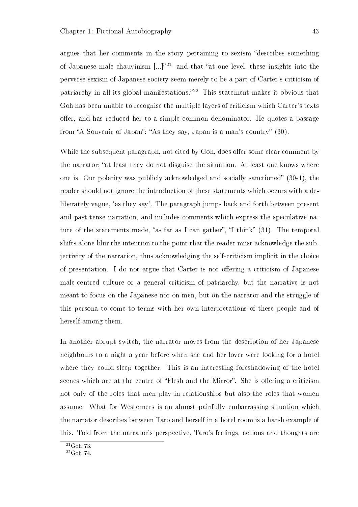argues that her comments in the story pertaining to sexism "describes something of Japanese male chauvinism  $\lbrack \ldots \rbrack^{21}$  and that "at one level, these insights into the perverse sexism of Japanese society seem merely to be a part of Carter's criticism of patriarchy in all its global manifestations.<sup>22</sup> This statement makes it obvious that Goh has been unable to recognise the multiple layers of criticism which Carter's texts offer, and has reduced her to a simple common denominator. He quotes a passage from "A Souvenir of Japan": "As they say, Japan is a man's country" (30).

While the subsequent paragraph, not cited by Goh, does offer some clear comment by the narrator; "at least they do not disguise the situation. At least one knows where one is. Our polarity was publicly acknowledged and socially sanctioned"  $(30-1)$ , the reader should not ignore the introduction of these statements which occurs with a deliberately vague, 'as they say'. The paragraph jumps back and forth between present and past tense narration, and includes comments which express the speculative nature of the statements made, "as far as I can gather", "I think"  $(31)$ . The temporal shifts alone blur the intention to the point that the reader must acknowledge the subjectivity of the narration, thus acknowledging the self-criticism implicit in the choice of presentation. I do not argue that Carter is not offering a criticism of Japanese male-centred culture or a general criticism of patriarchy, but the narrative is not meant to focus on the Japanese nor on men, but on the narrator and the struggle of this persona to come to terms with her own interpretations of these people and of herself among them.

In another abrupt switch, the narrator moves from the description of her Japanese neighbours to a night a year before when she and her lover were looking for a hotel where they could sleep together. This is an interesting foreshadowing of the hotel scenes which are at the centre of "Flesh and the Mirror". She is offering a criticism not only of the roles that men play in relationships but also the roles that women assume. What for Westerners is an almost painfully embarrassing situation which the narrator describes between Taro and herself in a hotel room is a harsh example of this. Told from the narrator's perspective, Taro's feelings, actions and thoughts are

 $21$ Goh 73.

 $^{22}\text{Goh}$ 74.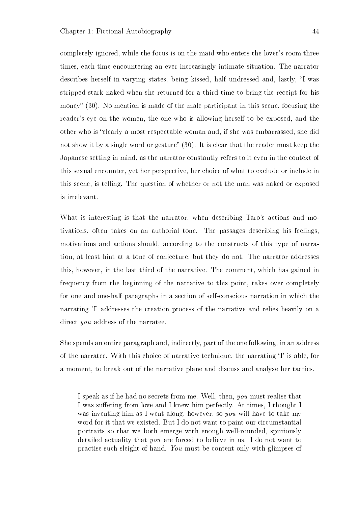completely ignored, while the focus is on the maid who enters the lover's room three times, each time encountering an ever increasingly intimate situation. The narrator describes herself in varying states, being kissed, half undressed and, lastly, "I was stripped stark naked when she returned for a third time to bring the receipt for his money"  $(30)$ . No mention is made of the male participant in this scene, focusing the reader's eye on the women, the one who is allowing herself to be exposed, and the other who is "clearly a most respectable woman and, if she was embarrassed, she did not show it by a single word or gesture"  $(30)$ . It is clear that the reader must keep the Japanese setting in mind, as the narrator constantly refers to it even in the context of this sexual encounter, yet her perspective, her choice of what to exclude or include in this scene, is telling. The question of whether or not the man was naked or exposed is irrelevant.

What is interesting is that the narrator, when describing Taro's actions and motivations, often takes on an authorial tone. The passages describing his feelings, motivations and actions should, according to the constructs of this type of narration, at least hint at a tone of conjecture, but they do not. The narrator addresses this, however, in the last third of the narrative. The comment, which has gained in frequency from the beginning of the narrative to this point, takes over completely for one and one-half paragraphs in a section of self-conscious narration in which the narrating <sup>T</sup> addresses the creation process of the narrative and relies heavily on a direct *you* address of the narratee.

She spends an entire paragraph and, indirectly, part of the one following, in an address of the narratee. With this choice of narrative technique, the narrating `I' is able, for a moment, to break out of the narrative plane and discuss and analyse her tactics.

I speak as if he had no secrets from me. Well, then, you must realise that I was suffering from love and I knew him perfectly. At times, I thought I was inventing him as I went along, however, so you will have to take my word for it that we existed. But I do not want to paint our circumstantial portraits so that we both emerge with enough well-rounded, spuriously detailed actuality that you are forced to believe in us. I do not want to practise such sleight of hand. You must be content only with glimpses of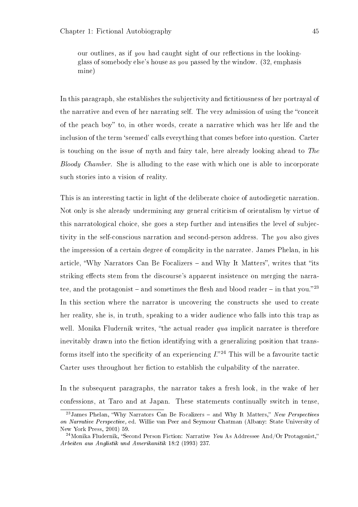our outlines, as if you had caught sight of our reflections in the lookingglass of somebody else's house as you passed by the window. (32, emphasis mine)

In this paragraph, she establishes the subjectivity and fictitiousness of her portrayal of the narrative and even of her narrating self. The very admission of using the "conceit" of the peach boy" to, in other words, create a narrative which was her life and the inclusion of the term 'seemed' calls everything that comes before into question. Carter is touching on the issue of myth and fairy tale, here already looking ahead to The Bloody Chamber. She is alluding to the ease with which one is able to incorporate such stories into a vision of reality.

This is an interesting tactic in light of the deliberate choice of autodiegetic narration. Not only is she already undermining any general criticism of orientalism by virtue of this narratological choice, she goes a step further and intensifies the level of subjectivity in the self-conscious narration and second-person address. The you also gives the impression of a certain degree of complicity in the narratee. James Phelan, in his article, "Why Narrators Can Be Focalizers  $-$  and Why It Matters", writes that "its striking effects stem from the discourse's apparent insistence on merging the narratee, and the protagonist – and sometimes the flesh and blood reader – in that you.<sup>23</sup> In this section where the narrator is uncovering the constructs she used to create her reality, she is, in truth, speaking to a wider audience who falls into this trap as well. Monika Fludernik writes, "the actual reader  $qua$  implicit narratee is therefore inevitably drawn into the fiction identifying with a generalizing position that transforms itself into the specificity of an experiencing  $I^{24}$ . This will be a favourite tactic Carter uses throughout her fiction to establish the culpability of the narratee.

In the subsequent paragraphs, the narrator takes a fresh look, in the wake of her confessions, at Taro and at Japan. These statements continually switch in tense,

 $^{23}$ James Phelan, "Why Narrators Can Be Focalizers – and Why It Matters," New Perspectives on Narrative Perspective, ed. Willie van Peer and Seymour Chatman (Albany: State University of New York Press, 2001) 59.

<sup>&</sup>lt;sup>24</sup>Monika Fludernik, "Second Person Fiction: Narrative You As Addressee And/Or Protagonist," Arbeiten aus Anglistik und Amerikanitik 18:2 (1993) 237.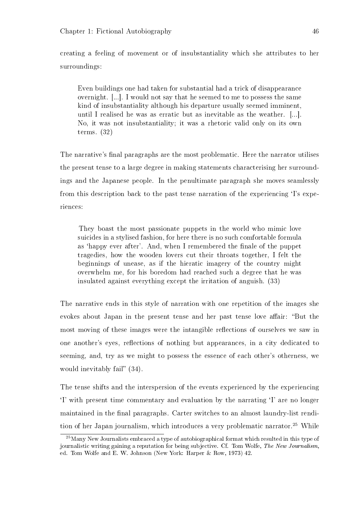creating a feeling of movement or of insubstantiality which she attributes to her surroundings:

Even buildings one had taken for substantial had a trick of disappearance overnight. [...]. I would not say that he seemed to me to possess the same kind of insubstantiality although his departure usually seemed imminent, until I realised he was as erratic but as inevitable as the weather. [...]. No, it was not insubstantiality; it was a rhetoric valid only on its own terms. (32)

The narrative's final paragraphs are the most problematic. Here the narrator utilises the present tense to a large degree in making statements characterising her surroundings and the Japanese people. In the penultimate paragraph she moves seamlessly from this description back to the past tense narration of the experiencing `I's experiences:

They boast the most passionate puppets in the world who mimic love suicides in a stylised fashion, for here there is no such comfortable formula as 'happy ever after'. And, when I remembered the finale of the puppet tragedies, how the wooden lovers cut their throats together, I felt the beginnings of unease, as if the hieratic imagery of the country might overwhelm me, for his boredom had reached such a degree that he was insulated against everything except the irritation of anguish. (33)

The narrative ends in this style of narration with one repetition of the images she evokes about Japan in the present tense and her past tense love affair: "But the most moving of these images were the intangible reflections of ourselves we saw in one another's eyes, reflections of nothing but appearances, in a city dedicated to seeming, and, try as we might to possess the essence of each other's otherness, we would inevitably fail"  $(34)$ .

The tense shifts and the interspersion of the events experienced by the experiencing `I' with present time commentary and evaluation by the narrating `I' are no longer maintained in the final paragraphs. Carter switches to an almost laundry-list rendition of her Japan journalism, which introduces a very problematic narrator.<sup>25</sup> While

 $^{25}$ Many New Journalists embraced a type of autobiographical format which resulted in this type of journalistic writing gaining a reputation for being subjective. Cf. Tom Wolfe, The New Journalism, ed. Tom Wolfe and E. W. Johnson (New York: Harper & Row, 1973) 42.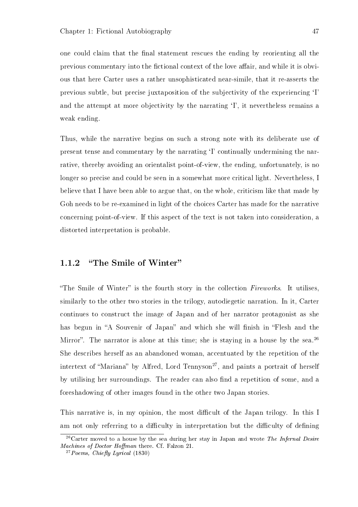one could claim that the final statement rescues the ending by reorienting all the previous commentary into the fictional context of the love affair, and while it is obvious that here Carter uses a rather unsophisticated near-simile, that it re-asserts the previous subtle, but precise juxtaposition of the subjectivity of the experiencing `I' and the attempt at more objectivity by the narrating  $\mathbf{I}'$ , it nevertheless remains a weak ending.

Thus, while the narrative begins on such a strong note with its deliberate use of present tense and commentary by the narrating `I' continually undermining the narrative, thereby avoiding an orientalist point-of-view, the ending, unfortunately, is no longer so precise and could be seen in a somewhat more critical light. Nevertheless, I believe that I have been able to argue that, on the whole, criticism like that made by Goh needs to be re-examined in light of the choices Carter has made for the narrative concerning point-of-view. If this aspect of the text is not taken into consideration, a distorted interpretation is probable.

## 1.1.2 "The Smile of Winter"

"The Smile of Winter" is the fourth story in the collection  $Fireworks$ . It utilises, similarly to the other two stories in the trilogy, autodiegetic narration. In it, Carter continues to construct the image of Japan and of her narrator protagonist as she has begun in "A Souvenir of Japan" and which she will finish in "Flesh and the Mirror". The narrator is alone at this time; she is staying in a house by the sea.<sup>26</sup> She describes herself as an abandoned woman, accentuated by the repetition of the intertext of "Mariana" by Alfred, Lord Tennyson<sup>27</sup>, and paints a portrait of herself by utilising her surroundings. The reader can also find a repetition of some, and a foreshadowing of other images found in the other two Japan stories.

This narrative is, in my opinion, the most difficult of the Japan trilogy. In this I am not only referring to a difficulty in interpretation but the difficulty of defining

 $^{26}$ Carter moved to a house by the sea during her stay in Japan and wrote The Infernal Desire Machines of Doctor Hoffman there. Cf. Falzon 21.

 $27 Poems$ , Chiefly Lyrical (1830)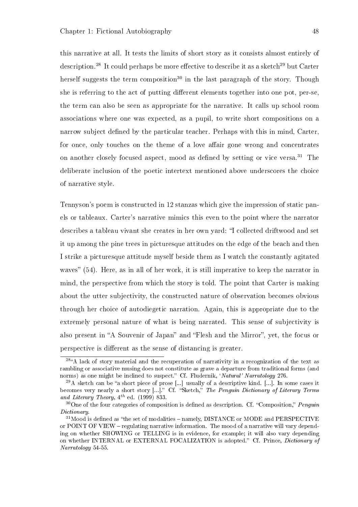this narrative at all. It tests the limits of short story as it consists almost entirely of description.<sup>28</sup> It could perhaps be more effective to describe it as a sketch<sup>29</sup> but Carter herself suggests the term composition<sup>30</sup> in the last paragraph of the story. Though she is referring to the act of putting different elements together into one pot, per-se, the term can also be seen as appropriate for the narrative. It calls up school room associations where one was expected, as a pupil, to write short compositions on a narrow subject defined by the particular teacher. Perhaps with this in mind, Carter, for once, only touches on the theme of a love affair gone wrong and concentrates on another closely focused aspect, mood as defined by setting or vice versa.<sup>31</sup> The deliberate inclusion of the poetic intertext mentioned above underscores the choice of narrative style.

Tennyson's poem is constructed in 12 stanzas which give the impression of static panels or tableaux. Carter's narrative mimics this even to the point where the narrator describes a tableau vivant she creates in her own yard: "I collected driftwood and set it up among the pine trees in picturesque attitudes on the edge of the beach and then I strike a picturesque attitude myself beside them as I watch the constantly agitated waves" (54). Here, as in all of her work, it is still imperative to keep the narrator in mind, the perspective from which the story is told. The point that Carter is making about the utter subjectivity, the constructed nature of observation becomes obvious through her choice of autodiegetic narration. Again, this is appropriate due to the extremely personal nature of what is being narrated. This sense of subjectivity is also present in "A Souvenir of Japan" and "Flesh and the Mirror", yet, the focus or perspective is different as the sense of distancing is greater.

<sup>&</sup>lt;sup>28</sup><sup>4</sup>A lack of story material and the recuperation of narrativity in a recognization of the text as rambling or associative musing does not constitute as grave a departure from traditional forms (and norms) as one might be inclined to suspect." Cf. Fludernik, 'Natural' Narratology 276.

 $^{29}$ A sketch can be "a short piece of prose [...] usually of a descriptive kind. [...]. In some cases it becomes very nearly a short story [...]." Cf. "Sketch," The Penguin Dictionary of Literary Terms and Literary Theory,  $4^{th}$  ed. (1999) 833.

 $30$ One of the four categories of composition is defined as description. Cf. "Composition," Penguin Dictionary.

 $31$ Mood is defined as "the set of modalities  $-$  namely, DISTANCE or MODE and PERSPECTIVE or POINT OF VIEW – regulating narrative information. The mood of a narrative will vary depending on whether SHOWING or TELLING is in evidence, for example; it will also vary depending on whether INTERNAL or EXTERNAL FOCALIZATION is adopted." Cf. Prince, *Dictionary of* Narratology 54-55.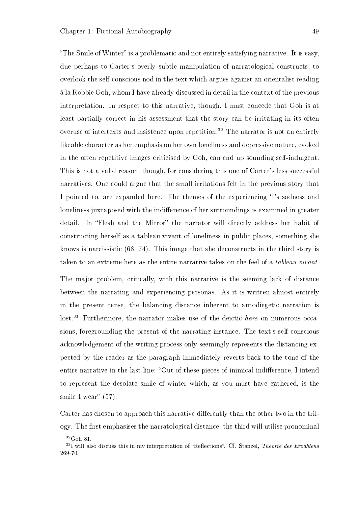"The Smile of Winter" is a problematic and not entirely satisfying narrative. It is easy, due perhaps to Carter's overly subtle manipulation of narratological constructs, to overlook the self-conscious nod in the text which argues against an orientalist reading á la Robbie Goh, whom I have already discussed in detail in the context of the previous interpretation. In respect to this narrative, though, I must concede that Goh is at least partially correct in his assessment that the story can be irritating in its often overuse of intertexts and insistence upon repetition.<sup>32</sup> The narrator is not an entirely likeable character as her emphasis on her own loneliness and depressive nature, evoked in the often repetitive images criticised by Goh, can end up sounding self-indulgent. This is not a valid reason, though, for considering this one of Carter's less successful narratives. One could argue that the small irritations felt in the previous story that I pointed to, are expanded here. The themes of the experiencing `I's sadness and loneliness juxtaposed with the indifference of her surroundings is examined in greater detail. In "Flesh and the Mirror" the narrator will directly address her habit of constructing herself as a tableau vivant of loneliness in public places, something she knows is narcissistic (68, 74). This image that she deconstructs in the third story is taken to an extreme here as the entire narrative takes on the feel of a tableau vivant.

The major problem, critically, with this narrative is the seeming lack of distance between the narrating and experiencing personas. As it is written almost entirely in the present tense, the balancing distance inherent to autodiegetic narration is lost.<sup>33</sup> Furthermore, the narrator makes use of the deictic here on numerous occasions, foregrounding the present of the narrating instance. The text's self-conscious acknowledgement of the writing process only seemingly represents the distancing expected by the reader as the paragraph immediately reverts back to the tone of the entire narrative in the last line: "Out of these pieces of inimical indifference, I intend to represent the desolate smile of winter which, as you must have gathered, is the smile I wear"  $(57)$ .

Carter has chosen to approach this narrative differently than the other two in the trilogy. The first emphasises the narratological distance, the third will utilise pronominal

<sup>32</sup>Goh 81.

 $33$ I will also discuss this in my interpretation of "Reflections". Cf. Stanzel, Theorie des Erzählens 269-70.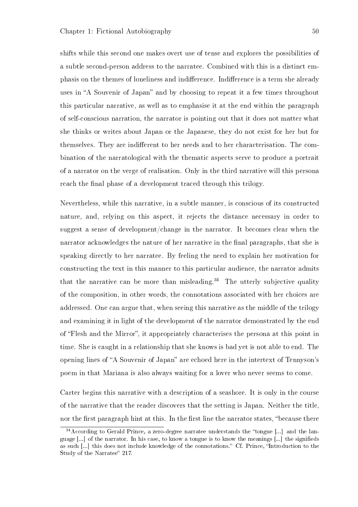shifts while this second one makes overt use of tense and explores the possibilities of a subtle second-person address to the narratee. Combined with this is a distinct emphasis on the themes of loneliness and indifference. Indifference is a term she already uses in "A Souvenir of Japan" and by choosing to repeat it a few times throughout this particular narrative, as well as to emphasise it at the end within the paragraph of self-conscious narration, the narrator is pointing out that it does not matter what she thinks or writes about Japan or the Japanese, they do not exist for her but for themselves. They are indifferent to her needs and to her characterisation. The combination of the narratological with the thematic aspects serve to produce a portrait of a narrator on the verge of realisation. Only in the third narrative will this persona reach the final phase of a development traced through this trilogy.

Nevertheless, while this narrative, in a subtle manner, is conscious of its constructed nature, and, relying on this aspect, it rejects the distance necessary in order to suggest a sense of development/change in the narrator. It becomes clear when the narrator acknowledges the nature of her narrative in the final paragraphs, that she is speaking directly to her narratee. By feeling the need to explain her motivation for constructing the text in this manner to this particular audience, the narrator admits that the narrative can be more than misleading.<sup>34</sup> The utterly subjective quality of the composition, in other words, the connotations associated with her choices are addressed. One can argue that, when seeing this narrative as the middle of the trilogy and examining it in light of the development of the narrator demonstrated by the end of "Flesh and the Mirror", it appropriately characterises the persona at this point in time. She is caught in a relationship that she knows is bad yet is not able to end. The opening lines of "A Souvenir of Japan" are echoed here in the intertext of Tennyson's poem in that Mariana is also always waiting for a lover who never seems to come.

Carter begins this narrative with a description of a seashore. It is only in the course of the narrative that the reader discovers that the setting is Japan. Neither the title, nor the first paragraph hint at this. In the first line the narrator states, "because there

 $34$ According to Gerald Prince, a zero-degree narratee understands the "tongue [...] and the language [...] of the narrator. In his case, to know a tongue is to know the meanings [...] the signieds as such [...] this does not include knowledge of the connotations." Cf. Prince, "Introduction to the Study of the Narratee" 217.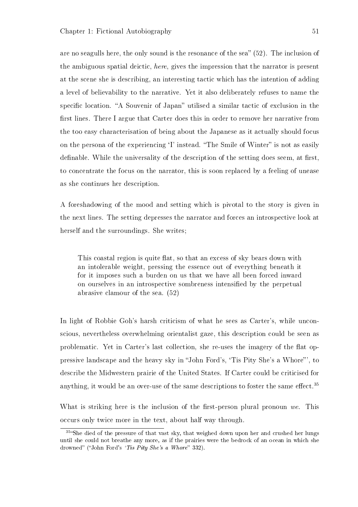are no seagulls here, the only sound is the resonance of the sea" (52). The inclusion of the ambiguous spatial deictic, here, gives the impression that the narrator is present at the scene she is describing, an interesting tactic which has the intention of adding a level of believability to the narrative. Yet it also deliberately refuses to name the specific location. "A Souvenir of Japan" utilised a similar tactic of exclusion in the first lines. There I argue that Carter does this in order to remove her narrative from the too easy characterisation of being about the Japanese as it actually should focus on the persona of the experiencing 'I' instead. "The Smile of Winter" is not as easily definable. While the universality of the description of the setting does seem, at first, to concentrate the focus on the narrator, this is soon replaced by a feeling of unease as she continues her description.

A foreshadowing of the mood and setting which is pivotal to the story is given in the next lines. The setting depresses the narrator and forces an introspective look at herself and the surroundings. She writes;

This coastal region is quite flat, so that an excess of sky bears down with an intolerable weight, pressing the essence out of everything beneath it for it imposes such a burden on us that we have all been forced inward on ourselves in an introspective sombreness intensified by the perpetual abrasive clamour of the sea. (52)

In light of Robbie Goh's harsh criticism of what he sees as Carter's, while unconscious, nevertheless overwhelming orientalist gaze, this description could be seen as problematic. Yet in Carter's last collection, she re-uses the imagery of the flat oppressive landscape and the heavy sky in John Ford's, `Tis Pity She's a Whore', to describe the Midwestern prairie of the United States. If Carter could be criticised for anything, it would be an over-use of the same descriptions to foster the same effect.<sup>35</sup>

What is striking here is the inclusion of the first-person plural pronoun we. This occurs only twice more in the text, about half way through.

<sup>&</sup>lt;sup>35</sup>She died of the pressure of that vast sky, that weighed down upon her and crushed her lungs until she could not breathe any more, as if the prairies were the bedrock of an ocean in which she drowned" ("John Ford's 'Tis Pity She's a Whore" 332).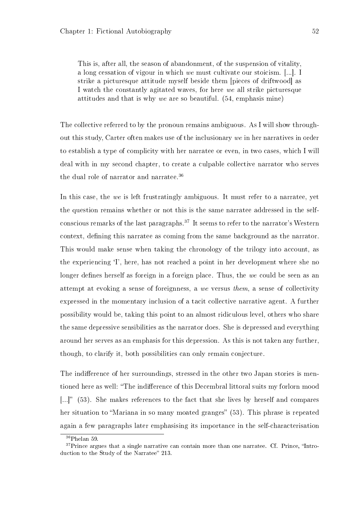This is, after all, the season of abandonment, of the suspension of vitality, a long cessation of vigour in which we must cultivate our stoicism. [...]. I strike a picturesque attitude myself beside them [pieces of driftwood] as I watch the constantly agitated waves, for here we all strike picturesque attitudes and that is why we are so beautiful. (54, emphasis mine)

The collective referred to by the pronoun remains ambiguous. As I will show throughout this study, Carter often makes use of the inclusionary we in her narratives in order to establish a type of complicity with her narratee or even, in two cases, which I will deal with in my second chapter, to create a culpable collective narrator who serves the dual role of narrator and narratee.<sup>36</sup>

In this case, the we is left frustratingly ambiguous. It must refer to a narratee, yet the question remains whether or not this is the same narratee addressed in the selfconscious remarks of the last paragraphs.<sup>37</sup> It seems to refer to the narrator's Western context, defining this narratee as coming from the same background as the narrator. This would make sense when taking the chronology of the trilogy into account, as the experiencing `I', here, has not reached a point in her development where she no longer defines herself as foreign in a foreign place. Thus, the we could be seen as an attempt at evoking a sense of foreignness, a we versus them, a sense of collectivity expressed in the momentary inclusion of a tacit collective narrative agent. A further possibility would be, taking this point to an almost ridiculous level, others who share the same depressive sensibilities as the narrator does. She is depressed and everything around her serves as an emphasis for this depression. As this is not taken any further, though, to clarify it, both possibilities can only remain conjecture.

The indifference of her surroundings, stressed in the other two Japan stories is mentioned here as well: "The indifference of this Decembral littoral suits my forlorn mood [ $\ldots$ ]" (53). She makes references to the fact that she lives by herself and compares her situation to "Mariana in so many moated granges" (53). This phrase is repeated again a few paragraphs later emphasising its importance in the self-characterisation

<sup>36</sup>Phelan 59.

 $37$ Prince argues that a single narrative can contain more than one narratee. Cf. Prince, "Introduction to the Study of the Narratee" 213.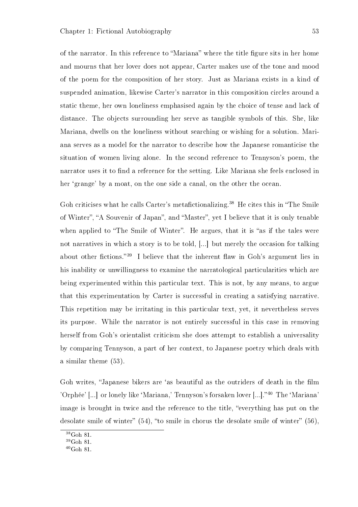of the narrator. In this reference to "Mariana" where the title figure sits in her home and mourns that her lover does not appear, Carter makes use of the tone and mood of the poem for the composition of her story. Just as Mariana exists in a kind of suspended animation, likewise Carter's narrator in this composition circles around a static theme, her own loneliness emphasised again by the choice of tense and lack of distance. The objects surrounding her serve as tangible symbols of this. She, like Mariana, dwells on the loneliness without searching or wishing for a solution. Mariana serves as a model for the narrator to describe how the Japanese romanticise the situation of women living alone. In the second reference to Tennyson's poem, the narrator uses it to find a reference for the setting. Like Mariana she feels enclosed in her 'grange' by a moat, on the one side a canal, on the other the ocean.

Goh criticises what he calls Carter's metafictionalizing.<sup>38</sup> He cites this in "The Smile" of Winter", "A Souvenir of Japan", and "Master", yet I believe that it is only tenable when applied to "The Smile of Winter". He argues, that it is "as if the tales were not narratives in which a story is to be told, [...] but merely the occasion for talking about other fictions.<sup>39</sup> I believe that the inherent flaw in Goh's argument lies in his inability or unwillingness to examine the narratological particularities which are being experimented within this particular text. This is not, by any means, to argue that this experimentation by Carter is successful in creating a satisfying narrative. This repetition may be irritating in this particular text, yet, it nevertheless serves its purpose. While the narrator is not entirely successful in this case in removing herself from Goh's orientalist criticism she does attempt to establish a universality by comparing Tennyson, a part of her context, to Japanese poetry which deals with a similar theme (53).

Goh writes, "Japanese bikers are 'as beautiful as the outriders of death in the film 'Orphée' [...] or lonely like 'Mariana,' Tennyson's forsaken lover [...]."<sup>40</sup> The 'Mariana' image is brought in twice and the reference to the title, "everything has put on the desolate smile of winter"  $(54)$ , "to smile in chorus the desolate smile of winter"  $(56)$ .

<sup>38</sup>Goh 81.

<sup>39</sup>Goh 81.

 $40$ Goh 81.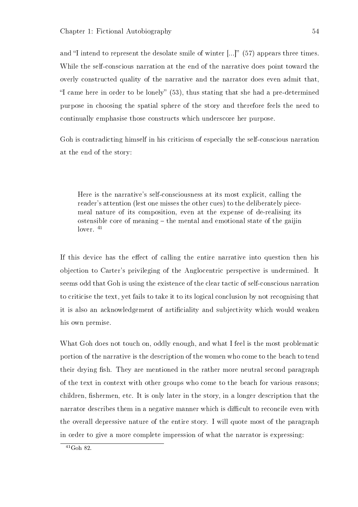and "I intend to represent the desolate smile of winter  $[...]$ " (57) appears three times. While the self-conscious narration at the end of the narrative does point toward the overly constructed quality of the narrative and the narrator does even admit that, "I came here in order to be lonely"  $(53)$ , thus stating that she had a pre-determined purpose in choosing the spatial sphere of the story and therefore feels the need to continually emphasise those constructs which underscore her purpose.

Goh is contradicting himself in his criticism of especially the self-conscious narration at the end of the story:

Here is the narrative's self-consciousness at its most explicit, calling the reader's attention (lest one misses the other cues) to the deliberately piecemeal nature of its composition, even at the expense of de-realising its ostensible core of meaning  $-$  the mental and emotional state of the gaijin lover.  $41$ 

If this device has the effect of calling the entire narrative into question then his objection to Carter's privileging of the Anglocentric perspective is undermined. It seems odd that Goh is using the existence of the clear tactic of self-conscious narration to criticise the text, yet fails to take it to its logical conclusion by not recognising that it is also an acknowledgement of articiality and subjectivity which would weaken his own premise.

What Goh does not touch on, oddly enough, and what I feel is the most problematic portion of the narrative is the description of the women who come to the beach to tend their drying fish. They are mentioned in the rather more neutral second paragraph of the text in context with other groups who come to the beach for various reasons; children, fishermen, etc. It is only later in the story, in a longer description that the narrator describes them in a negative manner which is difficult to reconcile even with the overall depressive nature of the entire story. I will quote most of the paragraph in order to give a more complete impression of what the narrator is expressing:

 $^{41}\rm{Goh}$ 82.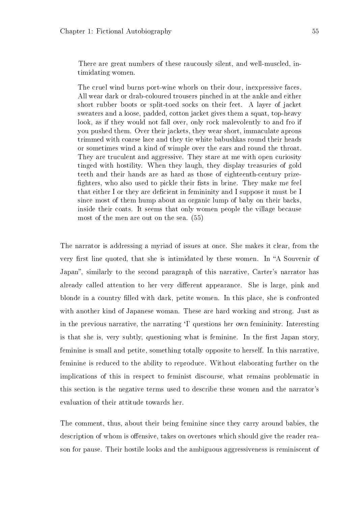There are great numbers of these raucously silent, and well-muscled, intimidating women.

The cruel wind burns port-wine whorls on their dour, inexpressive faces. All wear dark or drab-coloured trousers pinched in at the ankle and either short rubber boots or split-toed socks on their feet. A layer of jacket sweaters and a loose, padded, cotton jacket gives them a squat, top-heavy look, as if they would not fall over, only rock malevolently to and fro if you pushed them. Over their jackets, they wear short, immaculate aprons trimmed with coarse lace and they tie white babushkas round their heads or sometimes wind a kind of wimple over the ears and round the throat. They are truculent and aggressive. They stare at me with open curiosity tinged with hostility. When they laugh, they display treasuries of gold teeth and their hands are as hard as those of eighteenth-century prize fighters, who also used to pickle their fists in brine. They make me feel that either I or they are decient in femininity and I suppose it must be I since most of them hump about an organic lump of baby on their backs, inside their coats. It seems that only women people the village because most of the men are out on the sea. (55)

The narrator is addressing a myriad of issues at once. She makes it clear, from the very first line quoted, that she is intimidated by these women. In "A Souvenir of Japan", similarly to the second paragraph of this narrative, Carter's narrator has already called attention to her very different appearance. She is large, pink and blonde in a country lled with dark, petite women. In this place, she is confronted with another kind of Japanese woman. These are hard working and strong. Just as in the previous narrative, the narrating 'I' questions her own femininity. Interesting is that she is, very subtly, questioning what is feminine. In the first Japan story, feminine is small and petite, something totally opposite to herself. In this narrative, feminine is reduced to the ability to reproduce. Without elaborating further on the implications of this in respect to feminist discourse, what remains problematic in this section is the negative terms used to describe these women and the narrator's evaluation of their attitude towards her.

The comment, thus, about their being feminine since they carry around babies, the description of whom is offensive, takes on overtones which should give the reader reason for pause. Their hostile looks and the ambiguous aggressiveness is reminiscent of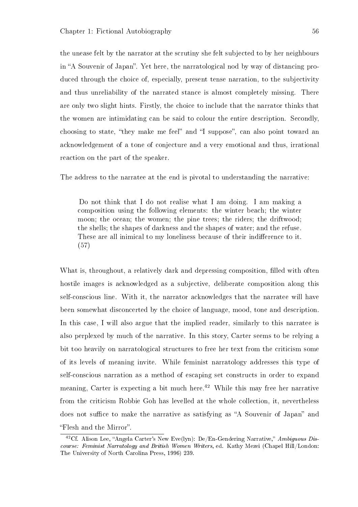the unease felt by the narrator at the scrutiny she felt subjected to by her neighbours in "A Souvenir of Japan". Yet here, the narratological nod by way of distancing produced through the choice of, especially, present tense narration, to the subjectivity and thus unreliability of the narrated stance is almost completely missing. There are only two slight hints. Firstly, the choice to include that the narrator thinks that the women are intimidating can be said to colour the entire description. Secondly, choosing to state, "they make me feel" and "I suppose", can also point toward an acknowledgement of a tone of conjecture and a very emotional and thus, irrational reaction on the part of the speaker.

The address to the narratee at the end is pivotal to understanding the narrative:

Do not think that I do not realise what I am doing. I am making a composition using the following elements: the winter beach; the winter moon; the ocean; the women; the pine trees; the riders; the driftwood; the shells; the shapes of darkness and the shapes of water; and the refuse. These are all inimical to my loneliness because of their indifference to it. (57)

What is, throughout, a relatively dark and depressing composition, filled with often hostile images is acknowledged as a subjective, deliberate composition along this self-conscious line. With it, the narrator acknowledges that the narratee will have been somewhat disconcerted by the choice of language, mood, tone and description. In this case, I will also argue that the implied reader, similarly to this narratee is also perplexed by much of the narrative. In this story, Carter seems to be relying a bit too heavily on narratological structures to free her text from the criticism some of its levels of meaning invite. While feminist narratology addresses this type of self-conscious narration as a method of escaping set constructs in order to expand meaning, Carter is expecting a bit much here.<sup>42</sup> While this may free her narrative from the criticism Robbie Goh has levelled at the whole collection, it, nevertheless does not suffice to make the narrative as satisfying as "A Souvenir of Japan" and "Flesh and the Mirror".

<sup>&</sup>lt;sup>42</sup>Cf. Alison Lee, "Angela Carter's New Eve(lyn): De/En-Gendering Narrative," Ambiguous Discourse: Feminist Narratology and British Women Writers, ed. Kathy Mezei (Chapel Hill/London: The University of North Carolina Press, 1996) 239.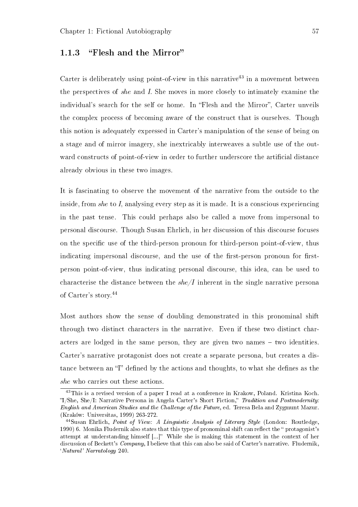## 1.1.3 "Flesh and the Mirror"

Carter is deliberately using point-of-view in this narrative<sup>43</sup> in a movement between the perspectives of she and I. She moves in more closely to intimately examine the individual's search for the self or home. In "Flesh and the Mirror", Carter unveils the complex process of becoming aware of the construct that is ourselves. Though this notion is adequately expressed in Carter's manipulation of the sense of being on a stage and of mirror imagery, she inextricably interweaves a subtle use of the outward constructs of point-of-view in order to further underscore the artificial distance already obvious in these two images.

It is fascinating to observe the movement of the narrative from the outside to the inside, from she to I, analysing every step as it is made. It is a conscious experiencing in the past tense. This could perhaps also be called a move from impersonal to personal discourse. Though Susan Ehrlich, in her discussion of this discourse focuses on the specific use of the third-person pronoun for third-person point-of-view, thus indicating impersonal discourse, and the use of the first-person pronoun for firstperson point-of-view, thus indicating personal discourse, this idea, can be used to characterise the distance between the  $she/I$  inherent in the single narrative personal of Carter's story.<sup>44</sup>

Most authors show the sense of doubling demonstrated in this pronominal shift through two distinct characters in the narrative. Even if these two distinct characters are lodged in the same person, they are given two names  $-$  two identities. Carter's narrative protagonist does not create a separate persona, but creates a distance between an "I" defined by the actions and thoughts, to what she defines as the she who carries out these actions.

<sup>&</sup>lt;sup>43</sup>This is a revised version of a paper I read at a conference in Krakow, Poland. Kristina Koch. I/She, She/I: Narrative Persona in Angela Carter's Short Fiction, Tradition and Postmodernity: English and American Studies and the Challenge of the Future, ed. Teresa Bela and Zygmunt Mazur. (Kraków: Universitas, 1999) 263-272.

<sup>44</sup>Susan Ehrlich, Point of View: A Linguistic Analysis of Literary Style (London: Routledge, 1990) 6. Monika Fludernik also states that this type of pronominal shift can reflect the "protagonist's attempt at understanding himself [...]" While she is making this statement in the context of her discussion of Beckett's Company, I believe that this can also be said of Carter's narrative. Fludernik, `Natural' Narratology 240.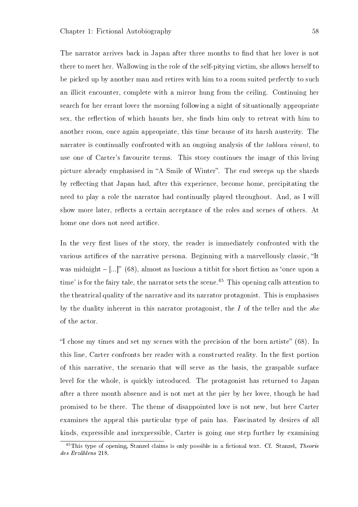The narrator arrives back in Japan after three months to find that her lover is not there to meet her. Wallowing in the role of the self-pitying victim, she allows herself to be picked up by another man and retires with him to a room suited perfectly to such an illicit encounter, complete with a mirror hung from the ceiling. Continuing her search for her errant lover the morning following a night of situationally appropriate sex, the reflection of which haunts her, she finds him only to retreat with him to another room, once again appropriate, this time because of its harsh austerity. The narratee is continually confronted with an ongoing analysis of the *tableau vivant*, to use one of Carter's favourite terms. This story continues the image of this living picture already emphasised in "A Smile of Winter". The end sweeps up the shards by reflecting that Japan had, after this experience, become home, precipitating the need to play a role the narrator had continually played throughout. And, as I will show more later, reflects a certain acceptance of the roles and scenes of others. At home one does not need artifice.

In the very first lines of the story, the reader is immediately confronted with the various artifices of the narrative persona. Beginning with a marvellously classic, "It was midnight  $-[...]$ " (68), almost as luscious a titbit for short fiction as 'once upon a time' is for the fairy tale, the narrator sets the scene.<sup>45</sup> This opening calls attention to the theatrical quality of the narrative and its narrator protagonist. This is emphasises by the duality inherent in this narrator protagonist, the  $I$  of the teller and the she of the actor.

"I chose my times and set my scenes with the precision of the born artiste" (68). In this line, Carter confronts her reader with a constructed reality. In the first portion of this narrative, the scenario that will serve as the basis, the graspable surface level for the whole, is quickly introduced. The protagonist has returned to Japan after a three month absence and is not met at the pier by her lover, though he had promised to be there. The theme of disappointed love is not new, but here Carter examines the appeal this particular type of pain has. Fascinated by desires of all kinds, expressible and inexpressible, Carter is going one step further by examining

 $^{45}$ This type of opening, Stanzel claims is only possible in a fictional text. Cf. Stanzel, Theorie des Erzählens 218.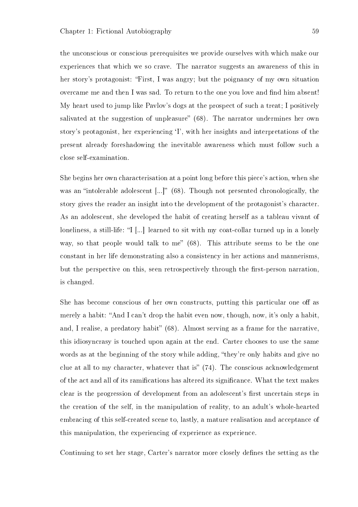the unconscious or conscious prerequisites we provide ourselves with which make our experiences that which we so crave. The narrator suggests an awareness of this in her story's protagonist: First, I was angry; but the poignancy of my own situation overcame me and then I was sad. To return to the one you love and find him absent! My heart used to jump like Pavlov's dogs at the prospect of such a treat; I positively salivated at the suggestion of unpleasure"  $(68)$ . The narrator undermines her own story's protagonist, her experiencing `I', with her insights and interpretations of the present already foreshadowing the inevitable awareness which must follow such a close self-examination.

She begins her own characterisation at a point long before this piece's action, when she was an "intolerable adolescent  $[...]$ " (68). Though not presented chronologically, the story gives the reader an insight into the development of the protagonist's character. As an adolescent, she developed the habit of creating herself as a tableau vivant of loneliness, a still-life: "I [...] learned to sit with my coat-collar turned up in a lonely way, so that people would talk to me"  $(68)$ . This attribute seems to be the one constant in her life demonstrating also a consistency in her actions and mannerisms, but the perspective on this, seen retrospectively through the first-person narration. is changed.

She has become conscious of her own constructs, putting this particular one off as merely a habit: "And I can't drop the habit even now, though, now, it's only a habit. and, I realise, a predatory habit"  $(68)$ . Almost serving as a frame for the narrative, this idiosyncrasy is touched upon again at the end. Carter chooses to use the same words as at the beginning of the story while adding, "they're only habits and give no clue at all to my character, whatever that is"  $(74)$ . The conscious acknowledgement of the act and all of its ramications has altered its signicance. What the text makes clear is the progression of development from an adolescent's first uncertain steps in the creation of the self, in the manipulation of reality, to an adult's whole-hearted embracing of this self-created scene to, lastly, a mature realisation and acceptance of this manipulation, the experiencing of experience as experience.

Continuing to set her stage. Carter's narrator more closely defines the setting as the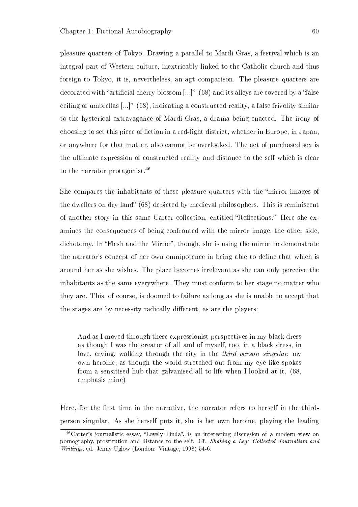pleasure quarters of Tokyo. Drawing a parallel to Mardi Gras, a festival which is an integral part of Western culture, inextricably linked to the Catholic church and thus foreign to Tokyo, it is, nevertheless, an apt comparison. The pleasure quarters are decorated with "artificial cherry blossom  $\left[...\right]$ " (68) and its alleys are covered by a "false ceiling of umbrellas  $[...]$ " (68), indicating a constructed reality, a false frivolity similar to the hysterical extravagance of Mardi Gras, a drama being enacted. The irony of choosing to set this piece of fiction in a red-light district, whether in Europe, in Japan. or anywhere for that matter, also cannot be overlooked. The act of purchased sex is the ultimate expression of constructed reality and distance to the self which is clear to the narrator protagonist.<sup>46</sup>

She compares the inhabitants of these pleasure quarters with the "mirror images of the dwellers on dry land (68) depicted by medieval philosophers. This is reminiscent of another story in this same Carter collection, entitled "Reflections." Here she examines the consequences of being confronted with the mirror image, the other side, dichotomy. In "Flesh and the Mirror", though, she is using the mirror to demonstrate the narrator's concept of her own omnipotence in being able to define that which is around her as she wishes. The place becomes irrelevant as she can only perceive the inhabitants as the same everywhere. They must conform to her stage no matter who they are. This, of course, is doomed to failure as long as she is unable to accept that the stages are by necessity radically different, as are the players:

And as I moved through these expressionist perspectives in my black dress as though I was the creator of all and of myself, too, in a black dress, in love, crying, walking through the city in the third person singular, my own heroine, as though the world stretched out from my eye like spokes from a sensitised hub that galvanised all to life when I looked at it. (68, emphasis mine)

Here, for the first time in the narrative, the narrator refers to herself in the thirdperson singular. As she herself puts it, she is her own heroine, playing the leading

 $46$ Carter's journalistic essay, "Lovely Linda", is an interesting discussion of a modern view on pornography, prostitution and distance to the self. Cf. Shaking a Leg: Collected Journalism and Writings, ed. Jenny Uglow (London: Vintage, 1998) 54-6.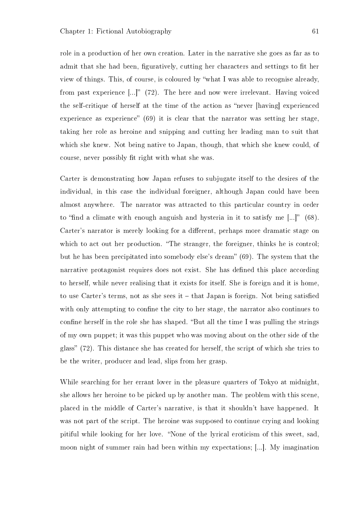role in a production of her own creation. Later in the narrative she goes as far as to admit that she had been, figuratively, cutting her characters and settings to fit her view of things. This, of course, is coloured by what I was able to recognise already, from past experience  $\left[\ldots\right]^n$  (72). The here and now were irrelevant. Having voiced the self-critique of herself at the time of the action as "never [having] experienced experience as experience"  $(69)$  it is clear that the narrator was setting her stage. taking her role as heroine and snipping and cutting her leading man to suit that which she knew. Not being native to Japan, though, that which she knew could, of course, never possibly fit right with what she was.

Carter is demonstrating how Japan refuses to subjugate itself to the desires of the individual, in this case the individual foreigner, although Japan could have been almost anywhere. The narrator was attracted to this particular country in order to "find a climate with enough anguish and hysteria in it to satisfy me  $[...]$ " (68). Carter's narrator is merely looking for a different, perhaps more dramatic stage on which to act out her production. "The stranger, the foreigner, thinks he is control; but he has been precipitated into somebody else's dream" (69). The system that the narrative protagonist requires does not exist. She has defined this place according to herself, while never realising that it exists for itself. She is foreign and it is home, to use Carter's terms, not as she sees it  $-$  that Japan is foreign. Not being satisfied with only attempting to confine the city to her stage, the narrator also continues to confine herself in the role she has shaped. "But all the time I was pulling the strings of my own puppet; it was this puppet who was moving about on the other side of the glass"  $(72)$ . This distance she has created for herself, the script of which she tries to be the writer, producer and lead, slips from her grasp.

While searching for her errant lover in the pleasure quarters of Tokyo at midnight, she allows her heroine to be picked up by another man. The problem with this scene, placed in the middle of Carter's narrative, is that it shouldn't have happened. It was not part of the script. The heroine was supposed to continue crying and looking pitiful while looking for her love. "None of the lyrical eroticism of this sweet, sad. moon night of summer rain had been within my expectations; [...]. My imagination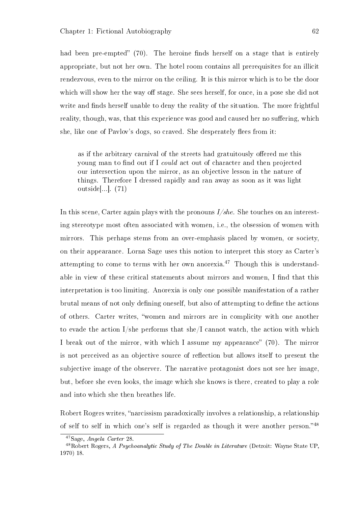had been pre-empted"  $(70)$ . The heroine finds herself on a stage that is entirely appropriate, but not her own. The hotel room contains all prerequisites for an illicit rendezvous, even to the mirror on the ceiling. It is this mirror which is to be the door which will show her the way off stage. She sees herself, for once, in a pose she did not write and finds herself unable to deny the reality of the situation. The more frightful reality, though, was, that this experience was good and caused her no suffering, which she, like one of Pavlov's dogs, so craved. She desperately flees from it:

as if the arbitrary carnival of the streets had gratuitously offered me this young man to find out if I could act out of character and then projected our intersection upon the mirror, as an objective lesson in the nature of things. Therefore I dressed rapidly and ran away as soon as it was light outside[...]. (71)

In this scene, Carter again plays with the pronouns  $I/she$ . She touches on an interesting stereotype most often associated with women, i.e., the obsession of women with mirrors. This perhaps stems from an over-emphasis placed by women, or society, on their appearance. Lorna Sage uses this notion to interpret this story as Carter's attempting to come to terms with her own anorexia.<sup>47</sup> Though this is understandable in view of these critical statements about mirrors and women, I find that this interpretation is too limiting. Anorexia is only one possible manifestation of a rather brutal means of not only defining oneself, but also of attempting to define the actions of others. Carter writes, women and mirrors are in complicity with one another to evade the action I/she performs that she/I cannot watch, the action with which I break out of the mirror, with which I assume my appearance"  $(70)$ . The mirror is not perceived as an objective source of reflection but allows itself to present the subjective image of the observer. The narrative protagonist does not see her image, but, before she even looks, the image which she knows is there, created to play a role and into which she then breathes life.

Robert Rogers writes, "narcissism paradoxically involves a relationship, a relationship of self to self in which one's self is regarded as though it were another person." $48$ 

<sup>47</sup>Sage, Angela Carter 28.

<sup>48</sup>Robert Rogers, A Psychoanalytic Study of The Double in Literature (Detroit: Wayne State UP, 1970) 18.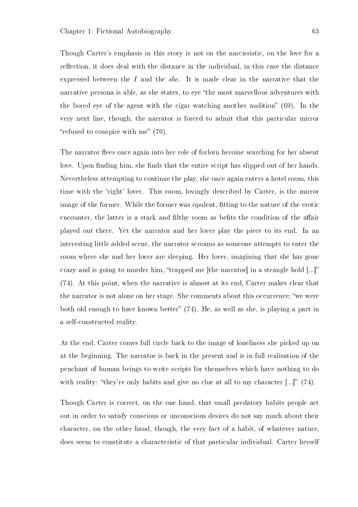Though Carter's emphasis in this story is not on the narcissistic, on the love for a reflection, it does deal with the distance in the individual, in this case the distance expressed between the I and the *she*. It is made clear in the narrative that the narrative persona is able, as she states, to eye "the most marvellous adventures with the bored eye of the agent with the cigar watching another audition"  $(69)$ . In the very next line, though, the narrator is forced to admit that this particular mirror "refused to conspire with me"  $(70)$ .

The narrator flees once again into her role of forlorn heroine searching for her absent love. Upon finding him, she finds that the entire script has slipped out of her hands. Nevertheless attempting to continue the play, she once again enters a hotel room, this time with the 'right' lover. This room, lovingly described by Carter, is the mirror image of the former. While the former was opulent, fitting to the nature of the erotic encounter, the latter is a stark and filthy room as befits the condition of the affair played out there. Yet the narrator and her lover play the piece to its end. In an interesting little added scene, the narrator screams as someone attempts to enter the room where she and her lover are sleeping. Her lover, imagining that she has gone crazy and is going to murder him, "trapped me [the narrator] in a strangle hold  $[...]$ " (74). At this point, when the narrative is almost at its end, Carter makes clear that the narrator is not alone on her stage. She comments about this occurrence; "we were both old enough to have known better"  $(74)$ . He, as well as she, is playing a part in a self-constructed reality.

At the end, Carter comes full circle back to the image of loneliness she picked up on at the beginning. The narrator is back in the present and is in full realisation of the penchant of human beings to write scripts for themselves which have nothing to do with reality: "they're only habits and give no clue at all to my character  $\left[\ldots\right]$ " (74).

Though Carter is correct, on the one hand, that small predatory habits people act out in order to satisfy conscious or unconscious desires do not say much about their character, on the other hand, though, the very fact of a habit, of whatever nature, does seem to constitute a characteristic of that particular individual. Carter herself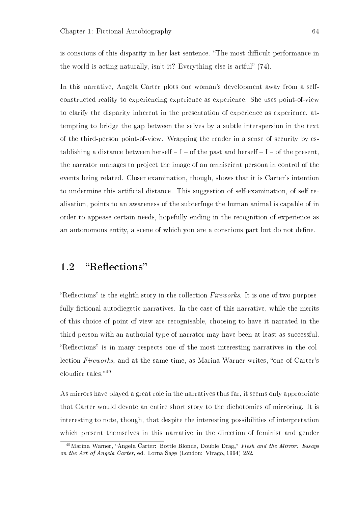is conscious of this disparity in her last sentence. "The most difficult performance in the world is acting naturally, isn't it? Everything else is artful"  $(74)$ .

In this narrative, Angela Carter plots one woman's development away from a selfconstructed reality to experiencing experience as experience. She uses point-of-view to clarify the disparity inherent in the presentation of experience as experience, attempting to bridge the gap between the selves by a subtle interspersion in the text of the third-person point-of-view. Wrapping the reader in a sense of security by establishing a distance between herself  $-I$   $-$  of the past and herself  $-I$   $-$  of the present, the narrator manages to project the image of an omniscient persona in control of the events being related. Closer examination, though, shows that it is Carter's intention to undermine this artificial distance. This suggestion of self-examination, of self realisation, points to an awareness of the subterfuge the human animal is capable of in order to appease certain needs, hopefully ending in the recognition of experience as an autonomous entity, a scene of which you are a conscious part but do not define.

## 1.2 "Reflections"

"Reflections" is the eighth story in the collection  $Fireworks$ . It is one of two purposefully fictional autodiegetic narratives. In the case of this narrative, while the merits of this choice of point-of-view are recognisable, choosing to have it narrated in the third-person with an authorial type of narrator may have been at least as successful. "Reflections" is in many respects one of the most interesting narratives in the collection Fireworks, and at the same time, as Marina Warner writes, "one of Carter's cloudier tales." $49$ 

As mirrors have played a great role in the narratives thus far, it seems only appropriate that Carter would devote an entire short story to the dichotomies of mirroring. It is interesting to note, though, that despite the interesting possibilities of interpretation which present themselves in this narrative in the direction of feminist and gender

<sup>&</sup>lt;sup>49</sup>Marina Warner. "Angela Carter: Bottle Blonde, Double Drag," Flesh and the Mirror: Essays on the Art of Angela Carter, ed. Lorna Sage (London: Virago, 1994) 252.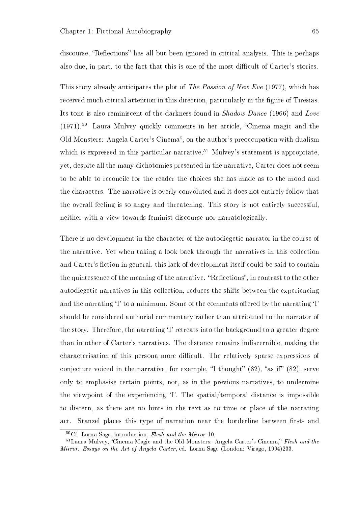discourse, "Reflections" has all but been ignored in critical analysis. This is perhaps also due, in part, to the fact that this is one of the most difficult of Carter's stories.

This story already anticipates the plot of The Passion of New Eve (1977), which has received much critical attention in this direction, particularly in the figure of Tiresias. Its tone is also reminiscent of the darkness found in Shadow Dance (1966) and Love  $(1971)$ <sup>50</sup> Laura Mulvey quickly comments in her article, "Cinema magic and the Old Monsters: Angela Carter's Cinema", on the author's preoccupation with dualism which is expressed in this particular narrative.<sup>51</sup> Mulvey's statement is appropriate. yet, despite all the many dichotomies presented in the narrative, Carter does not seem to be able to reconcile for the reader the choices she has made as to the mood and the characters. The narrative is overly convoluted and it does not entirely follow that the overall feeling is so angry and threatening. This story is not entirely successful, neither with a view towards feminist discourse nor narratologically.

There is no development in the character of the autodiegetic narrator in the course of the narrative. Yet when taking a look back through the narratives in this collection and Carter's fiction in general, this lack of development itself could be said to contain the quintessence of the meaning of the narrative. "Reflections", in contrast to the other autodiegetic narratives in this collection, reduces the shifts between the experiencing and the narrating  $\mathcal{I}'$  to a minimum. Some of the comments offered by the narrating  $\mathcal{I}'$ should be considered authorial commentary rather than attributed to the narrator of the story. Therefore, the narrating 'I' retreats into the background to a greater degree than in other of Carter's narratives. The distance remains indiscernible, making the characterisation of this persona more difficult. The relatively sparse expressions of conjecture voiced in the narrative, for example, "I thought"  $(82)$ , "as if"  $(82)$ , serve only to emphasise certain points, not, as in the previous narratives, to undermine the viewpoint of the experiencing `I'. The spatial/temporal distance is impossible to discern, as there are no hints in the text as to time or place of the narrating act. Stanzel places this type of narration near the borderline between first- and

<sup>50</sup>Cf. Lorna Sage, introduction, Flesh and the Mirror 10.

<sup>&</sup>lt;sup>51</sup>Laura Mulvey, "Cinema Magic and the Old Monsters: Angela Carter's Cinema," Flesh and the Mirror: Essays on the Art of Angela Carter, ed. Lorna Sage (London: Virago, 1994)233.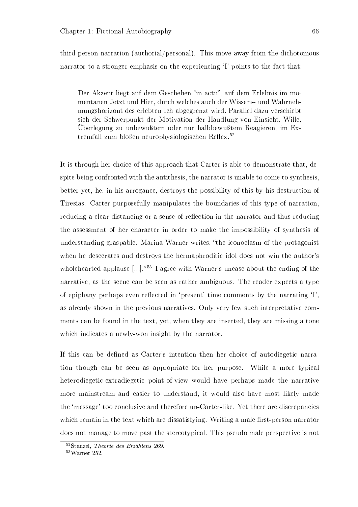third-person narration (authorial/personal). This move away from the dichotomous narrator to a stronger emphasis on the experiencing 'I' points to the fact that:

Der Akzent liegt auf dem Geschehen "in actu", auf dem Erlebnis im momentanen Jetzt und Hier, durch welches auch der Wissens- und Wahrnehmungshorizont des erlebten Ich abgegrenzt wird. Parallel dazu verschiebt sich der Schwerpunkt der Motivation der Handlung von Einsicht, Wille, Überlegung zu unbewuÿtem oder nur halbbewuÿtem Reagieren, im Extremfall zum bloßen neurophysiologischen Reflex.<sup>52</sup>

It is through her choice of this approach that Carter is able to demonstrate that, despite being confronted with the antithesis, the narrator is unable to come to synthesis, better yet, he, in his arrogance, destroys the possibility of this by his destruction of Tiresias. Carter purposefully manipulates the boundaries of this type of narration, reducing a clear distancing or a sense of reflection in the narrator and thus reducing the assessment of her character in order to make the impossibility of synthesis of understanding graspable. Marina Warner writes, "the iconoclasm of the protagonist when he desecrates and destroys the hermaphroditic idol does not win the author's wholehearted applause  $\left[\ldots\right]$ .<sup>53</sup> I agree with Warner's unease about the ending of the narrative, as the scene can be seen as rather ambiguous. The reader expects a type of epiphany perhaps even reflected in 'present' time comments by the narrating  $T$ , as already shown in the previous narratives. Only very few such interpretative comments can be found in the text, yet, when they are inserted, they are missing a tone which indicates a newly-won insight by the narrator.

If this can be defined as Carter's intention then her choice of autodiegetic narration though can be seen as appropriate for her purpose. While a more typical heterodiegetic-extradiegetic point-of-view would have perhaps made the narrative more mainstream and easier to understand, it would also have most likely made the `message' too conclusive and therefore un-Carter-like. Yet there are discrepancies which remain in the text which are dissatisfying. Writing a male first-person narrator does not manage to move past the stereotypical. This pseudo male perspective is not

<sup>52</sup>Stanzel, Theorie des Erzählens 269.

<sup>53</sup>Warner 252.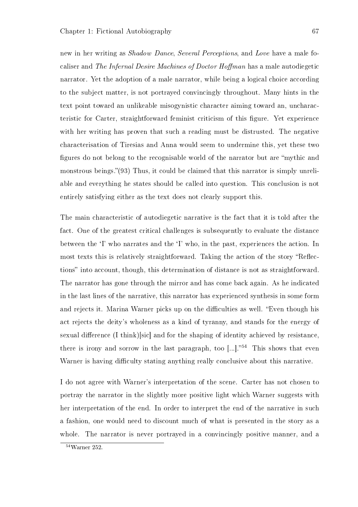new in her writing as Shadow Dance, Several Perceptions, and Love have a male focaliser and The Infernal Desire Machines of Doctor Hoffman has a male autodiegetic narrator. Yet the adoption of a male narrator, while being a logical choice according to the subject matter, is not portrayed convincingly throughout. Many hints in the text point toward an unlikeable misogynistic character aiming toward an, uncharacteristic for Carter, straightforward feminist criticism of this figure. Yet experience with her writing has proven that such a reading must be distrusted. The negative characterisation of Tiresias and Anna would seem to undermine this, yet these two figures do not belong to the recognisable world of the narrator but are "mythic and" monstrous beings." $(93)$  Thus, it could be claimed that this narrator is simply unreliable and everything he states should be called into question. This conclusion is not entirely satisfying either as the text does not clearly support this.

The main characteristic of autodiegetic narrative is the fact that it is told after the fact. One of the greatest critical challenges is subsequently to evaluate the distance between the 'I' who narrates and the 'I' who, in the past, experiences the action. In most texts this is relatively straightforward. Taking the action of the story "Reflections" into account, though, this determination of distance is not as straightforward. The narrator has gone through the mirror and has come back again. As he indicated in the last lines of the narrative, this narrator has experienced synthesis in some form and rejects it. Marina Warner picks up on the difficulties as well. "Even though his act rejects the deity's wholeness as a kind of tyranny, and stands for the energy of sexual difference (I think)[sic] and for the shaping of identity achieved by resistance. there is irony and sorrow in the last paragraph, too  $[...]^{54}$ . This shows that even Warner is having difficulty stating anything really conclusive about this narrative.

I do not agree with Warner's interpretation of the scene. Carter has not chosen to portray the narrator in the slightly more positive light which Warner suggests with her interpretation of the end. In order to interpret the end of the narrative in such a fashion, one would need to discount much of what is presented in the story as a whole. The narrator is never portrayed in a convincingly positive manner, and a

<sup>54</sup>Warner 252.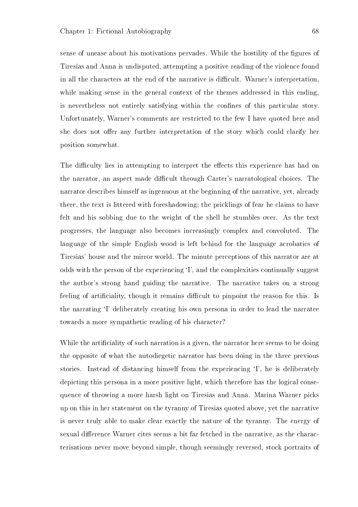sense of unease about his motivations pervades. While the hostility of the figures of Tiresias and Anna is undisputed, attempting a positive reading of the violence found in all the characters at the end of the narrative is difficult. Warner's interpretation, while making sense in the general context of the themes addressed in this ending, is nevertheless not entirely satisfying within the confines of this particular story. Unfortunately, Warner's comments are restricted to the few I have quoted here and she does not offer any further interpretation of the story which could clarify her position somewhat.

The difficulty lies in attempting to interpret the effects this experience has had on the narrator, an aspect made difficult through Carter's narratological choices. The narrator describes himself as ingenuous at the beginning of the narrative, yet, already there, the text is littered with foreshadowing; the pricklings of fear he claims to have felt and his sobbing due to the weight of the shell he stumbles over. As the text progresses, the language also becomes increasingly complex and convoluted. The language of the simple English wood is left behind for the language acrobatics of Tiresias' house and the mirror world. The minute perceptions of this narrator are at odds with the person of the experiencing `I', and the complexities continually suggest the author's strong hand guiding the narrative. The narrative takes on a strong feeling of artificiality, though it remains difficult to pinpoint the reason for this. Is the narrating `I' deliberately creating his own persona in order to lead the narratee towards a more sympathetic reading of his character?

While the artificiality of such narration is a given, the narrator here seems to be doing the opposite of what the autodiegetic narrator has been doing in the three previous stories. Instead of distancing himself from the experiencing `I', he is deliberately depicting this persona in a more positive light, which therefore has the logical consequence of throwing a more harsh light on Tiresias and Anna. Marina Warner picks up on this in her statement on the tyranny of Tiresias quoted above, yet the narrative is never truly able to make clear exactly the nature of the tyranny. The energy of sexual difference Warner cites seems a bit far fetched in the narrative, as the characterisations never move beyond simple, though seemingly reversed, stock portraits of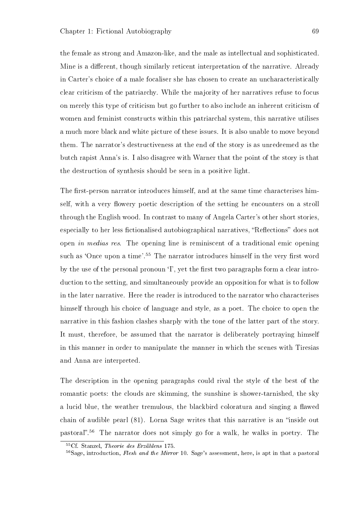the female as strong and Amazon-like, and the male as intellectual and sophisticated. Mine is a different, though similarly reticent interpretation of the narrative. Already in Carter's choice of a male focaliser she has chosen to create an uncharacteristically clear criticism of the patriarchy. While the majority of her narratives refuse to focus on merely this type of criticism but go further to also include an inherent criticism of women and feminist constructs within this patriarchal system, this narrative utilises a much more black and white picture of these issues. It is also unable to move beyond them. The narrator's destructiveness at the end of the story is as unredeemed as the butch rapist Anna's is. I also disagree with Warner that the point of the story is that the destruction of synthesis should be seen in a positive light.

The first-person narrator introduces himself, and at the same time characterises himself, with a very flowery poetic description of the setting he encounters on a stroll through the English wood. In contrast to many of Angela Carter's other short stories, especially to her less fictionalised autobiographical narratives, "Reflections" does not open in medias res. The opening line is reminiscent of a traditional emic opening such as 'Once upon a time'.<sup>55</sup> The narrator introduces himself in the very first word by the use of the personal pronoun  $T$ , yet the first two paragraphs form a clear introduction to the setting, and simultaneously provide an opposition for what is to follow in the later narrative. Here the reader is introduced to the narrator who characterises himself through his choice of language and style, as a poet. The choice to open the narrative in this fashion clashes sharply with the tone of the latter part of the story. It must, therefore, be assumed that the narrator is deliberately portraying himself in this manner in order to manipulate the manner in which the scenes with Tiresias and Anna are interpreted.

The description in the opening paragraphs could rival the style of the best of the romantic poets: the clouds are skimming, the sunshine is shower-tarnished, the sky a lucid blue, the weather tremulous, the blackbird coloratura and singing a flawed chain of audible pearl  $(81)$ . Lorna Sage writes that this narrative is an "inside out pastoral".<sup>56</sup> The narrator does not simply go for a walk, he walks in poetry. The

<sup>55</sup>Cf. Stanzel, Theorie des Erzählens 175.

 $56$ Sage, introduction, Flesh and the Mirror 10. Sage's assessment, here, is apt in that a pastoral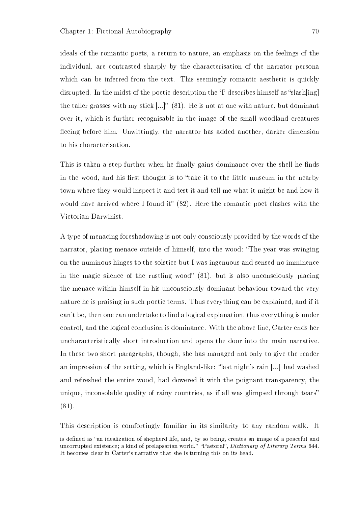ideals of the romantic poets, a return to nature, an emphasis on the feelings of the individual, are contrasted sharply by the characterisation of the narrator persona which can be inferred from the text. This seemingly romantic aesthetic is quickly disrupted. In the midst of the poetic description the  $\dot{\rm T}$  describes himself as "slash $\ln |{\rm m}|$ the taller grasses with my stick  $\left[\ldots\right]^n$  (81). He is not at one with nature, but dominant over it, which is further recognisable in the image of the small woodland creatures fleeing before him. Unwittingly, the narrator has added another, darker dimension to his characterisation.

This is taken a step further when he finally gains dominance over the shell he finds in the wood, and his first thought is to "take it to the little museum in the nearby town where they would inspect it and test it and tell me what it might be and how it would have arrived where I found it"  $(82)$ . Here the romantic poet clashes with the Victorian Darwinist.

A type of menacing foreshadowing is not only consciously provided by the words of the narrator, placing menace outside of himself, into the wood: The year was swinging on the numinous hinges to the solstice but I was ingenuous and sensed no imminence in the magic silence of the rustling wood"  $(81)$ , but is also unconsciously placing the menace within himself in his unconsciously dominant behaviour toward the very nature he is praising in such poetic terms. Thus everything can be explained, and if it can't be, then one can undertake to find a logical explanation, thus everything is under control, and the logical conclusion is dominance. With the above line, Carter ends her uncharacteristically short introduction and opens the door into the main narrative. In these two short paragraphs, though, she has managed not only to give the reader an impression of the setting, which is England-like: "last night's rain  $\left[\ldots\right]$  had washed and refreshed the entire wood, had dowered it with the poignant transparency, the unique, inconsolable quality of rainy countries, as if all was glimpsed through tears (81).

This description is comfortingly familiar in its similarity to any random walk. It

is defined as "an idealization of shepherd life, and, by so being, creates an image of a peaceful and uncorrupted existence; a kind of prelapsarian world." "Pastoral", Dictionary of Literary Terms 644. It becomes clear in Carter's narrative that she is turning this on its head.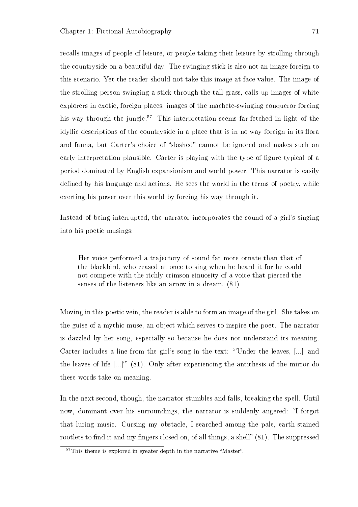recalls images of people of leisure, or people taking their leisure by strolling through the countryside on a beautiful day. The swinging stick is also not an image foreign to this scenario. Yet the reader should not take this image at face value. The image of the strolling person swinging a stick through the tall grass, calls up images of white explorers in exotic, foreign places, images of the machete-swinging conqueror forcing his way through the jungle.<sup>57</sup> This interpretation seems far-fetched in light of the idyllic descriptions of the countryside in a place that is in no way foreign in its flora and fauna, but Carter's choice of "slashed" cannot be ignored and makes such an early interpretation plausible. Carter is playing with the type of figure typical of a period dominated by English expansionism and world power. This narrator is easily defined by his language and actions. He sees the world in the terms of poetry, while exerting his power over this world by forcing his way through it.

Instead of being interrupted, the narrator incorporates the sound of a girl's singing into his poetic musings:

Her voice performed a trajectory of sound far more ornate than that of the blackbird, who ceased at once to sing when he heard it for he could not compete with the richly crimson sinuosity of a voice that pierced the senses of the listeners like an arrow in a dream. (81)

Moving in this poetic vein, the reader is able to form an image of the girl. She takes on the guise of a mythic muse, an object which serves to inspire the poet. The narrator is dazzled by her song, especially so because he does not understand its meaning. Carter includes a line from the girl's song in the text: "Under the leaves, [...] and the leaves of life  $\left[\ldots\right]^{\infty}$  (81). Only after experiencing the antithesis of the mirror do these words take on meaning.

In the next second, though, the narrator stumbles and falls, breaking the spell. Until now, dominant over his surroundings, the narrator is suddenly angered: "I forgot that luring music. Cursing my obstacle, I searched among the pale, earth-stained rootlets to find it and my fingers closed on, of all things, a shell"  $(81)$ . The suppressed

 $57$ This theme is explored in greater depth in the narrative "Master".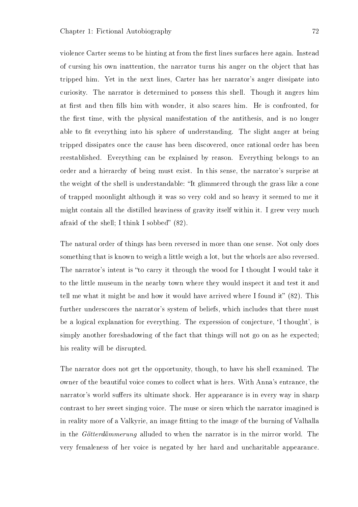violence Carter seems to be hinting at from the first lines surfaces here again. Instead of cursing his own inattention, the narrator turns his anger on the object that has tripped him. Yet in the next lines, Carter has her narrator's anger dissipate into curiosity. The narrator is determined to possess this shell. Though it angers him at first and then fills him with wonder, it also scares him. He is confronted, for the first time, with the physical manifestation of the antithesis, and is no longer able to fit everything into his sphere of understanding. The slight anger at being tripped dissipates once the cause has been discovered, once rational order has been reestablished. Everything can be explained by reason. Everything belongs to an order and a hierarchy of being must exist. In this sense, the narrator's surprise at the weight of the shell is understandable: "It glimmered through the grass like a cone of trapped moonlight although it was so very cold and so heavy it seemed to me it might contain all the distilled heaviness of gravity itself within it. I grew very much afraid of the shell; I think I sobbed"  $(82)$ .

The natural order of things has been reversed in more than one sense. Not only does something that is known to weigh a little weigh a lot, but the whorls are also reversed. The narrator's intent is "to carry it through the wood for I thought I would take it to the little museum in the nearby town where they would inspect it and test it and tell me what it might be and how it would have arrived where I found it"  $(82)$ . This further underscores the narrator's system of beliefs, which includes that there must be a logical explanation for everything. The expression of conjecture, `I thought', is simply another foreshadowing of the fact that things will not go on as he expected; his reality will be disrupted.

The narrator does not get the opportunity, though, to have his shell examined. The owner of the beautiful voice comes to collect what is hers. With Anna's entrance, the narrator's world suffers its ultimate shock. Her appearance is in every way in sharp contrast to her sweet singing voice. The muse or siren which the narrator imagined is in reality more of a Valkyrie, an image fitting to the image of the burning of Valhalla in the Götterdämmerung alluded to when the narrator is in the mirror world. The very femaleness of her voice is negated by her hard and uncharitable appearance.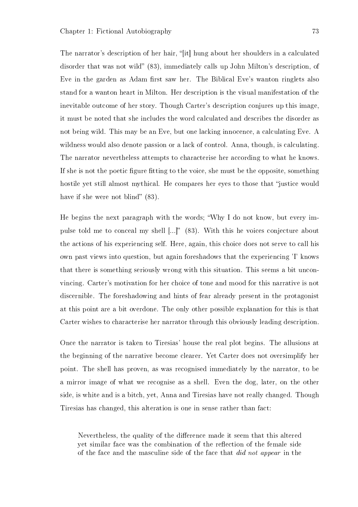The narrator's description of her hair, "[it] hung about her shoulders in a calculated disorder that was not wild" (83), immediately calls up John Milton's description, of Eve in the garden as Adam first saw her. The Biblical Eve's wanton ringlets also stand for a wanton heart in Milton. Her description is the visual manifestation of the inevitable outcome of her story. Though Carter's description conjures up this image, it must be noted that she includes the word calculated and describes the disorder as not being wild. This may be an Eve, but one lacking innocence, a calculating Eve. A wildness would also denote passion or a lack of control. Anna, though, is calculating. The narrator nevertheless attempts to characterise her according to what he knows. If she is not the poetic figure fitting to the voice, she must be the opposite, something hostile yet still almost mythical. He compares her eyes to those that "justice would have if she were not blind"  $(83)$ .

He begins the next paragraph with the words; Why I do not know, but every impulse told me to conceal my shell  $[...]$ " (83). With this he voices conjecture about the actions of his experiencing self. Here, again, this choice does not serve to call his own past views into question, but again foreshadows that the experiencing 'I' knows that there is something seriously wrong with this situation. This seems a bit unconvincing. Carter's motivation for her choice of tone and mood for this narrative is not discernible. The foreshadowing and hints of fear already present in the protagonist at this point are a bit overdone. The only other possible explanation for this is that Carter wishes to characterise her narrator through this obviously leading description.

Once the narrator is taken to Tiresias' house the real plot begins. The allusions at the beginning of the narrative become clearer. Yet Carter does not oversimplify her point. The shell has proven, as was recognised immediately by the narrator, to be a mirror image of what we recognise as a shell. Even the dog, later, on the other side, is white and is a bitch, yet, Anna and Tiresias have not really changed. Though Tiresias has changed, this alteration is one in sense rather than fact:

Nevertheless, the quality of the difference made it seem that this altered yet similar face was the combination of the reflection of the female side of the face and the masculine side of the face that did not appear in the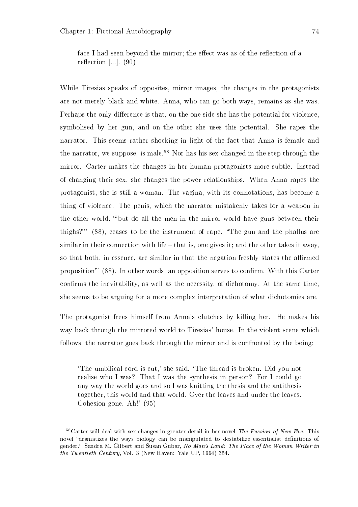face I had seen beyond the mirror; the effect was as of the reflection of a reflection  $\left[\ldots\right]$ . (90)

While Tiresias speaks of opposites, mirror images, the changes in the protagonists are not merely black and white. Anna, who can go both ways, remains as she was. Perhaps the only difference is that, on the one side she has the potential for violence, symbolised by her gun, and on the other she uses this potential. She rapes the narrator. This seems rather shocking in light of the fact that Anna is female and the narrator, we suppose, is male.<sup>58</sup> Nor has his sex changed in the step through the mirror. Carter makes the changes in her human protagonists more subtle. Instead of changing their sex, she changes the power relationships. When Anna rapes the protagonist, she is still a woman. The vagina, with its connotations, has become a thing of violence. The penis, which the narrator mistakenly takes for a weapon in the other world, "but do all the men in the mirror world have guns between their thighs?"' (88), ceases to be the instrument of rape. "The gun and the phallus are similar in their connection with life  $-$  that is, one gives it; and the other takes it away. so that both, in essence, are similar in that the negation freshly states the affirmed proposition" (88). In other words, an opposition serves to confirm. With this Carter confirms the inevitability, as well as the necessity, of dichotomy. At the same time, she seems to be arguing for a more complex interpretation of what dichotomies are.

The protagonist frees himself from Anna's clutches by killing her. He makes his way back through the mirrored world to Tiresias' house. In the violent scene which follows, the narrator goes back through the mirror and is confronted by the being:

`The umbilical cord is cut,' she said. `The thread is broken. Did you not realise who I was? That I was the synthesis in person? For I could go any way the world goes and so I was knitting the thesis and the antithesis together, this world and that world. Over the leaves and under the leaves. Cohesion gone. Ah!' (95)

 $58$ Carter will deal with sex-changes in greater detail in her novel The Passion of New Eve. This novel "dramatizes the ways biology can be manipulated to destabilize essentialist definitions of gender." Sandra M. Gilbert and Susan Gubar, No Man's Land: The Place of the Woman Writer in the Twentieth Century, Vol. 3 (New Haven: Yale UP, 1994) 354.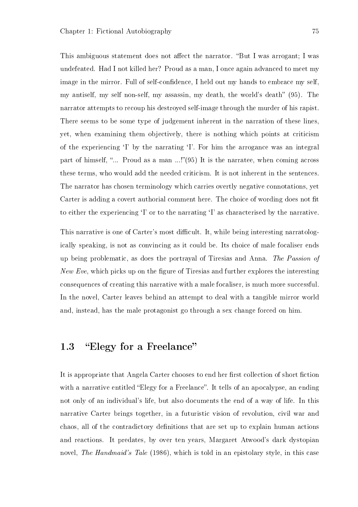This ambiguous statement does not affect the narrator. "But I was arrogant; I was undefeated. Had I not killed her? Proud as a man, I once again advanced to meet my image in the mirror. Full of self-confidence, I held out my hands to embrace my self. my antiself, my self non-self, my assassin, my death, the world's death" (95). The narrator attempts to recoup his destroyed self-image through the murder of his rapist. There seems to be some type of judgement inherent in the narration of these lines, yet, when examining them objectively, there is nothing which points at criticism of the experiencing  $\mathcal{I}'$  by the narrating  $\mathcal{I}'$ . For him the arrogance was an integral part of himself, "... Proud as a man  $\ldots$ !"(95) It is the narratee, when coming across these terms, who would add the needed criticism. It is not inherent in the sentences. The narrator has chosen terminology which carries overtly negative connotations, yet Carter is adding a covert authorial comment here. The choice of wording does not fit to either the experiencing `I' or to the narrating `I' as characterised by the narrative.

This narrative is one of Carter's most difficult. It, while being interesting narratologically speaking, is not as convincing as it could be. Its choice of male focaliser ends up being problematic, as does the portrayal of Tiresias and Anna. The Passion of New Eve, which picks up on the figure of Tiresias and further explores the interesting consequences of creating this narrative with a male focaliser, is much more successful. In the novel, Carter leaves behind an attempt to deal with a tangible mirror world and, instead, has the male protagonist go through a sex change forced on him.

## 1.3 "Elegy for a Freelance"

It is appropriate that Angela Carter chooses to end her first collection of short fiction with a narrative entitled "Elegy for a Freelance". It tells of an apocalypse, an ending not only of an individual's life, but also documents the end of a way of life. In this narrative Carter brings together, in a futuristic vision of revolution, civil war and chaos, all of the contradictory denitions that are set up to explain human actions and reactions. It predates, by over ten years, Margaret Atwood's dark dystopian novel, The Handmaid's Tale (1986), which is told in an epistolary style, in this case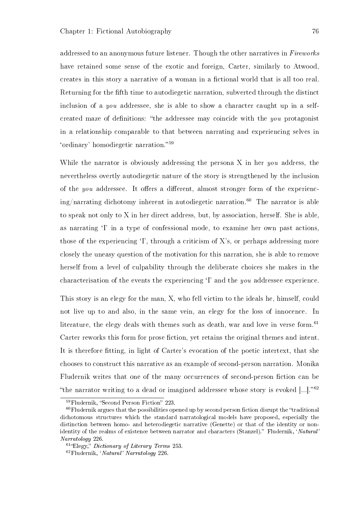addressed to an anonymous future listener. Though the other narratives in Fireworks have retained some sense of the exotic and foreign, Carter, similarly to Atwood, creates in this story a narrative of a woman in a fictional world that is all too real. Returning for the fth time to autodiegetic narration, subverted through the distinct inclusion of a you addressee, she is able to show a character caught up in a selfcreated maze of definitions: "the addressee may coincide with the you protagonist in a relationship comparable to that between narrating and experiencing selves in 'ordinary' homodiegetic narration."<sup>59</sup>

While the narrator is obviously addressing the persona X in her you address, the nevertheless overtly autodiegetic nature of the story is strengthened by the inclusion of the *you* addressee. It offers a different, almost stronger form of the experiencing/narrating dichotomy inherent in autodiegetic narration.<sup>60</sup> The narrator is able to speak not only to X in her direct address, but, by association, herself. She is able, as narrating <sup>'</sup>I' in a type of confessional mode, to examine her own past actions, those of the experiencing  $\mathcal{I}'$ , through a criticism of X's, or perhaps addressing more closely the uneasy question of the motivation for this narration, she is able to remove herself from a level of culpability through the deliberate choices she makes in the characterisation of the events the experiencing `I' and the you addressee experience.

This story is an elegy for the man, X, who fell victim to the ideals he, himself, could not live up to and also, in the same vein, an elegy for the loss of innocence. In literature, the elegy deals with themes such as death, war and love in verse form.<sup>61</sup> Carter reworks this form for prose fiction, yet retains the original themes and intent. It is therefore fitting, in light of Carter's evocation of the poetic intertext, that she chooses to construct this narrative as an example of second-person narration. Monika Fludernik writes that one of the many occurrences of second-person fiction can be "the narrator writing to a dead or imagined addressee whose story is evoked  $[...]$ ."<sup>62</sup>

<sup>&</sup>lt;sup>59</sup>Fludernik, "Second Person Fiction" 223.

 $60$ Fludernik argues that the possibilities opened up by second person fiction disrupt the "traditional dichotomous structures which the standard narratological models have proposed, especially the distinction between homo- and heterodiegetic narrative (Genette) or that of the identity or nonidentity of the realms of existence between narrator and characters (Stanzel)." Fludernik, 'Natural' Narratology 226.

 $61^{\circ}$ Elegy," Dictionary of Literary Terms 253.

<sup>62</sup>Fludernik, `Natural' Narratology 226.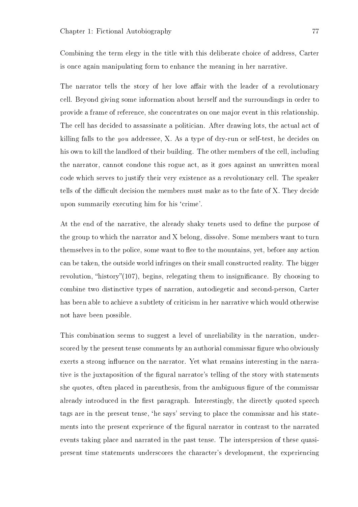Combining the term elegy in the title with this deliberate choice of address, Carter is once again manipulating form to enhance the meaning in her narrative.

The narrator tells the story of her love affair with the leader of a revolutionary cell. Beyond giving some information about herself and the surroundings in order to provide a frame of reference, she concentrates on one major event in this relationship. The cell has decided to assassinate a politician. After drawing lots, the actual act of killing falls to the you addressee, X. As a type of dry-run or self-test, he decides on his own to kill the landlord of their building. The other members of the cell, including the narrator, cannot condone this rogue act, as it goes against an unwritten moral code which serves to justify their very existence as a revolutionary cell. The speaker tells of the difficult decision the members must make as to the fate of X. They decide upon summarily executing him for his `crime'.

At the end of the narrative, the already shaky tenets used to define the purpose of the group to which the narrator and X belong, dissolve. Some members want to turn themselves in to the police, some want to flee to the mountains, yet, before any action can be taken, the outside world infringes on their small constructed reality. The bigger revolution, "history"(107), begins, relegating them to insignificance. By choosing to combine two distinctive types of narration, autodiegetic and second-person, Carter has been able to achieve a subtlety of criticism in her narrative which would otherwise not have been possible.

This combination seems to suggest a level of unreliability in the narration, underscored by the present tense comments by an authorial commissar figure who obviously exerts a strong influence on the narrator. Yet what remains interesting in the narrative is the juxtaposition of the gural narrator's telling of the story with statements she quotes, often placed in parenthesis, from the ambiguous figure of the commissar already introduced in the first paragraph. Interestingly, the directly quoted speech tags are in the present tense, `he says' serving to place the commissar and his statements into the present experience of the gural narrator in contrast to the narrated events taking place and narrated in the past tense. The interspersion of these quasipresent time statements underscores the character's development, the experiencing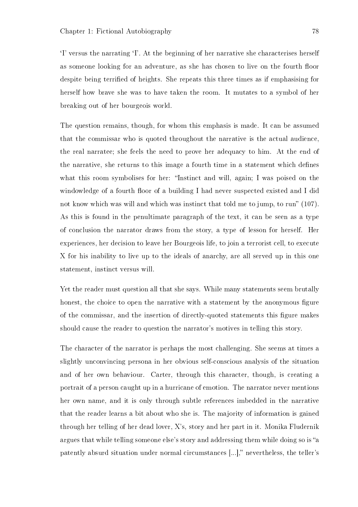`I' versus the narrating `I'. At the beginning of her narrative she characterises herself as someone looking for an adventure, as she has chosen to live on the fourth floor despite being terrified of heights. She repeats this three times as if emphasising for herself how brave she was to have taken the room. It mutates to a symbol of her breaking out of her bourgeois world.

The question remains, though, for whom this emphasis is made. It can be assumed that the commissar who is quoted throughout the narrative is the actual audience, the real narratee; she feels the need to prove her adequacy to him. At the end of the narrative, she returns to this image a fourth time in a statement which defines what this room symbolises for her: "Instinct and will, again; I was poised on the windowledge of a fourth floor of a building I had never suspected existed and I did not know which was will and which was instinct that told me to jump, to run"  $(107)$ . As this is found in the penultimate paragraph of the text, it can be seen as a type of conclusion the narrator draws from the story, a type of lesson for herself. Her experiences, her decision to leave her Bourgeois life, to join a terrorist cell, to execute X for his inability to live up to the ideals of anarchy, are all served up in this one statement, instinct versus will.

Yet the reader must question all that she says. While many statements seem brutally honest, the choice to open the narrative with a statement by the anonymous figure of the commissar, and the insertion of directly-quoted statements this gure makes should cause the reader to question the narrator's motives in telling this story.

The character of the narrator is perhaps the most challenging. She seems at times a slightly unconvincing persona in her obvious self-conscious analysis of the situation and of her own behaviour. Carter, through this character, though, is creating a portrait of a person caught up in a hurricane of emotion. The narrator never mentions her own name, and it is only through subtle references imbedded in the narrative that the reader learns a bit about who she is. The majority of information is gained through her telling of her dead lover, X's, story and her part in it. Monika Fludernik argues that while telling someone else's story and addressing them while doing so is "a patently absurd situation under normal circumstances [...]," nevertheless, the teller's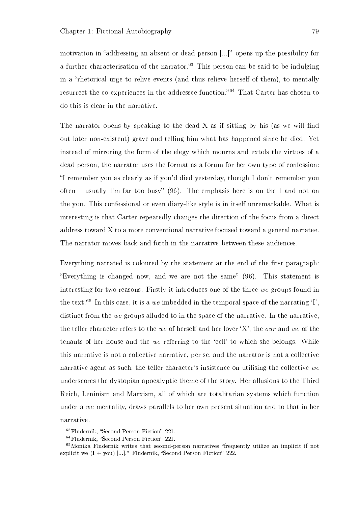motivation in "addressing an absent or dead person  $[...]$ " opens up the possibility for a further characterisation of the narrator.<sup>63</sup> This person can be said to be indulging in a "rhetorical urge to relive events (and thus relieve herself of them), to mentally resurrect the co-experiences in the addressee function.<sup>64</sup> That Carter has chosen to do this is clear in the narrative.

The narrator opens by speaking to the dead  $X$  as if sitting by his (as we will find out later non-existent) grave and telling him what has happened since he died. Yet instead of mirroring the form of the elegy which mourns and extols the virtues of a dead person, the narrator uses the format as a forum for her own type of confession: I remember you as clearly as if you'd died yesterday, though I don't remember you often – usually I'm far too busy" (96). The emphasis here is on the I and not on the you. This confessional or even diary-like style is in itself unremarkable. What is interesting is that Carter repeatedly changes the direction of the focus from a direct address toward X to a more conventional narrative focused toward a general narratee. The narrator moves back and forth in the narrative between these audiences.

Everything narrated is coloured by the statement at the end of the first paragraph: "Everything is changed now, and we are not the same"  $(96)$ . This statement is interesting for two reasons. Firstly it introduces one of the three we groups found in the text.<sup>65</sup> In this case, it is a we imbedded in the temporal space of the narrating  $\ddot{\textbf{I}}$ . distinct from the we groups alluded to in the space of the narrative. In the narrative, the teller character refers to the we of herself and her lover  $X'$ , the *our* and we of the tenants of her house and the we referring to the `cell' to which she belongs. While this narrative is not a collective narrative, per se, and the narrator is not a collective narrative agent as such, the teller character's insistence on utilising the collective we underscores the dystopian apocalyptic theme of the story. Her allusions to the Third Reich, Leninism and Marxism, all of which are totalitarian systems which function under a we mentality, draws parallels to her own present situation and to that in her narrative.

 $63$ Fludernik, "Second Person Fiction" 221.

 $64$ Fludernik, "Second Person Fiction" 221.

<sup>&</sup>lt;sup>65</sup>Monika Fludernik writes that second-person narratives "frequently utilize an implicit if not explicit we  $(I + you)$  ...]." Fludernik, "Second Person Fiction" 222.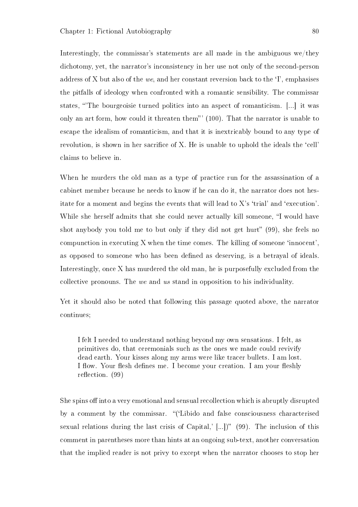Interestingly, the commissar's statements are all made in the ambiguous we/they dichotomy, yet, the narrator's inconsistency in her use not only of the second-person address of X but also of the we, and her constant reversion back to the  $\mathcal{I}'$ , emphasises the pitfalls of ideology when confronted with a romantic sensibility. The commissar states, 'The bourgeoisie turned politics into an aspect of romanticism. [...] it was only an art form, how could it threaten them" (100). That the narrator is unable to escape the idealism of romanticism, and that it is inextricably bound to any type of revolution, is shown in her sacrifice of X. He is unable to uphold the ideals the 'cell' claims to believe in.

When he murders the old man as a type of practice run for the assassination of a cabinet member because he needs to know if he can do it, the narrator does not hesitate for a moment and begins the events that will lead to  $X$ 's 'trial' and 'execution'. While she herself admits that she could never actually kill someone, "I would have shot anybody you told me to but only if they did not get hurt"  $(99)$ , she feels no compunction in executing X when the time comes. The killing of someone 'innocent', as opposed to someone who has been defined as deserving, is a betrayal of ideals. Interestingly, once X has murdered the old man, he is purposefully excluded from the collective pronouns. The we and us stand in opposition to his individuality.

Yet it should also be noted that following this passage quoted above, the narrator continues;

I felt I needed to understand nothing beyond my own sensations. I felt, as primitives do, that ceremonials such as the ones we made could revivify dead earth. Your kisses along my arms were like tracer bullets. I am lost. I flow. Your flesh defines me. I become your creation. I am your fleshly reflection.  $(99)$ 

She spins off into a very emotional and sensual recollection which is abruptly disrupted by a comment by the commissar. "('Libido and false consciousness characterised sexual relations during the last crisis of Capital,'  $[...]$ " (99). The inclusion of this comment in parentheses more than hints at an ongoing sub-text, another conversation that the implied reader is not privy to except when the narrator chooses to stop her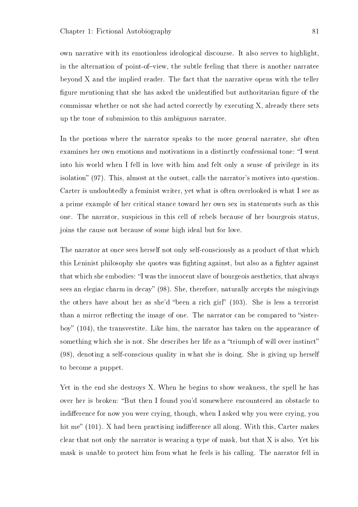own narrative with its emotionless ideological discourse. It also serves to highlight, in the alternation of point-of-view, the subtle feeling that there is another narratee beyond X and the implied reader. The fact that the narrative opens with the teller figure mentioning that she has asked the unidentified but authoritarian figure of the commissar whether or not she had acted correctly by executing X, already there sets up the tone of submission to this ambiguous narratee.

In the portions where the narrator speaks to the more general narratee, she often examines her own emotions and motivations in a distinctly confessional tone: "I went into his world when I fell in love with him and felt only a sense of privilege in its isolation" (97). This, almost at the outset, calls the narrator's motives into question. Carter is undoubtedly a feminist writer, yet what is often overlooked is what I see as a prime example of her critical stance toward her own sex in statements such as this one. The narrator, suspicious in this cell of rebels because of her bourgeois status, joins the cause not because of some high ideal but for love.

The narrator at once sees herself not only self-consciously as a product of that which this Leninist philosophy she quotes was fighting against, but also as a fighter against that which she embodies: "I was the innocent slave of bourgeois aesthetics, that always sees an elegiac charm in decay"  $(98)$ . She, therefore, naturally accepts the misgivings the others have about her as she'd "been a rich girl"  $(103)$ . She is less a terrorist than a mirror reflecting the image of one. The narrator can be compared to "sisterboy" (104), the transvestite. Like him, the narrator has taken on the appearance of something which she is not. She describes her life as a "triumph of will over instinct" (98), denoting a self-conscious quality in what she is doing. She is giving up herself to become a puppet.

Yet in the end she destroys X. When he begins to show weakness, the spell he has over her is broken: "But then I found you'd somewhere encountered an obstacle to indifference for now you were crying, though, when I asked why you were crying, you hit me"  $(101)$ . X had been practising indifference all along. With this, Carter makes clear that not only the narrator is wearing a type of mask, but that X is also. Yet his mask is unable to protect him from what he feels is his calling. The narrator fell in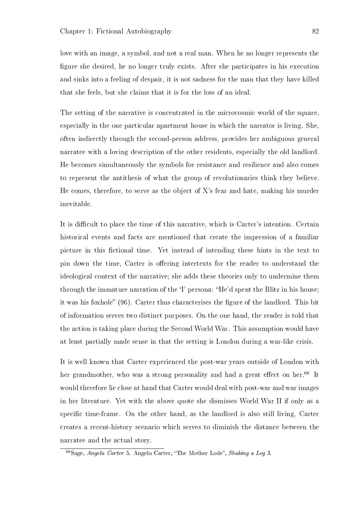love with an image, a symbol, and not a real man. When he no longer represents the gure she desired, he no longer truly exists. After she participates in his execution and sinks into a feeling of despair, it is not sadness for the man that they have killed that she feels, but she claims that it is for the loss of an ideal.

The setting of the narrative is concentrated in the microcosmic world of the square, especially in the one particular apartment house in which the narrator is living. She, often indirectly through the second-person address, provides her ambiguous general narratee with a loving description of the other residents, especially the old landlord. He becomes simultaneously the symbols for resistance and resilience and also comes to represent the antithesis of what the group of revolutionaries think they believe. He comes, therefore, to serve as the object of X's fear and hate, making his murder inevitable.

It is difficult to place the time of this narrative, which is Carter's intention. Certain historical events and facts are mentioned that create the impression of a familiar picture in this fictional time. Yet instead of intending these hints in the text to pin down the time, Carter is offering intertexts for the reader to understand the ideological context of the narrative; she adds these theories only to undermine them through the immature narration of the 'I' persona: "He'd spent the Blitz in his house; it was his foxhole" (96). Carter thus characterises the figure of the landlord. This bit of information serves two distinct purposes. On the one hand, the reader is told that the action is taking place during the Second World War. This assumption would have at least partially made sense in that the setting is London during a war-like crisis.

It is well known that Carter experienced the post-war years outside of London with her grandmother, who was a strong personality and had a great effect on her.<sup>66</sup> It would therefore lie close at hand that Carter would deal with post-war and war images in her literature. Yet with the above quote she dismisses World War II if only as a specific time-frame. On the other hand, as the landlord is also still living, Carter creates a recent-history scenario which serves to diminish the distance between the narratee and the actual story.

 $\overline{^{66}S$ age, Angela Carter 5. Angela Carter, "The Mother Lode", Shaking a Leg 3.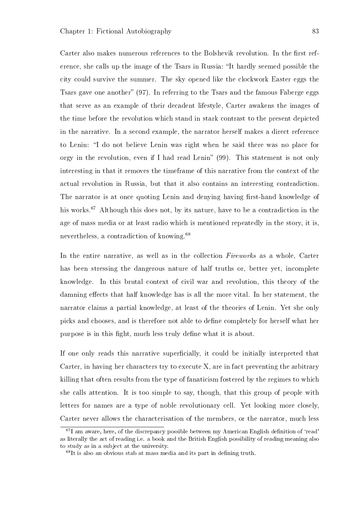Carter also makes numerous references to the Bolshevik revolution. In the first reference, she calls up the image of the Tsars in Russia: "It hardly seemed possible the city could survive the summer. The sky opened like the clockwork Easter eggs the Tsars gave one another"  $(97)$ . In referring to the Tsars and the famous Faberge eggs that serve as an example of their decadent lifestyle, Carter awakens the images of the time before the revolution which stand in stark contrast to the present depicted in the narrative. In a second example, the narrator herself makes a direct reference to Lenin: I do not believe Lenin was right when he said there was no place for orgy in the revolution, even if I had read Lenin"  $(99)$ . This statement is not only interesting in that it removes the timeframe of this narrative from the context of the actual revolution in Russia, but that it also contains an interesting contradiction. The narrator is at once quoting Lenin and denying having first-hand knowledge of his works.<sup>67</sup> Although this does not, by its nature, have to be a contradiction in the age of mass media or at least radio which is mentioned repeatedly in the story, it is, nevertheless, a contradiction of knowing.<sup>68</sup>

In the entire narrative, as well as in the collection *Fireworks* as a whole, Carter has been stressing the dangerous nature of half truths or, better yet, incomplete knowledge. In this brutal context of civil war and revolution, this theory of the damning effects that half knowledge has is all the more vital. In her statement, the narrator claims a partial knowledge, at least of the theories of Lenin. Yet she only picks and chooses, and is therefore not able to dene completely for herself what her purpose is in this fight, much less truly define what it is about.

If one only reads this narrative superficially, it could be initially interpreted that Carter, in having her characters try to execute X, are in fact preventing the arbitrary killing that often results from the type of fanaticism fostered by the regimes to which she calls attention. It is too simple to say, though, that this group of people with letters for names are a type of noble revolutionary cell. Yet looking more closely, Carter never allows the characterisation of the members, or the narrator, much less

 $67$ I am aware, here, of the discrepancy possible between my American English definition of 'read' as literally the act of reading i.e. a book and the British English possibility of reading meaning also to study as in a subject at the university.

 $68$ It is also an obvious stab at mass media and its part in defining truth.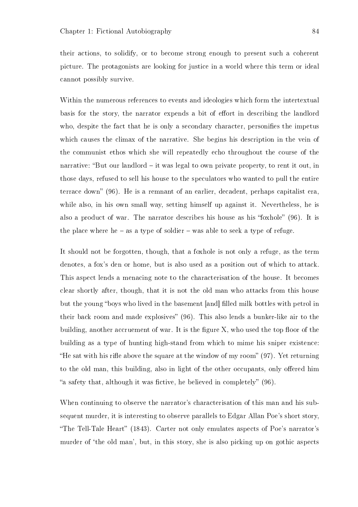their actions, to solidify, or to become strong enough to present such a coherent picture. The protagonists are looking for justice in a world where this term or ideal cannot possibly survive.

Within the numerous references to events and ideologies which form the intertextual basis for the story, the narrator expends a bit of effort in describing the landlord who, despite the fact that he is only a secondary character, personifies the impetus which causes the climax of the narrative. She begins his description in the vein of the communist ethos which she will repeatedly echo throughout the course of the narrative: "But our landlord  $-$  it was legal to own private property, to rent it out, in those days, refused to sell his house to the speculators who wanted to pull the entire terrace down"  $(96)$ . He is a remnant of an earlier, decadent, perhaps capitalist era, while also, in his own small way, setting himself up against it. Nevertheless, he is also a product of war. The narrator describes his house as his "foxhole"  $(96)$ . It is the place where he  $-$  as a type of soldier  $-$  was able to seek a type of refuge.

It should not be forgotten, though, that a foxhole is not only a refuge, as the term denotes, a fox's den or home, but is also used as a position out of which to attack. This aspect lends a menacing note to the characterisation of the house. It becomes clear shortly after, though, that it is not the old man who attacks from this house but the young "boys who lived in the basement [and] filled milk bottles with petrol in their back room and made explosives"  $(96)$ . This also lends a bunker-like air to the building, another accruement of war. It is the figure  $X$ , who used the top floor of the building as a type of hunting high-stand from which to mime his sniper existence: "He sat with his rifle above the square at the window of my room"  $(97)$ . Yet returning to the old man, this building, also in light of the other occupants, only offered him "a safety that, although it was fictive, he believed in completely"  $(96)$ .

When continuing to observe the narrator's characterisation of this man and his subsequent murder, it is interesting to observe parallels to Edgar Allan Poe's short story, "The Tell-Tale Heart" (1843). Carter not only emulates aspects of Poe's narrator's murder of 'the old man', but, in this story, she is also picking up on gothic aspects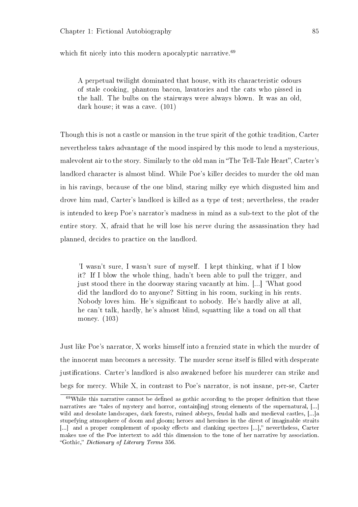which fit nicely into this modern apocalyptic narrative.<sup>69</sup>

A perpetual twilight dominated that house, with its characteristic odours of stale cooking, phantom bacon, lavatories and the cats who pissed in the hall. The bulbs on the stairways were always blown. It was an old, dark house; it was a cave. (101)

Though this is not a castle or mansion in the true spirit of the gothic tradition, Carter nevertheless takes advantage of the mood inspired by this mode to lend a mysterious, malevolent air to the story. Similarly to the old man in "The Tell-Tale Heart", Carter's landlord character is almost blind. While Poe's killer decides to murder the old man in his ravings, because of the one blind, staring milky eye which disgusted him and drove him mad, Carter's landlord is killed as a type of test; nevertheless, the reader is intended to keep Poe's narrator's madness in mind as a sub-text to the plot of the entire story. X, afraid that he will lose his nerve during the assassination they had planned, decides to practice on the landlord.

'I wasn't sure, I wasn't sure of myself. I kept thinking, what if I blow it? If I blow the whole thing, hadn't been able to pull the trigger, and just stood there in the doorway staring vacantly at him. [...] 'What good did the landlord do to anyone? Sitting in his room, sucking in his rents. Nobody loves him. He's signicant to nobody. He's hardly alive at all, he can't talk, hardly, he's almost blind, squatting like a toad on all that money. (103)

Just like Poe's narrator, X works himself into a frenzied state in which the murder of the innocent man becomes a necessity. The murder scene itself is filled with desperate justifications. Carter's landlord is also awakened before his murderer can strike and begs for mercy. While X, in contrast to Poe's narrator, is not insane, per-se, Carter

 $69$ While this narrative cannot be defined as gothic according to the proper definition that these narratives are "tales of mystery and horror, contain [ing] strong elements of the supernatural, [...] wild and desolate landscapes, dark forests, ruined abbeys, feudal halls and medieval castles, [...]a stupefying atmosphere of doom and gloom; heroes and heroines in the direst of imaginable straits  $\lbrack...]\rbrack$  and a proper complement of spooky effects and clanking spectres  $\lbrack...]\rbrack$  nevertheless, Carter makes use of the Poe intertext to add this dimension to the tone of her narrative by association. "Gothic," Dictionary of Literary Terms 356.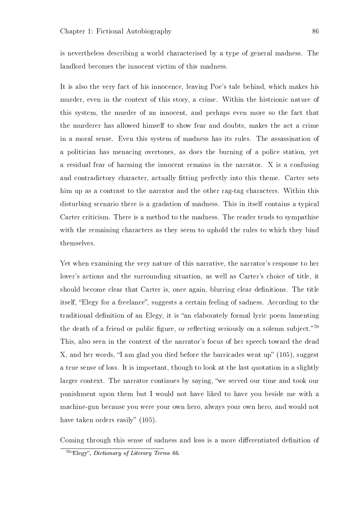is nevertheless describing a world characterised by a type of general madness. The landlord becomes the innocent victim of this madness.

It is also the very fact of his innocence, leaving Poe's tale behind, which makes his murder, even in the context of this story, a crime. Within the histrionic nature of this system, the murder of an innocent, and perhaps even more so the fact that the murderer has allowed himself to show fear and doubts, makes the act a crime in a moral sense. Even this system of madness has its rules. The assassination of a politician has menacing overtones, as does the burning of a police station, yet a residual fear of harming the innocent remains in the narrator. X is a confusing and contradictory character, actually fitting perfectly into this theme. Carter sets him up as a contrast to the narrator and the other rag-tag characters. Within this disturbing scenario there is a gradation of madness. This in itself contains a typical Carter criticism. There is a method to the madness. The reader tends to sympathise with the remaining characters as they seem to uphold the rules to which they bind themselves.

Yet when examining the very nature of this narrative, the narrator's response to her lover's actions and the surrounding situation, as well as Carter's choice of title, it should become clear that Carter is, once again, blurring clear definitions. The title itself, "Elegy for a freelance", suggests a certain feeling of sadness. According to the traditional definition of an Elegy, it is "an elaborately formal lyric poem lamenting the death of a friend or public figure, or reflecting seriously on a solemn subject."<sup>70</sup> This, also seen in the context of the narrator's focus of her speech toward the dead X, and her words, "I am glad you died before the barricades went up"  $(105)$ , suggest a true sense of loss. It is important, though to look at the last quotation in a slightly larger context. The narrator continues by saying, "we served our time and took our punishment upon them but I would not have liked to have you beside me with a machine-gun because you were your own hero, always your own hero, and would not have taken orders easily"  $(105)$ .

Coming through this sense of sadness and loss is a more differentiated definition of

<sup>&</sup>lt;sup>70</sup>"Elegy", *Dictionary of Literary Terms* 66.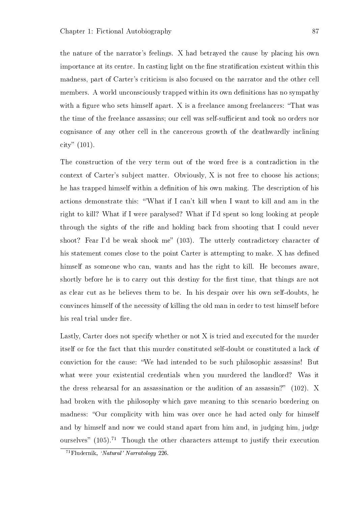the nature of the narrator's feelings. X had betrayed the cause by placing his own importance at its centre. In casting light on the fine stratification existent within this madness, part of Carter's criticism is also focused on the narrator and the other cell members. A world unconsciously trapped within its own definitions has no sympathy with a figure who sets himself apart. X is a freelance among freelancers: "That was the time of the freelance assassins; our cell was self-sufficient and took no orders nor cognisance of any other cell in the cancerous growth of the deathwardly inclining city"  $(101)$ .

The construction of the very term out of the word free is a contradiction in the context of Carter's subject matter. Obviously, X is not free to choose his actions; he has trapped himself within a definition of his own making. The description of his actions demonstrate this: 'What if I can't kill when I want to kill and am in the right to kill? What if I were paralysed? What if I'd spent so long looking at people through the sights of the rifle and holding back from shooting that I could never shoot? Fear I'd be weak shook me" (103). The utterly contradictory character of his statement comes close to the point Carter is attempting to make. X has defined himself as someone who can, wants and has the right to kill. He becomes aware, shortly before he is to carry out this destiny for the first time, that things are not as clear cut as he believes them to be. In his despair over his own self-doubts, he convinces himself of the necessity of killing the old man in order to test himself before his real trial under fire.

Lastly, Carter does not specify whether or not X is tried and executed for the murder itself or for the fact that this murder constituted self-doubt or constituted a lack of conviction for the cause: We had intended to be such philosophic assassins! But what were your existential credentials when you murdered the landlord? Was it the dress rehearsal for an assassination or the audition of an assassin?" (102). X had broken with the philosophy which gave meaning to this scenario bordering on madness: "Our complicity with him was over once he had acted only for himself and by himself and now we could stand apart from him and, in judging him, judge ourselves"  $(105)$ .<sup>71</sup> Though the other characters attempt to justify their execution

 $71$ Fludernik, 'Natural' Narratology 226.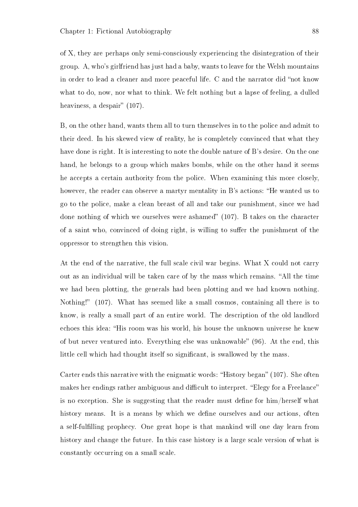of X, they are perhaps only semi-consciously experiencing the disintegration of their group. A, who's girlfriend has just had a baby, wants to leave for the Welsh mountains in order to lead a cleaner and more peaceful life. C and the narrator did "not know what to do, now, nor what to think. We felt nothing but a lapse of feeling, a dulled heaviness, a despair"  $(107)$ .

B, on the other hand, wants them all to turn themselves in to the police and admit to their deed. In his skewed view of reality, he is completely convinced that what they have done is right. It is interesting to note the double nature of B's desire. On the one hand, he belongs to a group which makes bombs, while on the other hand it seems he accepts a certain authority from the police. When examining this more closely, however, the reader can observe a martyr mentality in B's actions: "He wanted us to go to the police, make a clean breast of all and take our punishment, since we had done nothing of which we ourselves were ashamed"  $(107)$ . B takes on the character of a saint who, convinced of doing right, is willing to suffer the punishment of the oppressor to strengthen this vision.

At the end of the narrative, the full scale civil war begins. What X could not carry out as an individual will be taken care of by the mass which remains. "All the time we had been plotting, the generals had been plotting and we had known nothing. Nothing!" (107). What has seemed like a small cosmos, containing all there is to know, is really a small part of an entire world. The description of the old landlord echoes this idea: "His room was his world, his house the unknown universe he knew of but never ventured into. Everything else was unknowable" (96). At the end, this little cell which had thought itself so significant, is swallowed by the mass.

Carter ends this narrative with the enigmatic words: "History began"  $(107)$ . She often makes her endings rather ambiguous and difficult to interpret. "Elegy for a Freelance" is no exception. She is suggesting that the reader must define for  $\lim/\text{hers}$  what history means. It is a means by which we define ourselves and our actions, often a self-fullling prophecy. One great hope is that mankind will one day learn from history and change the future. In this case history is a large scale version of what is constantly occurring on a small scale.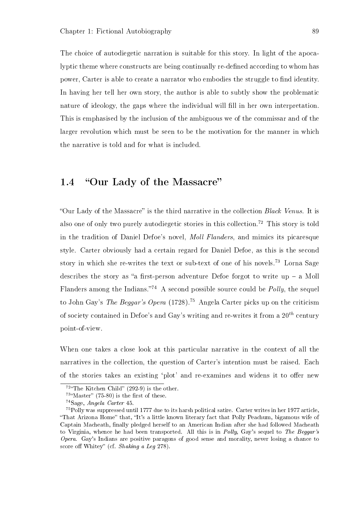The choice of autodiegetic narration is suitable for this story. In light of the apocalyptic theme where constructs are being continually re-defined according to whom has power. Carter is able to create a narrator who embodies the struggle to find identity. In having her tell her own story, the author is able to subtly show the problematic nature of ideology, the gaps where the individual will fill in her own interpretation. This is emphasised by the inclusion of the ambiguous we of the commissar and of the larger revolution which must be seen to be the motivation for the manner in which the narrative is told and for what is included.

## 1.4 "Our Lady of the Massacre"

"Our Lady of the Massacre" is the third narrative in the collection  $Black Venus.$  It is also one of only two purely autodiegetic stories in this collection.<sup>72</sup> This story is told in the tradition of Daniel Defoe's novel, Moll Flanders, and mimics its picaresque style. Carter obviously had a certain regard for Daniel Defoe, as this is the second story in which she re-writes the text or sub-text of one of his novels.<sup>73</sup> Lorna Sage describes the story as "a first-person adventure Defoe forgot to write up  $-$  a Moll Flanders among the Indians.<sup>74</sup> A second possible source could be *Polly*, the sequel to John Gay's The Beggar's Opera (1728).<sup>75</sup> Angela Carter picks up on the criticism of society contained in Defoe's and Gay's writing and re-writes it from a  $20^{th}$  century point-of-view.

When one takes a close look at this particular narrative in the context of all the narratives in the collection, the question of Carter's intention must be raised. Each of the stories takes an existing 'plot' and re-examines and widens it to offer new

 $72^{\omega}$ The Kitchen Child" (292-9) is the other.

 $73^{\circ}$ Master" (75-80) is the first of these.

<sup>74</sup>Sage, Angela Carter 45.

<sup>75</sup>Polly was suppressed until 1777 due to its harsh political satire. Carter writes in her 1977 article, "That Arizona Home" that, "It's a little known literary fact that Polly Peachum, bigamous wife of Captain Macheath, finally pledged herself to an American Indian after she had followed Macheath to Virginia, whence he had been transported. All this is in *Polly*, Gay's sequel to *The Beggar's Opera.* Gay's Indians are positive paragons of good sense and morality, never losing a chance to score off Whitey" (cf. Shaking a Leg 278).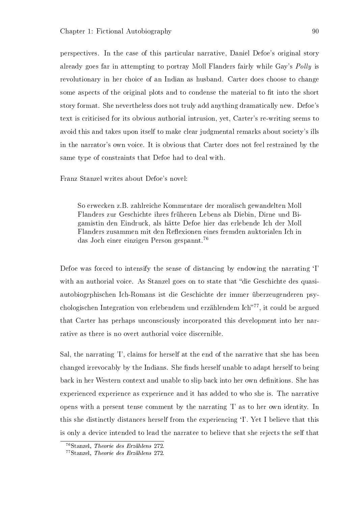perspectives. In the case of this particular narrative, Daniel Defoe's original story already goes far in attempting to portray Moll Flanders fairly while Gay's Polly is revolutionary in her choice of an Indian as husband. Carter does choose to change some aspects of the original plots and to condense the material to fit into the short story format. She nevertheless does not truly add anything dramatically new. Defoe's text is criticised for its obvious authorial intrusion, yet, Carter's re-writing seems to avoid this and takes upon itself to make clear judgmental remarks about society's ills in the narrator's own voice. It is obvious that Carter does not feel restrained by the same type of constraints that Defoe had to deal with.

Franz Stanzel writes about Defoe's novel:

So erwecken z.B. zahlreiche Kommentare der moralisch gewandelten Moll Flanders zur Geschichte ihres früheren Lebens als Diebin, Dirne und Bigamistin den Eindruck, als hätte Defoe hier das erlebende Ich der Moll Flanders zusammen mit den Reflexionen eines fremden auktorialen Ich in das Joch einer einzigen Person gespannt.<sup>76</sup>

Defoe was forced to intensify the sense of distancing by endowing the narrating `I' with an authorial voice. As Stanzel goes on to state that "die Geschichte des quasiautobiogrphischen Ich-Romans ist die Geschichte der immer überzeugenderen psychologischen Integration von erlebendem und erzählendem Ich<sup>777</sup>, it could be argued that Carter has perhaps unconsciously incorporated this development into her narrative as there is no overt authorial voice discernible.

Sal, the narrating 'I', claims for herself at the end of the narrative that she has been changed irrevocably by the Indians. She finds herself unable to adapt herself to being back in her Western context and unable to slip back into her own definitions. She has experienced experience as experience and it has added to who she is. The narrative opens with a present tense comment by the narrating 'I' as to her own identity. In this she distinctly distances herself from the experiencing `I'. Yet I believe that this is only a device intended to lead the narratee to believe that she rejects the self that

<sup>76</sup>Stanzel, Theorie des Erzählens 272.

<sup>77</sup>Stanzel, Theorie des Erzählens 272.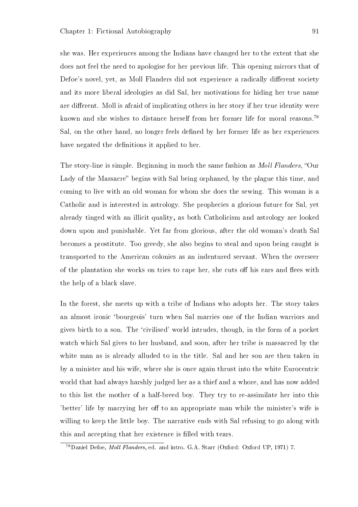she was. Her experiences among the Indians have changed her to the extent that she does not feel the need to apologise for her previous life. This opening mirrors that of Defoe's novel, yet, as Moll Flanders did not experience a radically different society and its more liberal ideologies as did Sal, her motivations for hiding her true name are different. Moll is afraid of implicating others in her story if her true identity were known and she wishes to distance herself from her former life for moral reasons.<sup>78</sup> Sal, on the other hand, no longer feels defined by her former life as her experiences have negated the definitions it applied to her.

The story-line is simple. Beginning in much the same fashion as *Moll Flanders*, "Our Lady of the Massacre" begins with Sal being orphaned, by the plague this time, and coming to live with an old woman for whom she does the sewing. This woman is a Catholic and is interested in astrology. She prophecies a glorious future for Sal, yet already tinged with an illicit quality, as both Catholicism and astrology are looked down upon and punishable. Yet far from glorious, after the old woman's death Sal becomes a prostitute. Too greedy, she also begins to steal and upon being caught is transported to the American colonies as an indentured servant. When the overseer of the plantation she works on tries to rape her, she cuts off his ears and flees with the help of a black slave.

In the forest, she meets up with a tribe of Indians who adopts her. The story takes an almost ironic 'bourgeois' turn when Sal marries one of the Indian warriors and gives birth to a son. The `civilised' world intrudes, though, in the form of a pocket watch which Sal gives to her husband, and soon, after her tribe is massacred by the white man as is already alluded to in the title. Sal and her son are then taken in by a minister and his wife, where she is once again thrust into the white Eurocentric world that had always harshly judged her as a thief and a whore, and has now added to this list the mother of a half-breed boy. They try to re-assimilate her into this 'better' life by marrying her off to an appropriate man while the minister's wife is willing to keep the little boy. The narrative ends with Sal refusing to go along with this and accepting that her existence is filled with tears.

<sup>78</sup>Daniel Defoe, Moll Flanders, ed. and intro. G.A. Starr (Oxford: Oxford UP, 1971) 7.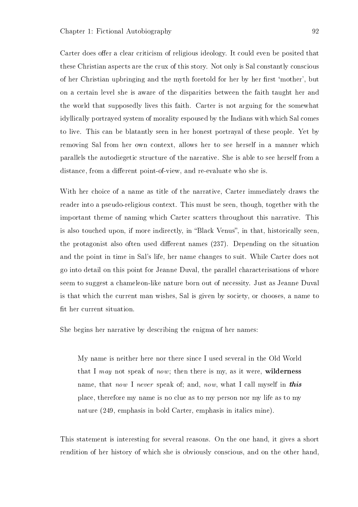Carter does offer a clear criticism of religious ideology. It could even be posited that these Christian aspects are the crux of this story. Not only is Sal constantly conscious of her Christian upbringing and the myth foretold for her by her first 'mother', but on a certain level she is aware of the disparities between the faith taught her and the world that supposedly lives this faith. Carter is not arguing for the somewhat idyllically portrayed system of morality espoused by the Indians with which Sal comes to live. This can be blatantly seen in her honest portrayal of these people. Yet by removing Sal from her own context, allows her to see herself in a manner which parallels the autodiegetic structure of the narrative. She is able to see herself from a distance, from a different point-of-view, and re-evaluate who she is.

With her choice of a name as title of the narrative, Carter immediately draws the reader into a pseudo-religious context. This must be seen, though, together with the important theme of naming which Carter scatters throughout this narrative. This is also touched upon, if more indirectly, in "Black Venus", in that, historically seen. the protagonist also often used different names (237). Depending on the situation and the point in time in Sal's life, her name changes to suit. While Carter does not go into detail on this point for Jeanne Duval, the parallel characterisations of whore seem to suggest a chameleon-like nature born out of necessity. Just as Jeanne Duval is that which the current man wishes, Sal is given by society, or chooses, a name to fit her current situation.

She begins her narrative by describing the enigma of her names:

My name is neither here nor there since I used several in the Old World that I may not speak of now; then there is my, as it were, wilderness name, that now I never speak of; and, now, what I call myself in this place, therefore my name is no clue as to my person nor my life as to my nature (249, emphasis in bold Carter, emphasis in italics mine).

This statement is interesting for several reasons. On the one hand, it gives a short rendition of her history of which she is obviously conscious, and on the other hand,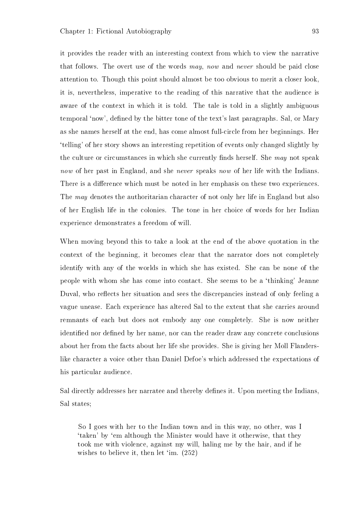it provides the reader with an interesting context from which to view the narrative that follows. The overt use of the words may, now and never should be paid close attention to. Though this point should almost be too obvious to merit a closer look, it is, nevertheless, imperative to the reading of this narrative that the audience is aware of the context in which it is told. The tale is told in a slightly ambiguous temporal 'now', defined by the bitter tone of the text's last paragraphs. Sal, or Mary as she names herself at the end, has come almost full-circle from her beginnings. Her `telling' of her story shows an interesting repetition of events only changed slightly by the culture or circumstances in which she currently finds herself. She may not speak now of her past in England, and she never speaks now of her life with the Indians. There is a difference which must be noted in her emphasis on these two experiences. The *may* denotes the authoritarian character of not only her life in England but also of her English life in the colonies. The tone in her choice of words for her Indian experience demonstrates a freedom of will.

When moving beyond this to take a look at the end of the above quotation in the context of the beginning, it becomes clear that the narrator does not completely identify with any of the worlds in which she has existed. She can be none of the people with whom she has come into contact. She seems to be a `thinking' Jeanne Duval, who reflects her situation and sees the discrepancies instead of only feeling a vague unease. Each experience has altered Sal to the extent that she carries around remnants of each but does not embody any one completely. She is now neither identified nor defined by her name, nor can the reader draw any concrete conclusions about her from the facts about her life she provides. She is giving her Moll Flanderslike character a voice other than Daniel Defoe's which addressed the expectations of his particular audience.

Sal directly addresses her narratee and thereby defines it. Upon meeting the Indians, Sal states;

So I goes with her to the Indian town and in this way, no other, was I `taken' by `em although the Minister would have it otherwise, that they took me with violence, against my will, haling me by the hair, and if he wishes to believe it, then let 'im. (252)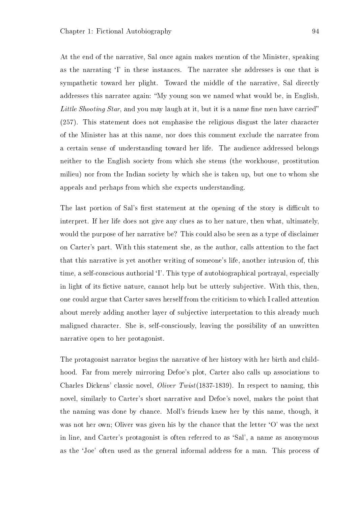At the end of the narrative, Sal once again makes mention of the Minister, speaking as the narrating `I' in these instances. The narratee she addresses is one that is sympathetic toward her plight. Toward the middle of the narrative, Sal directly addresses this narratee again: My young son we named what would be, in English, Little Shooting Star, and you may laugh at it, but it is a name fine men have carried" (257). This statement does not emphasise the religious disgust the later character of the Minister has at this name, nor does this comment exclude the narratee from a certain sense of understanding toward her life. The audience addressed belongs neither to the English society from which she stems (the workhouse, prostitution milieu) nor from the Indian society by which she is taken up, but one to whom she appeals and perhaps from which she expects understanding.

The last portion of Sal's first statement at the opening of the story is difficult to interpret. If her life does not give any clues as to her nature, then what, ultimately, would the purpose of her narrative be? This could also be seen as a type of disclaimer on Carter's part. With this statement she, as the author, calls attention to the fact that this narrative is yet another writing of someone's life, another intrusion of, this time, a self-conscious authorial <sup>'</sup>I'. This type of autobiographical portrayal, especially in light of its fictive nature, cannot help but be utterly subjective. With this, then, one could argue that Carter saves herself from the criticism to which I called attention about merely adding another layer of subjective interpretation to this already much maligned character. She is, self-consciously, leaving the possibility of an unwritten narrative open to her protagonist.

The protagonist narrator begins the narrative of her history with her birth and childhood. Far from merely mirroring Defoe's plot, Carter also calls up associations to Charles Dickens' classic novel, Oliver Twist(1837-1839). In respect to naming, this novel, similarly to Carter's short narrative and Defoe's novel, makes the point that the naming was done by chance. Moll's friends knew her by this name, though, it was not her own; Oliver was given his by the chance that the letter 'O' was the next in line, and Carter's protagonist is often referred to as `Sal', a name as anonymous as the `Joe' often used as the general informal address for a man. This process of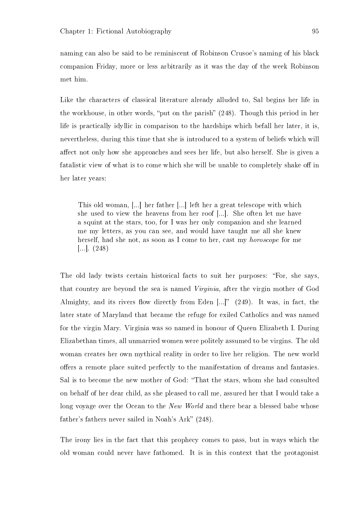naming can also be said to be reminiscent of Robinson Crusoe's naming of his black companion Friday, more or less arbitrarily as it was the day of the week Robinson met him.

Like the characters of classical literature already alluded to, Sal begins her life in the workhouse, in other words, "put on the parish"  $(248)$ . Though this period in her life is practically idyllic in comparison to the hardships which befall her later, it is, nevertheless, during this time that she is introduced to a system of beliefs which will affect not only how she approaches and sees her life, but also herself. She is given a fatalistic view of what is to come which she will be unable to completely shake off in her later years:

This old woman, [...] her father [...] left her a great telescope with which she used to view the heavens from her roof [...]. She often let me have a squint at the stars, too, for I was her only companion and she learned me my letters, as you can see, and would have taught me all she knew herself, had she not, as soon as I come to her, cast my horoscope for me [...]. (248)

The old lady twists certain historical facts to suit her purposes: "For, she says, that country are beyond the sea is named Virginia, after the virgin mother of God Almighty, and its rivers flow directly from Eden  $[...]$ " (249). It was, in fact, the later state of Maryland that became the refuge for exiled Catholics and was named for the virgin Mary. Virginia was so named in honour of Queen Elizabeth I. During Elizabethan times, all unmarried women were politely assumed to be virgins. The old woman creates her own mythical reality in order to live her religion. The new world offers a remote place suited perfectly to the manifestation of dreams and fantasies. Sal is to become the new mother of God: That the stars, whom she had consulted on behalf of her dear child, as she pleased to call me, assured her that I would take a long voyage over the Ocean to the New World and there bear a blessed babe whose father's fathers never sailed in Noah's Ark" (248).

The irony lies in the fact that this prophecy comes to pass, but in ways which the old woman could never have fathomed. It is in this context that the protagonist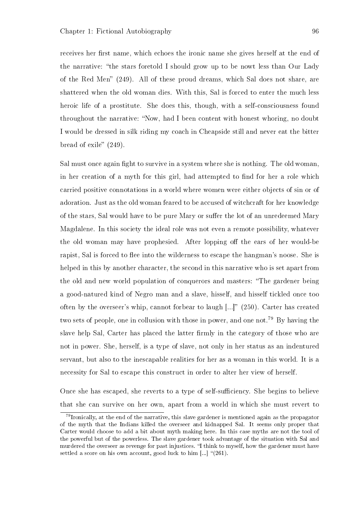receives her first name, which echoes the ironic name she gives herself at the end of the narrative: "the stars foretold I should grow up to be nowt less than Our Lady of the Red Men"  $(249)$ . All of these proud dreams, which Sal does not share, are shattered when the old woman dies. With this, Sal is forced to enter the much less heroic life of a prostitute. She does this, though, with a self-consciousness found throughout the narrative: "Now, had I been content with honest whoring, no doubt I would be dressed in silk riding my coach in Cheapside still and never eat the bitter bread of exile"  $(249)$ .

Sal must once again fight to survive in a system where she is nothing. The old woman, in her creation of a myth for this girl, had attempted to find for her a role which carried positive connotations in a world where women were either objects of sin or of adoration. Just as the old woman feared to be accused of witchcraft for her knowledge of the stars, Sal would have to be pure Mary or suffer the lot of an unredeemed Mary Magdalene. In this society the ideal role was not even a remote possibility, whatever the old woman may have prophesied. After lopping off the ears of her would-be rapist, Sal is forced to flee into the wilderness to escape the hangman's noose. She is helped in this by another character, the second in this narrative who is set apart from the old and new world population of conquerors and masters: "The gardener being a good-natured kind of Negro man and a slave, hisself, and hisself tickled once too often by the overseer's whip, cannot forbear to laugh  $\left[...\right]$ " (250). Carter has created two sets of people, one in collusion with those in power, and one not.<sup>79</sup> By having the slave help Sal, Carter has placed the latter firmly in the category of those who are not in power. She, herself, is a type of slave, not only in her status as an indentured servant, but also to the inescapable realities for her as a woman in this world. It is a necessity for Sal to escape this construct in order to alter her view of herself.

Once she has escaped, she reverts to a type of self-sufficiency. She begins to believe that she can survive on her own, apart from a world in which she must revert to

<sup>&</sup>lt;sup>79</sup>Ironically, at the end of the narrative, this slave gardener is mentioned again as the propagator of the myth that the Indians killed the overseer and kidnapped Sal. It seems only proper that Carter would choose to add a bit about myth making here. In this case myths are not the tool of the powerful but of the powerless. The slave gardener took advantage of the situation with Sal and murdered the overseer as revenge for past injustices. "I think to myself, how the gardener must have settled a score on his own account, good luck to him  $\left[\ldots\right]$  "(261).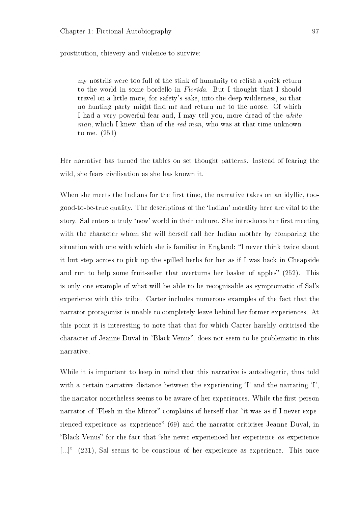prostitution, thievery and violence to survive:

my nostrils were too full of the stink of humanity to relish a quick return to the world in some bordello in Florida. But I thought that I should travel on a little more, for safety's sake, into the deep wilderness, so that no hunting party might find me and return me to the noose. Of which I had a very powerful fear and, I may tell you, more dread of the white man, which I knew, than of the red man, who was at that time unknown to me. (251)

Her narrative has turned the tables on set thought patterns. Instead of fearing the wild, she fears civilisation as she has known it.

When she meets the Indians for the first time, the narrative takes on an idyllic, toogood-to-be-true quality. The descriptions of the `Indian' morality here are vital to the story. Sal enters a truly 'new' world in their culture. She introduces her first meeting with the character whom she will herself call her Indian mother by comparing the situation with one with which she is familiar in England: "I never think twice about it but step across to pick up the spilled herbs for her as if I was back in Cheapside and run to help some fruit-seller that overturns her basket of apples" (252). This is only one example of what will be able to be recognisable as symptomatic of Sal's experience with this tribe. Carter includes numerous examples of the fact that the narrator protagonist is unable to completely leave behind her former experiences. At this point it is interesting to note that that for which Carter harshly criticised the character of Jeanne Duval in "Black Venus", does not seem to be problematic in this narrative.

While it is important to keep in mind that this narrative is autodiegetic, thus told with a certain narrative distance between the experiencing 'I' and the narrating 'I', the narrator nonetheless seems to be aware of her experiences. While the first-person narrator of "Flesh in the Mirror" complains of herself that "it was as if I never experienced experience as experience"  $(69)$  and the narrator criticises Jeanne Duval, in "Black Venus" for the fact that "she never experienced her experience as experience [ $\ldots$ ]" (231), Sal seems to be conscious of her experience as experience. This once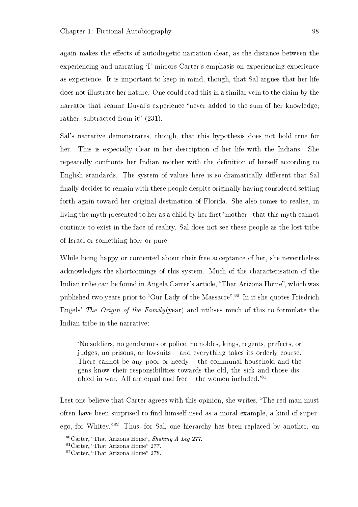again makes the effects of autodiegetic narration clear, as the distance between the experiencing and narrating `I' mirrors Carter's emphasis on experiencing experience as experience. It is important to keep in mind, though, that Sal argues that her life does not illustrate her nature. One could read this in a similar vein to the claim by the narrator that Jeanne Duval's experience "never added to the sum of her knowledge; rather, subtracted from it"  $(231)$ .

Sal's narrative demonstrates, though, that this hypothesis does not hold true for her. This is especially clear in her description of her life with the Indians. She repeatedly confronts her Indian mother with the denition of herself according to English standards. The system of values here is so dramatically different that Sal nally decides to remain with these people despite originally having considered setting forth again toward her original destination of Florida. She also comes to realise, in living the myth presented to her as a child by her first 'mother', that this myth cannot continue to exist in the face of reality. Sal does not see these people as the lost tribe of Israel or something holy or pure.

While being happy or contented about their free acceptance of her, she nevertheless acknowledges the shortcomings of this system. Much of the characterisation of the Indian tribe can be found in Angela Carter's article, "That Arizona Home", which was published two years prior to "Our Lady of the Massacre".<sup>80</sup> In it she quotes Friedrich Engels' The Origin of the Family(year) and utilises much of this to formulate the Indian tribe in the narrative:

`No soldiers, no gendarmes or police, no nobles, kings, regents, prefects, or judges, no prisons, or lawsuits – and everything takes its orderly course. There cannot be any poor or needy  $-$  the communal household and the gens know their responsibilities towards the old, the sick and those disabled in war. All are equal and free  $-$  the women included.<sup>'81</sup>

Lest one believe that Carter agrees with this opinion, she writes, "The red man must often have been surprised to find himself used as a moral example, a kind of superego, for Whitey."<sup>82</sup> Thus, for Sal, one hierarchy has been replaced by another, on

 $80$ Carter, "That Arizona Home", Shaking A Leg 277.

 $81$ Carter, "That Arizona Home" 277.

 $82$ Carter, "That Arizona Home" 278.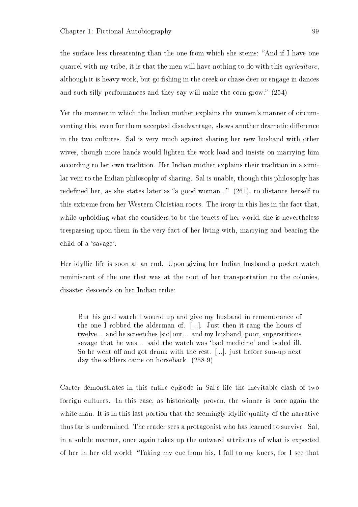the surface less threatening than the one from which she stems: "And if I have one quarrel with my tribe, it is that the men will have nothing to do with this *agriculture*. although it is heavy work, but go fishing in the creek or chase deer or engage in dances and such silly performances and they say will make the corn grow." (254)

Yet the manner in which the Indian mother explains the women's manner of circumventing this, even for them accepted disadvantage, shows another dramatic difference in the two cultures. Sal is very much against sharing her new husband with other wives, though more hands would lighten the work load and insists on marrying him according to her own tradition. Her Indian mother explains their tradition in a similar vein to the Indian philosophy of sharing. Sal is unable, though this philosophy has redefined her, as she states later as "a good woman..."  $(261)$ , to distance herself to this extreme from her Western Christian roots. The irony in this lies in the fact that, while upholding what she considers to be the tenets of her world, she is nevertheless trespassing upon them in the very fact of her living with, marrying and bearing the child of a 'savage'.

Her idyllic life is soon at an end. Upon giving her Indian husband a pocket watch reminiscent of the one that was at the root of her transportation to the colonies, disaster descends on her Indian tribe:

But his gold watch I wound up and give my husband in remembrance of the one I robbed the alderman of. [...]. Just then it rang the hours of twelve... and he screetches [sic] out... and my husband, poor, superstitious savage that he was... said the watch was `bad medicine' and boded ill. So he went off and got drunk with the rest. [...]. just before sun-up next day the soldiers came on horseback. (258-9)

Carter demonstrates in this entire episode in Sal's life the inevitable clash of two foreign cultures. In this case, as historically proven, the winner is once again the white man. It is in this last portion that the seemingly idyllic quality of the narrative thus far is undermined. The reader sees a protagonist who has learned to survive. Sal, in a subtle manner, once again takes up the outward attributes of what is expected of her in her old world: Taking my cue from his, I fall to my knees, for I see that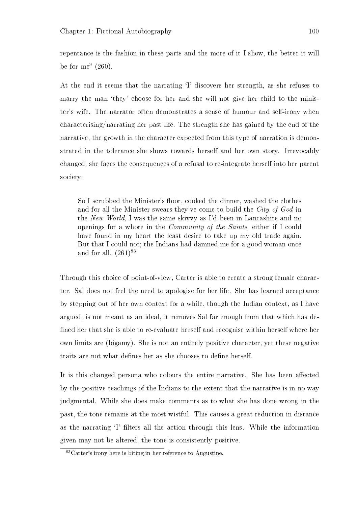repentance is the fashion in these parts and the more of it I show, the better it will be for me"  $(260)$ .

At the end it seems that the narrating `I' discovers her strength, as she refuses to marry the man 'they' choose for her and she will not give her child to the minister's wife. The narrator often demonstrates a sense of humour and self-irony when characterising/narrating her past life. The strength she has gained by the end of the narrative, the growth in the character expected from this type of narration is demonstrated in the tolerance she shows towards herself and her own story. Irrevocably changed, she faces the consequences of a refusal to re-integrate herself into her parent society:

So I scrubbed the Minister's floor, cooked the dinner, washed the clothes and for all the Minister swears they've come to build the City of God in the New World, I was the same skivvy as I'd been in Lancashire and no openings for a whore in the Community of the Saints, either if I could have found in my heart the least desire to take up my old trade again. But that I could not; the Indians had damned me for a good woman once and for all.  $(261)^{83}$ 

Through this choice of point-of-view, Carter is able to create a strong female character. Sal does not feel the need to apologise for her life. She has learned acceptance by stepping out of her own context for a while, though the Indian context, as I have argued, is not meant as an ideal, it removes Sal far enough from that which has de ned her that she is able to re-evaluate herself and recognise within herself where her own limits are (bigamy). She is not an entirely positive character, yet these negative traits are not what defines her as she chooses to define herself.

It is this changed persona who colours the entire narrative. She has been affected by the positive teachings of the Indians to the extent that the narrative is in no way judgmental. While she does make comments as to what she has done wrong in the past, the tone remains at the most wistful. This causes a great reduction in distance as the narrating 'I' filters all the action through this lens. While the information given may not be altered, the tone is consistently positive.

<sup>83</sup>Carter's irony here is biting in her reference to Augustine.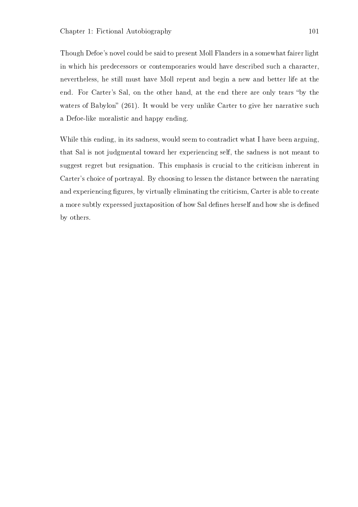Though Defoe's novel could be said to present Moll Flanders in a somewhat fairer light in which his predecessors or contemporaries would have described such a character, nevertheless, he still must have Moll repent and begin a new and better life at the end. For Carter's Sal, on the other hand, at the end there are only tears "by the waters of Babylon" (261). It would be very unlike Carter to give her narrative such a Defoe-like moralistic and happy ending.

While this ending, in its sadness, would seem to contradict what I have been arguing. that Sal is not judgmental toward her experiencing self, the sadness is not meant to suggest regret but resignation. This emphasis is crucial to the criticism inherent in Carter's choice of portrayal. By choosing to lessen the distance between the narrating and experiencing figures, by virtually eliminating the criticism, Carter is able to create a more subtly expressed juxtaposition of how Sal defines herself and how she is defined by others.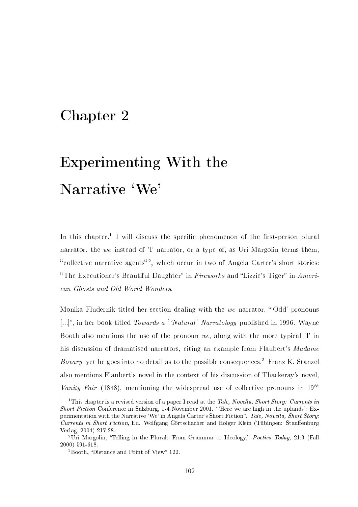## Chapter 2

## Experimenting With the Narrative 'We'

In this chapter,<sup>1</sup> I will discuss the specific phenomenon of the first-person plural narrator, the we instead of 'I' narrator, or a type of, as Uri Margolin terms them. "collective narrative agents<sup>"2</sup>, which occur in two of Angela Carter's short stories: "The Executioner's Beautiful Daughter" in Fireworks and "Lizzie's Tiger" in  $American$ can Ghosts and Old World Wonders.

Monika Fludernik titled her section dealing with the we narrator, "Odd' pronouns [...]", in her book titled Towards a ''Natural' Narratology published in 1996. Wayne Booth also mentions the use of the pronoun we, along with the more typical 'I' in his discussion of dramatised narrators, citing an example from Flaubert's Madame *Bovary*, yet he goes into no detail as to the possible consequences.<sup>3</sup> Franz K. Stanzel also mentions Flaubert's novel in the context of his discussion of Thackeray's novel, Vanity Fair (1848), mentioning the widespread use of collective pronouns in  $19^{th}$ 

<sup>&</sup>lt;sup>1</sup>This chapter is a revised version of a paper I read at the *Tale, Novella, Short Story: Currents in* Short Fiction Conference in Salzburg, 1-4 November 2001. "Here we are high in the uplands': Experimentation with the Narrative 'We' in Angela Carter's Short Fiction". Tale, Novella, Short Story: Currents in Short Fiction, Ed. Wolfgang Görtschacher and Holger Klein (Tübingen: Stauffenburg Verlag, 2004) 217-28.

<sup>&</sup>lt;sup>2</sup>Uri Margolin, "Telling in the Plural: From Grammar to Ideology," Poetics Today, 21:3 (Fall 2000) 591-618.

 $3$ Booth, "Distance and Point of View" 122.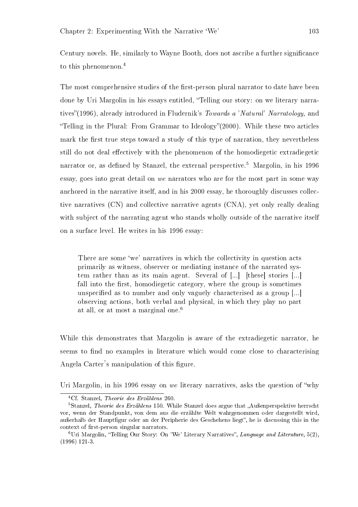Century novels. He, similarly to Wayne Booth, does not ascribe a further signicance to this phenomenon.<sup>4</sup>

The most comprehensive studies of the first-person plural narrator to date have been done by Uri Margolin in his essays entitled, "Telling our story: on we literary narratives"(1996), already introduced in Fludernik's Towards a 'Natural' Narratology, and "Telling in the Plural: From Grammar to Ideology" $(2000)$ . While these two articles mark the first true steps toward a study of this type of narration, they nevertheless still do not deal effectively with the phenomenon of the homodiegetic extradiegetic narrator or, as defined by Stanzel, the external perspective.<sup>5</sup> Margolin, in his 1996 essay, goes into great detail on we narrators who are for the most part in some way anchored in the narrative itself, and in his 2000 essay, he thoroughly discusses collective narratives (CN) and collective narrative agents (CNA), yet only really dealing with subject of the narrating agent who stands wholly outside of the narrative itself on a surface level. He writes in his 1996 essay:

There are some 'we' narratives in which the collectivity in question acts primarily as witness, observer or mediating instance of the narrated system rather than as its main agent. Several of [...] [these] stories [...] fall into the first, homodiegetic category, where the group is sometimes unspecified as to number and only vaguely characterised as a group [...] observing actions, both verbal and physical, in which they play no part at all, or at most a marginal one.<sup>6</sup>

While this demonstrates that Margolin is aware of the extradiegetic narrator, he seems to find no examples in literature which would come close to characterising Angela Carter's manipulation of this figure.

Uri Margolin, in his 1996 essay on we literary narratives, asks the question of why

<sup>4</sup>Cf. Stanzel, Theorie des Erzählens 260.

 ${}^{5}$ Stanzel, *Theorie des Erzählens* 150. While Stanzel does argue that "Außenperspektive herrscht vor, wenn der Standpunkt, von dem aus die erzählte Welt wahrgenommen oder dargestellt wird, außerhalb der Hauptfigur oder an der Peripherie des Geschehens liegt", he is discussing this in the context of first-person singular narrators.

 $6$ Uri Margolin, "Telling Our Story: On 'We' Literary Narratives", Language and Literature,  $5(2)$ , (1996) 121-3.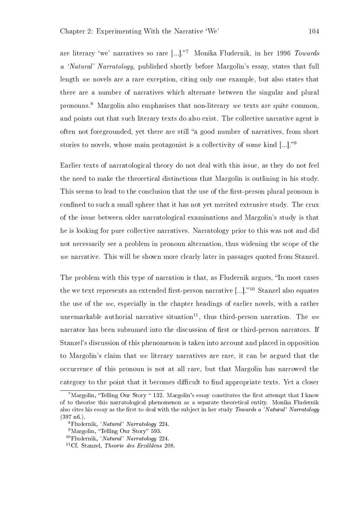are literary 'we' narratives so rare  $[...]$ ."<sup>7</sup> Monika Fludernik, in her 1996 Towards a 'Natural' Narratology, published shortly before Margolin's essay, states that full length we novels are a rare exception, citing only one example, but also states that there are a number of narratives which alternate between the singular and plural pronouns.<sup>8</sup> Margolin also emphasises that non-literary we texts are quite common. and points out that such literary texts do also exist. The collective narrative agent is often not foregrounded, yet there are still "a good number of narratives, from short stories to novels, whose main protagonist is a collectivity of some kind  $\left[\ldots\right]$ .<sup>99</sup>

Earlier texts of narratological theory do not deal with this issue, as they do not feel the need to make the theoretical distinctions that Margolin is outlining in his study. This seems to lead to the conclusion that the use of the first-person plural pronoun is confined to such a small sphere that it has not yet merited extensive study. The crux of the issue between older narratological examinations and Margolin's study is that he is looking for pure collective narratives. Narratology prior to this was not and did not necessarily see a problem in pronoun alternation, thus widening the scope of the we narrative. This will be shown more clearly later in passages quoted from Stanzel.

The problem with this type of narration is that, as Fludernik argues, "In most cases the we text represents an extended first-person narrative  $[\dots]$ .<sup>10</sup> Stanzel also equates the use of the we, especially in the chapter headings of earlier novels, with a rather unremarkable authorial narrative situation<sup>11</sup>, thus third-person narration. The we narrator has been subsumed into the discussion of first or third-person narrators. If Stanzel's discussion of this phenomenon is taken into account and placed in opposition to Margolin's claim that we literary narratives are rare, it can be argued that the occurrence of this pronoun is not at all rare, but that Margolin has narrowed the category to the point that it becomes difficult to find appropriate texts. Yet a closer

<sup>&</sup>lt;sup>7</sup>Margolin, "Telling Our Story " 132. Margolin's essay constitutes the first attempt that I know of to theorise this narratological phenomenon as a separate theoretical entity. Monika Fludernik also cites his essay as the first to deal with the subject in her study Towards a 'Natural' Narratology  $(397 \; \text{n}6)$ .

<sup>8</sup>Fludernik, 'Natural' Narratology 224.

<sup>&</sup>lt;sup>9</sup>Margolin, "Telling Our Story" 593.

<sup>10</sup>Fludernik, 'Natural' Narratology 224.

<sup>11</sup>Cf. Stanzel, Theorie des Erzählens 208.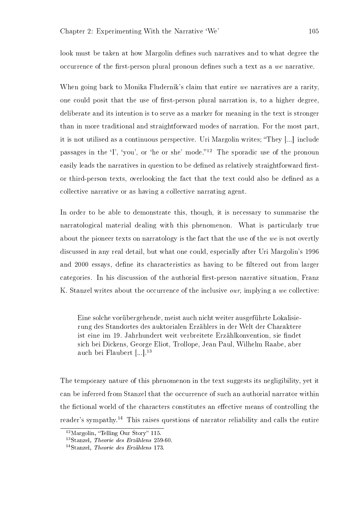look must be taken at how Margolin defines such narratives and to what degree the occurrence of the first-person plural pronoun defines such a text as a we narrative.

When going back to Monika Fludernik's claim that entire we narratives are a rarity, one could posit that the use of first-person plural narration is, to a higher degree, deliberate and its intention is to serve as a marker for meaning in the text is stronger than in more traditional and straightforward modes of narration. For the most part, it is not utilised as a continuous perspective. Uri Margolin writes; They [...] include passages in the  $\mathcal{I}'$ , 'you', or 'he or she' mode."<sup>12</sup> The sporadic use of the pronoun easily leads the narratives in question to be defined as relatively straightforward firstor third-person texts, overlooking the fact that the text could also be dened as a collective narrative or as having a collective narrating agent.

In order to be able to demonstrate this, though, it is necessary to summarise the narratological material dealing with this phenomenon. What is particularly true about the pioneer texts on narratology is the fact that the use of the we is not overtly discussed in any real detail, but what one could, especially after Uri Margolin's 1996 and 2000 essays, define its characteristics as having to be filtered out from larger categories. In his discussion of the authorial first-person narrative situation, Franz K. Stanzel writes about the occurrence of the inclusive *our*, implying a we collective:

Eine solche vorübergehende, meist auch nicht weiter ausgeführte Lokalisierung des Standortes des auktorialen Erzählers in der Welt der Charaktere ist eine im 19. Jahrhundert weit verbreitete Erzählkonvention, sie findet sich bei Dickens, George Eliot, Trollope, Jean Paul, Wilhelm Raabe, aber auch bei Flaubert [...].<sup>13</sup>

The temporary nature of this phenomenon in the text suggests its negligibility, yet it can be inferred from Stanzel that the occurrence of such an authorial narrator within the fictional world of the characters constitutes an effective means of controlling the reader's sympathy.<sup>14</sup> This raises questions of narrator reliability and calls the entire

 $12$ Margolin, "Telling Our Story" 115.

 $13$ Stanzel, Theorie des Erzählens 259-60.

 $14$ Stanzel, Theorie des Erzählens 173.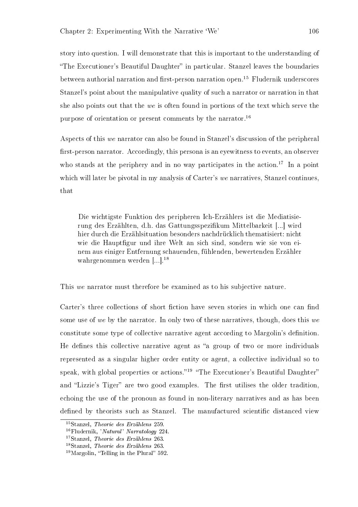story into question. I will demonstrate that this is important to the understanding of "The Executioner's Beautiful Daughter" in particular. Stanzel leaves the boundaries between authorial narration and first-person narration open.<sup>15</sup> Fludernik underscores Stanzel's point about the manipulative quality of such a narrator or narration in that she also points out that the we is often found in portions of the text which serve the purpose of orientation or present comments by the narrator.<sup>16</sup>

Aspects of this we narrator can also be found in Stanzel's discussion of the peripheral first-person narrator. Accordingly, this persona is an eyewitness to events, an observer who stands at the periphery and in no way participates in the action.<sup>17</sup> In a point which will later be pivotal in my analysis of Carter's we narratives, Stanzel continues, that

Die wichtigste Funktion des peripheren Ich-Erzählers ist die Mediatisierung des Erzählten, d.h. das Gattungsspezikum Mittelbarkeit [...] wird hier durch die Erzählsituation besonders nachdrücklich thematisiert: nicht wie die Hauptfigur und ihre Welt an sich sind, sondern wie sie von einem aus einiger Entfernung schauenden, fühlenden, bewertenden Erzähler wahrgenommen werden [...].<sup>18</sup>

This we narrator must therefore be examined as to his subjective nature.

Carter's three collections of short fiction have seven stories in which one can find some use of we by the narrator. In only two of these narratives, though, does this we constitute some type of collective narrative agent according to Margolin's definition. He defines this collective narrative agent as "a group of two or more individuals represented as a singular higher order entity or agent, a collective individual so to speak, with global properties or actions."<sup>19</sup> "The Executioner's Beautiful Daughter" and "Lizzie's Tiger" are two good examples. The first utilises the older tradition, echoing the use of the pronoun as found in non-literary narratives and as has been defined by theorists such as Stanzel. The manufactured scientific distanced view

<sup>15</sup>Stanzel, Theorie des Erzählens 259.

<sup>16</sup>Fludernik, 'Natural' Narratology 224.

<sup>&</sup>lt;sup>17</sup>Stanzel, *Theorie des Erzählens* 263.

<sup>18</sup>Stanzel, Theorie des Erzählens 263.

 $19$ Margolin, "Telling in the Plural" 592.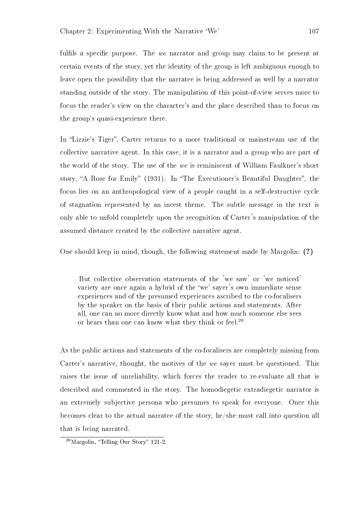fulfils a specific purpose. The we narrator and group may claim to be present at certain events of the story, yet the identity of the group is left ambiguous enough to leave open the possibility that the narratee is being addressed as well by a narrator standing outside of the story. The manipulation of this point-of-view serves more to focus the reader's view on the character's and the place described than to focus on the group's quasi-experience there.

In "Lizzie's Tiger", Carter returns to a more traditional or mainstream use of the collective narrative agent. In this case, it is a narrator and a group who are part of the world of the story. The use of the we is reminiscent of William Faulkner's short story, "A Rose for Emily" (1931). In "The Executioner's Beautiful Daughter", the focus lies on an anthropological view of a people caught in a self-destructive cycle of stagnation represented by an incest theme. The subtle message in the text is only able to unfold completely upon the recognition of Carter's manipulation of the assumed distance created by the collective narrative agent.

One should keep in mind, though, the following statement made by Margolin: (?)

But collective observation statements of the 'we saw' or 'we noticed' variety are once again a hybrid of the 'we' sayer's own immediate sense experiences and of the presumed experiences ascribed to the co-focalisers by the speaker on the basis of their public actions and statements. After all, one can no more directly know what and how much someone else sees or hears than one can know what they think or feel.<sup>20</sup>

As the public actions and statements of the co-focalisers are completely missing from Carter's narrative, thought, the motives of the we sayer must be questioned. This raises the issue of unreliability, which forces the reader to re-evaluate all that is described and commented in the story. The homodiegetic extradiegetic narrator is an extremely subjective persona who presumes to speak for everyone. Once this becomes clear to the actual narratee of the story, he/she must call into question all that is being narrated.

 $20$ Margolin, "Telling Our Story" 121-2.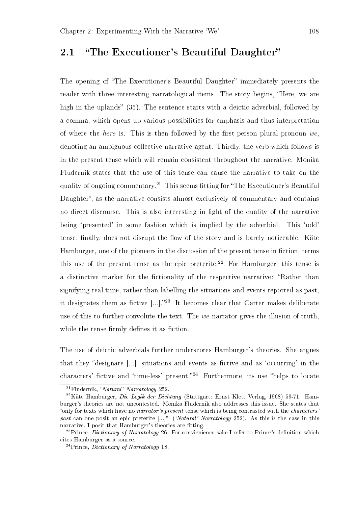### 2.1 "The Executioner's Beautiful Daughter"

The opening of "The Executioner's Beautiful Daughter" immediately presents the reader with three interesting narratological items. The story begins, "Here, we are high in the uplands" (35). The sentence starts with a deictic adverbial, followed by a comma, which opens up various possibilities for emphasis and thus interpretation of where the *here* is. This is then followed by the first-person plural pronoun we, denoting an ambiguous collective narrative agent. Thirdly, the verb which follows is in the present tense which will remain consistent throughout the narrative. Monika Fludernik states that the use of this tense can cause the narrative to take on the quality of ongoing commentary.<sup>21</sup> This seems fitting for "The Executioner's Beautiful Daughter", as the narrative consists almost exclusively of commentary and contains no direct discourse. This is also interesting in light of the quality of the narrative being 'presented' in some fashion which is implied by the adverbial. This 'odd' tense, finally, does not disrupt the flow of the story and is barely noticeable. Käte Hamburger, one of the pioneers in the discussion of the present tense in fiction, terms this use of the present tense as the epic preterite.<sup>22</sup> For Hamburger, this tense is a distinctive marker for the fictionality of the respective narrative: "Rather than signifying real time, rather than labelling the situations and events reported as past, it designates them as fictive  $\left[\ldots\right]$ .<sup>23</sup> It becomes clear that Carter makes deliberate use of this to further convolute the text. The we narrator gives the illusion of truth, while the tense firmly defines it as fiction.

The use of deictic adverbials further underscores Hamburger's theories. She argues that they "designate  $\lceil ... \rceil$  situations and events as fictive and as 'occurring' in the characters' fictive and 'time-less' present."<sup>24</sup> Furthermore, its use "helps to locate

<sup>21</sup>Fludernik, 'Natural' Narratology 252.

 $^{22}$ Käte Hamburger, Die Logik der Dichtung (Stuttgart: Ernst Klett Verlag, 1968) 59-71. Hamburger's theories are not uncontested. Monika Fludernik also addresses this issue. She states that "only for texts which have no narrator's present tense which is being contrasted with the characters' past can one posit an epic preterite  $[...]$ " ('Natural' Narratology 252). As this is the case in this narrative, I posit that Hamburger's theories are fitting.

<sup>&</sup>lt;sup>23</sup>Prince, *Dictionary of Narratology* 26. For convienience sake I refer to Prince's definition which cites Hamburger as a source.

 $^{24}$ Prince, *Dictionary of Narratology* 18.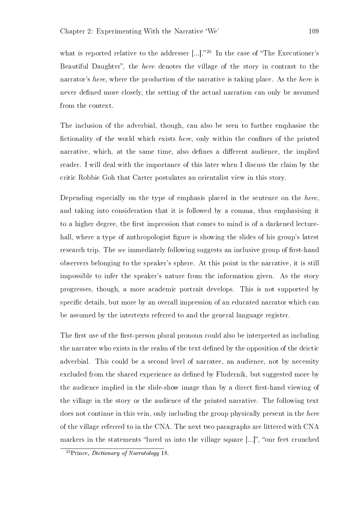what is reported relative to the addresser  $[...]$ ."<sup>25</sup> In the case of "The Executioner's Beautiful Daughter", the *here* denotes the village of the story in contrast to the narrator's here, where the production of the narrative is taking place. As the here is never defined more closely, the setting of the actual narration can only be assumed from the context.

The inclusion of the adverbial, though, can also be seen to further emphasise the fictionality of the world which exists here, only within the confines of the printed narrative, which, at the same time, also defines a different audience, the implied reader. I will deal with the importance of this later when I discuss the claim by the critic Robbie Goh that Carter postulates an orientalist view in this story.

Depending especially on the type of emphasis placed in the sentence on the here, and taking into consideration that it is followed by a comma, thus emphasising it to a higher degree, the first impression that comes to mind is of a darkened lecturehall, where a type of anthropologist figure is showing the slides of his group's latest research trip. The we immediately following suggests an inclusive group of first-hand observers belonging to the speaker's sphere. At this point in the narrative, it is still impossible to infer the speaker's nature from the information given. As the story progresses, though, a more academic portrait develops. This is not supported by specific details, but more by an overall impression of an educated narrator which can be assumed by the intertexts referred to and the general language register.

The first use of the first-person plural pronoun could also be interpreted as including the narratee who exists in the realm of the text defined by the opposition of the deictic adverbial. This could be a second level of narratee, an audience, not by necessity excluded from the shared experience as defined by Fludernik, but suggested more by the audience implied in the slide-show image than by a direct first-hand viewing of the village in the story or the audience of the printed narrative. The following text does not continue in this vein, only including the group physically present in the here of the village referred to in the CNA. The next two paragraphs are littered with CNA markers in the statements "lured us into the village square  $[\dots]$ ", "our feet crunched

<sup>&</sup>lt;sup>25</sup>Prince, *Dictionary of Narratology* 18.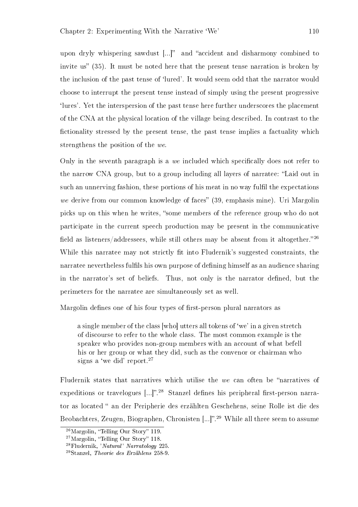upon dryly whispering sawdust  $\left[\ldots\right]^n$  and "accident and disharmony combined to invite us"  $(35)$ . It must be noted here that the present tense narration is broken by the inclusion of the past tense of `lured'. It would seem odd that the narrator would choose to interrupt the present tense instead of simply using the present progressive `lures'. Yet the interspersion of the past tense here further underscores the placement of the CNA at the physical location of the village being described. In contrast to the fictionality stressed by the present tense, the past tense implies a factuality which strengthens the position of the we.

Only in the seventh paragraph is a we included which specifically does not refer to the narrow CNA group, but to a group including all layers of narratee: "Laid out in such an unnerving fashion, these portions of his meat in no way fulfil the expectations we derive from our common knowledge of faces" (39, emphasis mine). Uri Margolin picks up on this when he writes, "some members of the reference group who do not participate in the current speech production may be present in the communicative field as listeners/addressees, while still others may be absent from it altogether.<sup>26</sup> While this narratee may not strictly fit into Fludernik's suggested constraints, the narratee nevertheless fulfils his own purpose of defining himself as an audience sharing in the narrator's set of beliefs. Thus, not only is the narrator defined, but the perimeters for the narratee are simultaneously set as well.

Margolin defines one of his four types of first-person plural narrators as

a single member of the class [who] utters all tokens of `we' in a given stretch of discourse to refer to the whole class. The most common example is the speaker who provides non-group members with an account of what befell his or her group or what they did, such as the convenor or chairman who signs a 'we did' report.<sup>27</sup>

Fludernik states that narratives which utilise the we can often be "narratives of expeditions or travelogues  $\left[...\right]$ ".<sup>28</sup> Stanzel defines his peripheral first-person narrator as located " an der Peripherie des erzählten Geschehens, seine Rolle ist die des Beobachters, Zeugen, Biographen, Chronisten [...]".<sup>29</sup> While all three seem to assume

 $26$ Margolin, "Telling Our Story" 119.

 $27$ Margolin, "Telling Our Story" 118.

<sup>28</sup>Fludernik, 'Natural' Narratology 225.

<sup>29</sup>Stanzel, Theorie des Erzählens 258-9.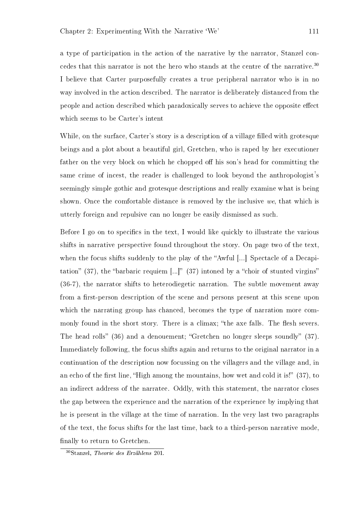a type of participation in the action of the narrative by the narrator, Stanzel concedes that this narrator is not the hero who stands at the centre of the narrative.<sup>30</sup> I believe that Carter purposefully creates a true peripheral narrator who is in no way involved in the action described. The narrator is deliberately distanced from the people and action described which paradoxically serves to achieve the opposite effect which seems to be Carter's intent

While, on the surface, Carter's story is a description of a village filled with grotesque beings and a plot about a beautiful girl, Gretchen, who is raped by her executioner father on the very block on which he chopped off his son's head for committing the same crime of incest, the reader is challenged to look beyond the anthropologist's seemingly simple gothic and grotesque descriptions and really examine what is being shown. Once the comfortable distance is removed by the inclusive we, that which is utterly foreign and repulsive can no longer be easily dismissed as such.

Before I go on to specifics in the text, I would like quickly to illustrate the various shifts in narrative perspective found throughout the story. On page two of the text, when the focus shifts suddenly to the play of the "Awful [...] Spectacle of a Decapitation" (37), the "barbaric requiem  $[...]$ " (37) intoned by a "choir of stunted virgins" (36-7), the narrator shifts to heterodiegetic narration. The subtle movement away from a first-person description of the scene and persons present at this scene upon which the narrating group has chanced, becomes the type of narration more commonly found in the short story. There is a climax; "the axe falls. The flesh severs. The head rolls" (36) and a denouement; "Gretchen no longer sleeps soundly" (37). Immediately following, the focus shifts again and returns to the original narrator in a continuation of the description now focussing on the villagers and the village and, in an echo of the first line, "High among the mountains, how wet and cold it is!"  $(37)$ , to an indirect address of the narratee. Oddly, with this statement, the narrator closes the gap between the experience and the narration of the experience by implying that he is present in the village at the time of narration. In the very last two paragraphs of the text, the focus shifts for the last time, back to a third-person narrative mode, finally to return to Gretchen.

<sup>30</sup>Stanzel, Theorie des Erzählens 201.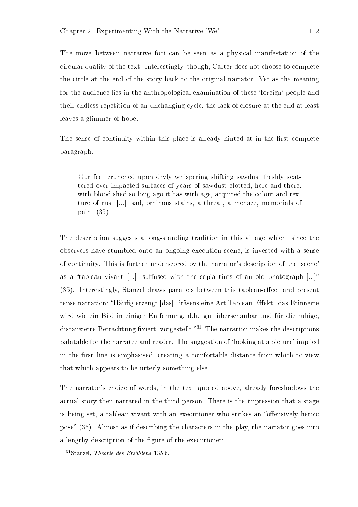The move between narrative foci can be seen as a physical manifestation of the circular quality of the text. Interestingly, though, Carter does not choose to complete the circle at the end of the story back to the original narrator. Yet as the meaning for the audience lies in the anthropological examination of these 'foreign' people and their endless repetition of an unchanging cycle, the lack of closure at the end at least leaves a glimmer of hope.

The sense of continuity within this place is already hinted at in the first complete paragraph.

Our feet crunched upon dryly whispering shifting sawdust freshly scattered over impacted surfaces of years of sawdust clotted, here and there, with blood shed so long ago it has with age, acquired the colour and texture of rust [...] sad, ominous stains, a threat, a menace, memorials of pain. (35)

The description suggests a long-standing tradition in this village which, since the observers have stumbled onto an ongoing execution scene, is invested with a sense of continuity. This is further underscored by the narrator's description of the 'scene' as a "tableau vivant [...] suffused with the sepia tints of an old photograph  $[...]$ " (35). Interestingly, Stanzel draws parallels between this tableau-effect and present tense narration: "Häufig erzeugt [das] Präsens eine Art Tableau-Effekt: das Erinnerte wird wie ein Bild in einiger Entfernung, d.h. gut überschaubar und für die ruhige, distanzierte Betrachtung fixiert, vorgestellt.<sup>31</sup> The narration makes the descriptions palatable for the narratee and reader. The suggestion of `looking at a picture' implied in the first line is emphasised, creating a comfortable distance from which to view that which appears to be utterly something else.

The narrator's choice of words, in the text quoted above, already foreshadows the actual story then narrated in the third-person. There is the impression that a stage is being set, a tableau vivant with an executioner who strikes an "offensively heroic pose"  $(35)$ . Almost as if describing the characters in the play, the narrator goes into a lengthy description of the gure of the executioner:

<sup>31</sup>Stanzel, Theorie des Erzählens 135-6.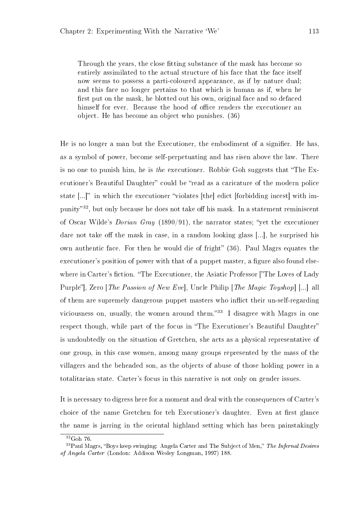Through the years, the close fitting substance of the mask has become so entirely assimilated to the actual structure of his face that the face itself now seems to possess a parti-coloured appearance, as if by nature dual; and this face no longer pertains to that which is human as if, when he first put on the mask, he blotted out his own, original face and so defaced himself for ever. Because the hood of office renders the executioner an object. He has become an object who punishes. (36)

He is no longer a man but the Executioner, the embodiment of a signifier. He has, as a symbol of power, become self-perpetuating and has risen above the law. There is no one to punish him, he is the executioner. Robbie Goh suggests that "The Executioner's Beautiful Daughter" could be "read as a caricature of the modern police state  $[\ldots]^n$  in which the executioner "violates [the] edict [forbidding incest] with impunity<sup>32</sup>, but only because he does not take off his mask. In a statement reminiscent of Oscar Wilde's *Dorian Gray* (1890/91), the narrator states; "yet the executioner dare not take off the mask in case, in a random looking glass  $[...]$ , he surprised his own authentic face. For then he would die of fright"  $(36)$ . Paul Magrs equates the executioner's position of power with that of a puppet master, a figure also found elsewhere in Carter's fiction. "The Executioner, the Asiatic Professor ["The Loves of Lady"] Purple", Zero [*The Passion of New Eve*], Uncle Philip [*The Magic Toyshop*] [...] all of them are supremely dangerous puppet masters who inflict their un-self-regarding viciousness on, usually, the women around them. $33 \text{ I}$  disagree with Magrs in one respect though, while part of the focus in "The Executioner's Beautiful Daughter" is undoubtedly on the situation of Gretchen, she acts as a physical representative of one group, in this case women, among many groups represented by the mass of the villagers and the beheaded son, as the objects of abuse of those holding power in a totalitarian state. Carter's focus in this narrative is not only on gender issues.

It is necessary to digress here for a moment and deal with the consequences of Carter's choice of the name Gretchen for teh Executioner's daughter. Even at first glance the name is jarring in the oriental highland setting which has been painstakingly

 $32G$ oh 76.

 $33$ Paul Magrs, "Boys keep swinging: Angela Carter and The Subject of Men," The Infernal Desires of Angela Carter (London: Addison Wesley Longman, 1997) 188.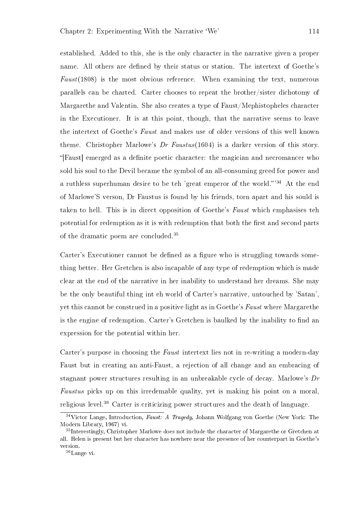established. Added to this, she is the only character in the narrative given a proper name. All others are defined by their status or station. The intertext of Goethe's  $Fast(1808)$  is the most obvious reference. When examining the text, numerous parallels can be charted. Carter chooses to repeat the brother/sister dichotomy of Margarethe and Valentin. She also creates a type of Faust/Mephistopheles character in the Executioner. It is at this point, though, that the narrative seems to leave the intertext of Goethe's Faust and makes use of older versions of this well known theme. Christopher Marlowe's  $Dr$  Faustus(1604) is a darker version of this story. "[Faust] emerged as a definite poetic character: the magician and necromancer who sold his soul to the Devil became the symbol of an all-consuming greed for power and a ruthless superhuman desire to be teh 'great emperor of the world."<sup>34</sup> At the end of Marlowe'S verson, Dr Faustus is found by his friends, torn apart and his sould is taken to hell. This is in direct opposition of Goethe's Faust which emphasises teh potential for redemption as it is with redemption that both the first and second parts of the dramatic poem are concluded.<sup>35</sup>

Carter's Executioner cannot be defined as a figure who is struggling towards something better. Her Gretchen is also incapable of any type of redemption which is made clear at the end of the narrative in her inability to understand her dreams. She may be the only beautiful thing int eh world of Carter's narrative, untouched by 'Satan', yet this cannot be construed in a positive light as in Goethe's Faust where Margarethe is the engine of redemption. Carter's Gretchen is baulked by the inability to find an expression for the potential within her.

Carter's purpose in choosing the Faust intertext lies not in re-writing a modern-day Faust but in creating an anti-Faust, a rejection of all change and an embracing of stagnant power structures resulting in an unbreakable cycle of decay. Marlowe's Dr Faustus picks up on this irredemable quality, yet is making his point on a moral, religious level.<sup>36</sup> Carter is criticizing power structures and the death of language.

 $34$ Victor Lange, Introduction, Faust: A Tragedy, Johann Wolfgang von Goethe (New York: The Modern Library, 1967) vi.

<sup>&</sup>lt;sup>35</sup>Interestingly, Christopher Marlowe does not include the character of Margarethe or Gretchen at all. Helen is present but her character has nowhere near the presence of her counterpart in Goethe's version.

<sup>36</sup>Lange vi.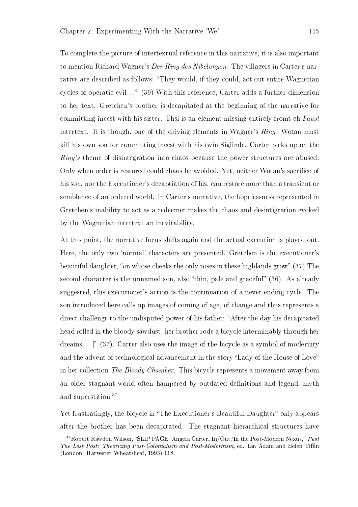To complete the picture of intertextual reference in this narrative, it is also important to mention Richard Wagner's Der Ring des Nibelungen. The villagers in Carter's narrative are described as follows: "They would, if they could, act out entire Wagnerian cycles of operatic evil ... (39) With this reference, Carter adds a further dimension to her text. Gretchen's brother is decapitated at the beginning of the narrative for committing incest with his sister. Thsi is an element missing entirely fromt eh Faust intertext. It is though, one of the driving elements in Wagner's Ring. Wotan must kill his own son for committing incest with his twin Siglinde. Carter picks up on the Ring's theme of disintegration into chaos because the power structures are abused. Only when order is restored could chaos be avoided. Yet, neither Wotan's sacrifice of his son, nor the Executioner's decaptiation of his, can restore more than a transient or semblance of an ordered world. In Carter's narrative, the hopelessness represented in Gretchen's inability to act as a redeemer makes the chaos and desintigration evoked by the Wagnerian intertext an inevitability.

At this point, the narrative focus shifts again and the actual execution is played out. Here, the only two `normal' characters are presented. Gretchen is the executioner's beautiful daughter, "on whose cheeks the only roses in these highlands grow"  $(37)$  The second character is the unnamed son, also "thin, pale and graceful"  $(36)$ . As already suggested, this executioner's action is the continuation of a never-ending cycle. The son introduced here calls up images of coming of age, of change and thus represents a direct challenge to the undisputed power of his father: "After the day his decapitated head rolled in the bloody sawdust, her brother rode a bicycle interminably through her dreams  $\left[\ldots\right]$  (37). Carter also uses the image of the bicycle as a symbol of modernity and the advent of technological advancement in the story "Lady of the House of Love" in her collection The Bloody Chamber. This bicycle represents a movement away from an older stagnant world often hampered by outdated denitions and legend, myth and superstition.<sup>37</sup>

Yet frustratingly, the bicycle in "The Executioner's Beautiful Daughter" only appears after the brother has been decapitated. The stagnant hierarchical structures have

 $37Robert Rawdon Wilson, "SLIP PAGE: Angela Carter, In/Out/In the Post-Modern News," Past$ The Last Post: Theorizing Post-Colonialism and Post-Modernism, ed. Ian Adam and Helen Tiffin (London: Harvester Wheatsheaf, 1993) 118.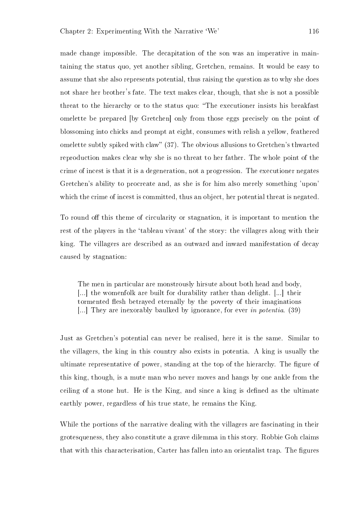made change impossible. The decapitation of the son was an imperative in maintaining the status quo, yet another sibling, Gretchen, remains. It would be easy to assume that she also represents potential, thus raising the question as to why she does not share her brother's fate. The text makes clear, though, that she is not a possible threat to the hierarchy or to the status quo: "The executioner insists his breakfast omelette be prepared [by Gretchen] only from those eggs precisely on the point of blossoming into chicks and prompt at eight, consumes with relish a yellow, feathered omelette subtly spiked with claw" (37). The obvious allusions to Gretchen's thwarted reproduction makes clear why she is no threat to her father. The whole point of the crime of incest is that it is a degeneration, not a progression. The executioner negates Gretchen's ability to procreate and, as she is for him also merely something 'upon' which the crime of incest is committed, thus an object, her potential threat is negated.

To round off this theme of circularity or stagnation, it is important to mention the rest of the players in the 'tableau vivant' of the story: the villagers along with their king. The villagers are described as an outward and inward manifestation of decay caused by stagnation:

The men in particular are monstrously hirsute about both head and body, [...] the womenfolk are built for durability rather than delight. [...] their tormented flesh betrayed eternally by the poverty of their imaginations [...] They are inexorably baulked by ignorance, for ever in potentia. (39)

Just as Gretchen's potential can never be realised, here it is the same. Similar to the villagers, the king in this country also exists in potentia. A king is usually the ultimate representative of power, standing at the top of the hierarchy. The figure of this king, though, is a mute man who never moves and hangs by one ankle from the ceiling of a stone hut. He is the King, and since a king is defined as the ultimate earthly power, regardless of his true state, he remains the King.

While the portions of the narrative dealing with the villagers are fascinating in their grotesqueness, they also constitute a grave dilemma in this story. Robbie Goh claims that with this characterisation, Carter has fallen into an orientalist trap. The figures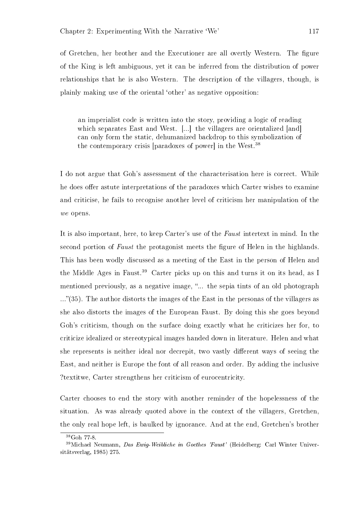of Gretchen, her brother and the Executioner are all overtly Western. The figure of the King is left ambiguous, yet it can be inferred from the distribution of power relationships that he is also Western. The description of the villagers, though, is plainly making use of the oriental `other' as negative opposition:

an imperialist code is written into the story, providing a logic of reading which separates East and West. [...] the villagers are orientalized [and] can only form the static, dehumanized backdrop to this symbolization of the contemporary crisis [paradoxes of power] in the West.<sup>38</sup>

I do not argue that Goh's assessment of the characterisation here is correct. While he does offer astute interpretations of the paradoxes which Carter wishes to examine and criticise, he fails to recognise another level of criticism her manipulation of the we opens.

It is also important, here, to keep Carter's use of the Faust intertext in mind. In the second portion of Faust the protagonist meets the figure of Helen in the highlands. This has been wodly discussed as a meeting of the East in the person of Helen and the Middle Ages in Faust.<sup>39</sup> Carter picks up on this and turns it on its head, as I mentioned previously, as a negative image, "... the sepia tints of an old photograph ..."(35). The author distorts the images of the East in the personas of the villagers as she also distorts the images of the European Faust. By doing this she goes beyond Goh's criticism, though on the surface doing exactly what he criticizes her for, to criticize idealized or stereotypical images handed down in literature. Helen and what she represents is neither ideal nor decrepit, two vastly different ways of seeing the East, and neither is Europe the font of all reason and order. By adding the inclusive ?textitwe, Carter strengthens her criticism of eurocentricity.

Carter chooses to end the story with another reminder of the hopelessness of the situation. As was already quoted above in the context of the villagers, Gretchen, the only real hope left, is baulked by ignorance. And at the end, Gretchen's brother

<sup>38</sup>Goh 77-8.

 $39$ Michael Neumann, Das Ewig-Weibliche in Goethes 'Faust' (Heidelberg: Carl Winter Universitätsverlag, 1985) 275.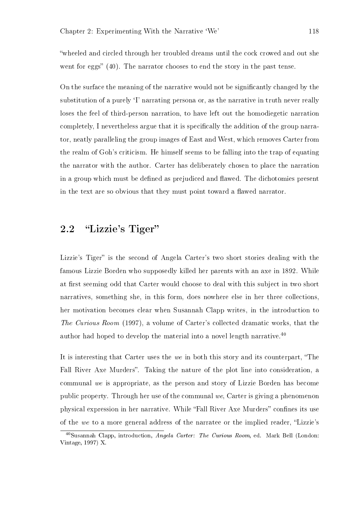wheeled and circled through her troubled dreams until the cock crowed and out she went for eggs"  $(40)$ . The narrator chooses to end the story in the past tense.

On the surface the meaning of the narrative would not be signicantly changed by the substitution of a purely `I' narrating persona or, as the narrative in truth never really loses the feel of third-person narration, to have left out the homodiegetic narration completely, I nevertheless argue that it is specifically the addition of the group narrator, neatly paralleling the group images of East and West, which removes Carter from the realm of Goh's criticism. He himself seems to be falling into the trap of equating the narrator with the author. Carter has deliberately chosen to place the narration in a group which must be defined as prejudiced and flawed. The dichotomies present in the text are so obvious that they must point toward a flawed narrator.

### 2.2 "Lizzie's Tiger"

Lizzie's Tiger" is the second of Angela Carter's two short stories dealing with the famous Lizzie Borden who supposedly killed her parents with an axe in 1892. While at first seeming odd that Carter would choose to deal with this subject in two short narratives, something she, in this form, does nowhere else in her three collections, her motivation becomes clear when Susannah Clapp writes, in the introduction to The Curious Room (1997), a volume of Carter's collected dramatic works, that the author had hoped to develop the material into a novel length narrative.<sup>40</sup>

It is interesting that Carter uses the we in both this story and its counterpart, The Fall River Axe Murders". Taking the nature of the plot line into consideration, a communal we is appropriate, as the person and story of Lizzie Borden has become public property. Through her use of the communal we, Carter is giving a phenomenon physical expression in her narrative. While "Fall River Axe Murders" confines its use of the we to a more general address of the narratee or the implied reader, "Lizzie's

<sup>40</sup>Susannah Clapp, introduction, Angela Carter: The Curious Room, ed. Mark Bell (London: Vintage, 1997) X.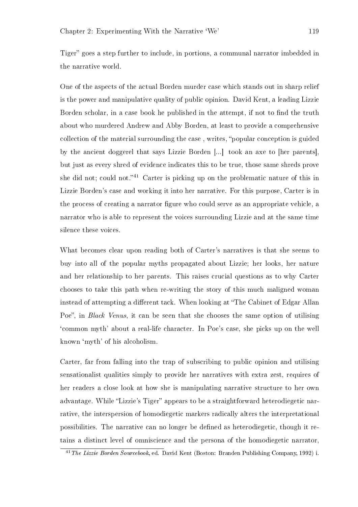Tiger" goes a step further to include, in portions, a communal narrator imbedded in the narrative world.

One of the aspects of the actual Borden murder case which stands out in sharp relief is the power and manipulative quality of public opinion. David Kent, a leading Lizzie Borden scholar, in a case book he published in the attempt, if not to find the truth about who murdered Andrew and Abby Borden, at least to provide a comprehensive collection of the material surrounding the case, writes, "popular conception is guided by the ancient doggerel that says Lizzie Borden [...] took an axe to [her parents], but just as every shred of evidence indicates this to be true, those same shreds prove she did not; could not.<sup>41</sup> Carter is picking up on the problematic nature of this in Lizzie Borden's case and working it into her narrative. For this purpose, Carter is in the process of creating a narrator figure who could serve as an appropriate vehicle, a narrator who is able to represent the voices surrounding Lizzie and at the same time silence these voices.

What becomes clear upon reading both of Carter's narratives is that she seems to buy into all of the popular myths propagated about Lizzie; her looks, her nature and her relationship to her parents. This raises crucial questions as to why Carter chooses to take this path when re-writing the story of this much maligned woman instead of attempting a different tack. When looking at "The Cabinet of Edgar Allan Poe", in *Black Venus*, it can be seen that she chooses the same option of utilising `common myth' about a real-life character. In Poe's case, she picks up on the well known `myth' of his alcoholism.

Carter, far from falling into the trap of subscribing to public opinion and utilising sensationalist qualities simply to provide her narratives with extra zest, requires of her readers a close look at how she is manipulating narrative structure to her own advantage. While "Lizzie's Tiger" appears to be a straightforward heterodiegetic narrative, the interspersion of homodiegetic markers radically alters the interpretational possibilities. The narrative can no longer be dened as heterodiegetic, though it retains a distinct level of omniscience and the persona of the homodiegetic narrator,

 $^{41}$ The Lizzie Borden Sourcebook, ed. David Kent (Boston: Branden Publishing Company, 1992) i.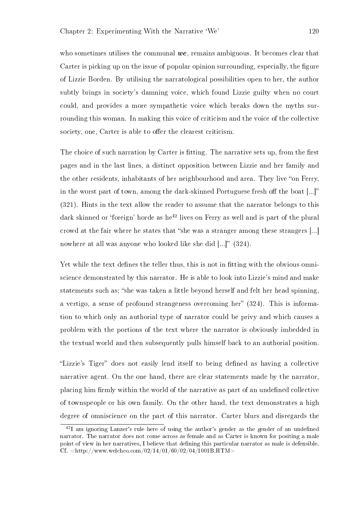who sometimes utilises the communal  $we$ , remains ambiguous. It becomes clear that Carter is picking up on the issue of popular opinion surrounding, especially, the figure of Lizzie Borden. By utilising the narratological possibilities open to her, the author subtly brings in society's damning voice, which found Lizzie guilty when no court could, and provides a more sympathetic voice which breaks down the myths surrounding this woman. In making this voice of criticism and the voice of the collective society, one, Carter is able to offer the clearest criticism.

The choice of such narration by Carter is fitting. The narrative sets up, from the first pages and in the last lines, a distinct opposition between Lizzie and her family and the other residents, inhabitants of her neighbourhood and area. They live "on Ferry, in the worst part of town, among the dark-skinned Portuguese fresh off the boat  $[...]$ (321). Hints in the text allow the reader to assume that the narrator belongs to this dark skinned or 'foreign' horde as he<sup>42</sup> lives on Ferry as well and is part of the plural crowd at the fair where he states that "she was a stranger among these strangers [...] nowhere at all was anyone who looked like she did [...]" (324).

Yet while the text defines the teller thus, this is not in fitting with the obvious omniscience demonstrated by this narrator. He is able to look into Lizzie's mind and make statements such as; "she was taken a little beyond herself and felt her head spinning, a vertigo, a sense of profound strangeness overcoming her"  $(324)$ . This is information to which only an authorial type of narrator could be privy and which causes a problem with the portions of the text where the narrator is obviously imbedded in the textual world and then subsequently pulls himself back to an authorial position.

"Lizzie's Tiger" does not easily lend itself to being defined as having a collective narrative agent. On the one hand, there are clear statements made by the narrator, placing him firmly within the world of the narrative as part of an undefined collective of townspeople or his own family. On the other hand, the text demonstrates a high degree of omniscience on the part of this narrator. Carter blurs and disregards the

 $^{42}$ I am ignoring Lanzer's rule here of using the author's gender as the gender of an undefined narrator. The narrator does not come across as female and as Carter is known for positing a male point of view in her narratives, I believe that defining this particular narrator as male is defensible. Cf.  $\langle$ http://www.welchco.com/02/14/01/60/02/04/1001B.HTM>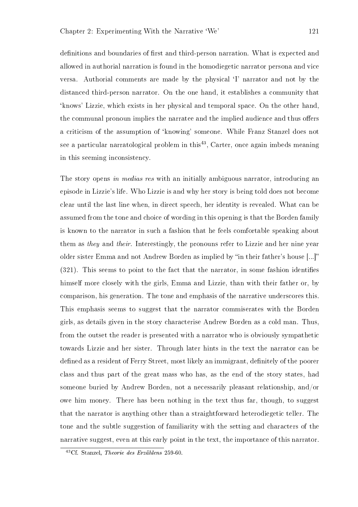definitions and boundaries of first and third-person narration. What is expected and allowed in authorial narration is found in the homodiegetic narrator persona and vice versa. Authorial comments are made by the physical `I' narrator and not by the distanced third-person narrator. On the one hand, it establishes a community that `knows' Lizzie, which exists in her physical and temporal space. On the other hand, the communal pronoun implies the narratee and the implied audience and thus offers a criticism of the assumption of `knowing' someone. While Franz Stanzel does not see a particular narratological problem in this<sup>43</sup>, Carter, once again imbeds meaning in this seeming inconsistency.

The story opens in medias res with an initially ambiguous narrator, introducing an episode in Lizzie's life. Who Lizzie is and why her story is being told does not become clear until the last line when, in direct speech, her identity is revealed. What can be assumed from the tone and choice of wording in this opening is that the Borden family is known to the narrator in such a fashion that he feels comfortable speaking about them as they and their. Interestingly, the pronouns refer to Lizzie and her nine year older sister Emma and not Andrew Borden as implied by "in their father's house [...]" (321). This seems to point to the fact that the narrator, in some fashion identifies himself more closely with the girls, Emma and Lizzie, than with their father or, by comparison, his generation. The tone and emphasis of the narrative underscores this. This emphasis seems to suggest that the narrator commiserates with the Borden girls, as details given in the story characterise Andrew Borden as a cold man. Thus, from the outset the reader is presented with a narrator who is obviously sympathetic towards Lizzie and her sister. Through later hints in the text the narrator can be defined as a resident of Ferry Street, most likely an immigrant, definitely of the poorer class and thus part of the great mass who has, as the end of the story states, had someone buried by Andrew Borden, not a necessarily pleasant relationship, and/or owe him money. There has been nothing in the text thus far, though, to suggest that the narrator is anything other than a straightforward heterodiegetic teller. The tone and the subtle suggestion of familiarity with the setting and characters of the narrative suggest, even at this early point in the text, the importance of this narrator.

<sup>43</sup>Cf. Stanzel, Theorie des Erzählens 259-60.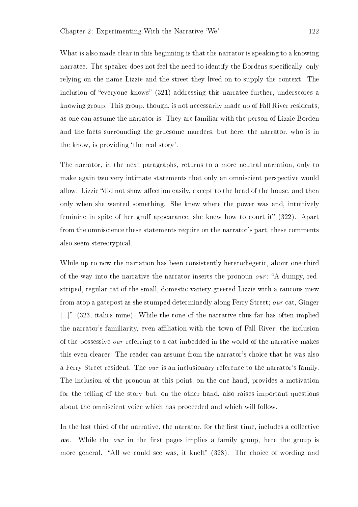What is also made clear in this beginning is that the narrator is speaking to a knowing narratee. The speaker does not feel the need to identify the Bordens specifically, only relying on the name Lizzie and the street they lived on to supply the context. The inclusion of "everyone knows"  $(321)$  addressing this narratee further, underscores a knowing group. This group, though, is not necessarily made up of Fall River residents, as one can assume the narrator is. They are familiar with the person of Lizzie Borden and the facts surrounding the gruesome murders, but here, the narrator, who is in the know, is providing 'the real story'.

The narrator, in the next paragraphs, returns to a more neutral narration, only to make again two very intimate statements that only an omniscient perspective would allow. Lizzie "did not show affection easily, except to the head of the house, and then only when she wanted something. She knew where the power was and, intuitively feminine in spite of her gruff appearance, she knew how to court it"  $(322)$ . Apart from the omniscience these statements require on the narrator's part, these comments also seem stereotypical.

While up to now the narration has been consistently heterodiegetic, about one-third of the way into the narrative the narrator inserts the pronoun *our*: "A dumpy, redstriped, regular cat of the small, domestic variety greeted Lizzie with a raucous mew from atop a gatepost as she stumped determinedly along Ferry Street; our cat, Ginger  $\left[\ldots\right]$ " (323, italics mine). While the tone of the narrative thus far has often implied the narrator's familiarity, even affiliation with the town of Fall River, the inclusion of the possessive our referring to a cat imbedded in the world of the narrative makes this even clearer. The reader can assume from the narrator's choice that he was also a Ferry Street resident. The our is an inclusionary reference to the narrator's family. The inclusion of the pronoun at this point, on the one hand, provides a motivation for the telling of the story but, on the other hand, also raises important questions about the omniscient voice which has proceeded and which will follow.

In the last third of the narrative, the narrator, for the first time, includes a collective we. While the *our* in the first pages implies a family group, here the group is more general. "All we could see was, it knelt" (328). The choice of wording and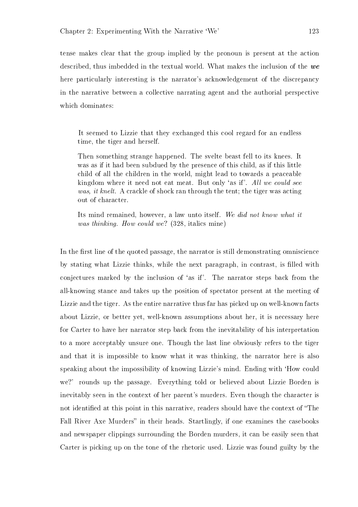tense makes clear that the group implied by the pronoun is present at the action described, thus imbedded in the textual world. What makes the inclusion of the we here particularly interesting is the narrator's acknowledgement of the discrepancy in the narrative between a collective narrating agent and the authorial perspective which dominates:

It seemed to Lizzie that they exchanged this cool regard for an endless time, the tiger and herself.

Then something strange happened. The svelte beast fell to its knees. It was as if it had been subdued by the presence of this child, as if this little child of all the children in the world, might lead to towards a peaceable kingdom where it need not eat meat. But only 'as if'. All we could see was, it knelt. A crackle of shock ran through the tent; the tiger was acting out of character.

Its mind remained, however, a law unto itself. We did not know what it was thinking. How could we? (328, italics mine)

In the first line of the quoted passage, the narrator is still demonstrating omniscience by stating what Lizzie thinks, while the next paragraph, in contrast, is filled with conjectures marked by the inclusion of `as if'. The narrator steps back from the all-knowing stance and takes up the position of spectator present at the meeting of Lizzie and the tiger. As the entire narrative thus far has picked up on well-known facts about Lizzie, or better yet, well-known assumptions about her, it is necessary here for Carter to have her narrator step back from the inevitability of his interpretation to a more acceptably unsure one. Though the last line obviously refers to the tiger and that it is impossible to know what it was thinking, the narrator here is also speaking about the impossibility of knowing Lizzie's mind. Ending with `How could we?' rounds up the passage. Everything told or believed about Lizzie Borden is inevitably seen in the context of her parent's murders. Even though the character is not identified at this point in this narrative, readers should have the context of "The Fall River Axe Murders" in their heads. Startlingly, if one examines the casebooks and newspaper clippings surrounding the Borden murders, it can be easily seen that Carter is picking up on the tone of the rhetoric used. Lizzie was found guilty by the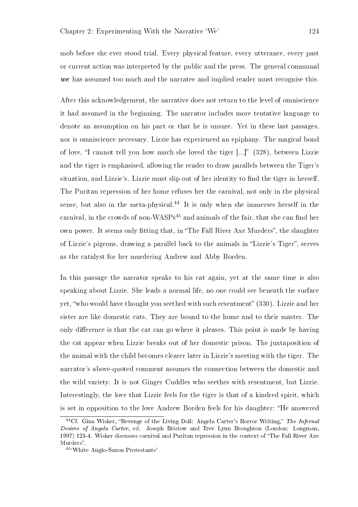mob before she ever stood trial. Every physical feature, every utterance, every past or current action was interpreted by the public and the press. The general communal we has assumed too much and the narratee and implied reader must recognise this.

After this acknowledgement, the narrative does not return to the level of omniscience it had assumed in the beginning. The narrator includes more tentative language to denote an assumption on his part or that he is unsure. Yet in these last passages, nor is omniscience necessary. Lizzie has experienced an epiphany. The magical bond of love, "I cannot tell you how much she loved the tiger [...]" (328), between Lizzie and the tiger is emphasised, allowing the reader to draw parallels between the Tiger's situation, and Lizzie's. Lizzie must slip out of her identity to find the tiger in herself. The Puritan repression of her home refuses her the carnival, not only in the physical sense, but also in the meta-physical.<sup>44</sup> It is only when she immerses herself in the carnival, in the crowds of non-WASPs<sup>45</sup> and animals of the fair, that she can find her own power. It seems only fitting that, in "The Fall River Axe Murders", the slaughter of Lizzie's pigeons, drawing a parallel back to the animals in "Lizzie's Tiger", serves as the catalyst for her murdering Andrew and Abby Borden.

In this passage the narrator speaks to his cat again, yet at the same time is also speaking about Lizzie. She leads a normal life, no one could see beneath the surface yet, "who would have thought you seethed with such resentment" (330). Lizzie and her sister are like domestic cats. They are bound to the home and to their master. The only difference is that the cat can go where it pleases. This point is made by having the cat appear when Lizzie breaks out of her domestic prison. The juxtaposition of the animal with the child becomes clearer later in Lizzie's meeting with the tiger. The narrator's above-quoted comment assumes the connection between the domestic and the wild variety. It is not Ginger Cuddles who seethes with resentment, but Lizzie. Interestingly, the love that Lizzie feels for the tiger is that of a kindred spirit, which is set in opposition to the love Andrew Borden feels for his daughter: "He answered

<sup>&</sup>lt;sup>44</sup>Cf. Gina Wisker, "Revenge of the Living Doll: Angela Carter's Horror Writing," The Infernal Desires of Angela Carter, ed. Joseph Bristow and Trev Lynn Broughton (London: Longman, 1997) 123-4. Wisker discusses carnival and Puritan repression in the context of The Fall River Axe Murders".

 $^{45\, \circ} \mathrm{White}$  Anglo-Saxon Protestants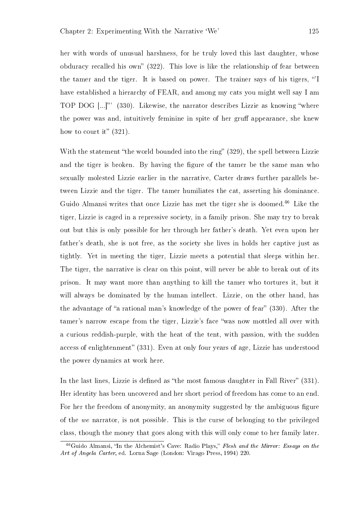her with words of unusual harshness, for he truly loved this last daughter, whose obduracy recalled his own"  $(322)$ . This love is like the relationship of fear between the tamer and the tiger. It is based on power. The trainer says of his tigers, 'I have established a hierarchy of FEAR, and among my cats you might well say I am TOP DOG [...]" (330). Likewise, the narrator describes Lizzie as knowing "where the power was and, intuitively feminine in spite of her gruff appearance, she knew how to court it"  $(321)$ .

With the statement "the world bounded into the ring"  $(329)$ , the spell between Lizzie and the tiger is broken. By having the figure of the tamer be the same man who sexually molested Lizzie earlier in the narrative, Carter draws further parallels between Lizzie and the tiger. The tamer humiliates the cat, asserting his dominance. Guido Almansi writes that once Lizzie has met the tiger she is doomed.<sup>46</sup> Like the tiger, Lizzie is caged in a repressive society, in a family prison. She may try to break out but this is only possible for her through her father's death. Yet even upon her father's death, she is not free, as the society she lives in holds her captive just as tightly. Yet in meeting the tiger, Lizzie meets a potential that sleeps within her. The tiger, the narrative is clear on this point, will never be able to break out of its prison. It may want more than anything to kill the tamer who tortures it, but it will always be dominated by the human intellect. Lizzie, on the other hand, has the advantage of "a rational man's knowledge of the power of fear" (330). After the tamer's narrow escape from the tiger, Lizzie's face "was now mottled all over with a curious reddish-purple, with the heat of the tent, with passion, with the sudden access of enlightenment" (331). Even at only four years of age, Lizzie has understood the power dynamics at work here.

In the last lines, Lizzie is defined as "the most famous daughter in Fall River"  $(331)$ . Her identity has been uncovered and her short period of freedom has come to an end. For her the freedom of anonymity, an anonymity suggested by the ambiguous figure of the we narrator, is not possible. This is the curse of belonging to the privileged class, though the money that goes along with this will only come to her family later.

 $^{46}$ Guido Almansi, "In the Alchemist's Cave: Radio Plays," Flesh and the Mirror: Essays on the Art of Angela Carter, ed. Lorna Sage (London: Virago Press, 1994) 220.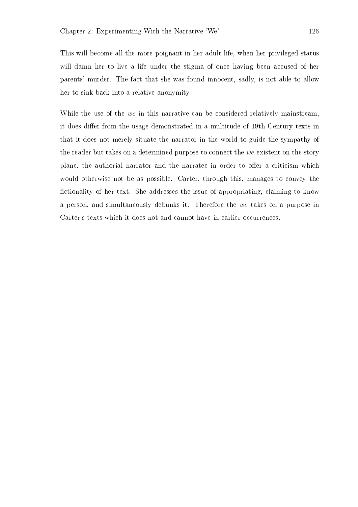This will become all the more poignant in her adult life, when her privileged status will damn her to live a life under the stigma of once having been accused of her parents' murder. The fact that she was found innocent, sadly, is not able to allow her to sink back into a relative anonymity.

While the use of the we in this narrative can be considered relatively mainstream, it does differ from the usage demonstrated in a multitude of 19th Century texts in that it does not merely situate the narrator in the world to guide the sympathy of the reader but takes on a determined purpose to connect the we existent on the story plane, the authorial narrator and the narratee in order to offer a criticism which would otherwise not be as possible. Carter, through this, manages to convey the fictionality of her text. She addresses the issue of appropriating, claiming to know a person, and simultaneously debunks it. Therefore the we takes on a purpose in Carter's texts which it does not and cannot have in earlier occurrences.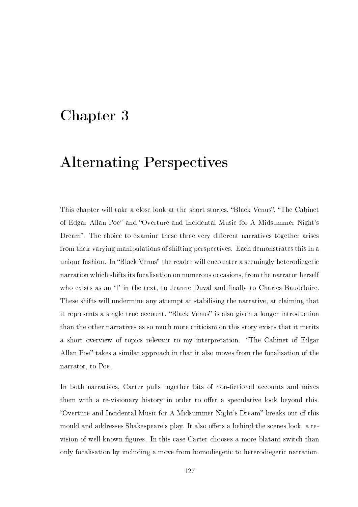## Chapter 3

# Alternating Perspectives

This chapter will take a close look at the short stories, "Black Venus", "The Cabinet of Edgar Allan Poe" and "Overture and Incidental Music for A Midsummer Night's Dream". The choice to examine these three very different narratives together arises from their varying manipulations of shifting perspectives. Each demonstrates this in a unique fashion. In "Black Venus" the reader will encounter a seemingly heterodiegetic narration which shifts its focalisation on numerous occasions, from the narrator herself who exists as an 'I' in the text, to Jeanne Duval and finally to Charles Baudelaire. These shifts will undermine any attempt at stabilising the narrative, at claiming that it represents a single true account. "Black Venus" is also given a longer introduction than the other narratives as so much more criticism on this story exists that it merits a short overview of topics relevant to my interpretation. The Cabinet of Edgar Allan Poe" takes a similar approach in that it also moves from the focalisation of the narrator, to Poe.

In both narratives, Carter pulls together bits of non-fictional accounts and mixes them with a re-visionary history in order to offer a speculative look beyond this. "Overture and Incidental Music for A Midsummer Night's Dream" breaks out of this mould and addresses Shakespeare's play. It also offers a behind the scenes look, a revision of well-known figures. In this case Carter chooses a more blatant switch than only focalisation by including a move from homodiegetic to heterodiegetic narration.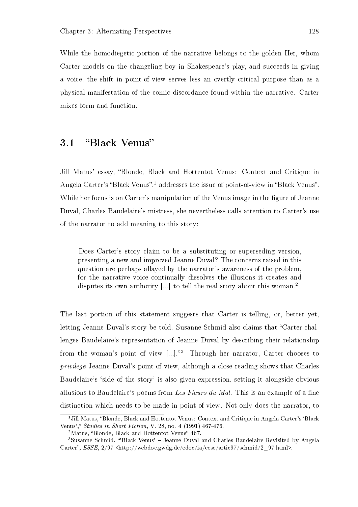While the homodiegetic portion of the narrative belongs to the golden Her, whom Carter models on the changeling boy in Shakespeare's play, and succeeds in giving a voice, the shift in point-of-view serves less an overtly critical purpose than as a physical manifestation of the comic discordance found within the narrative. Carter mixes form and function.

#### 3.1 "Black Venus"

Jill Matus' essay, "Blonde, Black and Hottentot Venus: Context and Critique in Angela Carter's "Black Venus",<sup>1</sup> addresses the issue of point-of-view in "Black Venus". While her focus is on Carter's manipulation of the Venus image in the figure of Jeanne Duval, Charles Baudelaire's mistress, she nevertheless calls attention to Carter's use of the narrator to add meaning to this story:

Does Carter's story claim to be a substituting or superseding version, presenting a new and improved Jeanne Duval? The concerns raised in this question are perhaps allayed by the narrator's awareness of the problem, for the narrative voice continually dissolves the illusions it creates and disputes its own authority [...] to tell the real story about this woman.<sup>2</sup>

The last portion of this statement suggests that Carter is telling, or, better yet, letting Jeanne Duval's story be told. Susanne Schmid also claims that "Carter challenges Baudelaire's representation of Jeanne Duval by describing their relationship from the woman's point of view  $\left[\ldots\right]$ .<sup>3</sup> Through her narrator, Carter chooses to privilege Jeanne Duval's point-of-view, although a close reading shows that Charles Baudelaire's 'side of the story' is also given expression, setting it alongside obvious allusions to Baudelaire's poems from Les Fleurs du Mal. This is an example of a fine distinction which needs to be made in point-of-view. Not only does the narrator, to

<sup>&</sup>lt;sup>1</sup> Jill Matus, "Blonde, Black and Hottentot Venus: Context and Critique in Angela Carter's 'Black Venus'," *Studies in Short Fiction*, V. 28, no. 4 (1991) 467-476.

 $2$ Matus, "Blonde, Black and Hottentot Venus" 467.

<sup>3</sup>Susanne Schmid, 'Black Venus' Jeanne Duval and Charles Baudelaire Revisited by Angela Carter",  $ESSE$ ,  $2/97$  <http://webdoc.gwdg.de/edoc/ia/eese/artic97/schmid/2 97.html>.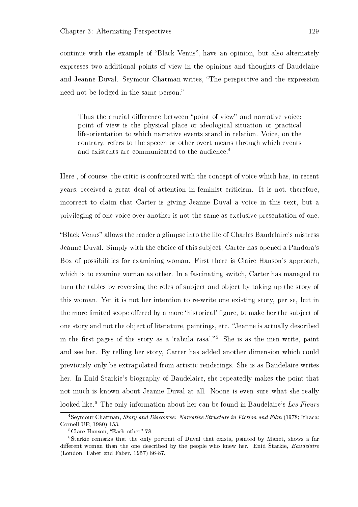continue with the example of "Black Venus", have an opinion, but also alternately expresses two additional points of view in the opinions and thoughts of Baudelaire and Jeanne Duval. Seymour Chatman writes, "The perspective and the expression need not be lodged in the same person.

Thus the crucial difference between "point of view" and narrative voice: point of view is the physical place or ideological situation or practical life-orientation to which narrative events stand in relation. Voice, on the contrary, refers to the speech or other overt means through which events and existents are communicated to the audience.<sup>4</sup>

Here , of course, the critic is confronted with the concept of voice which has, in recent years, received a great deal of attention in feminist criticism. It is not, therefore, incorrect to claim that Carter is giving Jeanne Duval a voice in this text, but a privileging of one voice over another is not the same as exclusive presentation of one.

"Black Venus" allows the reader a glimpse into the life of Charles Baudelaire's mistress Jeanne Duval. Simply with the choice of this subject, Carter has opened a Pandora's Box of possibilities for examining woman. First there is Claire Hanson's approach, which is to examine woman as other. In a fascinating switch, Carter has managed to turn the tables by reversing the roles of subject and object by taking up the story of this woman. Yet it is not her intention to re-write one existing story, per se, but in the more limited scope offered by a more 'historical' figure, to make her the subject of one story and not the object of literature, paintings, etc. "Jeanne is actually described in the first pages of the story as a 'tabula rasa'. $5$  She is as the men write, paint and see her. By telling her story, Carter has added another dimension which could previously only be extrapolated from artistic renderings. She is as Baudelaire writes her. In Enid Starkie's biography of Baudelaire, she repeatedly makes the point that not much is known about Jeanne Duval at all. Noone is even sure what she really looked like.<sup>6</sup> The only information about her can be found in Baudelaire's Les Fleurs

<sup>4</sup>Seymour Chatman, Story and Discourse: Narrative Structure in Fiction and Film (1978; Ithaca: Cornell UP, 1980) 153.

 ${}^5$ Clare Hanson, "Each other" 78.

<sup>6</sup>Starkie remarks that the only portrait of Duval that exists, painted by Manet, shows a far different woman than the one described by the people who knew her. Enid Starkie, *Baudelaire* (London: Faber and Faber, 1957) 86-87.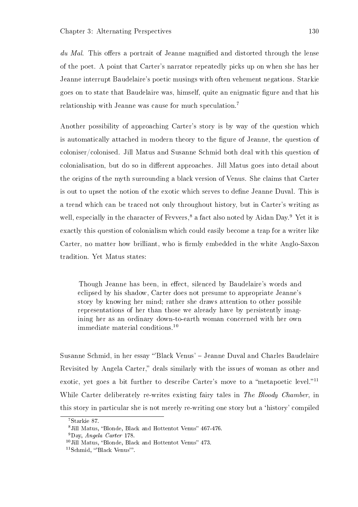$du$  Mal. This offers a portrait of Jeanne magnified and distorted through the lense of the poet. A point that Carter's narrator repeatedly picks up on when she has her Jeanne interrupt Baudelaire's poetic musings with often vehement negations. Starkie goes on to state that Baudelaire was, himself, quite an enigmatic figure and that his relationship with Jeanne was cause for much speculation.<sup>7</sup>

Another possibility of approaching Carter's story is by way of the question which is automatically attached in modern theory to the gure of Jeanne, the question of coloniser/colonised. Jill Matus and Susanne Schmid both deal with this question of colonialisation, but do so in different approaches. Jill Matus goes into detail about the origins of the myth surrounding a black version of Venus. She claims that Carter is out to upset the notion of the exotic which serves to define Jeanne Duval. This is a trend which can be traced not only throughout history, but in Carter's writing as well, especially in the character of Fevvers,<sup>8</sup> a fact also noted by Aidan Day.<sup>9</sup> Yet it is exactly this question of colonialism which could easily become a trap for a writer like Carter, no matter how brilliant, who is firmly embedded in the white Anglo-Saxon tradition. Yet Matus states:

Though Jeanne has been, in effect, silenced by Baudelaire's words and eclipsed by his shadow, Carter does not presume to appropriate Jeanne's story by knowing her mind; rather she draws attention to other possible representations of her than those we already have by persistently imagining her as an ordinary down-to-earth woman concerned with her own immediate material conditions.<sup>10</sup>

Susanne Schmid, in her essay 'Black Venus' Jeanne Duval and Charles Baudelaire Revisited by Angela Carter," deals similarly with the issues of woman as other and exotic, yet goes a bit further to describe Carter's move to a "metapoetic level."<sup>11</sup> While Carter deliberately re-writes existing fairy tales in The Bloody Chamber, in this story in particular she is not merely re-writing one story but a `history' compiled

<sup>7</sup>Starkie 87.

<sup>&</sup>lt;sup>8</sup> Jill Matus, "Blonde, Black and Hottentot Venus" 467-476.

<sup>9</sup>Day, Angela Carter 178.

 $10$  Jill Matus, "Blonde, Black and Hottentot Venus" 473.

<sup>&</sup>lt;sup>11</sup>Schmid, "Black Venus"'.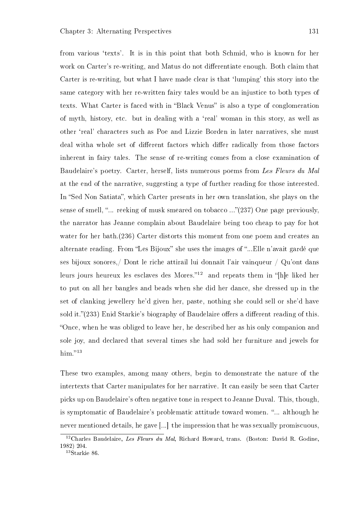from various 'texts'. It is in this point that both Schmid, who is known for her work on Carter's re-writing, and Matus do not differentiate enough. Both claim that Carter is re-writing, but what I have made clear is that 'lumping' this story into the same category with her re-written fairy tales would be an injustice to both types of texts. What Carter is faced with in "Black Venus" is also a type of conglomeration of myth, history, etc. but in dealing with a `real' woman in this story, as well as other `real' characters such as Poe and Lizzie Borden in later narratives, she must deal witha whole set of different factors which differ radically from those factors inherent in fairy tales. The sense of re-writing comes from a close examination of Baudelaire's poetry. Carter, herself, lists numerous poems from Les Fleurs du Mal at the end of the narrative, suggesting a type of further reading for those interested. In "Sed Non Satiata", which Carter presents in her own translation, she plays on the sense of smell, "... reeking of musk smeared on tobacco ..." $(237)$  One page previously. the narrator has Jeanne complain about Baudelaire being too cheap to pay for hot water for her bath.(236) Carter distorts this moment from one poem and creates an alternate reading. From "Les Bijoux" she uses the images of "...Elle n'avait gardé que ses bijoux sonores,/ Dont le riche attirail lui donnait l'air vainqueur / Qu'ont dans leurs jours heureux les esclaves des Mores."<sup>12</sup> and repeats them in "[h]e liked her to put on all her bangles and beads when she did her dance, she dressed up in the set of clanking jewellery he'd given her, paste, nothing she could sell or she'd have sold it. $(233)$  Enid Starkie's biography of Baudelaire offers a different reading of this. Once, when he was obliged to leave her, he described her as his only companion and sole joy, and declared that several times she had sold her furniture and jewels for him." $13$ 

These two examples, among many others, begin to demonstrate the nature of the intertexts that Carter manipulates for her narrative. It can easily be seen that Carter picks up on Baudelaire's often negative tone in respect to Jeanne Duval. This, though, is symptomatic of Baudelaire's problematic attitude toward women. "... although he never mentioned details, he gave [...] the impression that he was sexually promiscuous,

 $12$ Charles Baudelaire, Les Fleurs du Mal, Richard Howard, trans. (Boston: David R. Godine, 1982) 204.

 $13\text{Starki}$ e 86.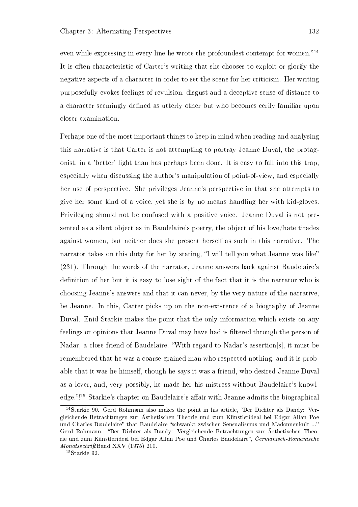even while expressing in every line he wrote the profoundest contempt for women.<sup> $14$ </sup> It is often characteristic of Carter's writing that she chooses to exploit or glorify the negative aspects of a character in order to set the scene for her criticism. Her writing purposefully evokes feelings of revulsion, disgust and a deceptive sense of distance to a character seemingly defined as utterly other but who becomes eerily familiar upon closer examination.

Perhaps one of the most important things to keep in mind when reading and analysing this narrative is that Carter is not attempting to portray Jeanne Duval, the protagonist, in a 'better' light than has perhaps been done. It is easy to fall into this trap, especially when discussing the author's manipulation of point-of-view, and especially her use of perspective. She privileges Jeanne's perspective in that she attempts to give her some kind of a voice, yet she is by no means handling her with kid-gloves. Privileging should not be confused with a positive voice. Jeanne Duval is not presented as a silent object as in Baudelaire's poetry, the object of his love/hate tirades against women, but neither does she present herself as such in this narrative. The narrator takes on this duty for her by stating, "I will tell you what Jeanne was like" (231). Through the words of the narrator, Jeanne answers back against Baudelaire's definition of her but it is easy to lose sight of the fact that it is the narrator who is choosing Jeanne's answers and that it can never, by the very nature of the narrative, be Jeanne. In this, Carter picks up on the non-existence of a biography of Jeanne Duval. Enid Starkie makes the point that the only information which exists on any feelings or opinions that Jeanne Duval may have had is filtered through the person of Nadar, a close friend of Baudelaire. With regard to Nadar's assertion[s], it must be remembered that he was a coarse-grained man who respected nothing, and it is probable that it was he himself, though he says it was a friend, who desired Jeanne Duval as a lover, and, very possibly, he made her his mistress without Baudelaire's knowledge."!<sup>15</sup> Starkie's chapter on Baudelaire's affair with Jeanne admits the biographical

 $14$ Starkie 90. Gerd Rohmann also makes the point in his article, "Der Dichter als Dandy: Vergleichende Betrachtungen zur Ästhetischen Theorie und zum Künstlerideal bei Edgar Allan Poe und Charles Baudelaire" that Baudelaire "schwankt zwischen Sensualismus und Madonnenkult ..." Gerd Rohmann. "Der Dichter als Dandy: Vergleichende Betrachtungen zur Ästhetischen Theorie und zum Künstlerideal bei Edgar Allan Poe und Charles Baudelaire", Germanisch-Romanische MonatsschriftBand XXV (1975) 210.

<sup>15</sup>Starkie 92.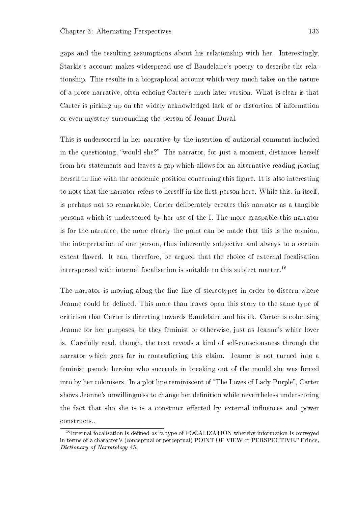gaps and the resulting assumptions about his relationship with her. Interestingly, Starkie's account makes widespread use of Baudelaire's poetry to describe the relationship. This results in a biographical account which very much takes on the nature of a prose narrative, often echoing Carter's much later version. What is clear is that Carter is picking up on the widely acknowledged lack of or distortion of information or even mystery surrounding the person of Jeanne Duval.

This is underscored in her narrative by the insertion of authorial comment included in the questioning, "would she?" The narrator, for just a moment, distances herself from her statements and leaves a gap which allows for an alternative reading placing herself in line with the academic position concerning this figure. It is also interesting to note that the narrator refers to herself in the first-person here. While this, in itself, is perhaps not so remarkable, Carter deliberately creates this narrator as a tangible persona which is underscored by her use of the I. The more graspable this narrator is for the narratee, the more clearly the point can be made that this is the opinion, the interpretation of one person, thus inherently subjective and always to a certain extent flawed. It can, therefore, be argued that the choice of external focalisation interspersed with internal focalisation is suitable to this subject matter.<sup>16</sup>

The narrator is moving along the fine line of stereotypes in order to discern where Jeanne could be defined. This more than leaves open this story to the same type of criticism that Carter is directing towards Baudelaire and his ilk. Carter is colonising Jeanne for her purposes, be they feminist or otherwise, just as Jeanne's white lover is. Carefully read, though, the text reveals a kind of self-consciousness through the narrator which goes far in contradicting this claim. Jeanne is not turned into a feminist pseudo heroine who succeeds in breaking out of the mould she was forced into by her colonisers. In a plot line reminiscent of "The Loves of Lady Purple", Carter shows Jeanne's unwillingness to change her definition while nevertheless underscoring the fact that sho she is is a construct effected by external influences and power constructs..

 $16$ Internal focalisation is defined as "a type of FOCALIZATION whereby information is conveyed in terms of a character's (conceptual or perceptual) POINT OF VIEW or PERSPECTIVE. Prince, Dictionary of Narratology 45.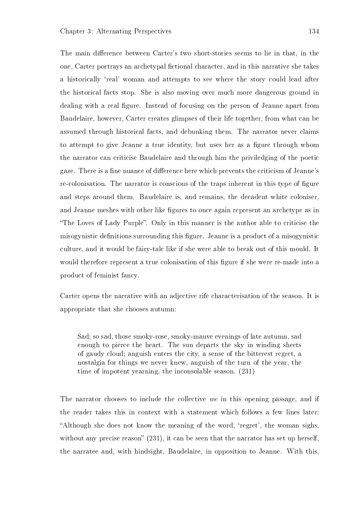The main difference between Carter's two short-stories seems to lie in that, in the one, Carter portrays an archetypal fictional character, and in this narrative she takes a historically `real' woman and attempts to see where the story could lead after the historical facts stop. She is also moving over much more dangerous ground in dealing with a real figure. Instead of focusing on the person of Jeanne apart from Baudelaire, however, Carter creates glimpses of their life together, from what can be assumed through historical facts, and debunking them. The narrator never claims to attempt to give Jeanne a true identity, but uses her as a figure through whom the narrator can criticise Baudelaire and through him the priviledging of the poetic gaze. There is a fine nuance of difference here which prevents the criticism of Jeanne's re-colonisation. The narrator is conscious of the traps inherent in this type of figure and steps around them. Baudelaire is, and remains, the decadent white coloniser, and Jeanne meshes with other like figures to once again represent an archetype as in "The Loves of Lady Purple". Only in this manner is the author able to criticise the misogynistic definitions surrounding this figure. Jeanne is a product of a misogynistic culture, and it would be fairy-tale like if she were able to break out of this mould. It would therefore represent a true colonisation of this figure if she were re-made into a product of feminist fancy.

Carter opens the narrative with an adjective rife characterisation of the season. It is appropriate that she chooses autumn:

Sad; so sad, those smoky-rose, smoky-mauve evenings of late autumn, sad enough to pierce the heart. The sun departs the sky in winding sheets of gaudy cloud; anguish enters the city, a sense of the bitterest regret, a nostalgia for things we never knew, anguish of the turn of the year, the time of impotent yearning, the inconsolable season. (231)

The narrator chooses to include the collective we in this opening passage, and if the reader takes this in context with a statement which follows a few lines later: Although she does not know the meaning of the word, `regret', the woman sighs, without any precise reason"  $(231)$ , it can be seen that the narrator has set up herself. the narratee and, with hindsight, Baudelaire, in opposition to Jeanne. With this,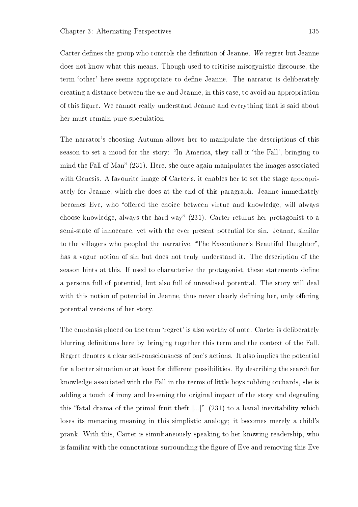Carter defines the group who controls the definition of Jeanne. We regret but Jeanne does not know what this means. Though used to criticise misogynistic discourse, the term 'other' here seems appropriate to define Jeanne. The narrator is deliberately creating a distance between the we and Jeanne, in this case, to avoid an appropriation of this figure. We cannot really understand Jeanne and everything that is said about her must remain pure speculation.

The narrator's choosing Autumn allows her to manipulate the descriptions of this season to set a mood for the story: "In America, they call it 'the Fall', bringing to mind the Fall of Man"  $(231)$ . Here, she once again manipulates the images associated with Genesis. A favourite image of Carter's, it enables her to set the stage appropriately for Jeanne, which she does at the end of this paragraph. Jeanne immediately becomes Eve, who "offered the choice between virtue and knowledge, will always choose knowledge, always the hard way"  $(231)$ . Carter returns her protagonist to a semi-state of innocence, yet with the ever present potential for sin. Jeanne, similar to the villagers who peopled the narrative, "The Executioner's Beautiful Daughter", has a vague notion of sin but does not truly understand it. The description of the season hints at this. If used to characterise the protagonist, these statements define a persona full of potential, but also full of unrealised potential. The story will deal with this notion of potential in Jeanne, thus never clearly defining her, only offering potential versions of her story.

The emphasis placed on the term 'regret' is also worthy of note. Carter is deliberately blurring definitions here by bringing together this term and the context of the Fall. Regret denotes a clear self-consciousness of one's actions. It also implies the potential for a better situation or at least for different possibilities. By describing the search for knowledge associated with the Fall in the terms of little boys robbing orchards, she is adding a touch of irony and lessening the original impact of the story and degrading this "fatal drama of the primal fruit theft  $[...]$ " (231) to a banal inevitability which loses its menacing meaning in this simplistic analogy; it becomes merely a child's prank. With this, Carter is simultaneously speaking to her knowing readership, who is familiar with the connotations surrounding the figure of Eve and removing this Eve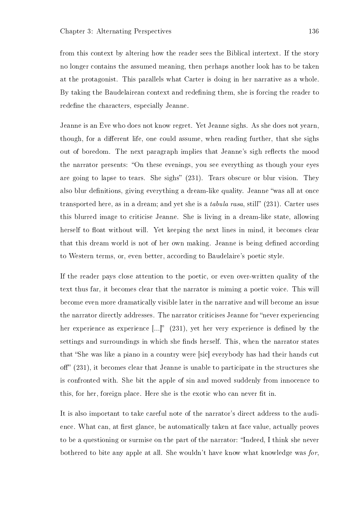from this context by altering how the reader sees the Biblical intertext. If the story no longer contains the assumed meaning, then perhaps another look has to be taken at the protagonist. This parallels what Carter is doing in her narrative as a whole. By taking the Baudelairean context and redening them, she is forcing the reader to redefine the characters, especially Jeanne.

Jeanne is an Eve who does not know regret. Yet Jeanne sighs. As she does not yearn, though, for a different life, one could assume, when reading further, that she sighs out of boredom. The next paragraph implies that Jeanne's sigh reflects the mood the narrator presents: "On these evenings, you see everything as though your eyes are going to lapse to tears. She sighs"  $(231)$ . Tears obscure or blur vision. They also blur definitions, giving everything a dream-like quality. Jeanne "was all at once transported here, as in a dream; and yet she is a *tabula rasa*, still"  $(231)$ . Carter uses this blurred image to criticise Jeanne. She is living in a dream-like state, allowing herself to float without will. Yet keeping the next lines in mind, it becomes clear that this dream world is not of her own making. Jeanne is being defined according to Western terms, or, even better, according to Baudelaire's poetic style.

If the reader pays close attention to the poetic, or even over-written quality of the text thus far, it becomes clear that the narrator is miming a poetic voice. This will become even more dramatically visible later in the narrative and will become an issue the narrator directly addresses. The narrator criticises Jeanne for "never experiencing her experience as experience  $[...]$  (231), yet her very experience is defined by the settings and surroundings in which she finds herself. This, when the narrator states that "She was like a piano in a country were [sic] everybody has had their hands cut off"  $(231)$ , it becomes clear that Jeanne is unable to participate in the structures she is confronted with. She bit the apple of sin and moved suddenly from innocence to this, for her, foreign place. Here she is the exotic who can never fit in.

It is also important to take careful note of the narrator's direct address to the audience. What can, at first glance, be automatically taken at face value, actually proves to be a questioning or surmise on the part of the narrator: "Indeed, I think she never bothered to bite any apple at all. She wouldn't have know what knowledge was for,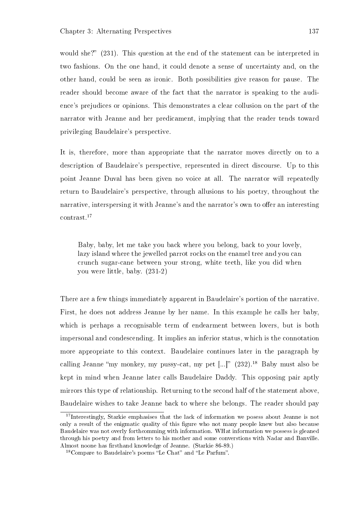would she?"  $(231)$ . This question at the end of the statement can be interpreted in two fashions. On the one hand, it could denote a sense of uncertainty and, on the other hand, could be seen as ironic. Both possibilities give reason for pause. The reader should become aware of the fact that the narrator is speaking to the audience's prejudices or opinions. This demonstrates a clear collusion on the part of the narrator with Jeanne and her predicament, implying that the reader tends toward privileging Baudelaire's perspective.

It is, therefore, more than appropriate that the narrator moves directly on to a description of Baudelaire's perspective, represented in direct discourse. Up to this point Jeanne Duval has been given no voice at all. The narrator will repeatedly return to Baudelaire's perspective, through allusions to his poetry, throughout the narrative, interspersing it with Jeanne's and the narrator's own to offer an interesting contrast.<sup>17</sup>

Baby, baby, let me take you back where you belong, back to your lovely, lazy island where the jewelled parrot rocks on the enamel tree and you can crunch sugar-cane between your strong, white teeth, like you did when you were little, baby. (231-2)

There are a few things immediately apparent in Baudelaire's portion of the narrative. First, he does not address Jeanne by her name. In this example he calls her baby, which is perhaps a recognisable term of endearment between lovers, but is both impersonal and condescending. It implies an inferior status, which is the connotation more appropriate to this context. Baudelaire continues later in the paragraph by calling Jeanne "my monkey, my pussy-cat, my pet  $\left[...\right]$ " (232).<sup>18</sup> Baby must also be kept in mind when Jeanne later calls Baudelaire Daddy. This opposing pair aptly mirrors this type of relationship. Returning to the second half of the statement above, Baudelaire wishes to take Jeanne back to where she belongs. The reader should pay

<sup>&</sup>lt;sup>17</sup>Interestingly, Starkie emphasises that the lack of information we posess about Jeanne is not only a result of the enigmatic quality of this gure who not many people knew but also because Baudelaire was not overly forthcomming with information. WHat information we possess is gleaned through his poetry and from letters to his mother and some converstions with Nadar and Banville. Almost noone has firsthand knowledge of Jeanne. (Starkie 86-89.)

 $18$ Compare to Baudelaire's poems "Le Chat" and "Le Parfum".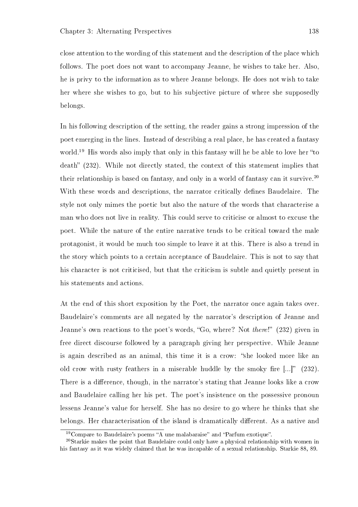close attention to the wording of this statement and the description of the place which follows. The poet does not want to accompany Jeanne, he wishes to take her. Also, he is privy to the information as to where Jeanne belongs. He does not wish to take her where she wishes to go, but to his subjective picture of where she supposedly belongs.

In his following description of the setting, the reader gains a strong impression of the poet emerging in the lines. Instead of describing a real place, he has created a fantasy world.<sup>19</sup> His words also imply that only in this fantasy will he be able to love her "to death" (232). While not directly stated, the context of this statement implies that their relationship is based on fantasy, and only in a world of fantasy can it survive.<sup>20</sup> With these words and descriptions, the narrator critically defines Baudelaire. The style not only mimes the poetic but also the nature of the words that characterise a man who does not live in reality. This could serve to criticise or almost to excuse the poet. While the nature of the entire narrative tends to be critical toward the male protagonist, it would be much too simple to leave it at this. There is also a trend in the story which points to a certain acceptance of Baudelaire. This is not to say that his character is not criticised, but that the criticism is subtle and quietly present in his statements and actions.

At the end of this short exposition by the Poet, the narrator once again takes over. Baudelaire's comments are all negated by the narrator's description of Jeanne and Jeanne's own reactions to the poet's words, "Go, where? Not there!" (232) given in free direct discourse followed by a paragraph giving her perspective. While Jeanne is again described as an animal, this time it is a crow: "she looked more like an old crow with rusty feathers in a miserable huddle by the smoky fire  $[...]$  (232). There is a difference, though, in the narrator's stating that Jeanne looks like a crow and Baudelaire calling her his pet. The poet's insistence on the possessive pronoun lessens Jeanne's value for herself. She has no desire to go where he thinks that she belongs. Her characterisation of the island is dramatically different. As a native and

 $19$ Compare to Baudelaire's poems "A une malabaraise" and "Parfum exotique".

<sup>20</sup>Starkie makes the point that Baudelaire could only have a physical relationship with women in his fantasy as it was widely claimed that he was incapable of a sexual relationship. Starkie 88, 89.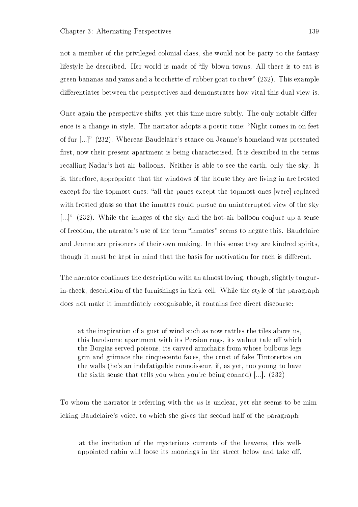not a member of the privileged colonial class, she would not be party to the fantasy lifestyle he described. Her world is made of "fly blown towns. All there is to eat is green bananas and yams and a brochette of rubber goat to chew (232). This example differentiates between the perspectives and demonstrates how vital this dual view is.

Once again the perspective shifts, yet this time more subtly. The only notable difference is a change in style. The narrator adopts a poetic tone: "Night comes in on feet of fur [...]" (232). Whereas Baudelaire's stance on Jeanne's homeland was presented first, now their present apartment is being characterised. It is described in the terms recalling Nadar's hot air balloons. Neither is able to see the earth, only the sky. It is, therefore, appropriate that the windows of the house they are living in are frosted except for the topmost ones: "all the panes except the topmost ones [were] replaced with frosted glass so that the inmates could pursue an uninterrupted view of the sky [...]"  $(232)$ . While the images of the sky and the hot-air balloon conjure up a sense of freedom, the narrator's use of the term "inmates" seems to negate this. Baudelaire and Jeanne are prisoners of their own making. In this sense they are kindred spirits, though it must be kept in mind that the basis for motivation for each is different.

The narrator continues the description with an almost loving, though, slightly tonguein-cheek, description of the furnishings in their cell. While the style of the paragraph does not make it immediately recognisable, it contains free direct discourse:

at the inspiration of a gust of wind such as now rattles the tiles above us, this handsome apartment with its Persian rugs, its walnut tale off which the Borgias served poisons, its carved armchairs from whose bulbous legs grin and grimace the cinquecento faces, the crust of fake Tintorettos on the walls (he's an indefatigable connoisseur, if, as yet, too young to have the sixth sense that tells you when you're being conned) [...]. (232)

To whom the narrator is referring with the us is unclear, yet she seems to be mimicking Baudelaire's voice, to which she gives the second half of the paragraph:

at the invitation of the mysterious currents of the heavens, this wellappointed cabin will loose its moorings in the street below and take off.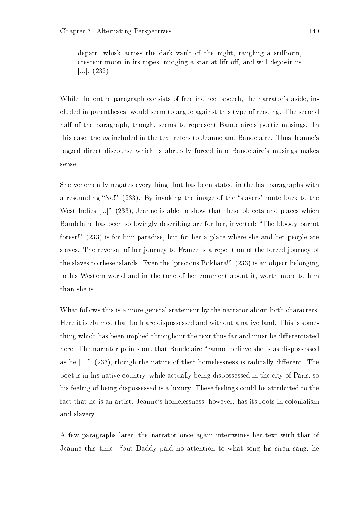depart, whisk across the dark vault of the night, tangling a stillborn, crescent moon in its ropes, nudging a star at lift-off, and will deposit us [...]. (232)

While the entire paragraph consists of free indirect speech, the narrator's aside, included in parentheses, would seem to argue against this type of reading. The second half of the paragraph, though, seems to represent Baudelaire's poetic musings. In this case, the us included in the text refers to Jeanne and Baudelaire. Thus Jeanne's tagged direct discourse which is abruptly forced into Baudelaire's musings makes sense.

She vehemently negates everything that has been stated in the last paragraphs with a resounding "No!"  $(233)$ . By invoking the image of the "slavers' route back to the West Indies  $\left[\ldots\right]^n$  (233), Jeanne is able to show that these objects and places which Baudelaire has been so lovingly describing are for her, inverted: "The bloody parrot forest!"  $(233)$  is for him paradise, but for her a place where she and her people are slaves. The reversal of her journey to France is a repetition of the forced journey of the slaves to these islands. Even the "precious Bokhara!"  $(233)$  is an object belonging to his Western world and in the tone of her comment about it, worth more to him than she is.

What follows this is a more general statement by the narrator about both characters. Here it is claimed that both are dispossessed and without a native land. This is something which has been implied throughout the text thus far and must be differentiated here. The narrator points out that Baudelaire "cannot believe she is as dispossessed as he  $\left[\ldots\right]^n$  (233), though the nature of their homelessness is radically different. The poet is in his native country, while actually being dispossessed in the city of Paris, so his feeling of being dispossessed is a luxury. These feelings could be attributed to the fact that he is an artist. Jeanne's homelessness, however, has its roots in colonialism and slavery.

A few paragraphs later, the narrator once again intertwines her text with that of Jeanne this time: "but Daddy paid no attention to what song his siren sang, he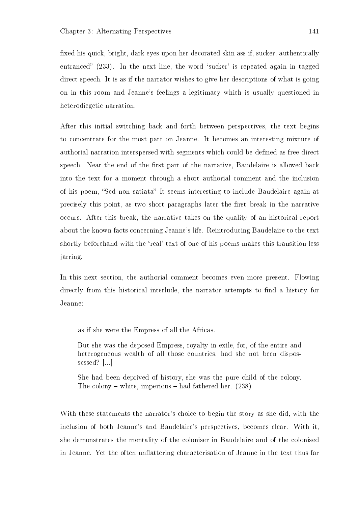xed his quick, bright, dark eyes upon her decorated skin ass if, sucker, authentically entranced"  $(233)$ . In the next line, the word 'sucker' is repeated again in tagged direct speech. It is as if the narrator wishes to give her descriptions of what is going on in this room and Jeanne's feelings a legitimacy which is usually questioned in heterodiegetic narration.

After this initial switching back and forth between perspectives, the text begins to concentrate for the most part on Jeanne. It becomes an interesting mixture of authorial narration interspersed with segments which could be defined as free direct speech. Near the end of the first part of the narrative, Baudelaire is allowed back into the text for a moment through a short authorial comment and the inclusion of his poem, "Sed non satiata" It seems interesting to include Baudelaire again at precisely this point, as two short paragraphs later the first break in the narrative occurs. After this break, the narrative takes on the quality of an historical report about the known facts concerning Jeanne's life. Reintroducing Baudelaire to the text shortly beforehand with the 'real' text of one of his poems makes this transition less jarring.

In this next section, the authorial comment becomes even more present. Flowing directly from this historical interlude, the narrator attempts to find a history for Jeanne:

as if she were the Empress of all the Africas.

But she was the deposed Empress, royalty in exile, for, of the entire and heterogeneous wealth of all those countries, had she not been dispossessed? [...]

She had been deprived of history, she was the pure child of the colony. The colony – white, imperious – had fathered her.  $(238)$ 

With these statements the narrator's choice to begin the story as she did, with the inclusion of both Jeanne's and Baudelaire's perspectives, becomes clear. With it, she demonstrates the mentality of the coloniser in Baudelaire and of the colonised in Jeanne. Yet the often unflattering characterisation of Jeanne in the text thus far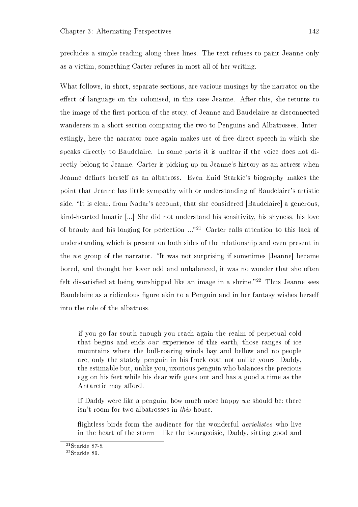precludes a simple reading along these lines. The text refuses to paint Jeanne only as a victim, something Carter refuses in most all of her writing.

What follows, in short, separate sections, are various musings by the narrator on the effect of language on the colonised, in this case Jeanne. After this, she returns to the image of the first portion of the story, of Jeanne and Baudelaire as disconnected wanderers in a short section comparing the two to Penguins and Albatrosses. Interestingly, here the narrator once again makes use of free direct speech in which she speaks directly to Baudelaire. In some parts it is unclear if the voice does not directly belong to Jeanne. Carter is picking up on Jeanne's history as an actress when Jeanne defines herself as an albatross. Even Enid Starkie's biography makes the point that Jeanne has little sympathy with or understanding of Baudelaire's artistic side. "It is clear, from Nadar's account, that she considered [Baudelaire] a generous, kind-hearted lunatic [...] She did not understand his sensitivity, his shyness, his love of beauty and his longing for perfection ..."<sup>21</sup> Carter calls attention to this lack of understanding which is present on both sides of the relationship and even present in the we group of the narrator. "It was not surprising if sometimes [Jeanne] became bored, and thought her lover odd and unbalanced, it was no wonder that she often felt dissatisfied at being worshipped like an image in a shrine.<sup>22</sup> Thus Jeanne sees Baudelaire as a ridiculous figure akin to a Penguin and in her fantasy wishes herself into the role of the albatross.

if you go far south enough you reach again the realm of perpetual cold that begins and ends our experience of this earth, those ranges of ice mountains where the bull-roaring winds bay and bellow and no people are, only the stately penguin in his frock coat not unlike yours, Daddy, the estimable but, unlike you, uxorious penguin who balances the precious egg on his feet while his dear wife goes out and has a good a time as the Antarctic may afford.

If Daddy were like a penguin, how much more happy we should be; there isn't room for two albatrosses in this house.

flightless birds form the audience for the wonderful *aerielistes* who live in the heart of the storm  $-$  like the bourgeoisie, Daddy, sitting good and

 $21$ Starkie 87-8.

<sup>22</sup>Starkie 89.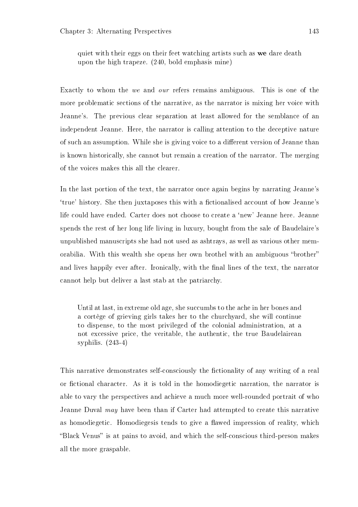quiet with their eggs on their feet watching artists such as we dare death upon the high trapeze. (240, bold emphasis mine)

Exactly to whom the we and our refers remains ambiguous. This is one of the more problematic sections of the narrative, as the narrator is mixing her voice with Jeanne's. The previous clear separation at least allowed for the semblance of an independent Jeanne. Here, the narrator is calling attention to the deceptive nature of such an assumption. While she is giving voice to a different version of Jeanne than is known historically, she cannot but remain a creation of the narrator. The merging of the voices makes this all the clearer.

In the last portion of the text, the narrator once again begins by narrating Jeanne's 'true' history. She then juxtaposes this with a fictionalised account of how Jeanne's life could have ended. Carter does not choose to create a `new' Jeanne here. Jeanne spends the rest of her long life living in luxury, bought from the sale of Baudelaire's unpublished manuscripts she had not used as ashtrays, as well as various other memorabilia. With this wealth she opens her own brothel with an ambiguous "brother" and lives happily ever after. Ironically, with the final lines of the text, the narrator cannot help but deliver a last stab at the patriarchy.

Until at last, in extreme old age, she succumbs to the ache in her bones and a cortège of grieving girls takes her to the churchyard, she will continue to dispense, to the most privileged of the colonial administration, at a not excessive price, the veritable, the authentic, the true Baudelairean syphilis. (243-4)

This narrative demonstrates self-consciously the fictionality of any writing of a real or fictional character. As it is told in the homodiegetic narration, the narrator is able to vary the perspectives and achieve a much more well-rounded portrait of who Jeanne Duval may have been than if Carter had attempted to create this narrative as homodiegetic. Homodiegesis tends to give a flawed impression of reality, which "Black Venus" is at pains to avoid, and which the self-conscious third-person makes all the more graspable.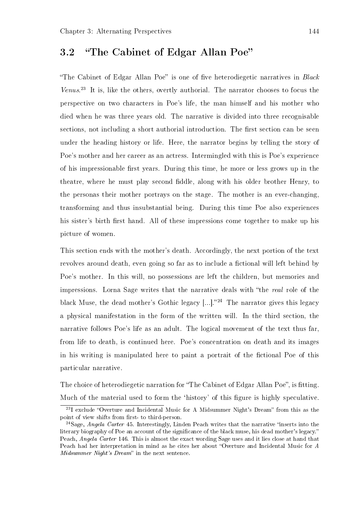## 3.2 "The Cabinet of Edgar Allan Poe"

"The Cabinet of Edgar Allan Poe" is one of five heterodiegetic narratives in  $Black$ Venus. <sup>23</sup> It is, like the others, overtly authorial. The narrator chooses to focus the perspective on two characters in Poe's life, the man himself and his mother who died when he was three years old. The narrative is divided into three recognisable sections, not including a short authorial introduction. The first section can be seen under the heading history or life. Here, the narrator begins by telling the story of Poe's mother and her career as an actress. Intermingled with this is Poe's experience of his impressionable first years. During this time, he more or less grows up in the theatre, where he must play second fiddle, along with his older brother Henry, to the personas their mother portrays on the stage. The mother is an ever-changing, transforming and thus insubstantial being. During this time Poe also experiences his sister's birth first hand. All of these impressions come together to make up his picture of women.

This section ends with the mother's death. Accordingly, the next portion of the text revolves around death, even going so far as to include a fictional will left behind by Poe's mother. In this will, no possessions are left the children, but memories and impressions. Lorna Sage writes that the narrative deals with "the real role of the black Muse, the dead mother's Gothic legacy  $[...]$ ."<sup>24</sup> The narrator gives this legacy a physical manifestation in the form of the written will. In the third section, the narrative follows Poe's life as an adult. The logical movement of the text thus far, from life to death, is continued here. Poe's concentration on death and its images in his writing is manipulated here to paint a portrait of the fictional Poe of this particular narrative.

The choice of heterodiegetic narration for "The Cabinet of Edgar Allan Poe", is fitting. Much of the material used to form the 'history' of this figure is highly speculative.

 $23I$  exclude "Overture and Incidental Music for A Midsummer Night's Dream" from this as the point of view shifts from first- to third-person.

<sup>&</sup>lt;sup>24</sup>Sage, *Angela Carter* 45. Interestingly, Linden Peach writes that the narrative "inserts into the literary biography of Poe an account of the significance of the black muse, his dead mother's legacy." Peach, Angela Carter 146. This is almost the exact wording Sage uses and it lies close at hand that Peach had her interpretation in mind as he cites her about "Overture and Incidental Music for A  $Mid summer\ Night's\ Dream"$  in the next sentence.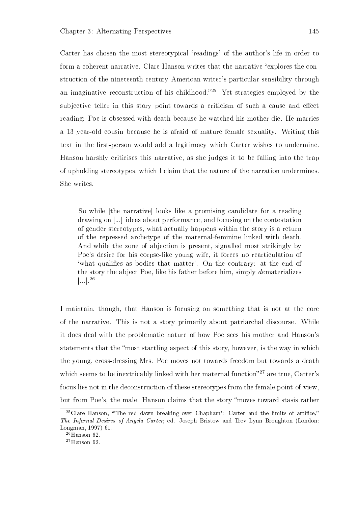Carter has chosen the most stereotypical 'readings' of the author's life in order to form a coherent narrative. Clare Hanson writes that the narrative "explores the construction of the nineteenth-century American writer's particular sensibility through an imaginative reconstruction of his childhood.<sup>25</sup> Yet strategies employed by the subjective teller in this story point towards a criticism of such a cause and effect reading: Poe is obsessed with death because he watched his mother die. He marries a 13 year-old cousin because he is afraid of mature female sexuality. Writing this text in the first-person would add a legitimacy which Carter wishes to undermine. Hanson harshly criticises this narrative, as she judges it to be falling into the trap of upholding stereotypes, which I claim that the nature of the narration undermines. She writes,

So while [the narrative] looks like a promising candidate for a reading drawing on [...] ideas about performance, and focusing on the contestation of gender stereotypes, what actually happens within the story is a return of the repressed archetype of the maternal-feminine linked with death. And while the zone of abjection is present, signalled most strikingly by Poe's desire for his corpse-like young wife, it forces no rearticulation of 'what qualifies as bodies that matter'. On the contrary: at the end of the story the abject Poe, like his father before him, simply dematerializes  $\left[\ldots\right].^{26}$ 

I maintain, though, that Hanson is focusing on something that is not at the core of the narrative. This is not a story primarily about patriarchal discourse. While it does deal with the problematic nature of how Poe sees his mother and Hanson's statements that the most startling aspect of this story, however, is the way in which the young, cross-dressing Mrs. Poe moves not towards freedom but towards a death which seems to be inextricably linked with her maternal function $27$  are true, Carter's focus lies not in the deconstruction of these stereotypes from the female point-of-view, but from Poe's, the male. Hanson claims that the story moves toward stasis rather

 $25$ Clare Hanson, "The red dawn breaking over Chapham': Carter and the limits of artifice," The Infernal Desires of Angela Carter, ed. Joseph Bristow and Trev Lynn Broughton (London: Longman, 1997) 61.

 $26$ Hanson 62.

 $27$ Hanson 62.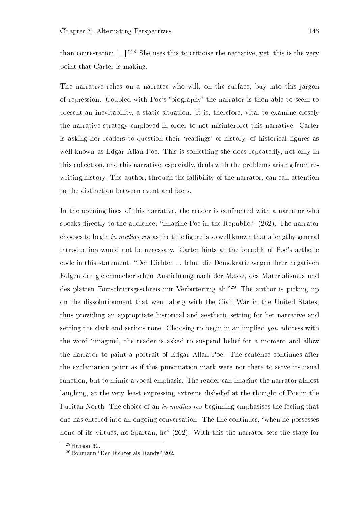than contestation  $\lbrack \dots \rbrack$ <sup>28</sup> She uses this to criticise the narrative, yet, this is the very point that Carter is making.

The narrative relies on a narratee who will, on the surface, buy into this jargon of repression. Coupled with Poe's `biography' the narrator is then able to seem to present an inevitability, a static situation. It is, therefore, vital to examine closely the narrative strategy employed in order to not misinterpret this narrative. Carter is asking her readers to question their 'readings' of history, of historical figures as well known as Edgar Allan Poe. This is something she does repeatedly, not only in this collection, and this narrative, especially, deals with the problems arising from rewriting history. The author, through the fallibility of the narrator, can call attention to the distinction between event and facts.

In the opening lines of this narrative, the reader is confronted with a narrator who speaks directly to the audience: "Imagine Poe in the Republic!" (262). The narrator chooses to begin in medias res as the title figure is so well known that a lengthy general introduction would not be necessary. Carter hints at the breadth of Poe's aethetic code in this statement. Der Dichter ... lehnt die Demokratie wegen ihrer negativen Folgen der gleichmacherischen Ausrichtung nach der Masse, des Materialismus und des platten Fortschrittsgeschreis mit Verbitterung ab.<sup>29</sup> The author is picking up on the dissolutionment that went along with the Civil War in the United States, thus providing an appropriate historical and aesthetic setting for her narrative and setting the dark and serious tone. Choosing to begin in an implied you address with the word `imagine', the reader is asked to suspend belief for a moment and allow the narrator to paint a portrait of Edgar Allan Poe. The sentence continues after the exclamation point as if this punctuation mark were not there to serve its usual function, but to mimic a vocal emphasis. The reader can imagine the narrator almost laughing, at the very least expressing extreme disbelief at the thought of Poe in the Puritan North. The choice of an in medias res beginning emphasises the feeling that one has entered into an ongoing conversation. The line continues, when he possesses none of its virtues; no Spartan, he"  $(262)$ . With this the narrator sets the stage for

 $28$ Hanson 62.

 $29$ Rohmann "Der Dichter als Dandy" 202.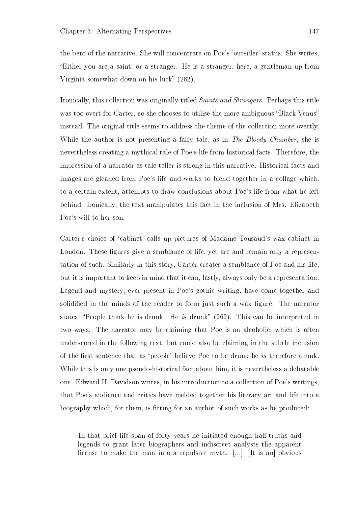the bent of the narrative. She will concentrate on Poe's 'outsider' status. She writes, Either you are a saint; or a stranger. He is a stranger, here, a gentleman up from Virginia somewhat down on his luck"  $(262)$ .

Ironically, this collection was originally titled Saints and Strangers. Perhaps this title was too overt for Carter, so she chooses to utilise the more ambiguous "Black Venus" instead. The original title seems to address the theme of the collection more overtly. While the author is not presenting a fairy tale, as in The Bloody Chamber, she is nevertheless creating a mythical tale of Poe's life from historical facts. Therefore, the impression of a narrator as tale-teller is strong in this narrative. Historical facts and images are gleaned from Poe's life and works to blend together in a collage which, to a certain extent, attempts to draw conclusions about Poe's life from what he left behind. Ironically, the text manipulates this fact in the inclusion of Mrs. Elizabeth Poe's will to her son.

Carter's choice of `cabinet' calls up pictures of Madame Tousaud's wax cabinet in London. These figures give a semblance of life, yet are and remain only a representation of such. Similarly in this story, Carter creates a semblance of Poe and his life, but it is important to keep in mind that it can, lastly, always only be a representation. Legend and mystery, ever present in Poe's gothic writing, have come together and solidified in the minds of the reader to form just such a wax figure. The narrator states, "People think he is drunk. He is drunk"  $(262)$ . This can be interpreted in two ways. The narrator may be claiming that Poe is an alcoholic, which is often underscored in the following text, but could also be claiming in the subtle inclusion of the first sentence that as 'people' believe Poe to be drunk he is therefore drunk. While this is only one pseudo-historical fact about him, it is nevertheless a debatable one. Edward H. Davidson writes, in his introduction to a collection of Poe's writings, that Poe's audience and critics have melded together his literary art and life into a biography which, for them, is fitting for an author of such works as he produced:

In that brief life-span of forty years he initiated enough half-truths and legends to grant later biographers and indiscreet analysts the apparent license to make the man into a repulsive myth. [...] [It is an] obvious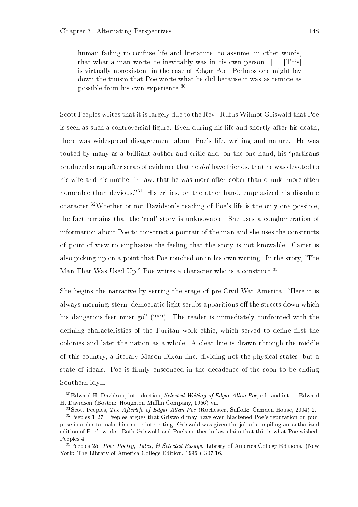human failing to confuse life and literature- to assume, in other words, that what a man wrote he inevitably was in his own person. [...] [This] is virtually nonexistent in the case of Edgar Poe. Perhaps one might lay down the truism that Poe wrote what he did because it was as remote as possible from his own experience.<sup>30</sup>

Scott Peeples writes that it is largely due to the Rev. Rufus Wilmot Griswald that Poe is seen as such a controversial figure. Even during his life and shortly after his death, there was widespread disagreement about Poe's life, writing and nature. He was touted by many as a brilliant author and critic and, on the one hand, his "partisans produced scrap after scrap of evidence that he did have friends, that he was devoted to his wife and his mother-in-law, that he was more often sober than drunk, more often honorable than devious.<sup>31</sup> His critics, on the other hand, emphasized his dissolute character.<sup>32</sup>Whether or not Davidson's reading of Poe's life is the only one possible, the fact remains that the `real' story is unknowable. She uses a conglomeration of information about Poe to construct a portrait of the man and she uses the constructs of point-of-view to emphasize the feeling that the story is not knowable. Carter is also picking up on a point that Poe touched on in his own writing. In the story, "The Man That Was Used Up," Poe writes a character who is a construct.<sup>33</sup>

She begins the narrative by setting the stage of pre-Civil War America: "Here it is always morning; stern, democratic light scrubs apparitions off the streets down which his dangerous feet must go"  $(262)$ . The reader is immediately confronted with the defining characteristics of the Puritan work ethic, which served to define first the colonies and later the nation as a whole. A clear line is drawn through the middle of this country, a literary Mason Dixon line, dividing not the physical states, but a state of ideals. Poe is firmly ensconced in the decadence of the soon to be ending Southern idyll.

 $30E$ dward H. Davidson, introduction, Selected Writing of Edgar Allan Poe, ed. and intro. Edward H. Davidson (Boston: Houghton Mifflin Company, 1956) vii.

 $31$ Scott Peeples, The Afterlife of Edgar Allan Poe (Rochester, Suffolk: Camden House, 2004) 2. <sup>32</sup>Peeples 1-27. Peeples argues that Griswold may have even blackened Poe's reputation on purpose in order to make him more interesting. Griswold was given the job of compiling an authorized

edition of Poe's works. Both Griswold and Poe's mother-in-law claim that this is what Poe wished. Peeples 4.

<sup>&</sup>lt;sup>33</sup> Peeples 25. Poe: Poetry, Tales, & Selected Essays. Library of America College Editions. (New York: The Library of America College Edition, 1996.) 307-16.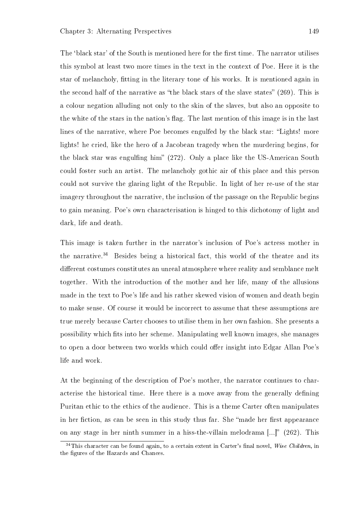The 'black star' of the South is mentioned here for the first time. The narrator utilises this symbol at least two more times in the text in the context of Poe. Here it is the star of melancholy, tting in the literary tone of his works. It is mentioned again in the second half of the narrative as "the black stars of the slave states"  $(269)$ . This is a colour negation alluding not only to the skin of the slaves, but also an opposite to the white of the stars in the nation's flag. The last mention of this image is in the last lines of the narrative, where Poe becomes engulfed by the black star: "Lights! more lights! he cried, like the hero of a Jacobean tragedy when the murdering begins, for the black star was engulfing him"  $(272)$ . Only a place like the US-American South could foster such an artist. The melancholy gothic air of this place and this person could not survive the glaring light of the Republic. In light of her re-use of the star imagery throughout the narrative, the inclusion of the passage on the Republic begins to gain meaning. Poe's own characterisation is hinged to this dichotomy of light and dark, life and death.

This image is taken further in the narrator's inclusion of Poe's actress mother in the narrative.<sup>34</sup> Besides being a historical fact, this world of the theatre and its different costumes constitutes an unreal atmosphere where reality and semblance melt together. With the introduction of the mother and her life, many of the allusions made in the text to Poe's life and his rather skewed vision of women and death begin to make sense. Of course it would be incorrect to assume that these assumptions are true merely because Carter chooses to utilise them in her own fashion. She presents a possibility which ts into her scheme. Manipulating well known images, she manages to open a door between two worlds which could offer insight into Edgar Allan Poe's life and work.

At the beginning of the description of Poe's mother, the narrator continues to characterise the historical time. Here there is a move away from the generally defining Puritan ethic to the ethics of the audience. This is a theme Carter often manipulates in her fiction, as can be seen in this study thus far. She "made her first appearance on any stage in her ninth summer in a hiss-the-villain melodrama  $\left[...\right]$  (262). This

 $34$ This character can be found again, to a certain extent in Carter's final novel, Wise Children, in the figures of the Hazards and Chances.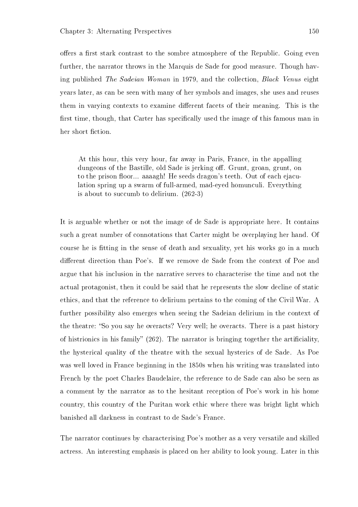offers a first stark contrast to the sombre atmosphere of the Republic. Going even further, the narrator throws in the Marquis de Sade for good measure. Though having published The Sadeian Woman in 1979, and the collection, Black Venus eight years later, as can be seen with many of her symbols and images, she uses and reuses them in varying contexts to examine different facets of their meaning. This is the first time, though, that Carter has specifically used the image of this famous man in her short fiction.

At this hour, this very hour, far away in Paris, France, in the appalling dungeons of the Bastille, old Sade is jerking off. Grunt, groan, grunt, on to the prison floor... aaaagh! He seeds dragon's teeth. Out of each ejaculation spring up a swarm of full-armed, mad-eyed homunculi. Everything is about to succumb to delirium. (262-3)

It is arguable whether or not the image of de Sade is appropriate here. It contains such a great number of connotations that Carter might be overplaying her hand. Of course he is fitting in the sense of death and sexuality, yet his works go in a much different direction than Poe's. If we remove de Sade from the context of Poe and argue that his inclusion in the narrative serves to characterise the time and not the actual protagonist, then it could be said that he represents the slow decline of static ethics, and that the reference to delirium pertains to the coming of the Civil War. A further possibility also emerges when seeing the Sadeian delirium in the context of the theatre: "So you say he overacts? Very well; he overacts. There is a past history of histrionics in his family"  $(262)$ . The narrator is bringing together the artificiality, the hysterical quality of the theatre with the sexual hysterics of de Sade. As Poe was well loved in France beginning in the 1850s when his writing was translated into French by the poet Charles Baudelaire, the reference to de Sade can also be seen as a comment by the narrator as to the hesitant reception of Poe's work in his home country, this country of the Puritan work ethic where there was bright light which banished all darkness in contrast to de Sade's France.

The narrator continues by characterising Poe's mother as a very versatile and skilled actress. An interesting emphasis is placed on her ability to look young. Later in this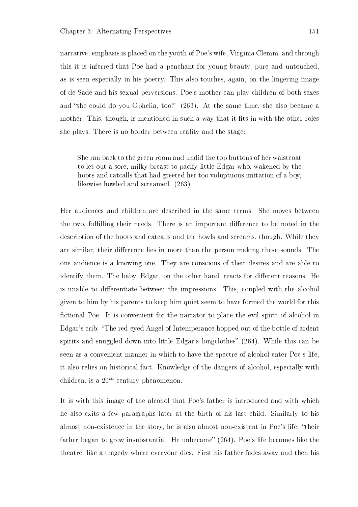narrative, emphasis is placed on the youth of Poe's wife, Virginia Clemm, and through this it is inferred that Poe had a penchant for young beauty, pure and untouched, as is seen especially in his poetry. This also touches, again, on the lingering image of de Sade and his sexual perversions. Poe's mother can play children of both sexes and "she could do you Ophelia, too!" (263). At the same time, she also became a mother. This, though, is mentioned in such a way that it fits in with the other roles she plays. There is no border between reality and the stage:

She ran back to the green room and undid the top buttons of her waistcoat to let out a sore, milky breast to pacify little Edgar who, wakened by the hoots and catcalls that had greeted her too voluptuous imitation of a boy, likewise howled and screamed. (263)

Her audiences and children are described in the same terms. She moves between the two, fulfilling their needs. There is an important difference to be noted in the description of the hoots and catcalls and the howls and screams, though. While they are similar, their difference lies in more than the person making these sounds. The one audience is a knowing one. They are conscious of their desires and are able to identify them. The baby, Edgar, on the other hand, reacts for different reasons. He is unable to differentiate between the impressions. This, coupled with the alcohol given to him by his parents to keep him quiet seem to have formed the world for this fictional Poe. It is convenient for the narrator to place the evil spirit of alcohol in Edgar's crib: The red-eyed Angel of Intemperance hopped out of the bottle of ardent spirits and snuggled down into little Edgar's longclothes"  $(264)$ . While this can be seen as a convenient manner in which to have the spectre of alcohol enter Poe's life, it also relies on historical fact. Knowledge of the dangers of alcohol, especially with children, is a  $20^{th}$  century phenomenon.

It is with this image of the alcohol that Poe's father is introduced and with which he also exits a few paragraphs later at the birth of his last child. Similarly to his almost non-existence in the story, he is also almost non-existent in Poe's life: "their father began to grow insubstantial. He unbecame"  $(264)$ . Poe's life becomes like the theatre, like a tragedy where everyone dies. First his father fades away and then his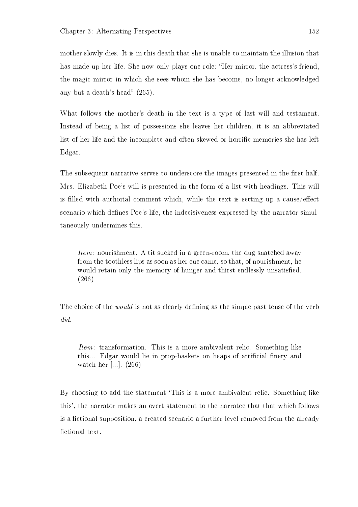mother slowly dies. It is in this death that she is unable to maintain the illusion that has made up her life. She now only plays one role: "Her mirror, the actress's friend, the magic mirror in which she sees whom she has become, no longer acknowledged any but a death's head"  $(265)$ .

What follows the mother's death in the text is a type of last will and testament. Instead of being a list of possessions she leaves her children, it is an abbreviated list of her life and the incomplete and often skewed or horrific memories she has left Edgar.

The subsequent narrative serves to underscore the images presented in the first half. Mrs. Elizabeth Poe's will is presented in the form of a list with headings. This will is filled with authorial comment which, while the text is setting up a cause/effect scenario which defines Poe's life, the indecisiveness expressed by the narrator simultaneously undermines this.

Item: nourishment. A tit sucked in a green-room, the dug snatched away from the toothless lips as soon as her cue came, so that, of nourishment, he would retain only the memory of hunger and thirst endlessly unsatisfied. (266)

The choice of the *would* is not as clearly defining as the simple past tense of the verb did.

Item: transformation. This is a more ambivalent relic. Something like this... Edgar would lie in prop-baskets on heaps of artificial finery and watch her [...]. (266)

By choosing to add the statement 'This is a more ambivalent relic. Something like this', the narrator makes an overt statement to the narratee that that which follows is a fictional supposition, a created scenario a further level removed from the already fictional text.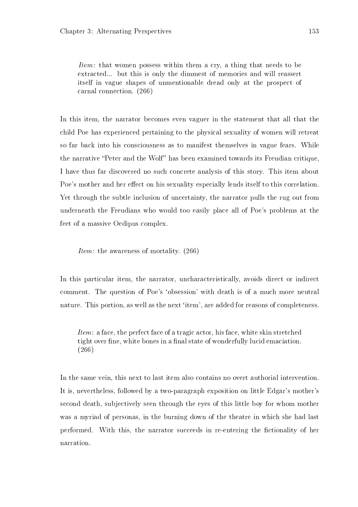Item: that women possess within them a cry, a thing that needs to be extracted... but this is only the dimmest of memories and will reassert itself in vague shapes of unmentionable dread only at the prospect of carnal connection. (266)

In this item, the narrator becomes even vaguer in the statement that all that the child Poe has experienced pertaining to the physical sexuality of women will retreat so far back into his consciousness as to manifest themselves in vague fears. While the narrative "Peter and the Wolf" has been examined towards its Freudian critique, I have thus far discovered no such concrete analysis of this story. This item about Poe's mother and her effect on his sexuality especially lends itself to this correlation. Yet through the subtle inclusion of uncertainty, the narrator pulls the rug out from underneath the Freudians who would too easily place all of Poe's problems at the feet of a massive Oedipus complex.

Item: the awareness of mortality. (266)

In this particular item, the narrator, uncharacteristically, avoids direct or indirect comment. The question of Poe's `obsession' with death is of a much more neutral nature. This portion, as well as the next 'item', are added for reasons of completeness.

Item: a face, the perfect face of a tragic actor, his face, white skin stretched tight over fine, white bones in a final state of wonderfully lucid emaciation. (266)

In the same vein, this next to last item also contains no overt authorial intervention. It is, nevertheless, followed by a two-paragraph exposition on little Edgar's mother's second death, subjectively seen through the eyes of this little boy for whom mother was a myriad of personas, in the burning down of the theatre in which she had last performed. With this, the narrator succeeds in re-entering the fictionality of her narration.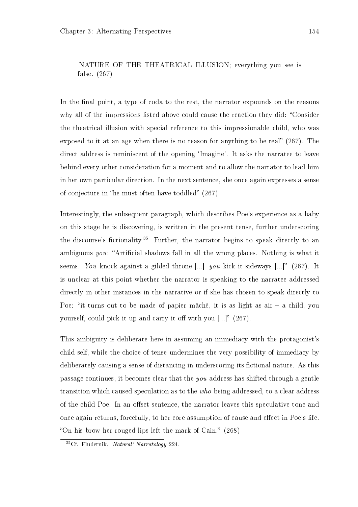#### NATURE OF THE THEATRICAL ILLUSION; everything you see is false. (267)

In the final point, a type of coda to the rest, the narrator expounds on the reasons why all of the impressions listed above could cause the reaction they did: "Consider the theatrical illusion with special reference to this impressionable child, who was exposed to it at an age when there is no reason for anything to be real"  $(267)$ . The direct address is reminiscent of the opening 'Imagine'. It asks the narratee to leave behind every other consideration for a moment and to allow the narrator to lead him in her own particular direction. In the next sentence, she once again expresses a sense of conjecture in "he must often have toddled"  $(267)$ .

Interestingly, the subsequent paragraph, which describes Poe's experience as a baby on this stage he is discovering, is written in the present tense, further underscoring the discourse's fictionality.<sup>35</sup> Further, the narrator begins to speak directly to an ambiguous you: "Artificial shadows fall in all the wrong places. Nothing is what it seems. You knock against a gilded throne [...] you kick it sideways [...]" (267). It is unclear at this point whether the narrator is speaking to the narratee addressed directly in other instances in the narrative or if she has chosen to speak directly to Poe: "it turns out to be made of papier mâché, it is as light as  $air - a$  child, you yourself, could pick it up and carry it off with you  $[...]$  (267).

This ambiguity is deliberate here in assuming an immediacy with the protagonist's child-self, while the choice of tense undermines the very possibility of immediacy by deliberately causing a sense of distancing in underscoring its fictional nature. As this passage continues, it becomes clear that the you address has shifted through a gentle transition which caused speculation as to the who being addressed, to a clear address of the child Poe. In an offset sentence, the narrator leaves this speculative tone and once again returns, forcefully, to her core assumption of cause and effect in Poe's life. "On his brow her rouged lips left the mark of Cain."  $(268)$ 

 $35C$ f. Fludernik, 'Natural' Narratology 224.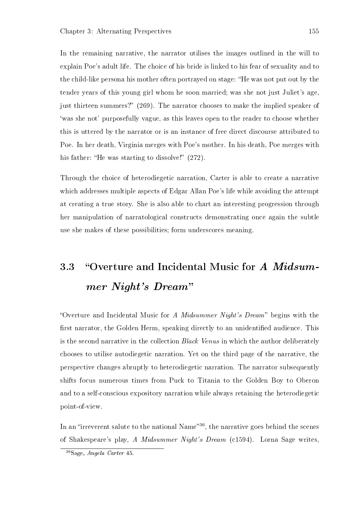In the remaining narrative, the narrator utilises the images outlined in the will to explain Poe's adult life. The choice of his bride is linked to his fear of sexuality and to the child-like persona his mother often portrayed on stage: "He was not put out by the tender years of this young girl whom he soon married; was she not just Juliet's age, just thirteen summers?" (269). The narrator chooses to make the implied speaker of `was she not' purposefully vague, as this leaves open to the reader to choose whether this is uttered by the narrator or is an instance of free direct discourse attributed to Poe. In her death, Virginia merges with Poe's mother. In his death, Poe merges with his father: "He was starting to dissolve!"  $(272)$ .

Through the choice of heterodiegetic narration, Carter is able to create a narrative which addresses multiple aspects of Edgar Allan Poe's life while avoiding the attempt at creating a true story. She is also able to chart an interesting progression through her manipulation of narratological constructs demonstrating once again the subtle use she makes of these possibilities; form underscores meaning.

# 3.3 "Overture and Incidental Music for A Midsummer Night's Dream

"Overture and Incidental Music for A Midsummer Night's Dream" begins with the first narrator, the Golden Herm, speaking directly to an unidentified audience. This is the second narrative in the collection Black Venus in which the author deliberately chooses to utilise autodiegetic narration. Yet on the third page of the narrative, the perspective changes abruptly to heterodiegetic narration. The narrator subsequently shifts focus numerous times from Puck to Titania to the Golden Boy to Oberon and to a self-conscious expository narration while always retaining the heterodiegetic point-of-view.

In an "irreverent salute to the national Name"<sup>36</sup>, the narrative goes behind the scenes of Shakespeare's play, A Midsummer Night's Dream (c1594). Lorna Sage writes,

<sup>36</sup>Sage, Angela Carter 45.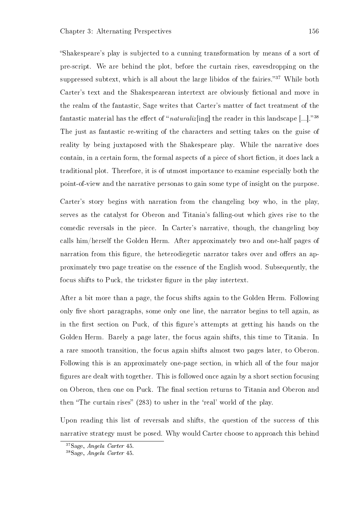Shakespeare's play is subjected to a cunning transformation by means of a sort of pre-script. We are behind the plot, before the curtain rises, eavesdropping on the suppressed subtext, which is all about the large libidos of the fairies."<sup>37</sup> While both Carter's text and the Shakespearean intertext are obviously fictional and move in the realm of the fantastic, Sage writes that Carter's matter of fact treatment of the fantastic material has the effect of "*naturaliz* [ing] the reader in this landscape [...]."<sup>38</sup> The just as fantastic re-writing of the characters and setting takes on the guise of reality by being juxtaposed with the Shakespeare play. While the narrative does contain, in a certain form, the formal aspects of a piece of short fiction, it does lack a traditional plot. Therefore, it is of utmost importance to examine especially both the point-of-view and the narrative personas to gain some type of insight on the purpose.

Carter's story begins with narration from the changeling boy who, in the play, serves as the catalyst for Oberon and Titania's falling-out which gives rise to the comedic reversals in the piece. In Carter's narrative, though, the changeling boy calls him/herself the Golden Herm. After approximately two and one-half pages of narration from this figure, the heterodiegetic narrator takes over and offers an approximately two page treatise on the essence of the English wood. Subsequently, the focus shifts to Puck, the trickster figure in the play intertext.

After a bit more than a page, the focus shifts again to the Golden Herm. Following only five short paragraphs, some only one line, the narrator begins to tell again, as in the first section on Puck, of this figure's attempts at getting his hands on the Golden Herm. Barely a page later, the focus again shifts, this time to Titania. In a rare smooth transition, the focus again shifts almost two pages later, to Oberon. Following this is an approximately one-page section, in which all of the four major figures are dealt with together. This is followed once again by a short section focusing on Oberon, then one on Puck. The final section returns to Titania and Oberon and then "The curtain rises" (283) to usher in the 'real' world of the play.

Upon reading this list of reversals and shifts, the question of the success of this narrative strategy must be posed. Why would Carter choose to approach this behind

<sup>37</sup>Sage, Angela Carter 45.

<sup>38</sup>Sage, Angela Carter 45.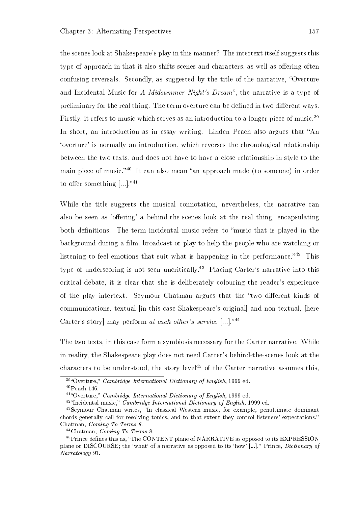the scenes look at Shakespeare's play in this manner? The intertext itself suggests this type of approach in that it also shifts scenes and characters, as well as offering often confusing reversals. Secondly, as suggested by the title of the narrative, "Overture" and Incidental Music for A *Midsummer Night's Dream*", the narrative is a type of preliminary for the real thing. The term overture can be defined in two different ways. Firstly, it refers to music which serves as an introduction to a longer piece of music.<sup>39</sup> In short, an introduction as in essay writing. Linden Peach also argues that "An `overture' is normally an introduction, which reverses the chronological relationship between the two texts, and does not have to have a close relationship in style to the main piece of music.<sup>40</sup> It can also mean "an approach made (to someone) in order to offer something  $[...]$ ."<sup>41</sup>

While the title suggests the musical connotation, nevertheless, the narrative can also be seen as 'offering' a behind-the-scenes look at the real thing, encapsulating both definitions. The term incidental music refers to "music that is played in the background during a film, broadcast or play to help the people who are watching or listening to feel emotions that suit what is happening in the performance.<sup> $342$ </sup> This type of underscoring is not seen uncritically.<sup>43</sup> Placing Carter's narrative into this critical debate, it is clear that she is deliberately colouring the reader's experience of the play intertext. Seymour Chatman argues that the "two different kinds of communications, textual [in this case Shakespeare's original] and non-textual, [here Carter's story] may perform at each other's service  $[...]$ ."<sup>44</sup>

The two texts, in this case form a symbiosis necessary for the Carter narrative. While in reality, the Shakespeare play does not need Carter's behind-the-scenes look at the characters to be understood, the story level<sup>45</sup> of the Carter narrative assumes this,

 $39\degree$ Overture," *Cambridge International Dictionary of English*, 1999 ed.

<sup>40</sup>Peach 146.

 $^{41}$ "Overture," *Cambridge International Dictionary of English*, 1999 ed.

 $42\text{``Incidental music''}$  Cambridge International Dictionary of English, 1999 ed.

<sup>&</sup>lt;sup>43</sup>Seymour Chatman writes, "In classical Western music, for example, penultimate dominant chords generally call for resolving tonics, and to that extent they control listeners' expectations. Chatman, Coming To Terms 8.

<sup>44</sup>Chatman, Coming To Terms 8.

<sup>&</sup>lt;sup>45</sup>Prince defines this as, "The CONTENT plane of NARRATIVE as opposed to its EXPRESSION plane or DISCOURSE; the 'what' of a narrative as opposed to its 'how' [...]." Prince, *Dictionary of* Narratology 91.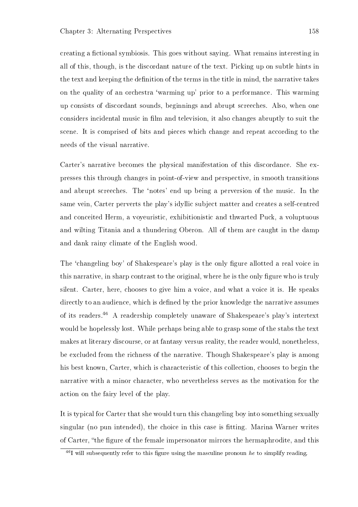creating a fictional symbiosis. This goes without saying. What remains interesting in all of this, though, is the discordant nature of the text. Picking up on subtle hints in the text and keeping the definition of the terms in the title in mind, the narrative takes on the quality of an orchestra `warming up' prior to a performance. This warming up consists of discordant sounds, beginnings and abrupt screeches. Also, when one considers incidental music in film and television, it also changes abruptly to suit the scene. It is comprised of bits and pieces which change and repeat according to the needs of the visual narrative.

Carter's narrative becomes the physical manifestation of this discordance. She expresses this through changes in point-of-view and perspective, in smooth transitions and abrupt screeches. The 'notes' end up being a perversion of the music. In the same vein, Carter perverts the play's idyllic subject matter and creates a self-centred and conceited Herm, a voyeuristic, exhibitionistic and thwarted Puck, a voluptuous and wilting Titania and a thundering Oberon. All of them are caught in the damp and dank rainy climate of the English wood.

The 'changeling boy' of Shakespeare's play is the only figure allotted a real voice in this narrative, in sharp contrast to the original, where he is the only figure who is truly silent. Carter, here, chooses to give him a voice, and what a voice it is. He speaks directly to an audience, which is defined by the prior knowledge the narrative assumes of its readers.<sup>46</sup> A readership completely unaware of Shakespeare's play's intertext would be hopelessly lost. While perhaps being able to grasp some of the stabs the text makes at literary discourse, or at fantasy versus reality, the reader would, nonetheless, be excluded from the richness of the narrative. Though Shakespeare's play is among his best known, Carter, which is characteristic of this collection, chooses to begin the narrative with a minor character, who nevertheless serves as the motivation for the action on the fairy level of the play.

It is typical for Carter that she would turn this changeling boy into something sexually singular (no pun intended), the choice in this case is tting. Marina Warner writes of Carter, the gure of the female impersonator mirrors the hermaphrodite, and this

 $^{46}I$  will subsequently refer to this figure using the masculine pronoun he to simplify reading.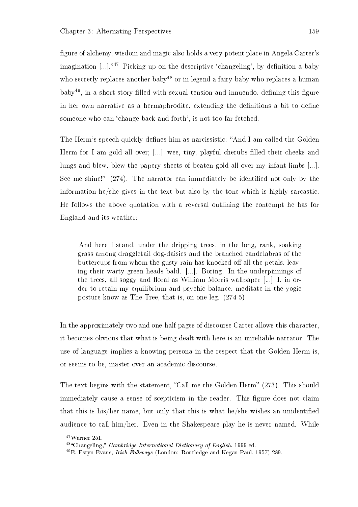figure of alchemy, wisdom and magic also holds a very potent place in Angela Carter's imagination  $\lceil ... \rceil$ .<sup>47</sup> Picking up on the descriptive 'changeling', by definition a baby who secretly replaces another baby<sup>48</sup> or in legend a fairy baby who replaces a human  $b$ aby<sup>49</sup>, in a short story filled with sexual tension and innuendo, defining this figure in her own narrative as a hermaphrodite, extending the definitions a bit to define someone who can 'change back and forth', is not too far-fetched.

The Herm's speech quickly defines him as narcissistic: "And I am called the Golden Herm for I am gold all over; [...] wee, tiny, playful cherubs filled their cheeks and lungs and blew, blew the papery sheets of beaten gold all over my infant limbs [...]. See me shine!"  $(274)$ . The narrator can immediately be identified not only by the information he/she gives in the text but also by the tone which is highly sarcastic. He follows the above quotation with a reversal outlining the contempt he has for England and its weather:

And here I stand, under the dripping trees, in the long, rank, soaking grass among draggletail dog-daisies and the branched candelabras of the buttercups from whom the gusty rain has knocked of all the petals, leaving their warty green heads bald. [...]. Boring. In the underpinnings of the trees, all soggy and floral as William Morris wallpaper  $[...]$  I, in order to retain my equilibrium and psychic balance, meditate in the yogic posture know as The Tree, that is, on one leg. (274-5)

In the approximately two and one-half pages of discourse Carter allows this character, it becomes obvious that what is being dealt with here is an unreliable narrator. The use of language implies a knowing persona in the respect that the Golden Herm is, or seems to be, master over an academic discourse.

The text begins with the statement, "Call me the Golden Herm" (273). This should immediately cause a sense of scepticism in the reader. This figure does not claim that this is his/her name, but only that this is what he/she wishes an unidentified audience to call him/her. Even in the Shakespeare play he is never named. While

<sup>47</sup>Warner 251.

<sup>&</sup>lt;sup>48</sup>"Changeling," *Cambridge International Dictionary of English*, 1999 ed.

<sup>49</sup>E. Estyn Evans, Irish Folkways (London: Routledge and Kegan Paul, 1957) 289.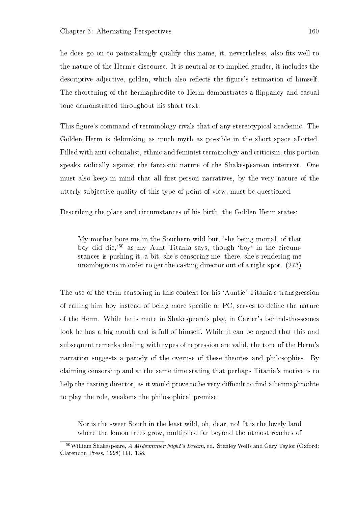he does go on to painstakingly qualify this name, it, nevertheless, also fits well to the nature of the Herm's discourse. It is neutral as to implied gender, it includes the descriptive adjective, golden, which also reflects the figure's estimation of himself. The shortening of the hermaphrodite to Herm demonstrates a flippancy and casual tone demonstrated throughout his short text.

This figure's command of terminology rivals that of any stereotypical academic. The Golden Herm is debunking as much myth as possible in the short space allotted. Filled with anti-colonialist, ethnic and feminist terminology and criticism, this portion speaks radically against the fantastic nature of the Shakespearean intertext. One must also keep in mind that all first-person narratives, by the very nature of the utterly subjective quality of this type of point-of-view, must be questioned.

Describing the place and circumstances of his birth, the Golden Herm states:

My mother bore me in the Southern wild but, `she being mortal, of that boy did die,'<sup>50</sup> as my Aunt Titania says, though `boy' in the circumstances is pushing it, a bit, she's censoring me, there, she's rendering me unambiguous in order to get the casting director out of a tight spot. (273)

The use of the term censoring in this context for his 'Auntie' Titania's transgression of calling him boy instead of being more specific or PC, serves to define the nature of the Herm. While he is mute in Shakespeare's play, in Carter's behind-the-scenes look he has a big mouth and is full of himself. While it can be argued that this and subsequent remarks dealing with types of repression are valid, the tone of the Herm's narration suggests a parody of the overuse of these theories and philosophies. By claiming censorship and at the same time stating that perhaps Titania's motive is to help the casting director, as it would prove to be very difficult to find a hermaphrodite to play the role, weakens the philosophical premise.

Nor is the sweet South in the least wild, oh, dear, no! It is the lovely land where the lemon trees grow, multiplied far beyond the utmost reaches of

 $50$ William Shakespeare. A Midsummer Night's Dream, ed. Stanley Wells and Gary Taylor (Oxford: Clarendon Press, 1998) II.i. 138.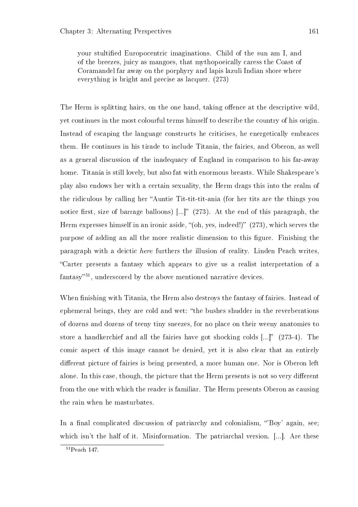your stultied Europocentric imaginations. Child of the sun am I, and of the breezes, juicy as mangoes, that mythopoeically caress the Coast of Coramandel far away on the porphyry and lapis lazuli Indian shore where everything is bright and precise as lacquer. (273)

The Herm is splitting hairs, on the one hand, taking offence at the descriptive wild. yet continues in the most colourful terms himself to describe the country of his origin. Instead of escaping the language constructs he criticises, he energetically embraces them. He continues in his tirade to include Titania, the fairies, and Oberon, as well as a general discussion of the inadequacy of England in comparison to his far-away home. Titania is still lovely, but also fat with enormous breasts. While Shakespeare's play also endows her with a certain sexuality, the Herm drags this into the realm of the ridiculous by calling her "Auntie Tit-tit-tit-ania (for her tits are the things you notice first, size of barrage balloons)  $[...]$  (273). At the end of this paragraph, the Herm expresses himself in an ironic aside, " $(oh, ves, indeed!)$ "  $(273)$ , which serves the purpose of adding an all the more realistic dimension to this figure. Finishing the paragraph with a deictic here furthers the illusion of reality. Linden Peach writes, Carter presents a fantasy which appears to give us a realist interpretation of a fantasy $^{51}$ , underscored by the above mentioned narrative devices.

When finishing with Titania, the Herm also destroys the fantasy of fairies. Instead of ephemeral beings, they are cold and wet: "the bushes shudder in the reverberations of dozens and dozens of teeny tiny sneezes, for no place on their weeny anatomies to store a handkerchief and all the fairies have got shocking colds  $[...]$ " (273-4). The comic aspect of this image cannot be denied, yet it is also clear that an entirely different picture of fairies is being presented, a more human one. Nor is Oberon left alone. In this case, though, the picture that the Herm presents is not so very different from the one with which the reader is familiar. The Herm presents Oberon as causing the rain when he masturbates.

In a final complicated discussion of patriarchy and colonialism, "Boy' again, see; which isn't the half of it. Misinformation. The patriarchal version. [...]. Are these

<sup>51</sup>Peach 147.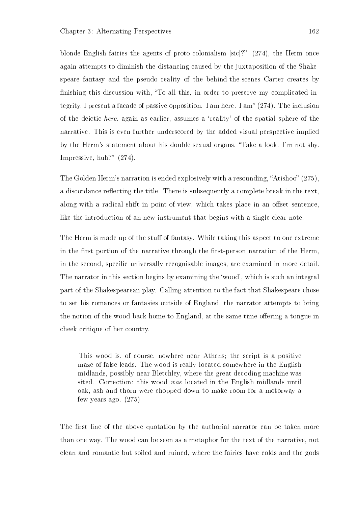blonde English fairies the agents of proto-colonialism [sic]?"  $(274)$ , the Herm once again attempts to diminish the distancing caused by the juxtaposition of the Shakespeare fantasy and the pseudo reality of the behind-the-scenes Carter creates by finishing this discussion with, "To all this, in order to preserve my complicated integrity, I present a facade of passive opposition. I am here. I am"  $(274)$ . The inclusion of the deictic here, again as earlier, assumes a `reality' of the spatial sphere of the narrative. This is even further underscored by the added visual perspective implied by the Herm's statement about his double sexual organs. Take a look. I'm not shy. Impressive, huh?"  $(274)$ .

The Golden Herm's narration is ended explosively with a resounding, "Atishoo" (275). a discordance reflecting the title. There is subsequently a complete break in the text. along with a radical shift in point-of-view, which takes place in an offset sentence, like the introduction of an new instrument that begins with a single clear note.

The Herm is made up of the stuff of fantasy. While taking this aspect to one extreme in the first portion of the narrative through the first-person narration of the Herm. in the second, specific universally recognisable images, are examined in more detail. The narrator in this section begins by examining the 'wood', which is such an integral part of the Shakespearean play. Calling attention to the fact that Shakespeare chose to set his romances or fantasies outside of England, the narrator attempts to bring the notion of the wood back home to England, at the same time offering a tongue in cheek critique of her country.

This wood is, of course, nowhere near Athens; the script is a positive maze of false leads. The wood is really located somewhere in the English midlands, possibly near Bletchley, where the great decoding machine was sited. Correction: this wood was located in the English midlands until oak, ash and thorn were chopped down to make room for a motorway a few years ago. (275)

The first line of the above quotation by the authorial narrator can be taken more than one way. The wood can be seen as a metaphor for the text of the narrative, not clean and romantic but soiled and ruined, where the fairies have colds and the gods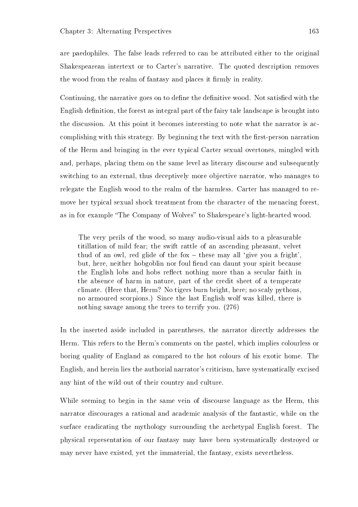are paedophiles. The false leads referred to can be attributed either to the original Shakespearean intertext or to Carter's narrative. The quoted description removes the wood from the realm of fantasy and places it firmly in reality.

Continuing, the narrative goes on to define the definitive wood. Not satisfied with the English definition, the forest as integral part of the fairy tale landscape is brought into the discussion. At this point it becomes interesting to note what the narrator is accomplishing with this strategy. By beginning the text with the first-person narration of the Herm and bringing in the ever typical Carter sexual overtones, mingled with and, perhaps, placing them on the same level as literary discourse and subsequently switching to an external, thus deceptively more objective narrator, who manages to relegate the English wood to the realm of the harmless. Carter has managed to remove her typical sexual shock treatment from the character of the menacing forest, as in for example "The Company of Wolves" to Shakespeare's light-hearted wood.

The very perils of the wood, so many audio-visual aids to a pleasurable titillation of mild fear; the swift rattle of an ascending pheasant, velvet thud of an owl, red glide of the fox  $-$  these may all 'give you a fright'. but, here, neither hobgoblin nor foul fiend can daunt your spirit because the English lobs and hobs reflect nothing more than a secular faith in the absence of harm in nature, part of the credit sheet of a temperate climate. (Here that, Herm? No tigers burn bright, here; no scaly pythons, no armoured scorpions.) Since the last English wolf was killed, there is nothing savage among the trees to terrify you. (276)

In the inserted aside included in parentheses, the narrator directly addresses the Herm. This refers to the Herm's comments on the pastel, which implies colourless or boring quality of England as compared to the hot colours of his exotic home. The English, and herein lies the authorial narrator's criticism, have systematically excised any hint of the wild out of their country and culture.

While seeming to begin in the same vein of discourse language as the Herm, this narrator discourages a rational and academic analysis of the fantastic, while on the surface eradicating the mythology surrounding the archetypal English forest. The physical representation of our fantasy may have been systematically destroyed or may never have existed, yet the immaterial, the fantasy, exists nevertheless.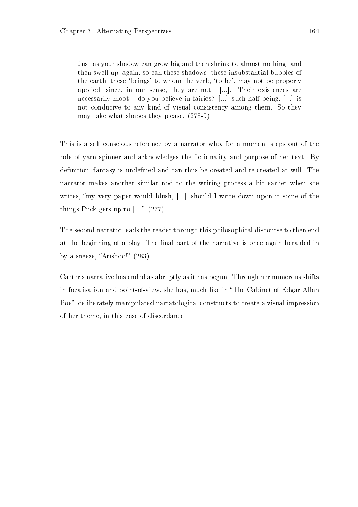Just as your shadow can grow big and then shrink to almost nothing, and then swell up, again, so can these shadows, these insubstantial bubbles of the earth, these `beings' to whom the verb, `to be', may not be properly applied, since, in our sense, they are not. [...]. Their existences are necessarily moot  $-$  do you believe in fairies? [...] such half-being, [...] is not conducive to any kind of visual consistency among them. So they may take what shapes they please. (278-9)

This is a self conscious reference by a narrator who, for a moment steps out of the role of yarn-spinner and acknowledges the fictionality and purpose of her text. By definition, fantasy is undefined and can thus be created and re-created at will. The narrator makes another similar nod to the writing process a bit earlier when she writes, "my very paper would blush, [...] should I write down upon it some of the things Puck gets up to  $[...]$ " (277).

The second narrator leads the reader through this philosophical discourse to then end at the beginning of a play. The final part of the narrative is once again heralded in by a sneeze, "Atishoo!"  $(283)$ .

Carter's narrative has ended as abruptly as it has begun. Through her numerous shifts in focalisation and point-of-view, she has, much like in "The Cabinet of Edgar Allan Poe", deliberately manipulated narratological constructs to create a visual impression of her theme, in this case of discordance.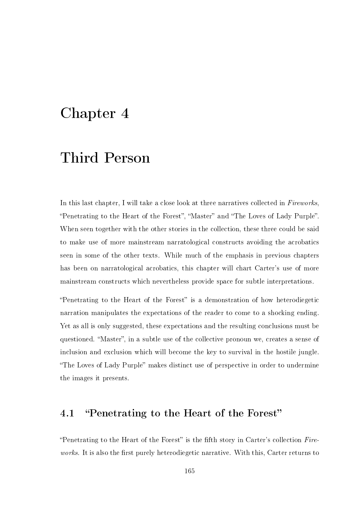## Chapter 4

# Third Person

In this last chapter, I will take a close look at three narratives collected in Fireworks. "Penetrating to the Heart of the Forest", "Master" and "The Loves of Lady Purple". When seen together with the other stories in the collection, these three could be said to make use of more mainstream narratological constructs avoiding the acrobatics seen in some of the other texts. While much of the emphasis in previous chapters has been on narratological acrobatics, this chapter will chart Carter's use of more mainstream constructs which nevertheless provide space for subtle interpretations.

"Penetrating to the Heart of the Forest" is a demonstration of how heterodiegetic narration manipulates the expectations of the reader to come to a shocking ending. Yet as all is only suggested, these expectations and the resulting conclusions must be questioned. "Master", in a subtle use of the collective pronoun we, creates a sense of inclusion and exclusion which will become the key to survival in the hostile jungle. "The Loves of Lady Purple" makes distinct use of perspective in order to undermine the images it presents.

## 4.1 "Penetrating to the Heart of the Forest"

"Penetrating to the Heart of the Forest" is the fifth story in Carter's collection  $Fire$ works. It is also the first purely heterodiegetic narrative. With this, Carter returns to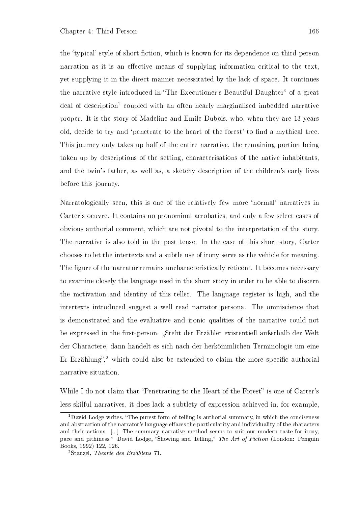the 'typical' style of short fiction, which is known for its dependence on third-person narration as it is an effective means of supplying information critical to the text, yet supplying it in the direct manner necessitated by the lack of space. It continues the narrative style introduced in "The Executioner's Beautiful Daughter" of a great deal of description<sup>1</sup> coupled with an often nearly marginalised imbedded narrative proper. It is the story of Madeline and Emile Dubois, who, when they are 13 years old, decide to try and 'penetrate to the heart of the forest' to find a mythical tree. This journey only takes up half of the entire narrative, the remaining portion being taken up by descriptions of the setting, characterisations of the native inhabitants, and the twin's father, as well as, a sketchy description of the children's early lives before this journey.

Narratologically seen, this is one of the relatively few more `normal' narratives in Carter's oeuvre. It contains no pronominal acrobatics, and only a few select cases of obvious authorial comment, which are not pivotal to the interpretation of the story. The narrative is also told in the past tense. In the case of this short story, Carter chooses to let the intertexts and a subtle use of irony serve as the vehicle for meaning. The figure of the narrator remains uncharacteristically reticent. It becomes necessary to examine closely the language used in the short story in order to be able to discern the motivation and identity of this teller. The language register is high, and the intertexts introduced suggest a well read narrator persona. The omniscience that is demonstrated and the evaluative and ironic qualities of the narrative could not be expressed in the first-person. "Steht der Erzähler existentiell außerhalb der Welt der Charactere, dann handelt es sich nach der herkömmlichen Terminologie um eine  $Er-Erzählung"$ <sup>2</sup> which could also be extended to claim the more specific authorial narrative situation.

While I do not claim that "Penetrating to the Heart of the Forest" is one of Carter's less skilful narratives, it does lack a subtlety of expression achieved in, for example,

<sup>&</sup>lt;sup>1</sup>David Lodge writes, "The purest form of telling is authorial summary, in which the conciseness and abstraction of the narrator's language effaces the particularity and individuality of the characters and their actions. [...] The summary narrative method seems to suit our modern taste for irony, pace and pithiness.<sup>3</sup> David Lodge, "Showing and Telling," The Art of Fiction (London: Penguin Books, 1992) 122, 126.

<sup>2</sup>Stanzel, Theorie des Erzählens 71.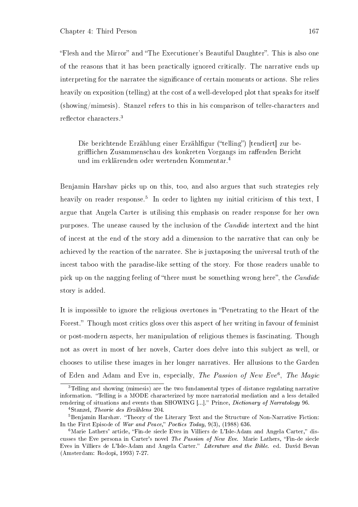"Flesh and the Mirror" and "The Executioner's Beautiful Daughter". This is also one of the reasons that it has been practically ignored critically. The narrative ends up interpreting for the narratee the significance of certain moments or actions. She relies heavily on exposition (telling) at the cost of a well-developed plot that speaks for itself (showing/mimesis). Stanzel refers to this in his comparison of teller-characters and reflector characters.<sup>3</sup>

Die berichtende Erzählung einer Erzählfigur ("telling") [tendiert] zur begrifflichen Zusammenschau des konkreten Vorgangs im raffenden Bericht und im erklärenden oder wertenden Kommentar.<sup>4</sup>

Benjamin Harshav picks up on this, too, and also argues that such strategies rely heavily on reader response.<sup>5</sup> In order to lighten my initial criticism of this text, I argue that Angela Carter is utilising this emphasis on reader response for her own purposes. The unease caused by the inclusion of the Candide intertext and the hint of incest at the end of the story add a dimension to the narrative that can only be achieved by the reaction of the narratee. She is juxtaposing the universal truth of the incest taboo with the paradise-like setting of the story. For those readers unable to pick up on the nagging feeling of "there must be something wrong here", the *Candide* story is added.

It is impossible to ignore the religious overtones in "Penetrating to the Heart of the Forest." Though most critics gloss over this aspect of her writing in favour of feminist or post-modern aspects, her manipulation of religious themes is fascinating. Though not as overt in most of her novels, Carter does delve into this subject as well, or chooses to utilise these images in her longer narratives. Her allusions to the Garden of Eden and Adam and Eve in, especially, The Passion of New Eve<sup>6</sup>, The Magic

<sup>3</sup>Telling and showing (mimesis) are the two fundamental types of distance regulating narrative information. "Telling is a MODE characterized by more narratorial mediation and a less detailed rendering of situations and events than SHOWING [...]." Prince, *Dictionary of Narratology* 96.

<sup>4</sup>Stanzel, Theorie des Erzählens 204.

<sup>&</sup>lt;sup>5</sup>Benjamin Harshav. "Theory of the Literary Text and the Structure of Non-Narrative Fiction: In the First Episode of War and Peace," Poetics Today,  $9(3)$ ,  $(1988)$  636.

 $6$ Marie Lathers' article, "Fin-de siecle Eves in Villiers de L'Isle-Adam and Angela Carter," discusses the Eve persona in Carter's novel The Passion of New Eve. Marie Lathers, Fin-de siecle Eves in Villiers de L'Isle-Adam and Angela Carter." Literature and the Bible. ed. David Bevan (Amsterdam: Rodopi, 1993) 7-27.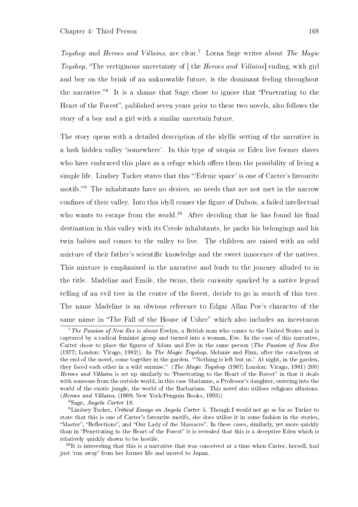Toyshop and Heroes and Villains, are clear.<sup>7</sup> Lorna Sage writes about The Magic Toyshop, "The vertiginous uncertainty of  $\lceil \phi \rceil$  the *Heroes and Villains* ending, with girl and boy on the brink of an unknowable future, is the dominant feeling throughout the narrative."<sup>8</sup> It is a shame that Sage chose to ignore that "Penetrating to the Heart of the Forest", published seven years prior to these two novels, also follows the story of a boy and a girl with a similar uncertain future.

The story opens with a detailed description of the idyllic setting of the narrative in a lush hidden valley `somewhere'. In this type of utopia or Eden live former slaves who have embraced this place as a refuge which offers them the possibility of living a simple life. Lindsey Tucker states that this "Edenic space' is one of Carter's favourite motifs."<sup>9</sup> The inhabitants have no desires, no needs that are not met in the narrow confines of their valley. Into this idyll comes the figure of Dubois, a failed intellectual who wants to escape from the world.<sup>10</sup> After deciding that he has found his final destination in this valley with its Creole inhabitants, he packs his belongings and his twin babies and comes to the valley to live. The children are raised with an odd mixture of their father's scientific knowledge and the sweet innocence of the natives. This mixture is emphasised in the narrative and leads to the journey alluded to in the title. Madeline and Emile, the twins, their curiosity sparked by a native legend telling of an evil tree in the centre of the forest, decide to go in search of this tree. The name Madeline is an obvious reference to Edgar Allan Poe's character of the same name in "The Fall of the House of Usher" which also includes an incestuous

<sup>8</sup>Sage, Angela Carter 18.

<sup>&</sup>lt;sup>7</sup>The Passion of New Eve is about Evelyn, a British man who comes to the United States and is captured by a radical feminist group and turned into a woman, Eve. In the case of this narrative, Carter chose to place the figures of Adam and Eve in the same person (The Passion of New Eve (1977; London: Virago, 1982)). In The Magic Toyshop, Melanie and Finn, after the cataclysm at the end of the novel, come together in the garden. 'Nothing is left but us.' At night, in the garden, they faced each other in a wild surmise." (The Magic Toyshop (1967; London: Virago, 1981) 200) Heroes and Villains is set up similarly to "Penetrating to the Heart of the Forest" in that it deals with someone from the outside world, in this case Marianne, a Professor's daughter, entering into the world of the exotic jungle, the world of the Barbarians. This novel also utilises religions allusions. (Heroes and Villains, (1969; New York:Penguin Books, 1993))

<sup>&</sup>lt;sup>9</sup>Lindsey Tucker, Critical Essays on Angela Carter 5. Though I would not go as far as Tucker to state that this is one of Carter's favourite motifs, she does utilise it in some fashion in the stories, "Master", "Reflections", and "Our Lady of the Massacre". In these cases, similarly, yet more quickly than in "Penetrating to the Heart of the Forest" it is revealed that this is a deceptive Eden which is relatively quickly shown to be hostile.

 $10$ It is interesting that this is a narrative that was conceived at a time when Carter, herself, had just `run away' from her former life and moved to Japan.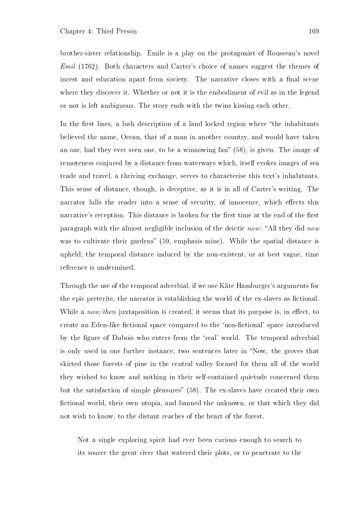brother-sister relationship. Emile is a play on the protagonist of Rousseau's novel Emil (1762). Both characters and Carter's choice of names suggest the themes of incest and education apart from society. The narrative closes with a final scene where they discover it. Whether or not it is the embodiment of evil as in the legend or not is left ambiguous. The story ends with the twins kissing each other.

In the first lines, a lush description of a land locked region where "the inhabitants" believed the name, Ocean, that of a man in another country, and would have taken an oar, had they ever seen one, to be a winnowing fan" (58), is given. The image of remoteness conjured by a distance from waterways which, itself evokes images of sea trade and travel, a thriving exchange, serves to characterise this text's inhabitants. This sense of distance, though, is deceptive, as it is in all of Carter's writing. The narrator lulls the reader into a sense of security, of innocence, which effects this narrative's reception. This distance is broken for the first time at the end of the first paragraph with the almost negligible inclusion of the deictic now: "All they did now was to cultivate their gardens" (59, emphasis mine). While the spatial distance is upheld, the temporal distance induced by the non-existent, or at best vague, time reference is undermined.

Through the use of the temporal adverbial, if we use Käte Hamburger's arguments for the epic preterite, the narrator is establishing the world of the ex-slaves as fictional. While a *now/then* juxtaposition is created, it seems that its purpose is, in effect, to create an Eden-like fictional space compared to the 'non-fictional' space introduced by the figure of Dubois who enters from the 'real' world. The temporal adverbial is only used in one further instance, two sentences later in "Now, the groves that skirted those forests of pine in the central valley formed for them all of the world they wished to know and nothing in their self-contained quietude concerned them but the satisfaction of simple pleasures"  $(58)$ . The ex-slaves have created their own fictional world, their own utopia, and banned the unknown, or that which they did not wish to know, to the distant reaches of the heart of the forest.

Not a single exploring spirit had ever been curious enough to search to its source the great river that watered their plots, or to penetrate to the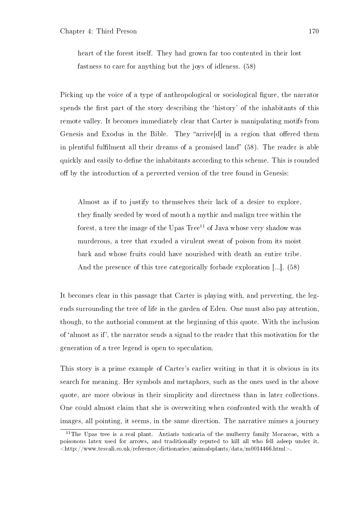heart of the forest itself. They had grown far too contented in their lost fastness to care for anything but the joys of idleness. (58)

Picking up the voice of a type of anthropological or sociological figure, the narrator spends the first part of the story describing the 'history' of the inhabitants of this remote valley. It becomes immediately clear that Carter is manipulating motifs from Genesis and Exodus in the Bible. They "arrive d in a region that offered them in plentiful fulfilment all their dreams of a promised land"  $(58)$ . The reader is able quickly and easily to define the inhabitants according to this scheme. This is rounded off by the introduction of a perverted version of the tree found in Genesis:

Almost as if to justify to themselves their lack of a desire to explore, they finally seeded by word of mouth a mythic and malign tree within the forest, a tree the image of the Upas  $Tree<sup>11</sup>$  of Java whose very shadow was murderous, a tree that exuded a virulent sweat of poison from its moist bark and whose fruits could have nourished with death an entire tribe. And the presence of this tree categorically forbade exploration [...]. (58)

It becomes clear in this passage that Carter is playing with, and perverting, the legends surrounding the tree of life in the garden of Eden. One must also pay attention, though, to the authorial comment at the beginning of this quote. With the inclusion of `almost as if', the narrator sends a signal to the reader that this motivation for the generation of a tree legend is open to speculation.

This story is a prime example of Carter's earlier writing in that it is obvious in its search for meaning. Her symbols and metaphors, such as the ones used in the above quote, are more obvious in their simplicity and directness than in later collections. One could almost claim that she is overwriting when confronted with the wealth of images, all pointing, it seems, in the same direction. The narrative mimes a journey

 $11$ The Upas tree is a real plant. Antiaris toxicaria of the mulberry family Moraceae, with a poisonous latex used for arrows, and traditionally reputed to kill all who fell asleep under it.  $\langle$ http://www.tescali.co.uk/reference/dictionaries/animalsplants/data/m0014466.html>.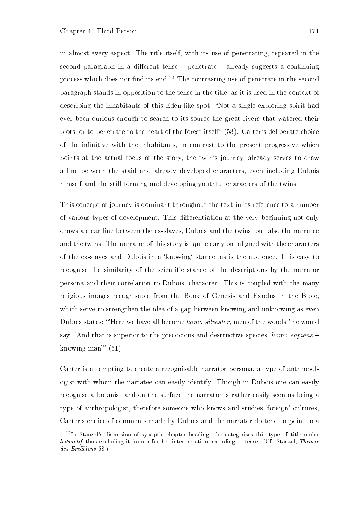in almost every aspect. The title itself, with its use of penetrating, repeated in the second paragraph in a different tense  $-$  penetrate  $-$  already suggests a continuing process which does not find its end.<sup>12</sup> The contrasting use of penetrate in the second paragraph stands in opposition to the tense in the title, as it is used in the context of describing the inhabitants of this Eden-like spot. "Not a single exploring spirit had ever been curious enough to search to its source the great rivers that watered their plots, or to penetrate to the heart of the forest itself"  $(58)$ . Carter's deliberate choice of the infinitive with the inhabitants, in contrast to the present progressive which points at the actual focus of the story, the twin's journey, already serves to draw a line between the staid and already developed characters, even including Dubois himself and the still forming and developing youthful characters of the twins.

This concept of journey is dominant throughout the text in its reference to a number of various types of development. This differentiation at the very beginning not only draws a clear line between the ex-slaves, Dubois and the twins, but also the narratee and the twins. The narrator of this story is, quite early on, aligned with the characters of the ex-slaves and Dubois in a `knowing` stance, as is the audience. It is easy to recognise the similarity of the scientific stance of the descriptions by the narrator persona and their correlation to Dubois' character. This is coupled with the many religious images recognisable from the Book of Genesis and Exodus in the Bible, which serve to strengthen the idea of a gap between knowing and unknowing as even Dubois states: "Here we have all become *homo silvester*, men of the woods,' he would say. 'And that is superior to the precocious and destructive species, *homo sapiens*  $$ knowing man"  $(61)$ .

Carter is attempting to create a recognisable narrator persona, a type of anthropologist with whom the narratee can easily identify. Though in Dubois one can easily recognise a botanist and on the surface the narrator is rather easily seen as being a type of anthropologist, therefore someone who knows and studies `foreign' cultures, Carter's choice of comments made by Dubois and the narrator do tend to point to a

<sup>&</sup>lt;sup>12</sup>In Stanzel's discussion of synoptic chapter headings, he categorises this type of title under leitmotif, thus excluding it from a further interpretation according to tense. (Cf. Stanzel, Theorie des Erzählens 58.)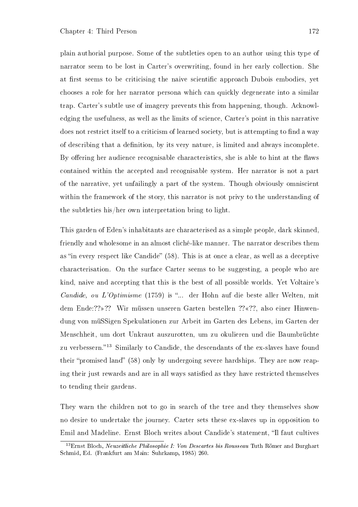plain authorial purpose. Some of the subtleties open to an author using this type of narrator seem to be lost in Carter's overwriting, found in her early collection. She at first seems to be criticising the naive scientific approach Dubois embodies, yet chooses a role for her narrator persona which can quickly degenerate into a similar trap. Carter's subtle use of imagery prevents this from happening, though. Acknowledging the usefulness, as well as the limits of science, Carter's point in this narrative does not restrict itself to a criticism of learned society, but is attempting to find a way of describing that a denition, by its very nature, is limited and always incomplete. By offering her audience recognisable characteristics, she is able to hint at the flaws contained within the accepted and recognisable system. Her narrator is not a part of the narrative, yet unfailingly a part of the system. Though obviously omniscient within the framework of the story, this narrator is not privy to the understanding of the subtleties his/her own interpretation bring to light.

This garden of Eden's inhabitants are characterised as a simple people, dark skinned, friendly and wholesome in an almost cliché-like manner. The narrator describes them as "in every respect like Candide" (58). This is at once a clear, as well as a deceptive characterisation. On the surface Carter seems to be suggesting, a people who are kind, naive and accepting that this is the best of all possible worlds. Yet Voltaire's *Candide, ou L'Optimisme* (1759) is "... der Hohn auf die beste aller Welten, mit dem Ende:??»?? Wir müssen unseren Garten bestellen ??«??, also einer Hinwendung von müßigen Spekulationen zur Arbeit im Garten des Lebens, im Garten der Menschheit, um dort Unkraut auszurotten, um zu okulieren und die Baumbrüchte zu verbessern."<sup>13</sup> Similarly to Candide, the descendants of the ex-slaves have found their "promised land" (58) only by undergoing severe hardships. They are now reaping their just rewards and are in all ways satisfied as they have restricted themselves to tending their gardens.

They warn the children not to go in search of the tree and they themselves show no desire to undertake the journey. Carter sets these ex-slaves up in opposition to Emil and Madeline. Ernst Bloch writes about Candide's statement, "Il faut cultives

<sup>&</sup>lt;sup>13</sup>Ernst Bloch, Neuzeitliche Philosophie I: Von Descartes bis Rousseau Tuth Römer and Burghart Schmid, Ed. (Frankfurt am Main: Suhrkamp, 1985) 260.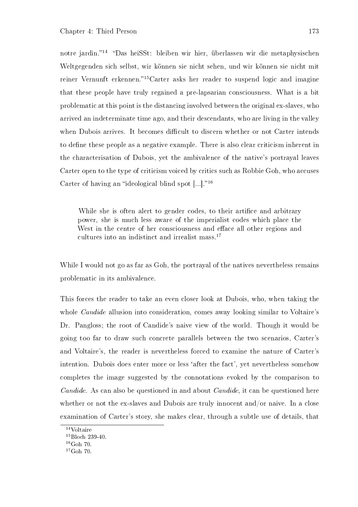notre jardin."<sup>14</sup> "Das heiSSt: bleiben wir hier, überlassen wir die metaphysischen Weltgegenden sich selbst, wir können sie nicht sehen, und wir können sie nicht mit reiner Vernunft erkennen.<sup>"15</sup>Carter asks her reader to suspend logic and imagine that these people have truly regained a pre-lapsarian consciousness. What is a bit problematic at this point is the distancing involved between the original ex-slaves, who arrived an indeterminate time ago, and their descendants, who are living in the valley when Dubois arrives. It becomes difficult to discern whether or not Carter intends to define these people as a negative example. There is also clear criticism inherent in the characterisation of Dubois, yet the ambivalence of the native's portrayal leaves Carter open to the type of criticism voiced by critics such as Robbie Goh, who accuses Carter of having an "ideological blind spot  $[...]$ ."<sup>16</sup>

While she is often alert to gender codes, to their artifice and arbitrary power, she is much less aware of the imperialist codes which place the West in the centre of her consciousness and efface all other regions and cultures into an indistinct and irrealist mass.<sup>17</sup>

While I would not go as far as Goh, the portrayal of the natives nevertheless remains problematic in its ambivalence.

This forces the reader to take an even closer look at Dubois, who, when taking the whole *Candide* allusion into consideration, comes away looking similar to Voltaire's Dr. Pangloss; the root of Candide's naive view of the world. Though it would be going too far to draw such concrete parallels between the two scenarios, Carter's and Voltaire's, the reader is nevertheless forced to examine the nature of Carter's intention. Dubois does enter more or less `after the fact', yet nevertheless somehow completes the image suggested by the connotations evoked by the comparison to Candide. As can also be questioned in and about Candide, it can be questioned here whether or not the ex-slaves and Dubois are truly innocent and/or naive. In a close examination of Carter's story, she makes clear, through a subtle use of details, that

<sup>14</sup>Voltaire

 $^{15}\rm{Bloch}$  239-40.

 $^{16}$ Goh 70.

 $17\text{Goh}$  70.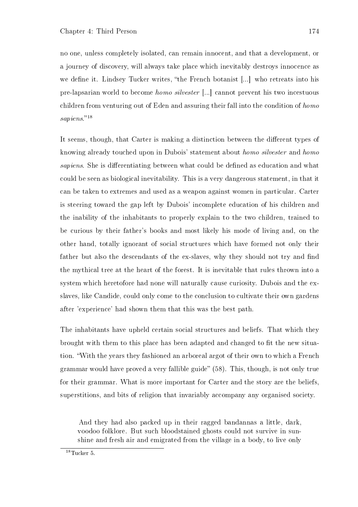no one, unless completely isolated, can remain innocent, and that a development, or a journey of discovery, will always take place which inevitably destroys innocence as we define it. Lindsey Tucker writes, "the French botanist [...] who retreats into his pre-lapsarian world to become homo silvester [...] cannot prevent his two incestuous children from venturing out of Eden and assuring their fall into the condition of homo  $sapiens.$ <sup>18</sup>

It seems, though, that Carter is making a distinction between the different types of knowing already touched upon in Dubois' statement about homo silvester and homo sapiens. She is differentiating between what could be defined as education and what could be seen as biological inevitability. This is a very dangerous statement, in that it can be taken to extremes and used as a weapon against women in particular. Carter is steering toward the gap left by Dubois' incomplete education of his children and the inability of the inhabitants to properly explain to the two children, trained to be curious by their father's books and most likely his mode of living and, on the other hand, totally ignorant of social structures which have formed not only their father but also the descendants of the ex-slaves, why they should not try and find the mythical tree at the heart of the forest. It is inevitable that rules thrown into a system which heretofore had none will naturally cause curiosity. Dubois and the exslaves, like Candide, could only come to the conclusion to cultivate their own gardens after 'experience' had shown them that this was the best path.

The inhabitants have upheld certain social structures and beliefs. That which they brought with them to this place has been adapted and changed to fit the new situation. With the years they fashioned an arboreal argot of their own to which a French grammar would have proved a very fallible guide"  $(58)$ . This, though, is not only true for their grammar. What is more important for Carter and the story are the beliefs, superstitions, and bits of religion that invariably accompany any organised society.

And they had also packed up in their ragged bandannas a little, dark, voodoo folklore. But such bloodstained ghosts could not survive in sunshine and fresh air and emigrated from the village in a body, to live only

 $18$ Tucker 5.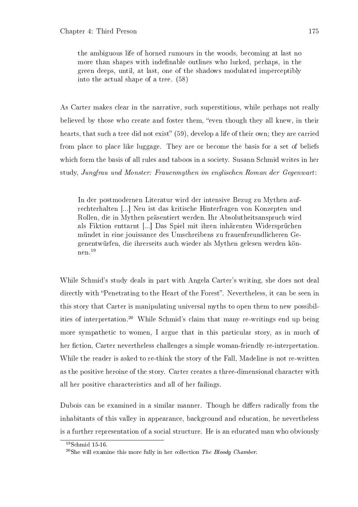the ambiguous life of horned rumours in the woods, becoming at last no more than shapes with indefinable outlines who lurked, perhaps, in the green deeps, until, at last, one of the shadows modulated imperceptibly into the actual shape of a tree. (58)

As Carter makes clear in the narrative, such superstitions, while perhaps not really believed by those who create and foster them, "even though they all knew, in their hearts, that such a tree did not exist"  $(59)$ , develop a life of their own; they are carried from place to place like luggage. They are or become the basis for a set of beliefs which form the basis of all rules and taboos in a society. Susann Schmid writes in her study, Jungfrau und Monster: Frauenmythen im englischen Roman der Gegenwart:

In der postmodernen Literatur wird der intensive Bezug zu Mythen aufrechterhalten [...] Neu ist das kritische Hinterfragen von Konzepten und Rollen, die in Mythen präsentiert werden. Ihr Absolutheitsanspruch wird als Fiktion enttarnt [...] Das Spiel mit ihren inhärenten Widersprüchen mündet in eine jouissance des Umschreibens zu frauenfreundlicheren Gegenentwürfen, die ihrerseits auch wieder als Mythen gelesen werden können.<sup>19</sup>

While Schmid's study deals in part with Angela Carter's writing, she does not deal directly with "Penetrating to the Heart of the Forest". Nevertheless, it can be seen in this story that Carter is manipulating universal myths to open them to new possibilities of interpretation.<sup>20</sup> While Schmid's claim that many re-writings end up being more sympathetic to women, I argue that in this particular story, as in much of her fiction, Carter nevertheless challenges a simple woman-friendly re-interpretation. While the reader is asked to re-think the story of the Fall, Madeline is not re-written as the positive heroine of the story. Carter creates a three-dimensional character with all her positive characteristics and all of her failings.

Dubois can be examined in a similar manner. Though he differs radically from the inhabitants of this valley in appearance, background and education, he nevertheless is a further representation of a social structure. He is an educated man who obviously

<sup>19</sup>Schmid 15-16.

 $^{20}$ She will examine this more fully in her collection The Bloody Chamber.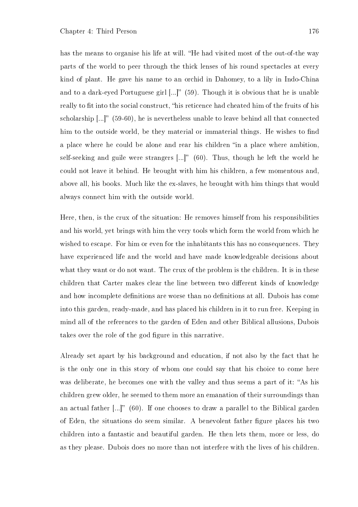has the means to organise his life at will. "He had visited most of the out-of-the way parts of the world to peer through the thick lenses of his round spectacles at every kind of plant. He gave his name to an orchid in Dahomey, to a lily in Indo-China and to a dark-eyed Portuguese girl  $[...]$ " (59). Though it is obvious that he is unable really to fit into the social construct, "his reticence had cheated him of the fruits of his scholarship  $\left[\ldots\right]$ " (59-60), he is nevertheless unable to leave behind all that connected him to the outside world, be they material or immaterial things. He wishes to find a place where he could be alone and rear his children "in a place where ambition, self-seeking and guile were strangers  $[...]$  (60). Thus, though he left the world he could not leave it behind. He brought with him his children, a few momentous and, above all, his books. Much like the ex-slaves, he brought with him things that would always connect him with the outside world.

Here, then, is the crux of the situation: He removes himself from his responsibilities and his world, yet brings with him the very tools which form the world from which he wished to escape. For him or even for the inhabitants this has no consequences. They have experienced life and the world and have made knowledgeable decisions about what they want or do not want. The crux of the problem is the children. It is in these children that Carter makes clear the line between two different kinds of knowledge and how incomplete definitions are worse than no definitions at all. Dubois has come into this garden, ready-made, and has placed his children in it to run free. Keeping in mind all of the references to the garden of Eden and other Biblical allusions, Dubois takes over the role of the god figure in this narrative.

Already set apart by his background and education, if not also by the fact that he is the only one in this story of whom one could say that his choice to come here was deliberate, he becomes one with the valley and thus seems a part of it: "As his children grew older, he seemed to them more an emanation of their surroundings than an actual father  $\left[\ldots\right]^n$  (60). If one chooses to draw a parallel to the Biblical garden of Eden, the situations do seem similar. A benevolent father figure places his two children into a fantastic and beautiful garden. He then lets them, more or less, do as they please. Dubois does no more than not interfere with the lives of his children.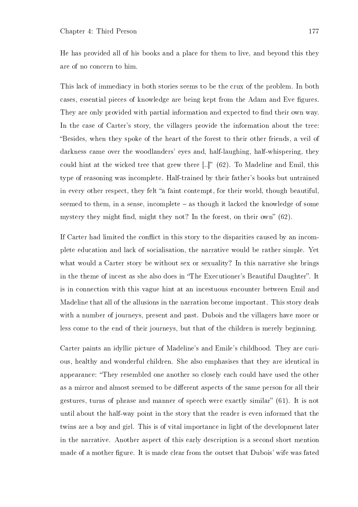He has provided all of his books and a place for them to live, and beyond this they are of no concern to him.

This lack of immediacy in both stories seems to be the crux of the problem. In both cases, essential pieces of knowledge are being kept from the Adam and Eve figures. They are only provided with partial information and expected to find their own way. In the case of Carter's story, the villagers provide the information about the tree: Besides, when they spoke of the heart of the forest to their other friends, a veil of darkness came over the woodlanders' eyes and, half-laughing, half-whispering, they could hint at the wicked tree that grew there  $\left[..\right]$ " (62). To Madeline and Emil, this type of reasoning was incomplete. Half-trained by their father's books but untrained in every other respect, they felt "a faint contempt, for their world, though beautiful, seemed to them, in a sense, incomplete  $-$  as though it lacked the knowledge of some mystery they might find, might they not? In the forest, on their own"  $(62)$ .

If Carter had limited the conflict in this story to the disparities caused by an incomplete education and lack of socialisation, the narrative would be rather simple. Yet what would a Carter story be without sex or sexuality? In this narrative she brings in the theme of incest as she also does in "The Executioner's Beautiful Daughter". It is in connection with this vague hint at an incestuous encounter between Emil and Madeline that all of the allusions in the narration become important. This story deals with a number of journeys, present and past. Dubois and the villagers have more or less come to the end of their journeys, but that of the children is merely beginning.

Carter paints an idyllic picture of Madeline's and Emile's childhood. They are curious, healthy and wonderful children. She also emphasises that they are identical in appearance: They resembled one another so closely each could have used the other as a mirror and almost seemed to be different aspects of the same person for all their gestures, turns of phrase and manner of speech were exactly similar"  $(61)$ . It is not until about the half-way point in the story that the reader is even informed that the twins are a boy and girl. This is of vital importance in light of the development later in the narrative. Another aspect of this early description is a second short mention made of a mother figure. It is made clear from the outset that Dubois' wife was fated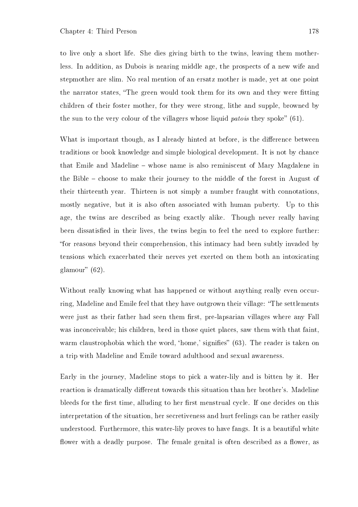to live only a short life. She dies giving birth to the twins, leaving them motherless. In addition, as Dubois is nearing middle age, the prospects of a new wife and stepmother are slim. No real mention of an ersatz mother is made, yet at one point the narrator states, "The green would took them for its own and they were fitting children of their foster mother, for they were strong, lithe and supple, browned by the sun to the very colour of the villagers whose liquid patois they spoke"  $(61)$ .

What is important though, as I already hinted at before, is the difference between traditions or book knowledge and simple biological development. It is not by chance that Emile and Madeline whose name is also reminiscent of Mary Magdalene in the Bible – choose to make their journey to the middle of the forest in August of their thirteenth year. Thirteen is not simply a number fraught with connotations, mostly negative, but it is also often associated with human puberty. Up to this age, the twins are described as being exactly alike. Though never really having been dissatisfied in their lives, the twins begin to feel the need to explore further: for reasons beyond their comprehension, this intimacy had been subtly invaded by tensions which exacerbated their nerves yet exerted on them both an intoxicating glamour"  $(62)$ .

Without really knowing what has happened or without anything really even occurring, Madeline and Emile feel that they have outgrown their village: "The settlements were just as their father had seen them first, pre-lapsarian villages where any Fall was inconceivable; his children, bred in those quiet places, saw them with that faint, warm claustrophobia which the word, 'home,' signifies" (63). The reader is taken on a trip with Madeline and Emile toward adulthood and sexual awareness.

Early in the journey, Madeline stops to pick a water-lily and is bitten by it. Her reaction is dramatically different towards this situation than her brother's. Madeline bleeds for the first time, alluding to her first menstrual cycle. If one decides on this interpretation of the situation, her secretiveness and hurt feelings can be rather easily understood. Furthermore, this water-lily proves to have fangs. It is a beautiful white flower with a deadly purpose. The female genital is often described as a flower, as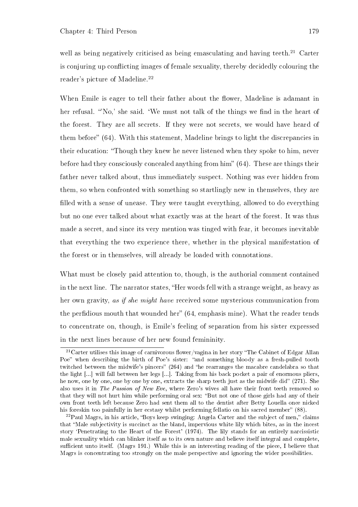well as being negatively criticised as being emasculating and having teeth.<sup>21</sup> Carter is conjuring up conflicting images of female sexuality, thereby decidedly colouring the reader's picture of Madeline.<sup>22</sup>

When Emile is eager to tell their father about the flower, Madeline is adamant in her refusal. "No,' she said. 'We must not talk of the things we find in the heart of the forest. They are all secrets. If they were not secrets, we would have heard of them before" (64). With this statement, Madeline brings to light the discrepancies in their education: Though they knew he never listened when they spoke to him, never before had they consciously concealed anything from him"  $(64)$ . These are things their father never talked about, thus immediately suspect. Nothing was ever hidden from them, so when confronted with something so startlingly new in themselves, they are filled with a sense of unease. They were taught everything, allowed to do everything but no one ever talked about what exactly was at the heart of the forest. It was thus made a secret, and since its very mention was tinged with fear, it becomes inevitable that everything the two experience there, whether in the physical manifestation of the forest or in themselves, will already be loaded with connotations.

What must be closely paid attention to, though, is the authorial comment contained in the next line. The narrator states, "Her words fell with a strange weight, as heavy as her own gravity, as if she might have received some mysterious communication from the perfidious mouth that wounded her" (64, emphasis mine). What the reader tends to concentrate on, though, is Emile's feeling of separation from his sister expressed in the next lines because of her new found femininity.

<sup>&</sup>lt;sup>21</sup> Carter utilises this image of carnivorous flower/vagina in her story "The Cabinet of Edgar Allan Poe" when describing the birth of Poe's sister: "and something bloody as a fresh-pulled tooth twitched between the midwife's pincers"  $(264)$  and "he rearranges the macabre candelabra so that the light [...] will fall between her legs [...]. Taking from his back pocket a pair of enormous pliers, he now, one by one, one by one by one, extracts the sharp teeth just as the midwife did" (271). She also uses it in The Passion of New Eve, where Zero's wives all have their front teeth removed so that they will not hurt him while performing oral sex: "But not one of those girls had any of their own front teeth left because Zero had sent them all to the dentist after Betty Louella once nicked his foreskin too painfully in her ecstasy whilst performing fellatio on his sacred member" (88).

 $22$ Paul Magrs, in his article, "Boys keep swinging: Angela Carter and the subject of men," claims that Male subjectivity is succinct as the bland, impervious white lily which bites, as in the incest story `Penetrating to the Heart of the Forest' (1974). The lily stands for an entirely narcissistic male sexuality which can blinker itself as to its own nature and believe itself integral and complete, sufficient unto itself. (Magrs 191.) While this is an interesting reading of the piece. I believe that Magrs is concentrating too strongly on the male perspective and ignoring the wider possibilities.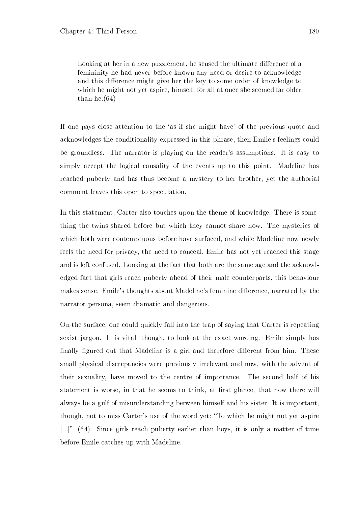Looking at her in a new puzzlement, he sensed the ultimate difference of a femininity he had never before known any need or desire to acknowledge and this difference might give her the key to some order of knowledge to which he might not yet aspire, himself, for all at once she seemed far older than he. $(64)$ 

If one pays close attention to the `as if she might have' of the previous quote and acknowledges the conditionality expressed in this phrase, then Emile's feelings could be groundless. The narrator is playing on the reader's assumptions. It is easy to simply accept the logical causality of the events up to this point. Madeline has reached puberty and has thus become a mystery to her brother, yet the authorial comment leaves this open to speculation.

In this statement, Carter also touches upon the theme of knowledge. There is something the twins shared before but which they cannot share now. The mysteries of which both were contemptuous before have surfaced, and while Madeline now newly feels the need for privacy, the need to conceal, Emile has not yet reached this stage and is left confused. Looking at the fact that both are the same age and the acknowledged fact that girls reach puberty ahead of their male counterparts, this behaviour makes sense. Emile's thoughts about Madeline's feminine difference, narrated by the narrator persona, seem dramatic and dangerous.

On the surface, one could quickly fall into the trap of saying that Carter is repeating sexist jargon. It is vital, though, to look at the exact wording. Emile simply has finally figured out that Madeline is a girl and therefore different from him. These small physical discrepancies were previously irrelevant and now, with the advent of their sexuality, have moved to the centre of importance. The second half of his statement is worse, in that he seems to think, at first glance, that now there will always be a gulf of misunderstanding between himself and his sister. It is important, though, not to miss Carter's use of the word yet: To which he might not yet aspire  $\left[ \ldots \right]$  (64). Since girls reach puberty earlier than boys, it is only a matter of time before Emile catches up with Madeline.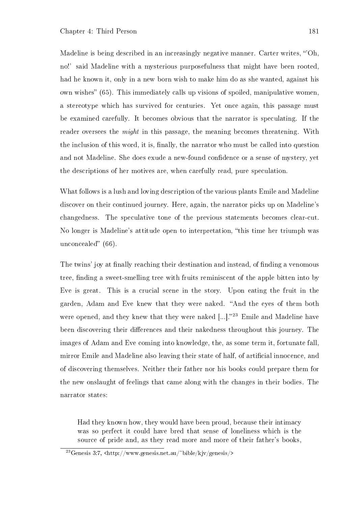Madeline is being described in an increasingly negative manner. Carter writes, "Oh, no!' said Madeline with a mysterious purposefulness that might have been rooted, had he known it, only in a new born wish to make him do as she wanted, against his own wishes"  $(65)$ . This immediately calls up visions of spoiled, manipulative women, a stereotype which has survived for centuries. Yet once again, this passage must be examined carefully. It becomes obvious that the narrator is speculating. If the reader oversees the *might* in this passage, the meaning becomes threatening. With the inclusion of this word, it is, finally, the narrator who must be called into question and not Madeline. She does exude a new-found confidence or a sense of mystery, yet the descriptions of her motives are, when carefully read, pure speculation.

What follows is a lush and loving description of the various plants Emile and Madeline discover on their continued journey. Here, again, the narrator picks up on Madeline's changedness. The speculative tone of the previous statements becomes clear-cut. No longer is Madeline's attitude open to interpretation, "this time her triumph was unconcealed"  $(66)$ .

The twins' joy at finally reaching their destination and instead, of finding a venomous tree, finding a sweet-smelling tree with fruits reminiscent of the apple bitten into by Eve is great. This is a crucial scene in the story. Upon eating the fruit in the garden, Adam and Eve knew that they were naked. "And the eyes of them both were opened, and they knew that they were naked  $\left[...\right]$ ."<sup>23</sup> Emile and Madeline have been discovering their differences and their nakedness throughout this journey. The images of Adam and Eve coming into knowledge, the, as some term it, fortunate fall, mirror Emile and Madeline also leaving their state of half, of artificial innocence, and of discovering themselves. Neither their father nor his books could prepare them for the new onslaught of feelings that came along with the changes in their bodies. The narrator states:

Had they known how, they would have been proud, because their intimacy was so perfect it could have bred that sense of loneliness which is the source of pride and, as they read more and more of their father's books,

<sup>&</sup>lt;sup>23</sup>Genesis 3:7,  $\frac{\text{th}}{\text{cm}}/$ www.genesis.net.au/ $\frac{\text{th}}{\text{cm}}$ kjv/genesis/>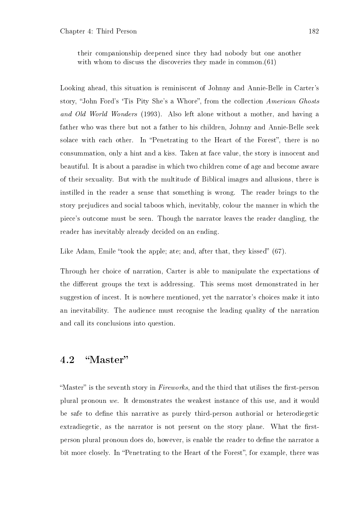their companionship deepened since they had nobody but one another with whom to discuss the discoveries they made in common.(61)

Looking ahead, this situation is reminiscent of Johnny and Annie-Belle in Carter's story, "John Ford's 'Tis Pity She's a Whore", from the collection American Ghosts and Old World Wonders (1993). Also left alone without a mother, and having a father who was there but not a father to his children, Johnny and Annie-Belle seek solace with each other. In "Penetrating to the Heart of the Forest", there is no consummation, only a hint and a kiss. Taken at face value, the story is innocent and beautiful. It is about a paradise in which two children come of age and become aware of their sexuality. But with the multitude of Biblical images and allusions, there is instilled in the reader a sense that something is wrong. The reader brings to the story prejudices and social taboos which, inevitably, colour the manner in which the piece's outcome must be seen. Though the narrator leaves the reader dangling, the reader has inevitably already decided on an ending.

Like Adam, Emile "took the apple; ate; and, after that, they kissed"  $(67)$ .

Through her choice of narration, Carter is able to manipulate the expectations of the different groups the text is addressing. This seems most demonstrated in her suggestion of incest. It is nowhere mentioned, yet the narrator's choices make it into an inevitability. The audience must recognise the leading quality of the narration and call its conclusions into question.

#### 4.2 "Master"

"Master" is the seventh story in  $Fireworks$ , and the third that utilises the first-person plural pronoun we. It demonstrates the weakest instance of this use, and it would be safe to define this narrative as purely third-person authorial or heterodiegetic extradiegetic, as the narrator is not present on the story plane. What the firstperson plural pronoun does do, however, is enable the reader to define the narrator a bit more closely. In "Penetrating to the Heart of the Forest", for example, there was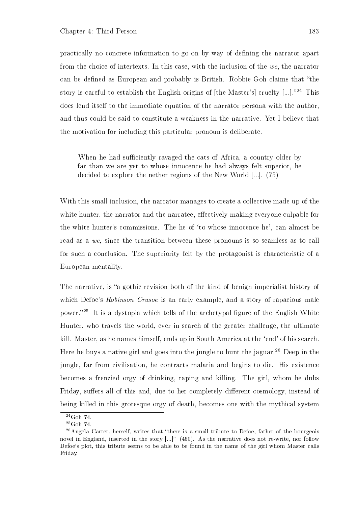practically no concrete information to go on by way of dening the narrator apart from the choice of intertexts. In this case, with the inclusion of the we, the narrator can be defined as European and probably is British. Robbie Goh claims that "the story is careful to establish the English origins of  $[the Master's]$  cruelty  $[...]$ .<sup>24</sup> This does lend itself to the immediate equation of the narrator persona with the author, and thus could be said to constitute a weakness in the narrative. Yet I believe that the motivation for including this particular pronoun is deliberate.

When he had sufficiently ravaged the cats of Africa, a country older by far than we are yet to whose innocence he had always felt superior, he decided to explore the nether regions of the New World [...]. (75)

With this small inclusion, the narrator manages to create a collective made up of the white hunter, the narrator and the narratee, effectively making everyone culpable for the white hunter's commissions. The he of 'to whose innocence he', can almost be read as a we, since the transition between these pronouns is so seamless as to call for such a conclusion. The superiority felt by the protagonist is characteristic of a European mentality.

The narrative, is "a gothic revision both of the kind of benign imperialist history of which Defoe's Robinson Crusoe is an early example, and a story of rapacious male power.<sup>25</sup> It is a dystopia which tells of the archetypal figure of the English White Hunter, who travels the world, ever in search of the greater challenge, the ultimate kill. Master, as he names himself, ends up in South America at the `end' of his search. Here he buys a native girl and goes into the jungle to hunt the jaguar.<sup>26</sup> Deep in the jungle, far from civilisation, he contracts malaria and begins to die. His existence becomes a frenzied orgy of drinking, raping and killing. The girl, whom he dubs Friday, suffers all of this and, due to her completely different cosmology, instead of being killed in this grotesque orgy of death, becomes one with the mythical system

<sup>24</sup>Goh 74.

 $^{25}$ Goh 74.

 $26$ Angela Carter, herself, writes that "there is a small tribute to Defoe, father of the bourgeois novel in England, inserted in the story [...]" (460). As the narrative does not re-write, nor follow Defoe's plot, this tribute seems to be able to be found in the name of the girl whom Master calls Friday.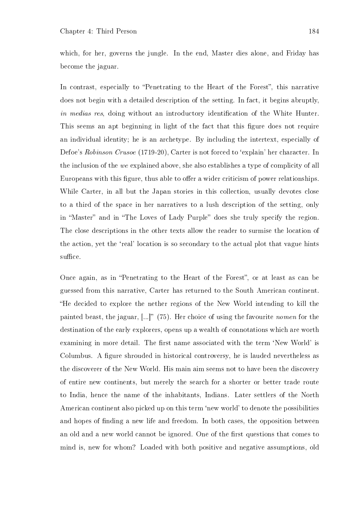which, for her, governs the jungle. In the end, Master dies alone, and Friday has become the jaguar.

In contrast, especially to "Penetrating to the Heart of the Forest", this narrative does not begin with a detailed description of the setting. In fact, it begins abruptly, in medias res, doing without an introductory identification of the White Hunter. This seems an apt beginning in light of the fact that this figure does not require an individual identity; he is an archetype. By including the intertext, especially of Defoe's Robinson Crusoe (1719-20), Carter is not forced to 'explain' her character. In the inclusion of the we explained above, she also establishes a type of complicity of all Europeans with this figure, thus able to offer a wider criticism of power relationships. While Carter, in all but the Japan stories in this collection, usually devotes close to a third of the space in her narratives to a lush description of the setting, only in "Master" and in "The Loves of Lady Purple" does she truly specify the region. The close descriptions in the other texts allow the reader to surmise the location of the action, yet the 'real' location is so secondary to the actual plot that vague hints suffice.

Once again, as in "Penetrating to the Heart of the Forest", or at least as can be guessed from this narrative, Carter has returned to the South American continent. He decided to explore the nether regions of the New World intending to kill the painted beast, the jaguar,  $\left[\ldots\right]$ " (75). Her choice of using the favourite nomen for the destination of the early explorers, opens up a wealth of connotations which are worth examining in more detail. The first name associated with the term 'New World' is Columbus. A figure shrouded in historical controversy, he is lauded nevertheless as the discoverer of the New World. His main aim seems not to have been the discovery of entire new continents, but merely the search for a shorter or better trade route to India, hence the name of the inhabitants, Indians. Later settlers of the North American continent also picked up on this term 'new world' to denote the possibilities and hopes of finding a new life and freedom. In both cases, the opposition between an old and a new world cannot be ignored. One of the first questions that comes to mind is, new for whom? Loaded with both positive and negative assumptions, old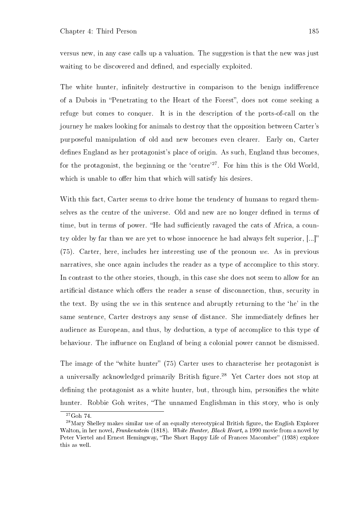versus new, in any case calls up a valuation. The suggestion is that the new was just waiting to be discovered and defined, and especially exploited.

The white hunter, infinitely destructive in comparison to the benign indifference of a Dubois in "Penetrating to the Heart of the Forest", does not come seeking a refuge but comes to conquer. It is in the description of the ports-of-call on the journey he makes looking for animals to destroy that the opposition between Carter's purposeful manipulation of old and new becomes even clearer. Early on, Carter defines England as her protagonist's place of origin. As such, England thus becomes, for the protagonist, the beginning or the 'centre'<sup>27</sup>. For him this is the Old World, which is unable to offer him that which will satisfy his desires.

With this fact, Carter seems to drive home the tendency of humans to regard themselves as the centre of the universe. Old and new are no longer defined in terms of time, but in terms of power. "He had sufficiently ravaged the cats of Africa, a country older by far than we are yet to whose innocence he had always felt superior, [...] (75). Carter, here, includes her interesting use of the pronoun we. As in previous narratives, she once again includes the reader as a type of accomplice to this story. In contrast to the other stories, though, in this case she does not seem to allow for an artificial distance which offers the reader a sense of disconnection, thus, security in the text. By using the we in this sentence and abruptly returning to the `he' in the same sentence, Carter destroys any sense of distance. She immediately defines her audience as European, and thus, by deduction, a type of accomplice to this type of behaviour. The influence on England of being a colonial power cannot be dismissed.

The image of the "white hunter" (75) Carter uses to characterise her protagonist is a universally acknowledged primarily British figure.<sup>28</sup> Yet Carter does not stop at defining the protagonist as a white hunter, but, through him, personifies the white hunter. Robbie Goh writes, "The unnamed Englishman in this story, who is only

 $27\overline{\text{G}}$ oh 74.

<sup>&</sup>lt;sup>28</sup>Mary Shelley makes similar use of an equally stereotypical British figure, the English Explorer Walton, in her novel, Frankenstein (1818). White Hunter, Black Heart, a 1990 movie from a novel by Peter Viertel and Ernest Hemingway, "The Short Happy Life of Frances Macomber" (1938) explore this as well.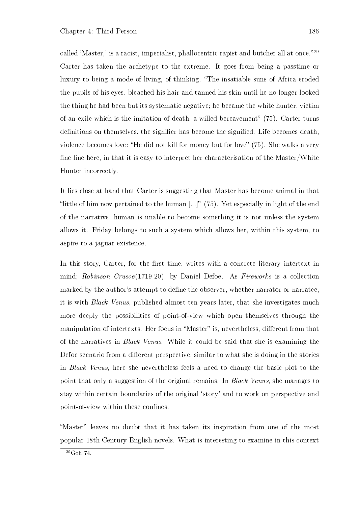called 'Master,' is a racist, imperialist, phallocentric rapist and butcher all at once."<sup>29</sup> Carter has taken the archetype to the extreme. It goes from being a passtime or luxury to being a mode of living, of thinking. "The insatiable suns of Africa eroded the pupils of his eyes, bleached his hair and tanned his skin until he no longer looked the thing he had been but its systematic negative; he became the white hunter, victim of an exile which is the imitation of death, a willed bereavement"  $(75)$ . Carter turns definitions on themselves, the signifier has become the signified. Life becomes death, violence becomes love: "He did not kill for money but for love" (75). She walks a very fine line here, in that it is easy to interpret her characterisation of the Master/White Hunter incorrectly.

It lies close at hand that Carter is suggesting that Master has become animal in that "little of him now pertained to the human  $\left[\ldots\right]$ " (75). Yet especially in light of the end of the narrative, human is unable to become something it is not unless the system allows it. Friday belongs to such a system which allows her, within this system, to aspire to a jaguar existence.

In this story, Carter, for the first time, writes with a concrete literary intertext in mind; Robinson Crusoe(1719-20), by Daniel Defoe. As Fireworks is a collection marked by the author's attempt to define the observer, whether narrator or narratee, it is with Black Venus, published almost ten years later, that she investigates much more deeply the possibilities of point-of-view which open themselves through the manipulation of intertexts. Her focus in "Master" is, nevertheless, different from that of the narratives in Black Venus. While it could be said that she is examining the Defoe scenario from a different perspective, similar to what she is doing in the stories in Black Venus, here she nevertheless feels a need to change the basic plot to the point that only a suggestion of the original remains. In Black Venus, she manages to stay within certain boundaries of the original `story' and to work on perspective and point-of-view within these confines.

"Master" leaves no doubt that it has taken its inspiration from one of the most popular 18th Century English novels. What is interesting to examine in this context

 $^{29}$ Goh 74.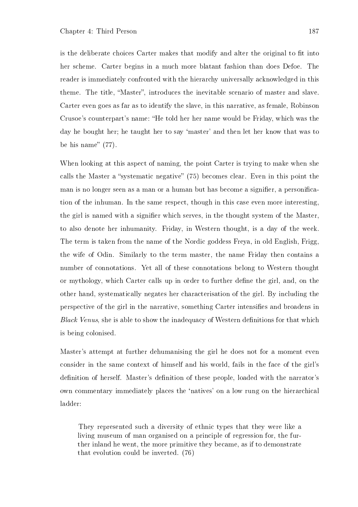is the deliberate choices Carter makes that modify and alter the original to fit into her scheme. Carter begins in a much more blatant fashion than does Defoe. The reader is immediately confronted with the hierarchy universally acknowledged in this theme. The title, "Master", introduces the inevitable scenario of master and slave. Carter even goes as far as to identify the slave, in this narrative, as female, Robinson Crusoe's counterpart's name: "He told her her name would be Friday, which was the day he bought her; he taught her to say 'master' and then let her know that was to be his name"  $(77)$ .

When looking at this aspect of naming, the point Carter is trying to make when she calls the Master a "systematic negative"  $(75)$  becomes clear. Even in this point the man is no longer seen as a man or a human but has become a signifier, a personification of the inhuman. In the same respect, though in this case even more interesting, the girl is named with a signier which serves, in the thought system of the Master, to also denote her inhumanity. Friday, in Western thought, is a day of the week. The term is taken from the name of the Nordic goddess Freya, in old English, Frigg, the wife of Odin. Similarly to the term master, the name Friday then contains a number of connotations. Yet all of these connotations belong to Western thought or mythology, which Carter calls up in order to further define the girl, and, on the other hand, systematically negates her characterisation of the girl. By including the perspective of the girl in the narrative, something Carter intensifies and broadens in Black Venus, she is able to show the inadequacy of Western definitions for that which is being colonised.

Master's attempt at further dehumanising the girl he does not for a moment even consider in the same context of himself and his world, fails in the face of the girl's definition of herself. Master's definition of these people, loaded with the narrator's own commentary immediately places the `natives' on a low rung on the hierarchical ladder:

They represented such a diversity of ethnic types that they were like a living museum of man organised on a principle of regression for, the further inland he went, the more primitive they became, as if to demonstrate that evolution could be inverted. (76)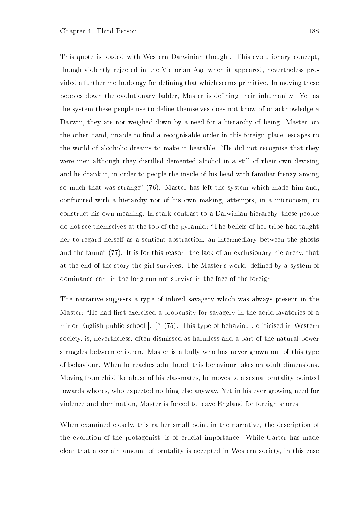This quote is loaded with Western Darwinian thought. This evolutionary concept, though violently rejected in the Victorian Age when it appeared, nevertheless provided a further methodology for defining that which seems primitive. In moving these peoples down the evolutionary ladder, Master is defining their inhumanity. Yet as the system these people use to define themselves does not know of or acknowledge a Darwin, they are not weighed down by a need for a hierarchy of being. Master, on the other hand, unable to find a recognisable order in this foreign place, escapes to the world of alcoholic dreams to make it bearable. "He did not recognise that they were men although they distilled demented alcohol in a still of their own devising and he drank it, in order to people the inside of his head with familiar frenzy among so much that was strange"  $(76)$ . Master has left the system which made him and, confronted with a hierarchy not of his own making, attempts, in a microcosm, to construct his own meaning. In stark contrast to a Darwinian hierarchy, these people do not see themselves at the top of the pyramid: The beliefs of her tribe had taught her to regard herself as a sentient abstraction, an intermediary between the ghosts and the fauna"  $(77)$ . It is for this reason, the lack of an exclusionary hierarchy, that at the end of the story the girl survives. The Master's world, defined by a system of dominance can, in the long run not survive in the face of the foreign.

The narrative suggests a type of inbred savagery which was always present in the Master: "He had first exercised a propensity for savagery in the acrid lavatories of a minor English public school  $\left[\ldots\right]$ " (75). This type of behaviour, criticised in Western society, is, nevertheless, often dismissed as harmless and a part of the natural power struggles between children. Master is a bully who has never grown out of this type of behaviour. When he reaches adulthood, this behaviour takes on adult dimensions. Moving from childlike abuse of his classmates, he moves to a sexual brutality pointed towards whores, who expected nothing else anyway. Yet in his ever growing need for violence and domination, Master is forced to leave England for foreign shores.

When examined closely, this rather small point in the narrative, the description of the evolution of the protagonist, is of crucial importance. While Carter has made clear that a certain amount of brutality is accepted in Western society, in this case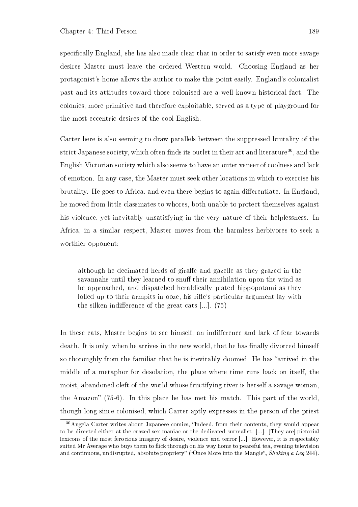specifically England, she has also made clear that in order to satisfy even more savage desires Master must leave the ordered Western world. Choosing England as her protagonist's home allows the author to make this point easily. England's colonialist past and its attitudes toward those colonised are a well known historical fact. The colonies, more primitive and therefore exploitable, served as a type of playground for the most eccentric desires of the cool English.

Carter here is also seeming to draw parallels between the suppressed brutality of the strict Japanese society, which often finds its outlet in their art and literature<sup>30</sup>, and the English Victorian society which also seems to have an outer veneer of coolness and lack of emotion. In any case, the Master must seek other locations in which to exercise his brutality. He goes to Africa, and even there begins to again differentiate. In England, he moved from little classmates to whores, both unable to protect themselves against his violence, yet inevitably unsatisfying in the very nature of their helplessness. In Africa, in a similar respect, Master moves from the harmless herbivores to seek a worthier opponent:

although he decimated herds of giraffe and gazelle as they grazed in the savannahs until they learned to snuff their annihilation upon the wind as he approached, and dispatched heraldically plated hippopotami as they lolled up to their armpits in ooze, his rifle's particular argument lay with the silken indifference of the great cats  $\left[\ldots\right]$ . (75)

In these cats, Master begins to see himself, an indifference and lack of fear towards death. It is only, when he arrives in the new world, that he has finally divorced himself so thoroughly from the familiar that he is inevitably doomed. He has "arrived in the middle of a metaphor for desolation, the place where time runs back on itself, the moist, abandoned cleft of the world whose fructifying river is herself a savage woman, the Amazon"  $(75-6)$ . In this place he has met his match. This part of the world, though long since colonised, which Carter aptly expresses in the person of the priest

<sup>&</sup>lt;sup>30</sup>Angela Carter writes about Japanese comics, "Indeed, from their contents, they would appear to be directed either at the crazed sex maniac or the dedicated surrealist. [...]. [They are] pictorial lexicons of the most ferocious imagery of desire, violence and terror [...]. However, it is respectably suited Mr Average who buys them to flick through on his way home to peaceful tea, evening television and continuous, undisrupted, absolute propriety" ("Once More into the Mangle", Shaking a Leg 244).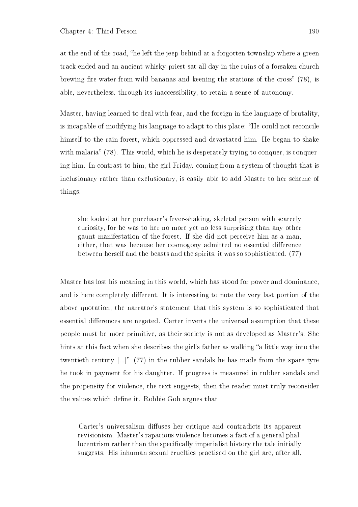at the end of the road, "he left the jeep behind at a forgotten township where a green track ended and an ancient whisky priest sat all day in the ruins of a forsaken church brewing fire-water from wild bananas and keening the stations of the cross"  $(78)$ , is able, nevertheless, through its inaccessibility, to retain a sense of autonomy.

Master, having learned to deal with fear, and the foreign in the language of brutality, is incapable of modifying his language to adapt to this place: "He could not reconcile himself to the rain forest, which oppressed and devastated him. He began to shake with malaria"  $(78)$ . This world, which he is desperately trying to conquer, is conquering him. In contrast to him, the girl Friday, coming from a system of thought that is inclusionary rather than exclusionary, is easily able to add Master to her scheme of things:

she looked at her purchaser's fever-shaking, skeletal person with scarcely curiosity, for he was to her no more yet no less surprising than any other gaunt manifestation of the forest. If she did not perceive him as a man, either, that was because her cosmogony admitted no essential difference between herself and the beasts and the spirits, it was so sophisticated. (77)

Master has lost his meaning in this world, which has stood for power and dominance, and is here completely different. It is interesting to note the very last portion of the above quotation, the narrator's statement that this system is so sophisticated that essential differences are negated. Carter inverts the universal assumption that these people must be more primitive, as their society is not as developed as Master's. She hints at this fact when she describes the girl's father as walking "a little way into the twentieth century  $\left[\ldots\right]^n$  (77) in the rubber sandals he has made from the spare tyre he took in payment for his daughter. If progress is measured in rubber sandals and the propensity for violence, the text suggests, then the reader must truly reconsider the values which define it. Robbie Goh argues that

Carter's universalism diffuses her critique and contradicts its apparent revisionism. Master's rapacious violence becomes a fact of a general phallocentrism rather than the specifically imperialist history the tale initially suggests. His inhuman sexual cruelties practised on the girl are, after all,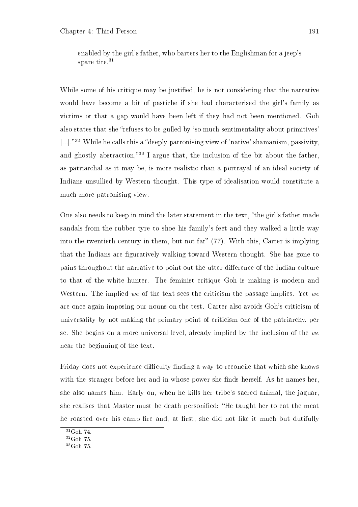enabled by the girl's father, who barters her to the Englishman for a jeep's spare tire.<sup>31</sup>

While some of his critique may be justified, he is not considering that the narrative would have become a bit of pastiche if she had characterised the girl's family as victims or that a gap would have been left if they had not been mentioned. Goh also states that she "refuses to be gulled by 'so much sentimentality about primitives'  $\left[ \ldots \right]$ ."<sup>32</sup> While he calls this a "deeply patronising view of 'native' shamanism, passivity, and ghostly abstraction,"<sup>33</sup> I argue that, the inclusion of the bit about the father, as patriarchal as it may be, is more realistic than a portrayal of an ideal society of Indians unsullied by Western thought. This type of idealisation would constitute a much more patronising view.

One also needs to keep in mind the later statement in the text, "the girl's father made sandals from the rubber tyre to shoe his family's feet and they walked a little way into the twentieth century in them, but not far"  $(77)$ . With this, Carter is implying that the Indians are figuratively walking toward Western thought. She has gone to pains throughout the narrative to point out the utter difference of the Indian culture to that of the white hunter. The feminist critique Goh is making is modern and Western. The implied we of the text sees the criticism the passage implies. Yet we are once again imposing our nouns on the test. Carter also avoids Goh's criticism of universality by not making the primary point of criticism one of the patriarchy, per se. She begins on a more universal level, already implied by the inclusion of the we near the beginning of the text.

Friday does not experience difficulty finding a way to reconcile that which she knows with the stranger before her and in whose power she finds herself. As he names her, she also names him. Early on, when he kills her tribe's sacred animal, the jaguar, she realises that Master must be death personified: "He taught her to eat the meat he roasted over his camp fire and, at first, she did not like it much but dutifully

<sup>31</sup>Goh 74.

 $^{32}\mathrm{Goh}$  75.

<sup>33</sup>Goh 75.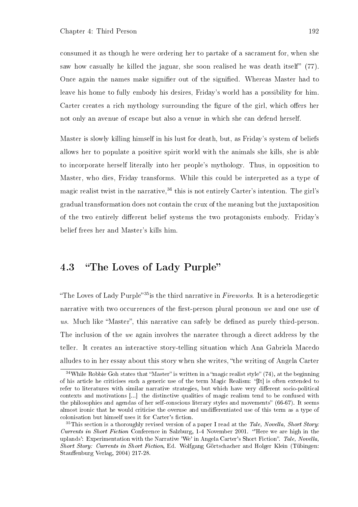consumed it as though he were ordering her to partake of a sacrament for, when she saw how casually he killed the jaguar, she soon realised he was death itself"  $(77)$ . Once again the names make signifier out of the signified. Whereas Master had to leave his home to fully embody his desires, Friday's world has a possibility for him. Carter creates a rich mythology surrounding the figure of the girl, which offers her not only an avenue of escape but also a venue in which she can defend herself.

Master is slowly killing himself in his lust for death, but, as Friday's system of beliefs allows her to populate a positive spirit world with the animals she kills, she is able to incorporate herself literally into her people's mythology. Thus, in opposition to Master, who dies, Friday transforms. While this could be interpreted as a type of magic realist twist in the narrative,  $34$  this is not entirely Carter's intention. The girl's gradual transformation does not contain the crux of the meaning but the juxtaposition of the two entirely different belief systems the two protagonists embody. Friday's belief frees her and Master's kills him.

#### 4.3 "The Loves of Lady Purple"

"The Loves of Lady Purple"<sup>35</sup> is the third narrative in  $Fireworks$ . It is a heterodiegetic narrative with two occurrences of the first-person plural pronoun  $we$  and one use of us. Much like "Master", this narrative can safely be defined as purely third-person. The inclusion of the we again involves the narratee through a direct address by the teller. It creates an interactive story-telling situation which Ana Gabriela Macedo alludes to in her essay about this story when she writes, the writing of Angela Carter

 $34$ While Robbie Goh states that "Master" is written in a "magic realist style" (74), at the beginning of his article he criticises such a generic use of the term Magic Realism: "[It] is often extended to refer to literatures with similar narrative strategies, but which have very different socio-political contexts and motivations [...] the distinctive qualities of magic realism tend to be confused with the philosophies and agendas of her self-conscious literary styles and movements" (66-67). It seems almost ironic that he would criticise the overuse and undifferentiated use of this term as a type of colonisation but himself uses it for Carter's fiction.

<sup>&</sup>lt;sup>35</sup>This section is a thoroughly revised version of a paper I read at the Tale, Novella, Short Story: Currents in Short Fiction Conference in Salzburg, 1-4 November 2001. 'Here we are high in the uplands': Experimentation with the Narrative 'We' in Angela Carter's Short Fiction". Tale, Novella. Short Story: Currents in Short Fiction, Ed. Wolfgang Görtschacher and Holger Klein (Tübingen: Stauffenburg Verlag, 2004) 217-28.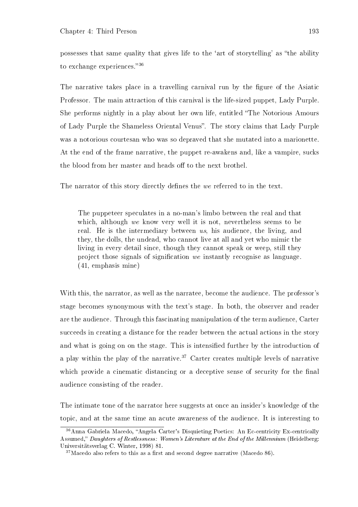possesses that same quality that gives life to the 'art of storytelling' as "the ability to exchange experiences." $36$ 

The narrative takes place in a travelling carnival run by the figure of the Asiatic Professor. The main attraction of this carnival is the life-sized puppet, Lady Purple. She performs nightly in a play about her own life, entitled The Notorious Amours of Lady Purple the Shameless Oriental Venus". The story claims that Lady Purple was a notorious courtesan who was so depraved that she mutated into a marionette. At the end of the frame narrative, the puppet re-awakens and, like a vampire, sucks the blood from her master and heads off to the next brothel.

The narrator of this story directly defines the we referred to in the text.

The puppeteer speculates in a no-man's limbo between the real and that which, although we know very well it is not, nevertheless seems to be real. He is the intermediary between us, his audience, the living, and they, the dolls, the undead, who cannot live at all and yet who mimic the living in every detail since, though they cannot speak or weep, still they project those signals of signication we instantly recognise as language. (41, emphasis mine)

With this, the narrator, as well as the narratee, become the audience. The professor's stage becomes synonymous with the text's stage. In both, the observer and reader are the audience. Through this fascinating manipulation of the term audience, Carter succeeds in creating a distance for the reader between the actual actions in the story and what is going on on the stage. This is intensified further by the introduction of a play within the play of the narrative.<sup>37</sup> Carter creates multiple levels of narrative which provide a cinematic distancing or a deceptive sense of security for the final audience consisting of the reader.

The intimate tone of the narrator here suggests at once an insider's knowledge of the topic, and at the same time an acute awareness of the audience. It is interesting to

 $36$ Anna Gabriela Macedo, "Angela Carter's Disquieting Poetics: An Ec-centricity Ex-centrically Assumed," Daughters of Restlessness: Women's Literature at the End of the Millennium (Heidelberg: Universitätsverlag C. Winter, 1998) 81.

 $37$ Macedo also refers to this as a first and second degree narrative (Macedo 86).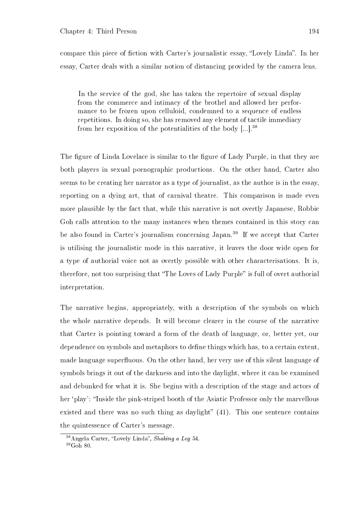compare this piece of fiction with Carter's journalistic essay, "Lovely Linda". In her essay, Carter deals with a similar notion of distancing provided by the camera lens.

In the service of the god, she has taken the repertoire of sexual display from the commerce and intimacy of the brothel and allowed her performance to be frozen upon celluloid, condemned to a sequence of endless repetitions. In doing so, she has removed any element of tactile immediacy from her exposition of the potentialities of the body  $[...]$ .<sup>38</sup>

The figure of Linda Lovelace is similar to the figure of Lady Purple, in that they are both players in sexual pornographic productions. On the other hand, Carter also seems to be creating her narrator as a type of journalist, as the author is in the essay, reporting on a dying art, that of carnival theatre. This comparison is made even more plausible by the fact that, while this narrative is not overtly Japanese, Robbie Goh calls attention to the many instances when themes contained in this story can be also found in Carter's journalism concerning Japan.<sup>39</sup> If we accept that Carter is utilising the journalistic mode in this narrative, it leaves the door wide open for a type of authorial voice not as overtly possible with other characterisations. It is, therefore, not too surprising that "The Loves of Lady Purple" is full of overt authorial interpretation.

The narrative begins, appropriately, with a description of the symbols on which the whole narrative depends. It will become clearer in the course of the narrative that Carter is pointing toward a form of the death of language, or, better yet, our dependence on symbols and metaphors to define things which has, to a certain extent, made language superfluous. On the other hand, her very use of this silent language of symbols brings it out of the darkness and into the daylight, where it can be examined and debunked for what it is. She begins with a description of the stage and actors of her 'play': "Inside the pink-striped booth of the Asiatic Professor only the marvellous existed and there was no such thing as daylight"  $(41)$ . This one sentence contains the quintessence of Carter's message.

 $38$ Angela Carter, "Lovely Linda", Shaking a Leg 54.

 $39Goh$  80.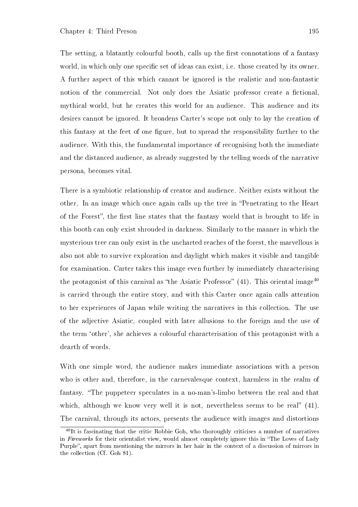The setting, a blatantly colourful booth, calls up the first connotations of a fantasy world, in which only one specific set of ideas can exist, i.e. those created by its owner. A further aspect of this which cannot be ignored is the realistic and non-fantastic notion of the commercial. Not only does the Asiatic professor create a fictional, mythical world, but he creates this world for an audience. This audience and its desires cannot be ignored. It broadens Carter's scope not only to lay the creation of this fantasy at the feet of one figure, but to spread the responsibility further to the audience. With this, the fundamental importance of recognising both the immediate and the distanced audience, as already suggested by the telling words of the narrative persona, becomes vital.

There is a symbiotic relationship of creator and audience. Neither exists without the other. In an image which once again calls up the tree in Penetrating to the Heart of the Forest", the first line states that the fantasy world that is brought to life in this booth can only exist shrouded in darkness. Similarly to the manner in which the mysterious tree can only exist in the uncharted reaches of the forest, the marvellous is also not able to survive exploration and daylight which makes it visible and tangible for examination. Carter takes this image even further by immediately characterising the protagonist of this carnival as "the Asiatic Professor"  $(41)$ . This oriental image<sup>40</sup> is carried through the entire story, and with this Carter once again calls attention to her experiences of Japan while writing the narratives in this collection. The use of the adjective Asiatic, coupled with later allusions to the foreign and the use of the term `other', she achieves a colourful characterisation of this protagonist with a dearth of words.

With one simple word, the audience makes immediate associations with a person who is other and, therefore, in the carnevalesque context, harmless in the realm of fantasy. "The puppeteer speculates in a no-man's-limbo between the real and that which, although we know very well it is not, nevertheless seems to be real"  $(41)$ . The carnival, through its actors, presents the audience with images and distortions

 $^{40}$ It is fascinating that the critic Robbie Goh, who thoroughly criticises a number of narratives in Fireworks for their orientalist view, would almost completely ignore this in "The Loves of Lady" Purple", apart from mentioning the mirrors in her hair in the context of a discussion of mirrors in the collection (Cf. Goh 81).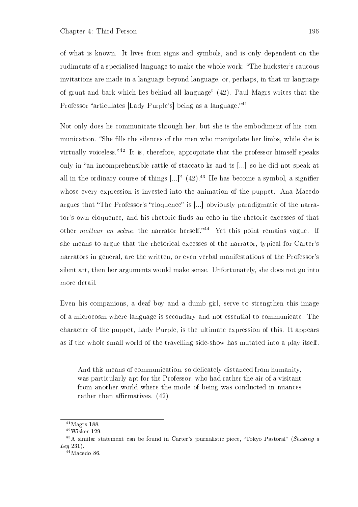of what is known. It lives from signs and symbols, and is only dependent on the rudiments of a specialised language to make the whole work: "The huckster's raucous invitations are made in a language beyond language, or, perhaps, in that ur-language of grunt and bark which lies behind all language"  $(42)$ . Paul Magrs writes that the Professor "articulates [Lady Purple's] being as a language."<sup>41</sup>

Not only does he communicate through her, but she is the embodiment of his communication. "She fills the silences of the men who manipulate her limbs, while she is virtually voiceless." $42$  It is, therefore, appropriate that the professor himself speaks only in "an incomprehensible rattle of staccato ks and ts  $\left[\ldots\right]$  so he did not speak at all in the ordinary course of things  $\left[...\right]$ " (42).<sup>43</sup> He has become a symbol, a signifier whose every expression is invested into the animation of the puppet. Ana Macedo argues that "The Professor's "eloquence" is  $[\ldots]$  obviously paradigmatic of the narrator's own eloquence, and his rhetoric nds an echo in the rhetoric excesses of that other metteur en scène, the narrator herself."<sup>44</sup> Yet this point remains vague. If she means to argue that the rhetorical excesses of the narrator, typical for Carter's narrators in general, are the written, or even verbal manifestations of the Professor's silent art, then her arguments would make sense. Unfortunately, she does not go into more detail.

Even his companions, a deaf boy and a dumb girl, serve to strengthen this image of a microcosm where language is secondary and not essential to communicate. The character of the puppet, Lady Purple, is the ultimate expression of this. It appears as if the whole small world of the travelling side-show has mutated into a play itself.

And this means of communication, so delicately distanced from humanity, was particularly apt for the Professor, who had rather the air of a visitant from another world where the mode of being was conducted in nuances rather than affirmatives.  $(42)$ 

 $41$ Magrs 188.

<sup>42</sup>Wisker 129.

<sup>&</sup>lt;sup>43</sup>A similar statement can be found in Carter's journalistic piece, "Tokyo Pastoral" (Shaking a Leg 231).

 $44$ Macedo 86.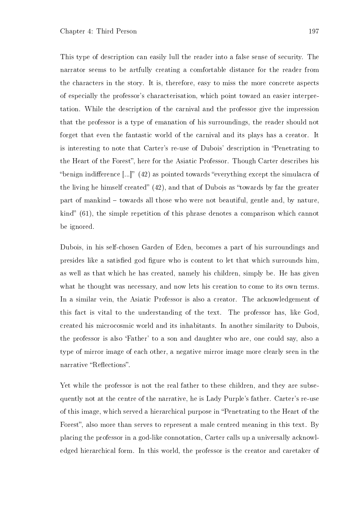This type of description can easily lull the reader into a false sense of security. The narrator seems to be artfully creating a comfortable distance for the reader from the characters in the story. It is, therefore, easy to miss the more concrete aspects of especially the professor's characterisation, which point toward an easier interpretation. While the description of the carnival and the professor give the impression that the professor is a type of emanation of his surroundings, the reader should not forget that even the fantastic world of the carnival and its plays has a creator. It is interesting to note that Carter's re-use of Dubois' description in "Penetrating to the Heart of the Forest", here for the Asiatic Professor. Though Carter describes his "benign indifference  $[...]$ " (42) as pointed towards "everything except the simulacra of the living he himself created"  $(42)$ , and that of Dubois as "towards by far the greater part of mankind – towards all those who were not beautiful, gentle and, by nature, kind" (61), the simple repetition of this phrase denotes a comparison which cannot be ignored.

Dubois, in his self-chosen Garden of Eden, becomes a part of his surroundings and presides like a satisfied god figure who is content to let that which surrounds him, as well as that which he has created, namely his children, simply be. He has given what he thought was necessary, and now lets his creation to come to its own terms. In a similar vein, the Asiatic Professor is also a creator. The acknowledgement of this fact is vital to the understanding of the text. The professor has, like God, created his microcosmic world and its inhabitants. In another similarity to Dubois, the professor is also `Father' to a son and daughter who are, one could say, also a type of mirror image of each other, a negative mirror image more clearly seen in the narrative "Reflections".

Yet while the professor is not the real father to these children, and they are subsequently not at the centre of the narrative, he is Lady Purple's father. Carter's re-use of this image, which served a hierarchical purpose in Penetrating to the Heart of the Forest", also more than serves to represent a male centred meaning in this text. By placing the professor in a god-like connotation, Carter calls up a universally acknowledged hierarchical form. In this world, the professor is the creator and caretaker of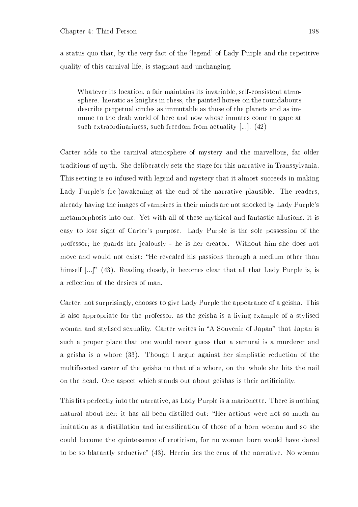a status quo that, by the very fact of the `legend' of Lady Purple and the repetitive quality of this carnival life, is stagnant and unchanging.

Whatever its location, a fair maintains its invariable, self-consistent atmosphere. hieratic as knights in chess, the painted horses on the roundabouts describe perpetual circles as immutable as those of the planets and as immune to the drab world of here and now whose inmates come to gape at such extraordinariness, such freedom from actuality [...]. (42)

Carter adds to the carnival atmosphere of mystery and the marvellous, far older traditions of myth. She deliberately sets the stage for this narrative in Transsylvania. This setting is so infused with legend and mystery that it almost succeeds in making Lady Purple's (re-)awakening at the end of the narrative plausible. The readers, already having the images of vampires in their minds are not shocked by Lady Purple's metamorphosis into one. Yet with all of these mythical and fantastic allusions, it is easy to lose sight of Carter's purpose. Lady Purple is the sole possession of the professor; he guards her jealously - he is her creator. Without him she does not move and would not exist: "He revealed his passions through a medium other than himself  $[...]$ " (43). Reading closely, it becomes clear that all that Lady Purple is, is a reflection of the desires of man.

Carter, not surprisingly, chooses to give Lady Purple the appearance of a geisha. This is also appropriate for the professor, as the geisha is a living example of a stylised woman and stylised sexuality. Carter writes in "A Souvenir of Japan" that Japan is such a proper place that one would never guess that a samurai is a murderer and a geisha is a whore (33). Though I argue against her simplistic reduction of the multifaceted career of the geisha to that of a whore, on the whole she hits the nail on the head. One aspect which stands out about geishas is their articiality.

This fits perfectly into the narrative, as Lady Purple is a marionette. There is nothing natural about her; it has all been distilled out: "Her actions were not so much an imitation as a distillation and intensification of those of a born woman and so she could become the quintessence of eroticism, for no woman born would have dared to be so blatantly seductive" (43). Herein lies the crux of the narrative. No woman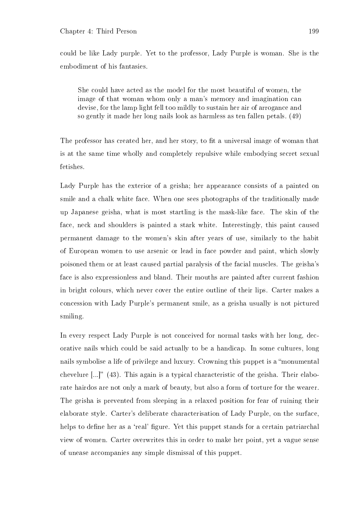could be like Lady purple. Yet to the professor, Lady Purple is woman. She is the embodiment of his fantasies.

She could have acted as the model for the most beautiful of women, the image of that woman whom only a man's memory and imagination can devise, for the lamp light fell too mildly to sustain her air of arrogance and so gently it made her long nails look as harmless as ten fallen petals. (49)

The professor has created her, and her story, to fit a universal image of woman that is at the same time wholly and completely repulsive while embodying secret sexual fetishes.

Lady Purple has the exterior of a geisha; her appearance consists of a painted on smile and a chalk white face. When one sees photographs of the traditionally made up Japanese geisha, what is most startling is the mask-like face. The skin of the face, neck and shoulders is painted a stark white. Interestingly, this paint caused permanent damage to the women's skin after years of use, similarly to the habit of European women to use arsenic or lead in face powder and paint, which slowly poisoned them or at least caused partial paralysis of the facial muscles. The geisha's face is also expressionless and bland. Their mouths are painted after current fashion in bright colours, which never cover the entire outline of their lips. Carter makes a concession with Lady Purple's permanent smile, as a geisha usually is not pictured smiling.

In every respect Lady Purple is not conceived for normal tasks with her long, decorative nails which could be said actually to be a handicap. In some cultures, long nails symbolise a life of privilege and luxury. Crowning this puppet is a "monumental" chevelure  $\left[\ldots\right]$  (43). This again is a typical characteristic of the geisha. Their elaborate hairdos are not only a mark of beauty, but also a form of torture for the wearer. The geisha is prevented from sleeping in a relaxed position for fear of ruining their elaborate style. Carter's deliberate characterisation of Lady Purple, on the surface, helps to define her as a 'real' figure. Yet this puppet stands for a certain patriarchal view of women. Carter overwrites this in order to make her point, yet a vague sense of unease accompanies any simple dismissal of this puppet.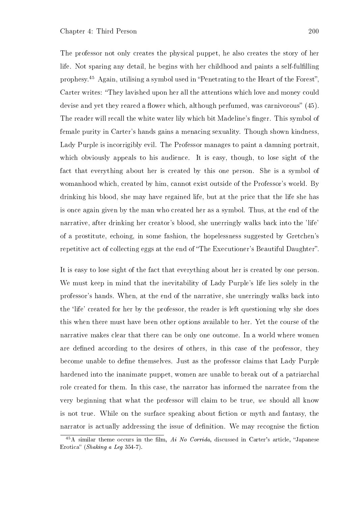The professor not only creates the physical puppet, he also creates the story of her life. Not sparing any detail, he begins with her childhood and paints a self-fulfilling prophesy.<sup>45</sup> Again, utilising a symbol used in "Penetrating to the Heart of the Forest". Carter writes: "They lavished upon her all the attentions which love and money could devise and yet they reared a flower which, although perfumed, was carnivorous"  $(45)$ . The reader will recall the white water lily which bit Madeline's finger. This symbol of female purity in Carter's hands gains a menacing sexuality. Though shown kindness, Lady Purple is incorrigibly evil. The Professor manages to paint a damning portrait, which obviously appeals to his audience. It is easy, though, to lose sight of the fact that everything about her is created by this one person. She is a symbol of womanhood which, created by him, cannot exist outside of the Professor's world. By drinking his blood, she may have regained life, but at the price that the life she has is once again given by the man who created her as a symbol. Thus, at the end of the narrative, after drinking her creator's blood, she unerringly walks back into the 'life' of a prostitute, echoing, in some fashion, the hopelessness suggested by Gretchen's repetitive act of collecting eggs at the end of "The Executioner's Beautiful Daughter".

It is easy to lose sight of the fact that everything about her is created by one person. We must keep in mind that the inevitability of Lady Purple's life lies solely in the professor's hands. When, at the end of the narrative, she unerringly walks back into the 'life' created for her by the professor, the reader is left questioning why she does this when there must have been other options available to her. Yet the course of the narrative makes clear that there can be only one outcome. In a world where women are defined according to the desires of others, in this case of the professor, they become unable to dene themselves. Just as the professor claims that Lady Purple hardened into the inanimate puppet, women are unable to break out of a patriarchal role created for them. In this case, the narrator has informed the narratee from the very beginning that what the professor will claim to be true, we should all know is not true. While on the surface speaking about fiction or myth and fantasy, the narrator is actually addressing the issue of definition. We may recognise the fiction

 $^{45}$ A similar theme occurs in the film, Ai No Corrida, discussed in Carter's article, "Japanese Erotica" (Shaking a Leg 354-7).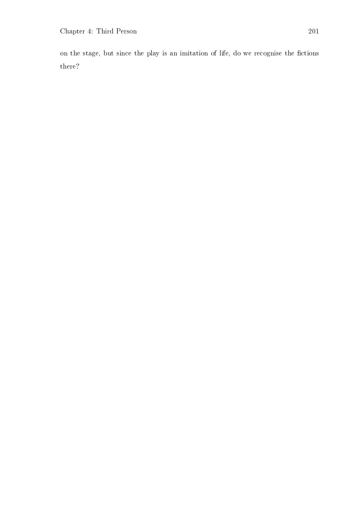on the stage, but since the play is an imitation of life, do we recognise the fictions there?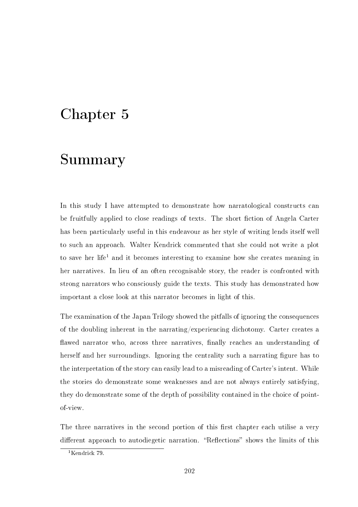### Chapter 5

## Summary

In this study I have attempted to demonstrate how narratological constructs can be fruitfully applied to close readings of texts. The short fiction of Angela Carter has been particularly useful in this endeavour as her style of writing lends itself well to such an approach. Walter Kendrick commented that she could not write a plot to save her life<sup>1</sup> and it becomes interesting to examine how she creates meaning in her narratives. In lieu of an often recognisable story, the reader is confronted with strong narrators who consciously guide the texts. This study has demonstrated how important a close look at this narrator becomes in light of this.

The examination of the Japan Trilogy showed the pitfalls of ignoring the consequences of the doubling inherent in the narrating/experiencing dichotomy. Carter creates a flawed narrator who, across three narratives, finally reaches an understanding of herself and her surroundings. Ignoring the centrality such a narrating figure has to the interpretation of the story can easily lead to a misreading of Carter's intent. While the stories do demonstrate some weaknesses and are not always entirely satisfying, they do demonstrate some of the depth of possibility contained in the choice of pointof-view.

The three narratives in the second portion of this first chapter each utilise a very different approach to autodiegetic narration. "Reflections" shows the limits of this

<sup>1</sup>Kendrick 79.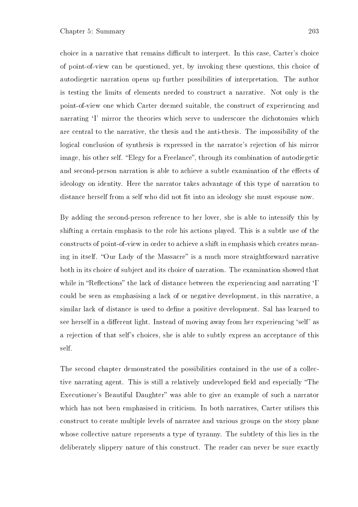choice in a narrative that remains difficult to interpret. In this case, Carter's choice of point-of-view can be questioned, yet, by invoking these questions, this choice of autodiegetic narration opens up further possibilities of interpretation. The author is testing the limits of elements needed to construct a narrative. Not only is the point-of-view one which Carter deemed suitable, the construct of experiencing and narrating <sup>T</sup>' mirror the theories which serve to underscore the dichotomies which are central to the narrative, the thesis and the anti-thesis. The impossibility of the logical conclusion of synthesis is expressed in the narrator's rejection of his mirror image, his other self. "Elegy for a Freelance", through its combination of autodiegetic and second-person narration is able to achieve a subtle examination of the effects of ideology on identity. Here the narrator takes advantage of this type of narration to distance herself from a self who did not fit into an ideology she must espouse now.

By adding the second-person reference to her lover, she is able to intensify this by shifting a certain emphasis to the role his actions played. This is a subtle use of the constructs of point-of-view in order to achieve a shift in emphasis which creates meaning in itself. "Our Lady of the Massacre" is a much more straightforward narrative both in its choice of subject and its choice of narration. The examination showed that while in "Reflections" the lack of distance between the experiencing and narrating  $I'$ could be seen as emphasising a lack of or negative development, in this narrative, a similar lack of distance is used to dene a positive development. Sal has learned to see herself in a different light. Instead of moving away from her experiencing 'self' as a rejection of that self's choices, she is able to subtly express an acceptance of this self.

The second chapter demonstrated the possibilities contained in the use of a collective narrating agent. This is still a relatively undeveloped field and especially "The Executioner's Beautiful Daughter" was able to give an example of such a narrator which has not been emphasised in criticism. In both narratives, Carter utilises this construct to create multiple levels of narratee and various groups on the story plane whose collective nature represents a type of tyranny. The subtlety of this lies in the deliberately slippery nature of this construct. The reader can never be sure exactly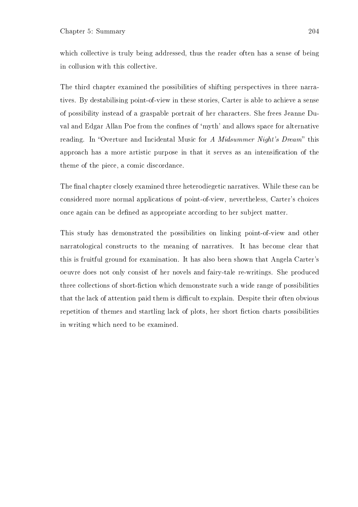which collective is truly being addressed, thus the reader often has a sense of being in collusion with this collective.

The third chapter examined the possibilities of shifting perspectives in three narratives. By destabilising point-of-view in these stories, Carter is able to achieve a sense of possibility instead of a graspable portrait of her characters. She frees Jeanne Duval and Edgar Allan Poe from the confines of 'myth' and allows space for alternative reading. In "Overture and Incidental Music for A Midsummer Night's Dream" this approach has a more artistic purpose in that it serves as an intensication of the theme of the piece, a comic discordance.

The final chapter closely examined three heterodiegetic narratives. While these can be considered more normal applications of point-of-view, nevertheless, Carter's choices once again can be dened as appropriate according to her subject matter.

This study has demonstrated the possibilities on linking point-of-view and other narratological constructs to the meaning of narratives. It has become clear that this is fruitful ground for examination. It has also been shown that Angela Carter's oeuvre does not only consist of her novels and fairy-tale re-writings. She produced three collections of short-fiction which demonstrate such a wide range of possibilities that the lack of attention paid them is difficult to explain. Despite their often obvious repetition of themes and startling lack of plots, her short fiction charts possibilities in writing which need to be examined.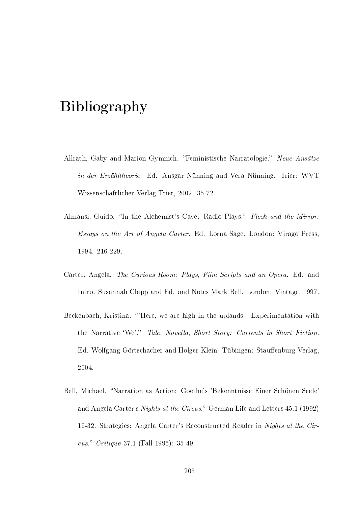# Bibliography

- Allrath, Gaby and Marion Gymnich. "Feministische Narratologie." Neue Ansätze in der Erzähltheorie. Ed. Ansgar Nünning and Vera Nünning. Trier: WVT Wissenschaftlicher Verlag Trier, 2002. 35-72.
- Almansi, Guido. "In the Alchemist's Cave: Radio Plays." Flesh and the Mirror: Essays on the Art of Angela Carter. Ed. Lorna Sage. London: Virago Press, 1994. 216-229.
- Carter, Angela. The Curious Room: Plays, Film Scripts and an Opera. Ed. and Intro. Susannah Clapp and Ed. and Notes Mark Bell. London: Vintage, 1997.
- Beckenbach, Kristina. "Here, we are high in the uplands.' Experimentation with the Narrative 'We'." Tale, Novella, Short Story: Currents in Short Fiction. Ed. Wolfgang Görtschacher and Holger Klein. Tübingen: Stauffenburg Verlag, 2004.
- Bell, Michael. Narration as Action: Goethe's 'Bekenntnisse Einer Schönen Seele' and Angela Carter's *Nights at the Circus.*" German Life and Letters 45.1 (1992) 16-32. Strategies: Angela Carter's Reconstructed Reader in Nights at the Circus." Critique 37.1 (Fall 1995):  $35-49$ .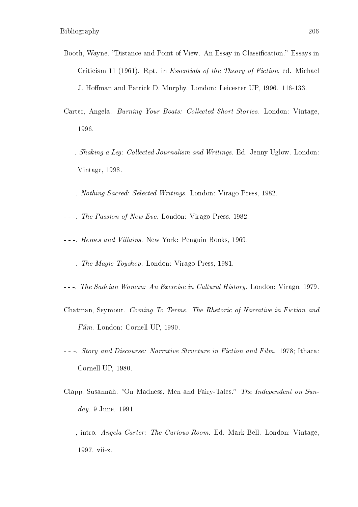- Booth, Wayne. "Distance and Point of View. An Essay in Classification." Essays in Criticism 11 (1961). Rpt. in Essentials of the Theory of Fiction, ed. Michael J. Homan and Patrick D. Murphy. London: Leicester UP, 1996. 116-133.
- Carter, Angela. Burning Your Boats: Collected Short Stories. London: Vintage, 1996.
- - -. Shaking a Leg: Collected Journalism and Writings. Ed. Jenny Uglow. London: Vintage, 1998.
- - -. Nothing Sacred: Selected Writings. London: Virago Press, 1982.
- - -. The Passion of New Eve. London: Virago Press, 1982.
- - -. Heroes and Villains. New York: Penguin Books, 1969.
- - -. The Magic Toyshop. London: Virago Press, 1981.
- - -. The Sadeian Woman: An Exercise in Cultural History. London: Virago, 1979.
- Chatman, Seymour. Coming To Terms. The Rhetoric of Narrative in Fiction and Film. London: Cornell UP, 1990.
- - -. Story and Discourse: Narrative Structure in Fiction and Film. 1978; Ithaca: Cornell UP, 1980.
- Clapp, Susannah. "On Madness, Men and Fairy-Tales." The Independent on Sunday. 9 June. 1991.
- - -, intro. Angela Carter: The Curious Room. Ed. Mark Bell. London: Vintage, 1997. vii-x.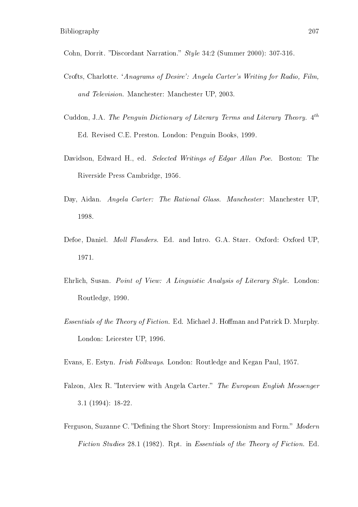Cohn, Dorrit. "Discordant Narration." *Style* 34:2 (Summer 2000): 307-316.

- Crofts, Charlotte. `Anagrams of Desire': Angela Carter's Writing for Radio, Film, and Television. Manchester: Manchester UP, 2003.
- Cuddon, J.A. The Penguin Dictionary of Literary Terms and Literary Theory. 4<sup>th</sup> Ed. Revised C.E. Preston. London: Penguin Books, 1999.
- Davidson, Edward H., ed. Selected Writings of Edgar Allan Poe. Boston: The Riverside Press Cambridge, 1956.
- Day, Aidan. Angela Carter: The Rational Glass. Manchester: Manchester UP. 1998.
- Defoe, Daniel. Moll Flanders. Ed. and Intro. G.A. Starr. Oxford: Oxford UP, 1971.
- Ehrlich, Susan. Point of View: A Linguistic Analysis of Literary Style. London: Routledge, 1990.
- Essentials of the Theory of Fiction. Ed. Michael J. Hoffman and Patrick D. Murphy. London: Leicester UP, 1996.

Evans, E. Estyn. Irish Folkways. London: Routledge and Kegan Paul, 1957.

- Falzon, Alex R. "Interview with Angela Carter." The European English Messenger 3.1 (1994): 18-22.
- Ferguson, Suzanne C. "Defining the Short Story: Impressionism and Form." Modern Fiction Studies 28.1 (1982). Rpt. in Essentials of the Theory of Fiction. Ed.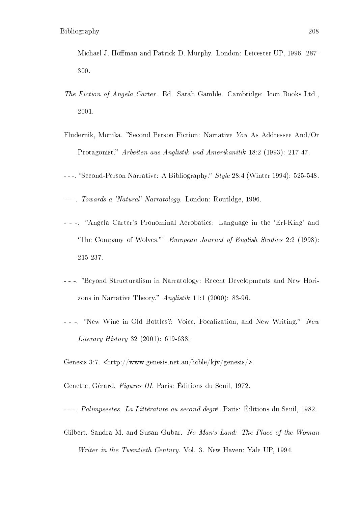Michael J. Hoffman and Patrick D. Murphy. London: Leicester UP, 1996. 287-300.

- The Fiction of Angela Carter. Ed. Sarah Gamble. Cambridge: Icon Books Ltd., 2001.
- Fludernik, Monika. "Second Person Fiction: Narrative You As Addressee And/Or Protagonist." Arbeiten aus Anglistik und Amerikanitik 18:2 (1993): 217-47.
- $--$ . "Second-Person Narrative: A Bibliography." *Style* 28:4 (Winter 1994): 525-548.
- - -. Towards a 'Natural' Narratology. London: Routldge, 1996.
- - -. "Angela Carter's Pronominal Acrobatics: Language in the 'Erl-King' and 'The Company of Wolves." European Journal of English Studies 2:2 (1998): 215-237.
- - -. Beyond Structuralism in Narratology: Recent Developments and New Horizons in Narrative Theory." Anglistik 11:1 (2000): 83-96.
- -. "New Wine in Old Bottles?: Voice, Focalization, and New Writing." New Literary History 32 (2001): 619-638.

Genesis 3:7. <http://www.genesis.net.au/bible/kjv/genesis/>.

Genette, Gérard. Figures III. Paris: Éditions du Seuil, 1972.

- - -. Palimpsestes. La Littérature au second degré. Paris: Éditions du Seuil, 1982.

Gilbert, Sandra M. and Susan Gubar. No Man's Land: The Place of the Woman Writer in the Twentieth Century. Vol. 3. New Haven: Yale UP, 1994.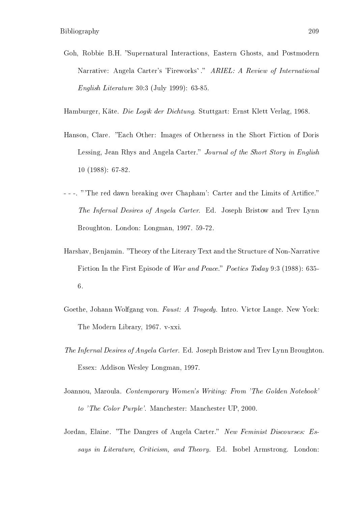Goh, Robbie B.H. "Supernatural Interactions, Eastern Ghosts, and Postmodern Narrative: Angela Carter's 'Fireworks'." ARIEL: A Review of International English Literature 30:3 (July 1999): 63-85.

Hamburger, Käte. Die Logik der Dichtung. Stuttgart: Ernst Klett Verlag, 1968.

- Hanson, Clare. "Each Other: Images of Otherness in the Short Fiction of Doris Lessing, Jean Rhys and Angela Carter." Journal of the Short Story in English 10 (1988): 67-82.
- -. "The red dawn breaking over Chapham': Carter and the Limits of Artifice." The Infernal Desires of Angela Carter. Ed. Joseph Bristow and Trev Lynn Broughton. London: Longman, 1997. 59-72.
- Harshav, Benjamin. Theory of the Literary Text and the Structure of Non-Narrative Fiction In the First Episode of War and Peace." Poetics Today 9:3 (1988): 635-6.
- Goethe, Johann Wolfgang von. Faust: A Tragedy. Intro. Victor Lange. New York: The Modern Library, 1967. v-xxi.
- The Infernal Desires of Angela Carter. Ed. Joseph Bristow and Trev Lynn Broughton. Essex: Addison Wesley Longman, 1997.
- Joannou, Maroula. Contemporary Women's Writing: From 'The Golden Notebook' to 'The Color Purple'. Manchester: Manchester UP, 2000.
- Jordan, Elaine. "The Dangers of Angela Carter." New Feminist Discourses: Essays in Literature, Criticism, and Theory. Ed. Isobel Armstrong. London: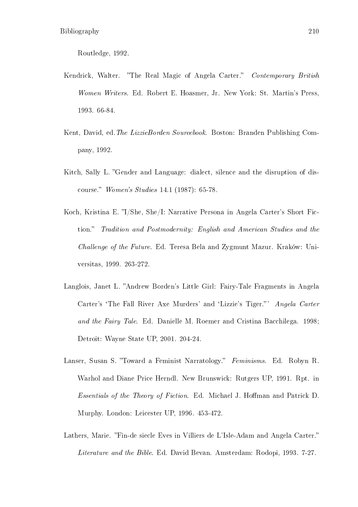Routledge, 1992.

- Kendrick, Walter. "The Real Magic of Angela Carter." Contemporary British Women Writers. Ed. Robert E. Hoasmer, Jr. New York: St. Martin's Press, 1993. 66-84.
- Kent, David, ed. The LizzieBorden Sourcebook. Boston: Branden Publishing Company, 1992.
- Kitch, Sally L. "Gender and Language: dialect, silence and the disruption of discourse." *Women's Studies* 14.1 (1987): 65-78.
- Koch, Kristina E. "I/She, She/I: Narrative Persona in Angela Carter's Short Fiction." Tradition and Postmodernity: English and American Studies and the Challenge of the Future. Ed. Teresa Bela and Zygmunt Mazur. Kraków: Universitas, 1999. 263-272.
- Langlois, Janet L. "Andrew Borden's Little Girl: Fairy-Tale Fragments in Angela Carter's 'The Fall River Axe Murders' and 'Lizzie's Tiger."' Angela Carter and the Fairy Tale. Ed. Danielle M. Roemer and Cristina Bacchilega. 1998; Detroit: Wayne State UP, 2001. 204-24.
- Lanser, Susan S. "Toward a Feminist Narratology." Feminisms. Ed. Robyn R. Warhol and Diane Price Herndl. New Brunswick: Rutgers UP, 1991. Rpt. in Essentials of the Theory of Fiction. Ed. Michael J. Hoffman and Patrick D. Murphy. London: Leicester UP, 1996. 453-472.
- Lathers, Marie. "Fin-de siecle Eves in Villiers de L'Isle-Adam and Angela Carter." Literature and the Bible. Ed. David Bevan. Amsterdam: Rodopi, 1993. 7-27.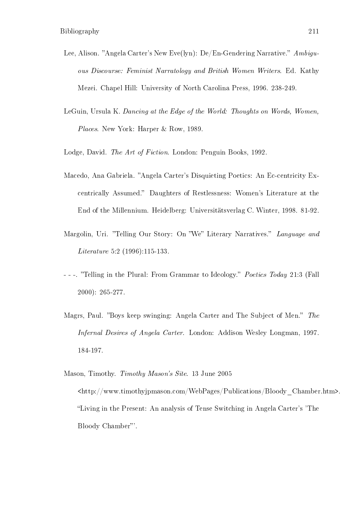- Lee, Alison. "Angela Carter's New Eve(lyn): De/En-Gendering Narrative."  $Ambiqu$ ous Discourse: Feminist Narratology and British Women Writers. Ed. Kathy Mezei. Chapel Hill: University of North Carolina Press, 1996. 238-249.
- LeGuin, Ursula K. Dancing at the Edge of the World: Thoughts on Words, Women, Places. New York: Harper & Row, 1989.

Lodge, David. The Art of Fiction. London: Penguin Books, 1992.

- Macedo, Ana Gabriela. "Angela Carter's Disquieting Poetics: An Ec-centricity Excentrically Assumed." Daughters of Restlessness: Women's Literature at the End of the Millennium. Heidelberg: Universitätsverlag C. Winter, 1998. 81-92.
- Margolin, Uri. "Telling Our Story: On "We" Literary Narratives." Language and Literature 5:2 (1996):115-133.
- - -. "Telling in the Plural: From Grammar to Ideology." *Poetics Today* 21:3 (Fall 2000): 265-277.
- Magrs, Paul. "Boys keep swinging: Angela Carter and The Subject of Men." The Infernal Desires of Angela Carter. London: Addison Wesley Longman, 1997. 184-197.

Mason, Timothy. Timothy Mason's Site. 13 June 2005 <http://www.timothyjpmason.com/WebPages/Publications/Bloody\_Chamber.htm>. Living in the Present: An analysis of Tense Switching in Angela Carter's 'The Bloody Chamber"'.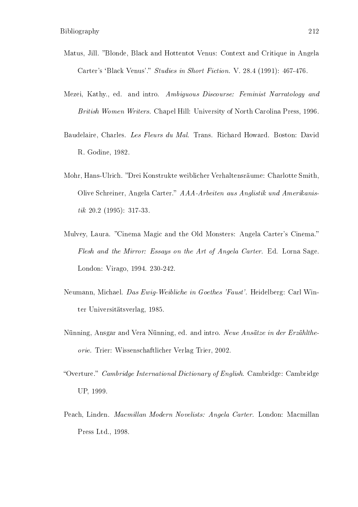- Matus, Jill. "Blonde, Black and Hottentot Venus: Context and Critique in Angela Carter's 'Black Venus'." Studies in Short Fiction. V. 28.4 (1991): 467-476.
- Mezei, Kathy., ed. and intro. Ambiguous Discourse: Feminist Narratology and British Women Writers. Chapel Hill: University of North Carolina Press, 1996.
- Baudelaire, Charles. Les Fleurs du Mal. Trans. Richard Howard. Boston: David R. Godine, 1982.
- Mohr, Hans-Ulrich. Drei Konstrukte weiblicher Verhaltensräume: Charlotte Smith, Olive Schreiner, Angela Carter." AAA-Arbeiten aus Anglistik und Amerikanistik 20.2 (1995): 317-33.
- Mulvey, Laura. "Cinema Magic and the Old Monsters: Angela Carter's Cinema." Flesh and the Mirror: Essays on the Art of Angela Carter. Ed. Lorna Sage. London: Virago, 1994. 230-242.
- Neumann, Michael. Das Ewig-Weibliche in Goethes 'Faust'. Heidelberg: Carl Winter Universitätsverlag, 1985.
- Nünning, Ansgar and Vera Nünning, ed. and intro. Neue Ansätze in der Erzähltheorie. Trier: Wissenschaftlicher Verlag Trier, 2002.
- "Overture." Cambridge International Dictionary of English. Cambridge: Cambridge UP, 1999.
- Peach, Linden. Macmillan Modern Novelists: Angela Carter. London: Macmillan Press Ltd., 1998.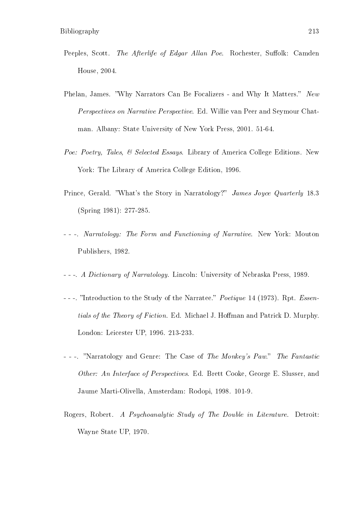- Peeples, Scott. The Afterlife of Edgar Allan Poe. Rochester, Suffolk: Camden House, 2004.
- Phelan, James. "Why Narrators Can Be Focalizers and Why It Matters." New Perspectives on Narrative Perspective. Ed. Willie van Peer and Seymour Chatman. Albany: State University of New York Press, 2001. 51-64.
- Poe: Poetry, Tales, & Selected Essays. Library of America College Editions. New York: The Library of America College Edition, 1996.
- Prince, Gerald. "What's the Story in Narratology?" James Joyce Quarterly 18.3 (Spring 1981): 277-285.
- - -. Narratology: The Form and Functioning of Narrative. New York: Mouton Publishers, 1982.
- - -. A Dictionary of Narratology. Lincoln: University of Nebraska Press, 1989.
- - -. "Introduction to the Study of the Narratee." *Poetique* 14 (1973). Rpt. *Essen*tials of the Theory of Fiction. Ed. Michael J. Hoffman and Patrick D. Murphy. London: Leicester UP, 1996. 213-233.
- -. "Narratology and Genre: The Case of The Monkey's Paw." The Fantastic Other: An Interface of Perspectives. Ed. Brett Cooke, George E. Slusser, and Jaume Marti-Olivella, Amsterdam: Rodopi, 1998. 101-9.
- Rogers, Robert. A Psychoanalytic Study of The Double in Literature. Detroit: Wayne State UP, 1970.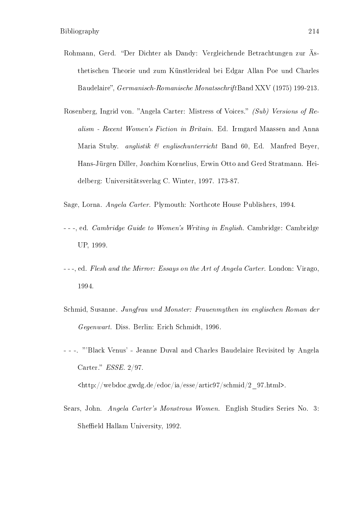- Rohmann, Gerd. "Der Dichter als Dandy: Vergleichende Betrachtungen zur Ästhetischen Theorie und zum Künstlerideal bei Edgar Allan Poe und Charles Baudelaire", Germanisch-Romanische MonatsschriftBand XXV (1975) 199-213.
- Rosenberg, Ingrid von. "Angela Carter: Mistress of Voices." (Sub) Versions of  $Re$ alism - Recent Women's Fiction in Britain. Ed. Irmgard Maassen and Anna Maria Stuby. *anglistik & englischunterricht* Band 60, Ed. Manfred Beyer, Hans-Jürgen Diller, Joachim Kornelius, Erwin Otto and Gerd Stratmann. Heidelberg: Universitätsverlag C. Winter, 1997. 173-87.
- Sage, Lorna. Angela Carter. Plymouth: Northcote House Publishers, 1994.
- - -, ed. Cambridge Guide to Women's Writing in English. Cambridge: Cambridge UP, 1999.
- - -, ed. Flesh and the Mirror: Essays on the Art of Angela Carter. London: Virago, 1994.
- Schmid, Susanne. Jungfrau und Monster: Frauenmythen im englischen Roman der Gegenwart. Diss. Berlin: Erich Schmidt, 1996.
- - -. 'Black Venus' Jeanne Duval and Charles Baudelaire Revisited by Angela Carter." *ESSE.* 2/97.

<http://webdoc.gwdg.de/edoc/ia/esse/artic97/schmid/2\_97.html>.

Sears, John. Angela Carter's Monstrous Women. English Studies Series No. 3: Sheffield Hallam University, 1992.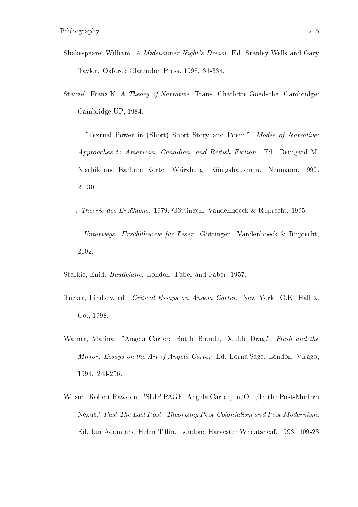- Shakespeare, William. A Midsummer Night's Dream. Ed. Stanley Wells and Gary Taylor. Oxford: Clarendon Press, 1998. 31-334.
- Stanzel, Franz K. A Theory of Narrative. Trans. Charlotte Goedsche. Cambridge: Cambridge UP, 1984.
- - -. "Textual Power in (Short) Short Story and Poem." Modes of Narrative: Approaches to American, Canadian, and British Fiction. Ed. Reingard M. Nischik and Barbara Korte. Würzburg: Königshausen u. Neumann, 1990. 20-30.
- - -. Theorie des Erzählens. 1979; Göttingen: Vandenhoeck & Ruprecht, 1995.
- - -. Unterwegs. Erzähltheorie für Leser. Göttingen: Vandenhoeck & Ruprecht, 2002.

Starkie, Enid. Baudelaire. London: Faber and Faber, 1957.

- Tucker, Lindsey, ed. Critical Essays on Angela Carter. New York: G.K. Hall & Co., 1998.
- Warner, Marina. "Angela Carter: Bottle Blonde, Double Drag." Flesh and the Mirror: Essays on the Art of Angela Carter. Ed. Lorna Sage. London: Virago, 1994. 243-256.
- Wilson, Robert Rawdon. "SLIP PAGE: Angela Carter, In/Out/In the Post-Modern Nexus." Past The Last Post: Theorizing Post-Colonialism and Post-Modernism. Ed. Ian Adam and Helen Tiffin. London: Harvester Wheatsheaf, 1993. 109-23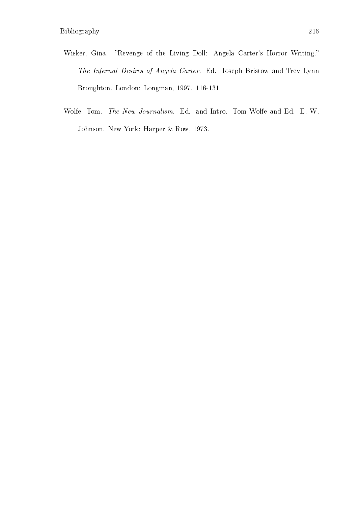- Wisker, Gina. "Revenge of the Living Doll: Angela Carter's Horror Writing." The Infernal Desires of Angela Carter. Ed. Joseph Bristow and Trev Lynn Broughton. London: Longman, 1997. 116-131.
- Wolfe, Tom. The New Journalism. Ed. and Intro. Tom Wolfe and Ed. E. W. Johnson. New York: Harper & Row, 1973.